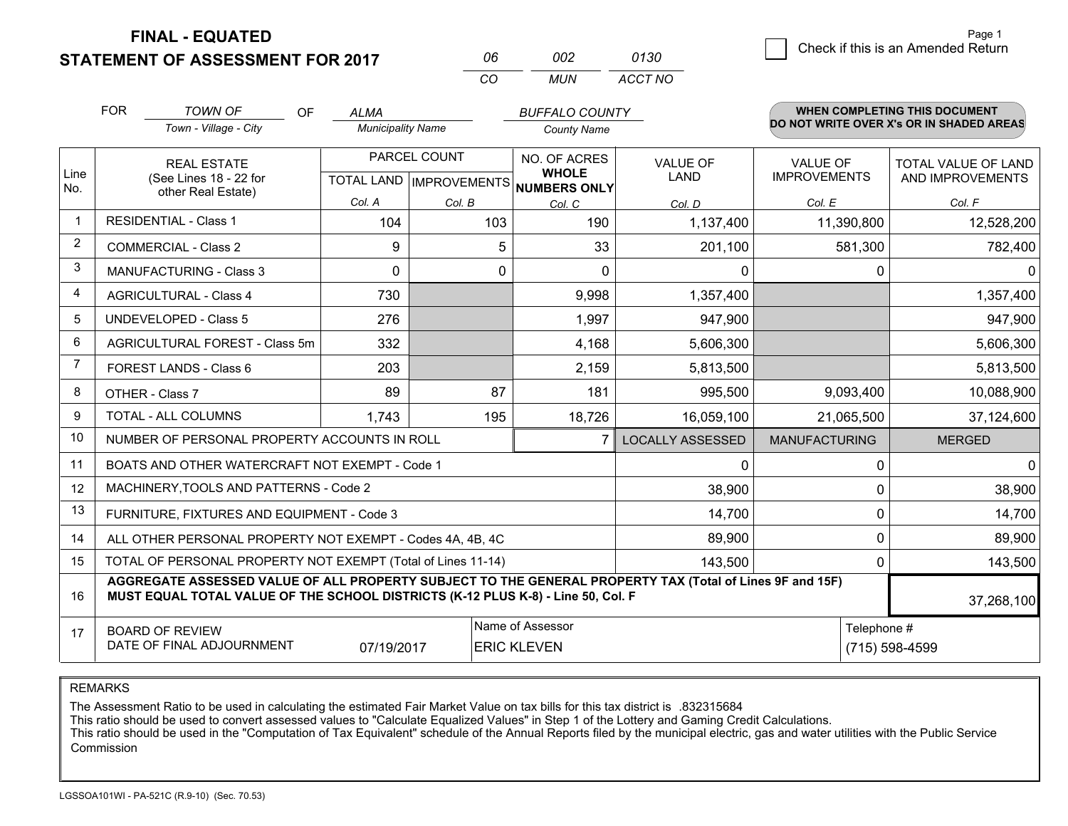**FINAL - EQUATED**

**STATEMENT OF ASSESSMENT FOR 2017** 

| NR       | nn2  | 0130    |
|----------|------|---------|
| $\alpha$ | MUN. | ACCT NO |

|                | <b>FOR</b><br><b>TOWN OF</b><br><b>OF</b><br>Town - Village - City                                                                                                                           | <b>ALMA</b><br><b>Municipality Name</b> |        | <b>BUFFALO COUNTY</b><br><b>County Name</b> |                                |                                        | <b>WHEN COMPLETING THIS DOCUMENT</b><br>DO NOT WRITE OVER X's OR IN SHADED AREAS |
|----------------|----------------------------------------------------------------------------------------------------------------------------------------------------------------------------------------------|-----------------------------------------|--------|---------------------------------------------|--------------------------------|----------------------------------------|----------------------------------------------------------------------------------|
| Line<br>No.    | PARCEL COUNT<br><b>REAL ESTATE</b><br>(See Lines 18 - 22 for<br>TOTAL LAND MPROVEMENTS NUMBERS ONLY<br>other Real Estate)                                                                    |                                         |        | NO. OF ACRES<br><b>WHOLE</b>                | <b>VALUE OF</b><br><b>LAND</b> | <b>VALUE OF</b><br><b>IMPROVEMENTS</b> | <b>TOTAL VALUE OF LAND</b><br>AND IMPROVEMENTS                                   |
|                |                                                                                                                                                                                              | Col. A                                  | Col. B | Col. C                                      | Col. D                         | Col. E                                 | Col. F                                                                           |
| $\mathbf 1$    | <b>RESIDENTIAL - Class 1</b>                                                                                                                                                                 | 104                                     | 103    | 190                                         | 1,137,400                      | 11,390,800                             | 12,528,200                                                                       |
| $\overline{2}$ | <b>COMMERCIAL - Class 2</b>                                                                                                                                                                  | 9                                       | 5.     | 33                                          | 201,100                        | 581,300                                | 782,400                                                                          |
| 3              | <b>MANUFACTURING - Class 3</b>                                                                                                                                                               | $\Omega$                                | 0      | $\Omega$                                    | 0                              | 0                                      | $\mathbf{0}$                                                                     |
| 4              | <b>AGRICULTURAL - Class 4</b>                                                                                                                                                                | 730                                     |        | 9,998                                       | 1,357,400                      |                                        | 1,357,400                                                                        |
| 5              | <b>UNDEVELOPED - Class 5</b>                                                                                                                                                                 | 276                                     |        | 1,997                                       | 947,900                        |                                        | 947,900                                                                          |
| 6              | AGRICULTURAL FOREST - Class 5m                                                                                                                                                               | 332                                     |        | 4,168                                       | 5,606,300                      |                                        | 5,606,300                                                                        |
| $\overline{7}$ | FOREST LANDS - Class 6                                                                                                                                                                       | 203                                     |        | 2,159                                       | 5,813,500                      |                                        | 5,813,500                                                                        |
| 8              | OTHER - Class 7                                                                                                                                                                              | 89                                      | 87     | 181                                         | 995,500                        | 9,093,400                              | 10,088,900                                                                       |
| 9              | TOTAL - ALL COLUMNS                                                                                                                                                                          | 1,743                                   | 195    | 18,726                                      | 16,059,100                     | 21,065,500                             | 37,124,600                                                                       |
| 10             | NUMBER OF PERSONAL PROPERTY ACCOUNTS IN ROLL                                                                                                                                                 |                                         |        |                                             | <b>LOCALLY ASSESSED</b>        | <b>MANUFACTURING</b>                   | <b>MERGED</b>                                                                    |
| 11             | BOATS AND OTHER WATERCRAFT NOT EXEMPT - Code 1                                                                                                                                               |                                         |        |                                             | 0                              | $\Omega$                               | 0                                                                                |
| 12             | MACHINERY, TOOLS AND PATTERNS - Code 2                                                                                                                                                       |                                         |        |                                             | 38,900                         | 0                                      | 38,900                                                                           |
| 13             | FURNITURE, FIXTURES AND EQUIPMENT - Code 3                                                                                                                                                   |                                         |        |                                             | 14,700                         | 0                                      | 14,700                                                                           |
| 14             | 89,900<br>ALL OTHER PERSONAL PROPERTY NOT EXEMPT - Codes 4A, 4B, 4C                                                                                                                          |                                         |        |                                             |                                |                                        | 0<br>89,900                                                                      |
| 15             | TOTAL OF PERSONAL PROPERTY NOT EXEMPT (Total of Lines 11-14)<br>143,500<br>0                                                                                                                 |                                         |        |                                             |                                |                                        | 143,500                                                                          |
| 16             | AGGREGATE ASSESSED VALUE OF ALL PROPERTY SUBJECT TO THE GENERAL PROPERTY TAX (Total of Lines 9F and 15F)<br>MUST EQUAL TOTAL VALUE OF THE SCHOOL DISTRICTS (K-12 PLUS K-8) - Line 50, Col. F |                                         |        |                                             |                                |                                        | 37,268,100                                                                       |
| 17             | Name of Assessor<br>Telephone #<br><b>BOARD OF REVIEW</b><br>DATE OF FINAL ADJOURNMENT<br>(715) 598-4599<br>07/19/2017<br><b>ERIC KLEVEN</b>                                                 |                                         |        |                                             |                                |                                        |                                                                                  |

REMARKS

The Assessment Ratio to be used in calculating the estimated Fair Market Value on tax bills for this tax district is .832315684

This ratio should be used to convert assessed values to "Calculate Equalized Values" in Step 1 of the Lottery and Gaming Credit Calculations.<br>This ratio should be used in the "Computation of Tax Equivalent" schedule of the Commission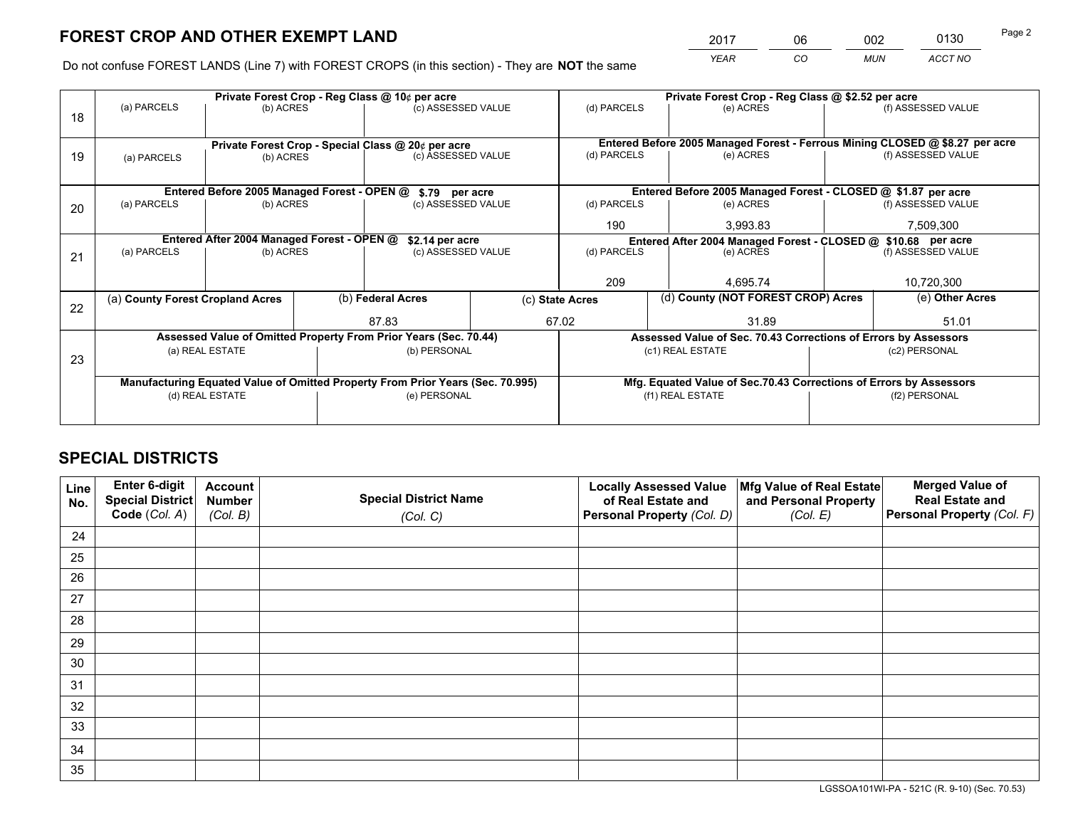*YEAR CO MUN ACCT NO* <sup>2017</sup> <sup>06</sup> <sup>002</sup> <sup>0130</sup> Page 2

Do not confuse FOREST LANDS (Line 7) with FOREST CROPS (in this section) - They are **NOT** the same

|                                            |             |                                                     |                                                  |                                                                                                                    | Private Forest Crop - Reg Class @ \$2.52 per acre                                                                                                                                                                                                                                                                                               |                                                        |                                      |                                                                                                                                                                                                                                                                                                                                                                                               |  |
|--------------------------------------------|-------------|-----------------------------------------------------|--------------------------------------------------|--------------------------------------------------------------------------------------------------------------------|-------------------------------------------------------------------------------------------------------------------------------------------------------------------------------------------------------------------------------------------------------------------------------------------------------------------------------------------------|--------------------------------------------------------|--------------------------------------|-----------------------------------------------------------------------------------------------------------------------------------------------------------------------------------------------------------------------------------------------------------------------------------------------------------------------------------------------------------------------------------------------|--|
|                                            |             |                                                     |                                                  |                                                                                                                    |                                                                                                                                                                                                                                                                                                                                                 | (e) ACRES                                              |                                      | (f) ASSESSED VALUE                                                                                                                                                                                                                                                                                                                                                                            |  |
|                                            |             |                                                     |                                                  |                                                                                                                    |                                                                                                                                                                                                                                                                                                                                                 |                                                        |                                      |                                                                                                                                                                                                                                                                                                                                                                                               |  |
|                                            |             |                                                     |                                                  |                                                                                                                    |                                                                                                                                                                                                                                                                                                                                                 |                                                        |                                      |                                                                                                                                                                                                                                                                                                                                                                                               |  |
| (a) PARCELS                                |             |                                                     |                                                  |                                                                                                                    | (d) PARCELS                                                                                                                                                                                                                                                                                                                                     | (e) ACRES                                              |                                      | (f) ASSESSED VALUE                                                                                                                                                                                                                                                                                                                                                                            |  |
|                                            |             |                                                     |                                                  |                                                                                                                    |                                                                                                                                                                                                                                                                                                                                                 |                                                        |                                      |                                                                                                                                                                                                                                                                                                                                                                                               |  |
|                                            |             |                                                     |                                                  |                                                                                                                    |                                                                                                                                                                                                                                                                                                                                                 |                                                        |                                      |                                                                                                                                                                                                                                                                                                                                                                                               |  |
| (a) PARCELS                                |             |                                                     |                                                  |                                                                                                                    | (d) PARCELS                                                                                                                                                                                                                                                                                                                                     | (e) ACRES                                              |                                      | (f) ASSESSED VALUE                                                                                                                                                                                                                                                                                                                                                                            |  |
|                                            |             |                                                     |                                                  |                                                                                                                    | 190                                                                                                                                                                                                                                                                                                                                             | 3,993.83                                               |                                      | 7,509,300                                                                                                                                                                                                                                                                                                                                                                                     |  |
| Entered After 2004 Managed Forest - OPEN @ |             |                                                     |                                                  |                                                                                                                    |                                                                                                                                                                                                                                                                                                                                                 |                                                        |                                      |                                                                                                                                                                                                                                                                                                                                                                                               |  |
| (a) PARCELS                                |             |                                                     | (c) ASSESSED VALUE                               |                                                                                                                    |                                                                                                                                                                                                                                                                                                                                                 | (e) ACRES                                              |                                      | (f) ASSESSED VALUE                                                                                                                                                                                                                                                                                                                                                                            |  |
|                                            |             |                                                     |                                                  |                                                                                                                    |                                                                                                                                                                                                                                                                                                                                                 |                                                        |                                      |                                                                                                                                                                                                                                                                                                                                                                                               |  |
|                                            |             |                                                     |                                                  |                                                                                                                    | 209                                                                                                                                                                                                                                                                                                                                             | 4,695.74                                               |                                      | 10,720,300                                                                                                                                                                                                                                                                                                                                                                                    |  |
|                                            |             |                                                     |                                                  |                                                                                                                    |                                                                                                                                                                                                                                                                                                                                                 |                                                        |                                      | (e) Other Acres                                                                                                                                                                                                                                                                                                                                                                               |  |
|                                            |             |                                                     | 87.83                                            |                                                                                                                    |                                                                                                                                                                                                                                                                                                                                                 | 31.89                                                  |                                      | 51.01                                                                                                                                                                                                                                                                                                                                                                                         |  |
|                                            |             |                                                     |                                                  |                                                                                                                    |                                                                                                                                                                                                                                                                                                                                                 |                                                        |                                      |                                                                                                                                                                                                                                                                                                                                                                                               |  |
|                                            |             |                                                     |                                                  |                                                                                                                    |                                                                                                                                                                                                                                                                                                                                                 |                                                        |                                      | (c2) PERSONAL                                                                                                                                                                                                                                                                                                                                                                                 |  |
|                                            |             |                                                     |                                                  |                                                                                                                    |                                                                                                                                                                                                                                                                                                                                                 |                                                        |                                      |                                                                                                                                                                                                                                                                                                                                                                                               |  |
|                                            |             |                                                     |                                                  |                                                                                                                    |                                                                                                                                                                                                                                                                                                                                                 |                                                        |                                      |                                                                                                                                                                                                                                                                                                                                                                                               |  |
| (d) REAL ESTATE                            |             |                                                     |                                                  |                                                                                                                    |                                                                                                                                                                                                                                                                                                                                                 |                                                        |                                      | (f2) PERSONAL                                                                                                                                                                                                                                                                                                                                                                                 |  |
|                                            |             |                                                     |                                                  |                                                                                                                    |                                                                                                                                                                                                                                                                                                                                                 |                                                        |                                      |                                                                                                                                                                                                                                                                                                                                                                                               |  |
|                                            | (a) PARCELS | (a) County Forest Cropland Acres<br>(a) REAL ESTATE | (b) ACRES<br>(b) ACRES<br>(b) ACRES<br>(b) ACRES | Private Forest Crop - Reg Class @ 10¢ per acre<br>Entered Before 2005 Managed Forest - OPEN @<br>(b) Federal Acres | (c) ASSESSED VALUE<br>Private Forest Crop - Special Class @ 20¢ per acre<br>(c) ASSESSED VALUE<br>\$.79 per acre<br>(c) ASSESSED VALUE<br>\$2.14 per acre<br>Assessed Value of Omitted Property From Prior Years (Sec. 70.44)<br>(b) PERSONAL<br>Manufacturing Equated Value of Omitted Property From Prior Years (Sec. 70.995)<br>(e) PERSONAL | (d) PARCELS<br>(d) PARCELS<br>(c) State Acres<br>67.02 | (c1) REAL ESTATE<br>(f1) REAL ESTATE | Entered Before 2005 Managed Forest - Ferrous Mining CLOSED @ \$8.27 per acre<br>Entered Before 2005 Managed Forest - CLOSED @ \$1.87 per acre<br>Entered After 2004 Managed Forest - CLOSED @ \$10.68 per acre<br>(d) County (NOT FOREST CROP) Acres<br>Assessed Value of Sec. 70.43 Corrections of Errors by Assessors<br>Mfg. Equated Value of Sec.70.43 Corrections of Errors by Assessors |  |

## **SPECIAL DISTRICTS**

| Line<br>No. | Enter 6-digit<br>Special District<br>Code (Col. A) | <b>Account</b><br><b>Number</b> | <b>Special District Name</b> | <b>Locally Assessed Value</b><br>of Real Estate and | Mfg Value of Real Estate<br>and Personal Property | <b>Merged Value of</b><br><b>Real Estate and</b><br>Personal Property (Col. F) |
|-------------|----------------------------------------------------|---------------------------------|------------------------------|-----------------------------------------------------|---------------------------------------------------|--------------------------------------------------------------------------------|
|             |                                                    | (Col. B)                        | (Col. C)                     | Personal Property (Col. D)                          | (Col. E)                                          |                                                                                |
| 24          |                                                    |                                 |                              |                                                     |                                                   |                                                                                |
| 25          |                                                    |                                 |                              |                                                     |                                                   |                                                                                |
| 26          |                                                    |                                 |                              |                                                     |                                                   |                                                                                |
| 27          |                                                    |                                 |                              |                                                     |                                                   |                                                                                |
| 28          |                                                    |                                 |                              |                                                     |                                                   |                                                                                |
| 29          |                                                    |                                 |                              |                                                     |                                                   |                                                                                |
| 30          |                                                    |                                 |                              |                                                     |                                                   |                                                                                |
| 31          |                                                    |                                 |                              |                                                     |                                                   |                                                                                |
| 32          |                                                    |                                 |                              |                                                     |                                                   |                                                                                |
| 33          |                                                    |                                 |                              |                                                     |                                                   |                                                                                |
| 34          |                                                    |                                 |                              |                                                     |                                                   |                                                                                |
| 35          |                                                    |                                 |                              |                                                     |                                                   |                                                                                |

LGSSOA101WI-PA - 521C (R. 9-10) (Sec. 70.53)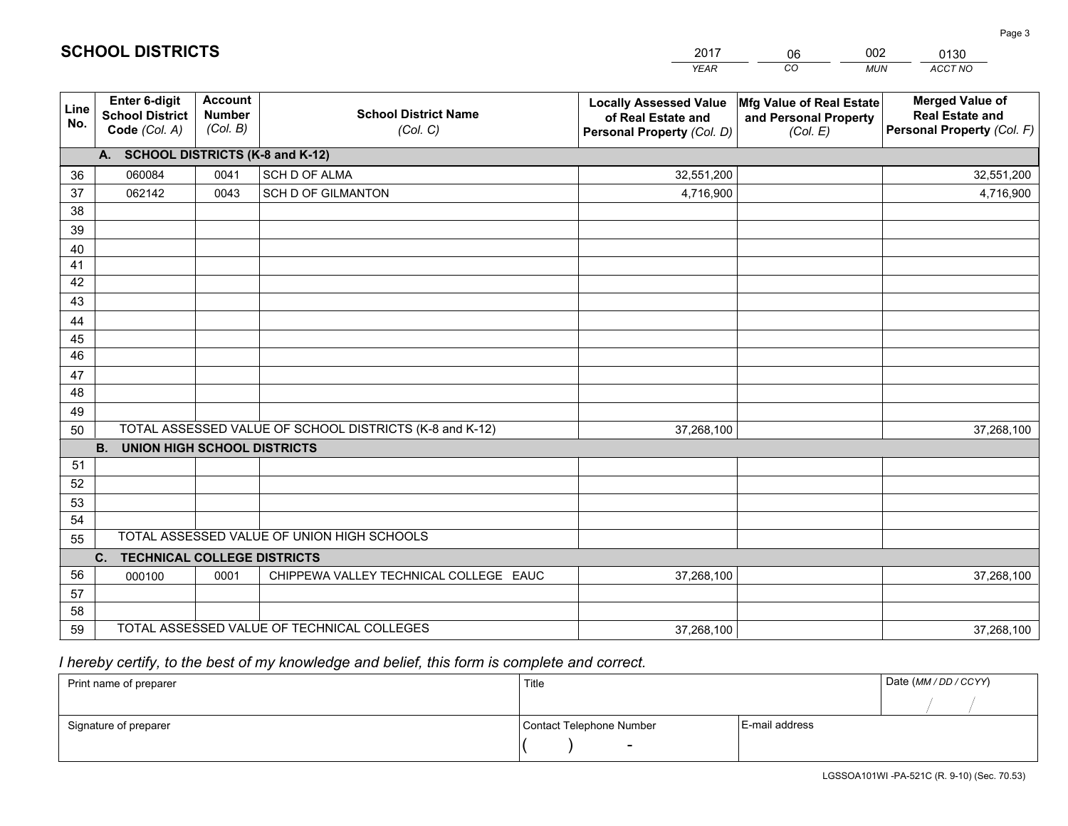|             |                                                          |                                             |                                                         | <b>YEAR</b>                                                                       | CO<br><b>MUN</b>                                              | ACCT NO                                                                        |
|-------------|----------------------------------------------------------|---------------------------------------------|---------------------------------------------------------|-----------------------------------------------------------------------------------|---------------------------------------------------------------|--------------------------------------------------------------------------------|
| Line<br>No. | Enter 6-digit<br><b>School District</b><br>Code (Col. A) | <b>Account</b><br><b>Number</b><br>(Col. B) | <b>School District Name</b><br>(Col. C)                 | <b>Locally Assessed Value</b><br>of Real Estate and<br>Personal Property (Col. D) | Mfg Value of Real Estate<br>and Personal Property<br>(Col. E) | <b>Merged Value of</b><br><b>Real Estate and</b><br>Personal Property (Col. F) |
|             | A. SCHOOL DISTRICTS (K-8 and K-12)                       |                                             |                                                         |                                                                                   |                                                               |                                                                                |
| 36          | 060084                                                   | 0041                                        | SCH D OF ALMA                                           | 32,551,200                                                                        |                                                               | 32,551,200                                                                     |
| 37          | 062142                                                   | 0043                                        | <b>SCH D OF GILMANTON</b>                               | 4,716,900                                                                         |                                                               | 4,716,900                                                                      |
| 38          |                                                          |                                             |                                                         |                                                                                   |                                                               |                                                                                |
| 39          |                                                          |                                             |                                                         |                                                                                   |                                                               |                                                                                |
| 40          |                                                          |                                             |                                                         |                                                                                   |                                                               |                                                                                |
| 41          |                                                          |                                             |                                                         |                                                                                   |                                                               |                                                                                |
| 42          |                                                          |                                             |                                                         |                                                                                   |                                                               |                                                                                |
| 43          |                                                          |                                             |                                                         |                                                                                   |                                                               |                                                                                |
| 44          |                                                          |                                             |                                                         |                                                                                   |                                                               |                                                                                |
| 45          |                                                          |                                             |                                                         |                                                                                   |                                                               |                                                                                |
| 46          |                                                          |                                             |                                                         |                                                                                   |                                                               |                                                                                |
| 47          |                                                          |                                             |                                                         |                                                                                   |                                                               |                                                                                |
| 48          |                                                          |                                             |                                                         |                                                                                   |                                                               |                                                                                |
| 49          |                                                          |                                             | TOTAL ASSESSED VALUE OF SCHOOL DISTRICTS (K-8 and K-12) |                                                                                   |                                                               |                                                                                |
| 50          | <b>B.</b><br><b>UNION HIGH SCHOOL DISTRICTS</b>          |                                             |                                                         | 37,268,100                                                                        |                                                               | 37,268,100                                                                     |
| 51          |                                                          |                                             |                                                         |                                                                                   |                                                               |                                                                                |
| 52          |                                                          |                                             |                                                         |                                                                                   |                                                               |                                                                                |
| 53          |                                                          |                                             |                                                         |                                                                                   |                                                               |                                                                                |
| 54          |                                                          |                                             |                                                         |                                                                                   |                                                               |                                                                                |
| 55          |                                                          |                                             | TOTAL ASSESSED VALUE OF UNION HIGH SCHOOLS              |                                                                                   |                                                               |                                                                                |
|             | C. TECHNICAL COLLEGE DISTRICTS                           |                                             |                                                         |                                                                                   |                                                               |                                                                                |
| 56          | 000100                                                   | 0001                                        | CHIPPEWA VALLEY TECHNICAL COLLEGE EAUC                  | 37,268,100                                                                        |                                                               | 37,268,100                                                                     |
| 57          |                                                          |                                             |                                                         |                                                                                   |                                                               |                                                                                |
| 58          |                                                          |                                             |                                                         |                                                                                   |                                                               |                                                                                |
| 59          |                                                          |                                             | TOTAL ASSESSED VALUE OF TECHNICAL COLLEGES              | 37,268,100                                                                        |                                                               | 37,268,100                                                                     |

2017

06

002

 *I hereby certify, to the best of my knowledge and belief, this form is complete and correct.*

**SCHOOL DISTRICTS**

| Print name of preparer | Title                    |                | Date (MM / DD / CCYY) |
|------------------------|--------------------------|----------------|-----------------------|
|                        |                          |                |                       |
| Signature of preparer  | Contact Telephone Number | E-mail address |                       |
|                        | $\sim$                   |                |                       |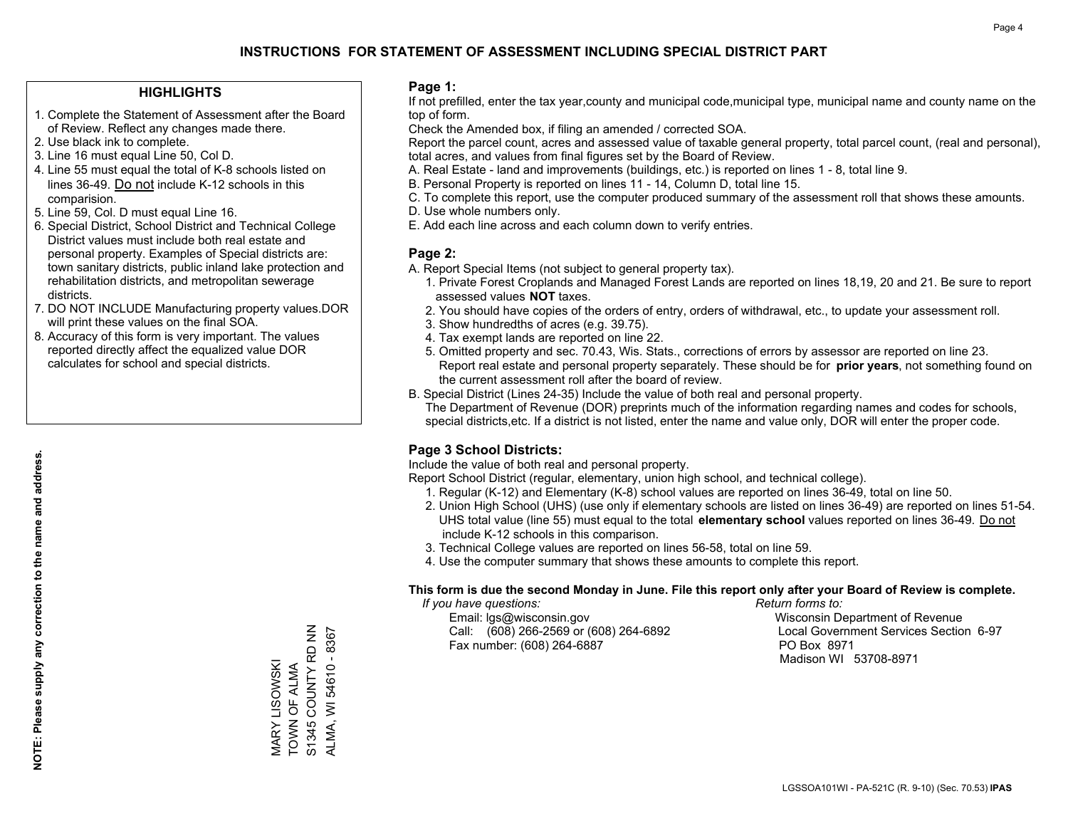#### **HIGHLIGHTS**

- 1. Complete the Statement of Assessment after the Board of Review. Reflect any changes made there.
- 2. Use black ink to complete.
- 3. Line 16 must equal Line 50, Col D.
- 4. Line 55 must equal the total of K-8 schools listed on lines 36-49. Do not include K-12 schools in this comparision.
- 5. Line 59, Col. D must equal Line 16.
- 6. Special District, School District and Technical College District values must include both real estate and personal property. Examples of Special districts are: town sanitary districts, public inland lake protection and rehabilitation districts, and metropolitan sewerage districts.
- 7. DO NOT INCLUDE Manufacturing property values.DOR will print these values on the final SOA.

MARY LISOWSKI TOWN OF ALMA S1345 COUNTY RD NN ALMA, WI 54610 - 8367

MARY LISOWSKI<br>TOWN OF ALMA

S1345 COUNTY RD NN ALMA, WI 54610 - 8367

 8. Accuracy of this form is very important. The values reported directly affect the equalized value DOR calculates for school and special districts.

#### **Page 1:**

 If not prefilled, enter the tax year,county and municipal code,municipal type, municipal name and county name on the top of form.

Check the Amended box, if filing an amended / corrected SOA.

 Report the parcel count, acres and assessed value of taxable general property, total parcel count, (real and personal), total acres, and values from final figures set by the Board of Review.

- A. Real Estate land and improvements (buildings, etc.) is reported on lines 1 8, total line 9.
- B. Personal Property is reported on lines 11 14, Column D, total line 15.
- C. To complete this report, use the computer produced summary of the assessment roll that shows these amounts.
- D. Use whole numbers only.
- E. Add each line across and each column down to verify entries.

#### **Page 2:**

- A. Report Special Items (not subject to general property tax).
- 1. Private Forest Croplands and Managed Forest Lands are reported on lines 18,19, 20 and 21. Be sure to report assessed values **NOT** taxes.
- 2. You should have copies of the orders of entry, orders of withdrawal, etc., to update your assessment roll.
	- 3. Show hundredths of acres (e.g. 39.75).
- 4. Tax exempt lands are reported on line 22.
- 5. Omitted property and sec. 70.43, Wis. Stats., corrections of errors by assessor are reported on line 23. Report real estate and personal property separately. These should be for **prior years**, not something found on the current assessment roll after the board of review.
- B. Special District (Lines 24-35) Include the value of both real and personal property.
- The Department of Revenue (DOR) preprints much of the information regarding names and codes for schools, special districts,etc. If a district is not listed, enter the name and value only, DOR will enter the proper code.

### **Page 3 School Districts:**

Include the value of both real and personal property.

Report School District (regular, elementary, union high school, and technical college).

- 1. Regular (K-12) and Elementary (K-8) school values are reported on lines 36-49, total on line 50.
- 2. Union High School (UHS) (use only if elementary schools are listed on lines 36-49) are reported on lines 51-54. UHS total value (line 55) must equal to the total **elementary school** values reported on lines 36-49. Do notinclude K-12 schools in this comparison.
- 3. Technical College values are reported on lines 56-58, total on line 59.
- 4. Use the computer summary that shows these amounts to complete this report.

#### **This form is due the second Monday in June. File this report only after your Board of Review is complete.**

 *If you have questions: Return forms to:*

 Email: lgs@wisconsin.gov Wisconsin Department of RevenueCall:  $(608)$  266-2569 or  $(608)$  264-6892 Fax number: (608) 264-6887 PO Box 8971

Local Government Services Section 6-97 Madison WI 53708-8971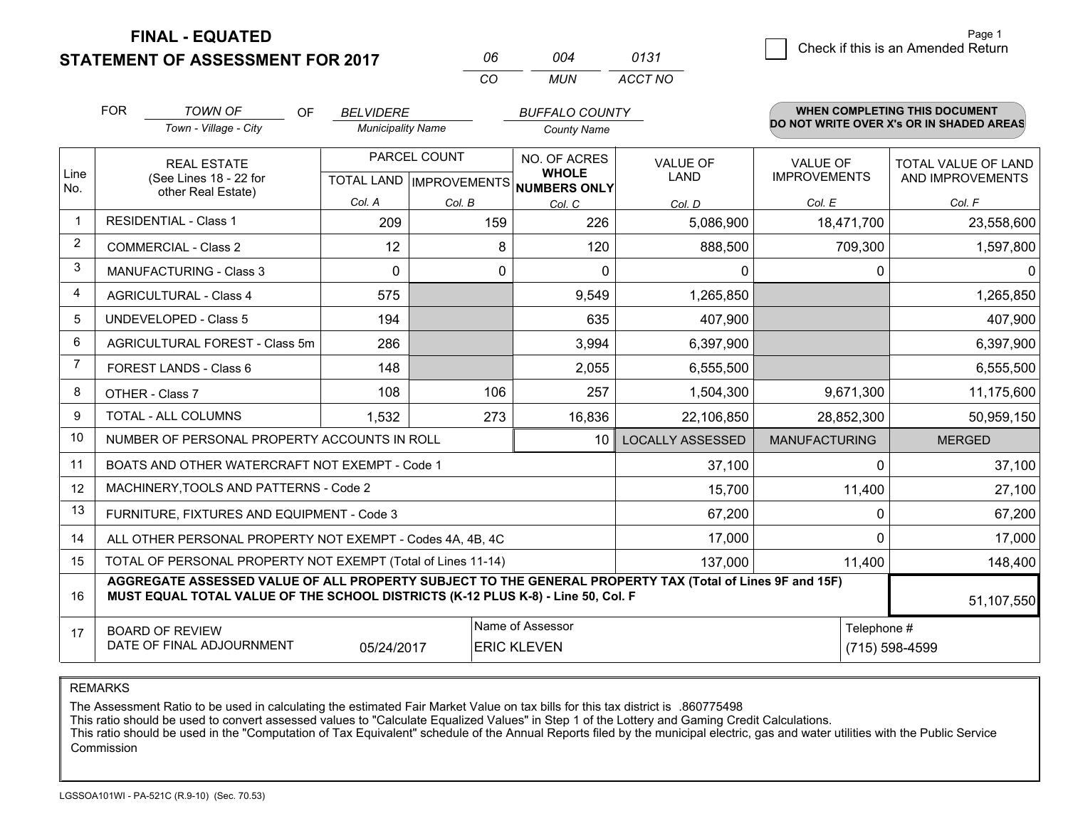**STATEMENT OF ASSESSMENT FOR 2017** 

**FINAL - EQUATED**

| Page 1                             |
|------------------------------------|
| Check if this is an Amended Return |
|                                    |

|                | <b>FOR</b>                                                   | <b>TOWN OF</b><br>OF.                                                                                                                                                                        | <b>BELVIDERE</b>         |              | <b>BUFFALO COUNTY</b>                                |                         |                                          | <b>WHEN COMPLETING THIS DOCUMENT</b> |  |
|----------------|--------------------------------------------------------------|----------------------------------------------------------------------------------------------------------------------------------------------------------------------------------------------|--------------------------|--------------|------------------------------------------------------|-------------------------|------------------------------------------|--------------------------------------|--|
|                |                                                              | Town - Village - City                                                                                                                                                                        | <b>Municipality Name</b> |              | <b>County Name</b>                                   |                         | DO NOT WRITE OVER X's OR IN SHADED AREAS |                                      |  |
|                |                                                              | <b>REAL ESTATE</b>                                                                                                                                                                           |                          | PARCEL COUNT | NO. OF ACRES                                         | <b>VALUE OF</b>         | <b>VALUE OF</b>                          | TOTAL VALUE OF LAND                  |  |
| Line<br>No.    | (See Lines 18 - 22 for<br>other Real Estate)                 |                                                                                                                                                                                              |                          |              | <b>WHOLE</b><br>TOTAL LAND IMPROVEMENTS NUMBERS ONLY | LAND                    | <b>IMPROVEMENTS</b>                      | AND IMPROVEMENTS                     |  |
|                |                                                              |                                                                                                                                                                                              | Col. A                   | Col. B       | Col. C                                               | Col. D                  | Col. E                                   | Col. F                               |  |
|                |                                                              | <b>RESIDENTIAL - Class 1</b>                                                                                                                                                                 | 209                      | 159          | 226                                                  | 5,086,900               | 18,471,700                               | 23,558,600                           |  |
| 2              |                                                              | COMMERCIAL - Class 2                                                                                                                                                                         | 12                       | 8            | 120                                                  | 888,500                 | 709,300                                  | 1,597,800                            |  |
| 3              |                                                              | <b>MANUFACTURING - Class 3</b>                                                                                                                                                               | $\Omega$                 | 0            | $\Omega$                                             | 0                       | 0                                        | $\Omega$                             |  |
| 4              |                                                              | <b>AGRICULTURAL - Class 4</b>                                                                                                                                                                | 575                      |              | 9,549                                                | 1,265,850               |                                          | 1,265,850                            |  |
| 5              | <b>UNDEVELOPED - Class 5</b>                                 |                                                                                                                                                                                              | 194                      |              | 635                                                  | 407,900                 |                                          | 407,900                              |  |
| 6              | AGRICULTURAL FOREST - Class 5m                               |                                                                                                                                                                                              | 286                      |              | 3,994                                                | 6,397,900               |                                          | 6,397,900                            |  |
| $\overline{7}$ | FOREST LANDS - Class 6                                       |                                                                                                                                                                                              | 148                      |              | 2,055                                                | 6,555,500               |                                          | 6,555,500                            |  |
| 8              |                                                              | OTHER - Class 7                                                                                                                                                                              | 108                      | 106          | 257                                                  | 1,504,300               | 9,671,300                                | 11,175,600                           |  |
| 9              |                                                              | TOTAL - ALL COLUMNS                                                                                                                                                                          | 1,532                    | 273          | 16,836                                               | 22,106,850              | 28,852,300                               | 50,959,150                           |  |
| 10             |                                                              | NUMBER OF PERSONAL PROPERTY ACCOUNTS IN ROLL                                                                                                                                                 |                          |              | 10                                                   | <b>LOCALLY ASSESSED</b> | <b>MANUFACTURING</b>                     | <b>MERGED</b>                        |  |
| 11             |                                                              | BOATS AND OTHER WATERCRAFT NOT EXEMPT - Code 1                                                                                                                                               |                          |              |                                                      | 37,100                  | $\mathbf 0$                              | 37,100                               |  |
| 12             |                                                              | MACHINERY, TOOLS AND PATTERNS - Code 2                                                                                                                                                       |                          |              |                                                      | 15,700                  | 11,400                                   | 27,100                               |  |
| 13             |                                                              | FURNITURE, FIXTURES AND EQUIPMENT - Code 3                                                                                                                                                   |                          |              |                                                      | 67,200                  | $\mathbf 0$                              | 67,200                               |  |
| 14             |                                                              | ALL OTHER PERSONAL PROPERTY NOT EXEMPT - Codes 4A, 4B, 4C                                                                                                                                    |                          |              |                                                      | 17,000                  | $\Omega$                                 | 17,000                               |  |
| 15             | TOTAL OF PERSONAL PROPERTY NOT EXEMPT (Total of Lines 11-14) |                                                                                                                                                                                              |                          |              |                                                      | 137,000                 | 11,400                                   | 148,400                              |  |
| 16             |                                                              | AGGREGATE ASSESSED VALUE OF ALL PROPERTY SUBJECT TO THE GENERAL PROPERTY TAX (Total of Lines 9F and 15F)<br>MUST EQUAL TOTAL VALUE OF THE SCHOOL DISTRICTS (K-12 PLUS K-8) - Line 50, Col. F |                          |              |                                                      |                         |                                          | 51,107,550                           |  |
| 17             |                                                              | <b>BOARD OF REVIEW</b>                                                                                                                                                                       |                          |              | Name of Assessor                                     |                         | Telephone #                              |                                      |  |
|                |                                                              | DATE OF FINAL ADJOURNMENT                                                                                                                                                                    | 05/24/2017               |              | <b>ERIC KLEVEN</b>                                   |                         |                                          | (715) 598-4599                       |  |

*CO*

*MUN*

*ACCT NO0131*

*<sup>06</sup> <sup>004</sup>*

REMARKS

The Assessment Ratio to be used in calculating the estimated Fair Market Value on tax bills for this tax district is .860775498<br>This ratio should be used to convert assessed values to "Calculate Equalized Values" in Step 1 Commission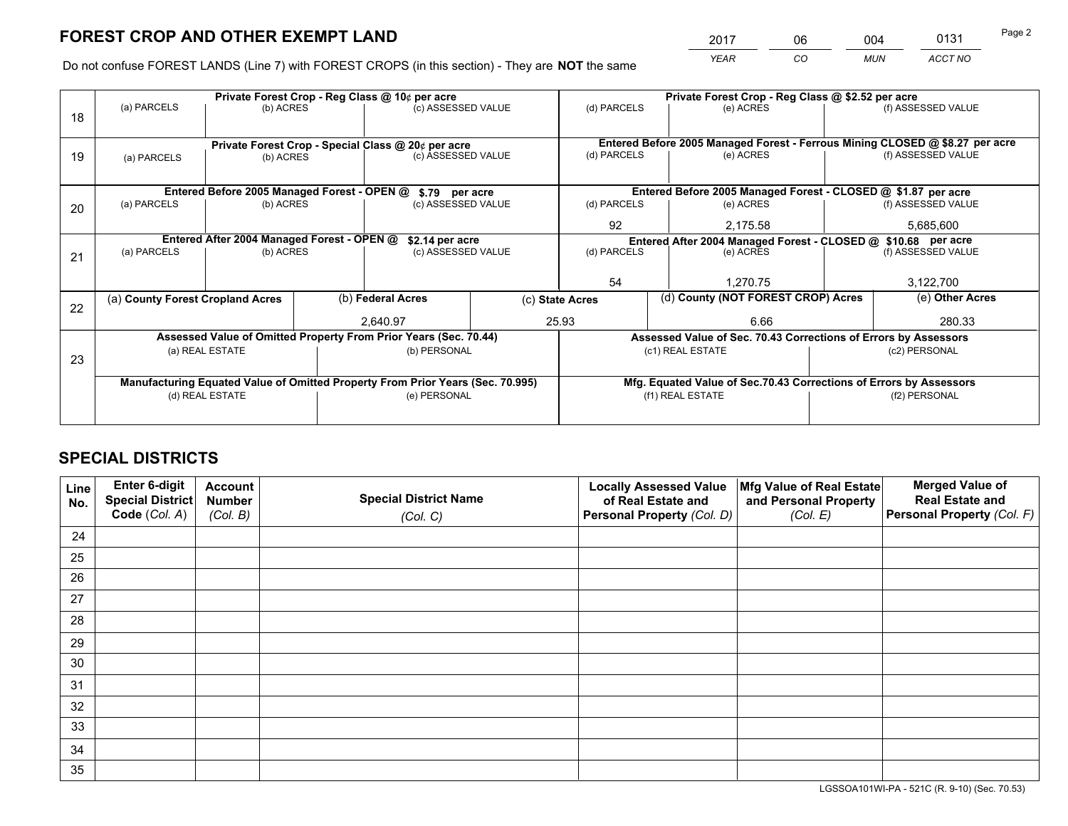*YEAR CO MUN ACCT NO* <sup>2017</sup> <sup>06</sup> <sup>004</sup> <sup>0131</sup> Page 2

Do not confuse FOREST LANDS (Line 7) with FOREST CROPS (in this section) - They are **NOT** the same

|    |                                                                                |                                             |  | Private Forest Crop - Reg Class @ 10¢ per acre                   |  | Private Forest Crop - Reg Class @ \$2.52 per acre                                   |                                                                              |  |                    |
|----|--------------------------------------------------------------------------------|---------------------------------------------|--|------------------------------------------------------------------|--|-------------------------------------------------------------------------------------|------------------------------------------------------------------------------|--|--------------------|
| 18 | (a) PARCELS<br>(b) ACRES                                                       |                                             |  | (c) ASSESSED VALUE                                               |  | (d) PARCELS                                                                         | (e) ACRES                                                                    |  | (f) ASSESSED VALUE |
|    |                                                                                |                                             |  |                                                                  |  |                                                                                     |                                                                              |  |                    |
|    |                                                                                |                                             |  | Private Forest Crop - Special Class @ 20¢ per acre               |  |                                                                                     | Entered Before 2005 Managed Forest - Ferrous Mining CLOSED @ \$8.27 per acre |  |                    |
| 19 | (a) PARCELS                                                                    | (b) ACRES                                   |  | (c) ASSESSED VALUE                                               |  | (d) PARCELS                                                                         | (e) ACRES                                                                    |  | (f) ASSESSED VALUE |
|    |                                                                                |                                             |  |                                                                  |  |                                                                                     |                                                                              |  |                    |
|    |                                                                                | Entered Before 2005 Managed Forest - OPEN @ |  | \$.79 per acre                                                   |  |                                                                                     | Entered Before 2005 Managed Forest - CLOSED @ \$1.87 per acre                |  |                    |
| 20 | (a) PARCELS                                                                    | (b) ACRES                                   |  | (c) ASSESSED VALUE                                               |  | (d) PARCELS                                                                         | (e) ACRES                                                                    |  | (f) ASSESSED VALUE |
|    |                                                                                |                                             |  |                                                                  |  | 92                                                                                  | 2,175.58                                                                     |  | 5,685,600          |
|    | Entered After 2004 Managed Forest - OPEN @                                     |                                             |  | \$2.14 per acre                                                  |  | Entered After 2004 Managed Forest - CLOSED @ \$10.68 per acre<br>(f) ASSESSED VALUE |                                                                              |  |                    |
| 21 | (a) PARCELS                                                                    | (b) ACRES                                   |  | (c) ASSESSED VALUE                                               |  | (d) PARCELS                                                                         | (e) ACRES                                                                    |  |                    |
|    |                                                                                |                                             |  |                                                                  |  |                                                                                     |                                                                              |  |                    |
|    |                                                                                |                                             |  |                                                                  |  | 54                                                                                  | 1.270.75                                                                     |  | 3,122,700          |
| 22 | (a) County Forest Cropland Acres                                               |                                             |  | (b) Federal Acres                                                |  | (d) County (NOT FOREST CROP) Acres<br>(c) State Acres                               |                                                                              |  | (e) Other Acres    |
|    |                                                                                |                                             |  | 2.640.97                                                         |  | 25.93                                                                               | 6.66                                                                         |  | 280.33             |
|    |                                                                                |                                             |  | Assessed Value of Omitted Property From Prior Years (Sec. 70.44) |  |                                                                                     | Assessed Value of Sec. 70.43 Corrections of Errors by Assessors              |  |                    |
|    |                                                                                | (a) REAL ESTATE                             |  | (b) PERSONAL                                                     |  |                                                                                     | (c1) REAL ESTATE                                                             |  | (c2) PERSONAL      |
| 23 |                                                                                |                                             |  |                                                                  |  |                                                                                     |                                                                              |  |                    |
|    | Manufacturing Equated Value of Omitted Property From Prior Years (Sec. 70.995) |                                             |  |                                                                  |  |                                                                                     | Mfg. Equated Value of Sec.70.43 Corrections of Errors by Assessors           |  |                    |
|    |                                                                                | (d) REAL ESTATE                             |  | (e) PERSONAL                                                     |  |                                                                                     | (f1) REAL ESTATE                                                             |  | (f2) PERSONAL      |
|    |                                                                                |                                             |  |                                                                  |  |                                                                                     |                                                                              |  |                    |

## **SPECIAL DISTRICTS**

| Line<br>No. | Enter 6-digit<br><b>Special District</b> | <b>Account</b><br><b>Number</b> | <b>Special District Name</b> | <b>Locally Assessed Value</b><br>of Real Estate and | Mfg Value of Real Estate<br>and Personal Property | <b>Merged Value of</b><br><b>Real Estate and</b> |
|-------------|------------------------------------------|---------------------------------|------------------------------|-----------------------------------------------------|---------------------------------------------------|--------------------------------------------------|
|             | Code (Col. A)                            | (Col. B)                        | (Col. C)                     | Personal Property (Col. D)                          | (Col. E)                                          | Personal Property (Col. F)                       |
| 24          |                                          |                                 |                              |                                                     |                                                   |                                                  |
| 25          |                                          |                                 |                              |                                                     |                                                   |                                                  |
| 26          |                                          |                                 |                              |                                                     |                                                   |                                                  |
| 27          |                                          |                                 |                              |                                                     |                                                   |                                                  |
| 28          |                                          |                                 |                              |                                                     |                                                   |                                                  |
| 29          |                                          |                                 |                              |                                                     |                                                   |                                                  |
| 30          |                                          |                                 |                              |                                                     |                                                   |                                                  |
| 31          |                                          |                                 |                              |                                                     |                                                   |                                                  |
| 32          |                                          |                                 |                              |                                                     |                                                   |                                                  |
| 33          |                                          |                                 |                              |                                                     |                                                   |                                                  |
| 34          |                                          |                                 |                              |                                                     |                                                   |                                                  |
| 35          |                                          |                                 |                              |                                                     |                                                   |                                                  |

LGSSOA101WI-PA - 521C (R. 9-10) (Sec. 70.53)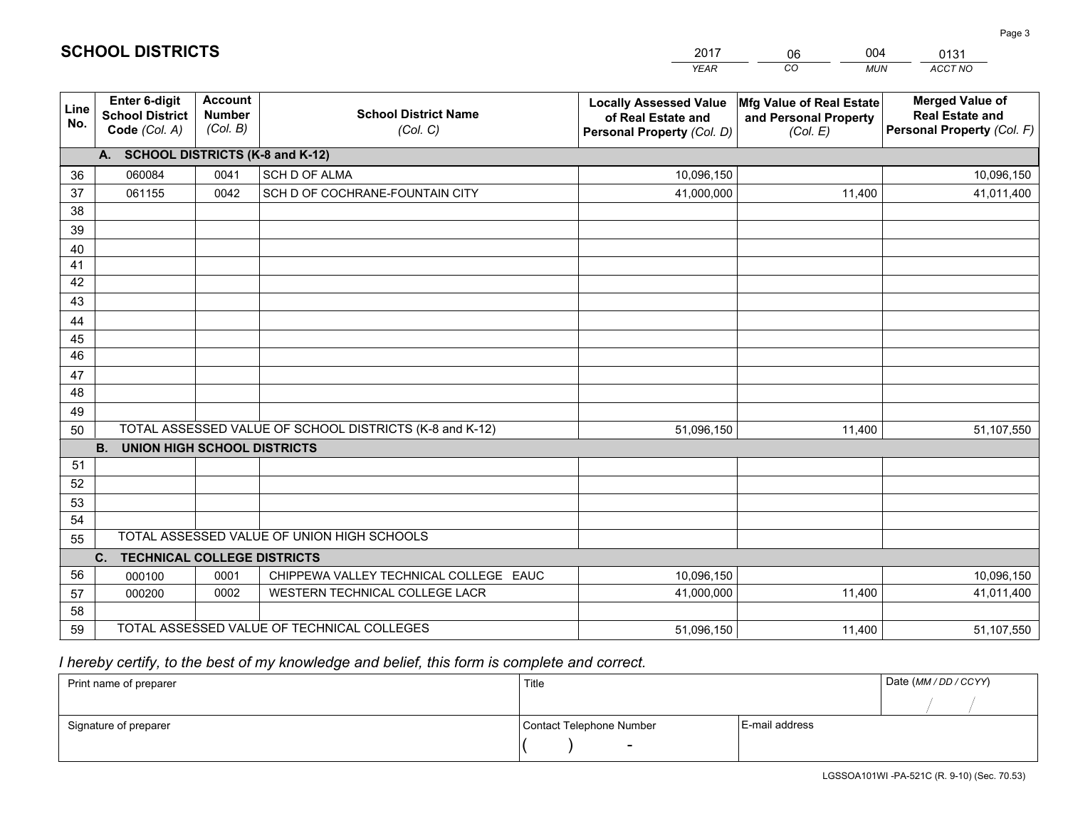|             |                                                          |                                             |                                                         | <b>YEAR</b>                                                                       | CO.<br><b>MUN</b>                                             | <b>ACCT NO</b>                                                                 |
|-------------|----------------------------------------------------------|---------------------------------------------|---------------------------------------------------------|-----------------------------------------------------------------------------------|---------------------------------------------------------------|--------------------------------------------------------------------------------|
| Line<br>No. | Enter 6-digit<br><b>School District</b><br>Code (Col. A) | <b>Account</b><br><b>Number</b><br>(Col. B) | <b>School District Name</b><br>(Col. C)                 | <b>Locally Assessed Value</b><br>of Real Estate and<br>Personal Property (Col. D) | Mfg Value of Real Estate<br>and Personal Property<br>(Col. E) | <b>Merged Value of</b><br><b>Real Estate and</b><br>Personal Property (Col. F) |
|             | A. SCHOOL DISTRICTS (K-8 and K-12)                       |                                             |                                                         |                                                                                   |                                                               |                                                                                |
| 36          | 060084                                                   | 0041                                        | <b>SCH D OF ALMA</b>                                    | 10,096,150                                                                        |                                                               | 10,096,150                                                                     |
| 37          | 061155                                                   | 0042                                        | SCH D OF COCHRANE-FOUNTAIN CITY                         | 41,000,000                                                                        | 11,400                                                        | 41,011,400                                                                     |
| 38          |                                                          |                                             |                                                         |                                                                                   |                                                               |                                                                                |
| 39          |                                                          |                                             |                                                         |                                                                                   |                                                               |                                                                                |
| 40          |                                                          |                                             |                                                         |                                                                                   |                                                               |                                                                                |
| 41          |                                                          |                                             |                                                         |                                                                                   |                                                               |                                                                                |
| 42          |                                                          |                                             |                                                         |                                                                                   |                                                               |                                                                                |
| 43          |                                                          |                                             |                                                         |                                                                                   |                                                               |                                                                                |
| 44          |                                                          |                                             |                                                         |                                                                                   |                                                               |                                                                                |
| 45          |                                                          |                                             |                                                         |                                                                                   |                                                               |                                                                                |
| 46          |                                                          |                                             |                                                         |                                                                                   |                                                               |                                                                                |
| 47<br>48    |                                                          |                                             |                                                         |                                                                                   |                                                               |                                                                                |
|             |                                                          |                                             |                                                         |                                                                                   |                                                               |                                                                                |
| 49          |                                                          |                                             | TOTAL ASSESSED VALUE OF SCHOOL DISTRICTS (K-8 and K-12) |                                                                                   |                                                               |                                                                                |
| 50          | <b>B.</b><br><b>UNION HIGH SCHOOL DISTRICTS</b>          |                                             |                                                         | 51,096,150                                                                        | 11,400                                                        | 51,107,550                                                                     |
| 51          |                                                          |                                             |                                                         |                                                                                   |                                                               |                                                                                |
| 52          |                                                          |                                             |                                                         |                                                                                   |                                                               |                                                                                |
| 53          |                                                          |                                             |                                                         |                                                                                   |                                                               |                                                                                |
| 54          |                                                          |                                             |                                                         |                                                                                   |                                                               |                                                                                |
| 55          |                                                          |                                             | TOTAL ASSESSED VALUE OF UNION HIGH SCHOOLS              |                                                                                   |                                                               |                                                                                |
|             | C.<br><b>TECHNICAL COLLEGE DISTRICTS</b>                 |                                             |                                                         |                                                                                   |                                                               |                                                                                |
| 56          | 000100                                                   | 0001                                        | CHIPPEWA VALLEY TECHNICAL COLLEGE EAUC                  | 10,096,150                                                                        |                                                               | 10,096,150                                                                     |
| 57          | 000200                                                   | 0002                                        | WESTERN TECHNICAL COLLEGE LACR                          | 41,000,000                                                                        | 11,400                                                        | 41,011,400                                                                     |
| 58          |                                                          |                                             |                                                         |                                                                                   |                                                               |                                                                                |
| 59          |                                                          |                                             | TOTAL ASSESSED VALUE OF TECHNICAL COLLEGES              | 51,096,150                                                                        | 11,400                                                        | 51,107,550                                                                     |

2017

06

004

## *I hereby certify, to the best of my knowledge and belief, this form is complete and correct.*

**SCHOOL DISTRICTS**

| Print name of preparer | Title                    |                | Date (MM / DD / CCYY) |
|------------------------|--------------------------|----------------|-----------------------|
|                        |                          |                |                       |
| Signature of preparer  | Contact Telephone Number | E-mail address |                       |
|                        | $\overline{\phantom{0}}$ |                |                       |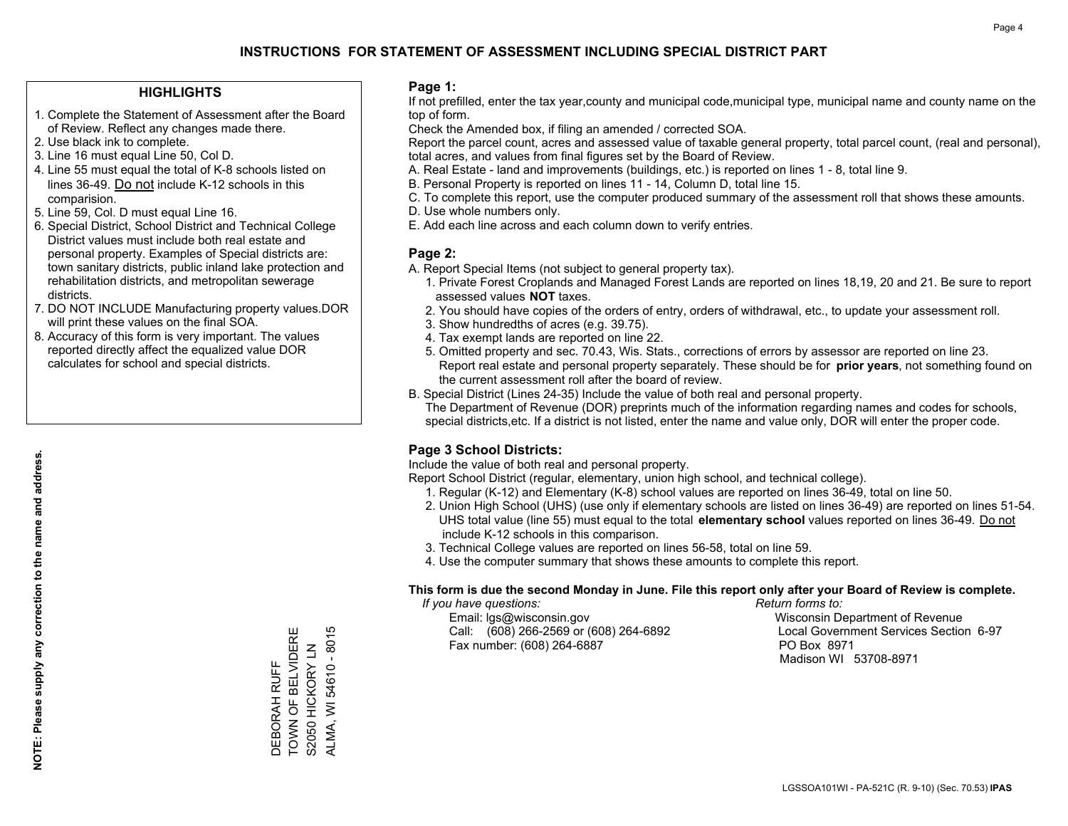#### **HIGHLIGHTS**

- 1. Complete the Statement of Assessment after the Board of Review. Reflect any changes made there.
- 2. Use black ink to complete.
- 3. Line 16 must equal Line 50, Col D.
- 4. Line 55 must equal the total of K-8 schools listed on lines 36-49. Do not include K-12 schools in this comparision.
- 5. Line 59, Col. D must equal Line 16.
- 6. Special District, School District and Technical College District values must include both real estate and personal property. Examples of Special districts are: town sanitary districts, public inland lake protection and rehabilitation districts, and metropolitan sewerage districts.
- 7. DO NOT INCLUDE Manufacturing property values.DOR will print these values on the final SOA.

DEBORAH RUFF TOWN OF BELVIDERE S2050 HICKORY LN ALMA, WI 54610 - 8015

DEBORAH RUFF

TOWN OF BELVIDERE S2050 HICKORY LN ALMA, WI 54610 - 8015

 8. Accuracy of this form is very important. The values reported directly affect the equalized value DOR calculates for school and special districts.

#### **Page 1:**

 If not prefilled, enter the tax year,county and municipal code,municipal type, municipal name and county name on the top of form.

Check the Amended box, if filing an amended / corrected SOA.

 Report the parcel count, acres and assessed value of taxable general property, total parcel count, (real and personal), total acres, and values from final figures set by the Board of Review.

- A. Real Estate land and improvements (buildings, etc.) is reported on lines 1 8, total line 9.
- B. Personal Property is reported on lines 11 14, Column D, total line 15.
- C. To complete this report, use the computer produced summary of the assessment roll that shows these amounts.
- D. Use whole numbers only.
- E. Add each line across and each column down to verify entries.

#### **Page 2:**

- A. Report Special Items (not subject to general property tax).
- 1. Private Forest Croplands and Managed Forest Lands are reported on lines 18,19, 20 and 21. Be sure to report assessed values **NOT** taxes.
- 2. You should have copies of the orders of entry, orders of withdrawal, etc., to update your assessment roll.
	- 3. Show hundredths of acres (e.g. 39.75).
- 4. Tax exempt lands are reported on line 22.
- 5. Omitted property and sec. 70.43, Wis. Stats., corrections of errors by assessor are reported on line 23. Report real estate and personal property separately. These should be for **prior years**, not something found on the current assessment roll after the board of review.
- B. Special District (Lines 24-35) Include the value of both real and personal property.

 The Department of Revenue (DOR) preprints much of the information regarding names and codes for schools, special districts,etc. If a district is not listed, enter the name and value only, DOR will enter the proper code.

### **Page 3 School Districts:**

Include the value of both real and personal property.

Report School District (regular, elementary, union high school, and technical college).

- 1. Regular (K-12) and Elementary (K-8) school values are reported on lines 36-49, total on line 50.
- 2. Union High School (UHS) (use only if elementary schools are listed on lines 36-49) are reported on lines 51-54. UHS total value (line 55) must equal to the total **elementary school** values reported on lines 36-49. Do notinclude K-12 schools in this comparison.
- 3. Technical College values are reported on lines 56-58, total on line 59.
- 4. Use the computer summary that shows these amounts to complete this report.

#### **This form is due the second Monday in June. File this report only after your Board of Review is complete.**

 *If you have questions: Return forms to:*

 Email: lgs@wisconsin.gov Wisconsin Department of RevenueCall:  $(608)$  266-2569 or  $(608)$  264-6892 Fax number: (608) 264-6887 PO Box 8971

Local Government Services Section 6-97 Madison WI 53708-8971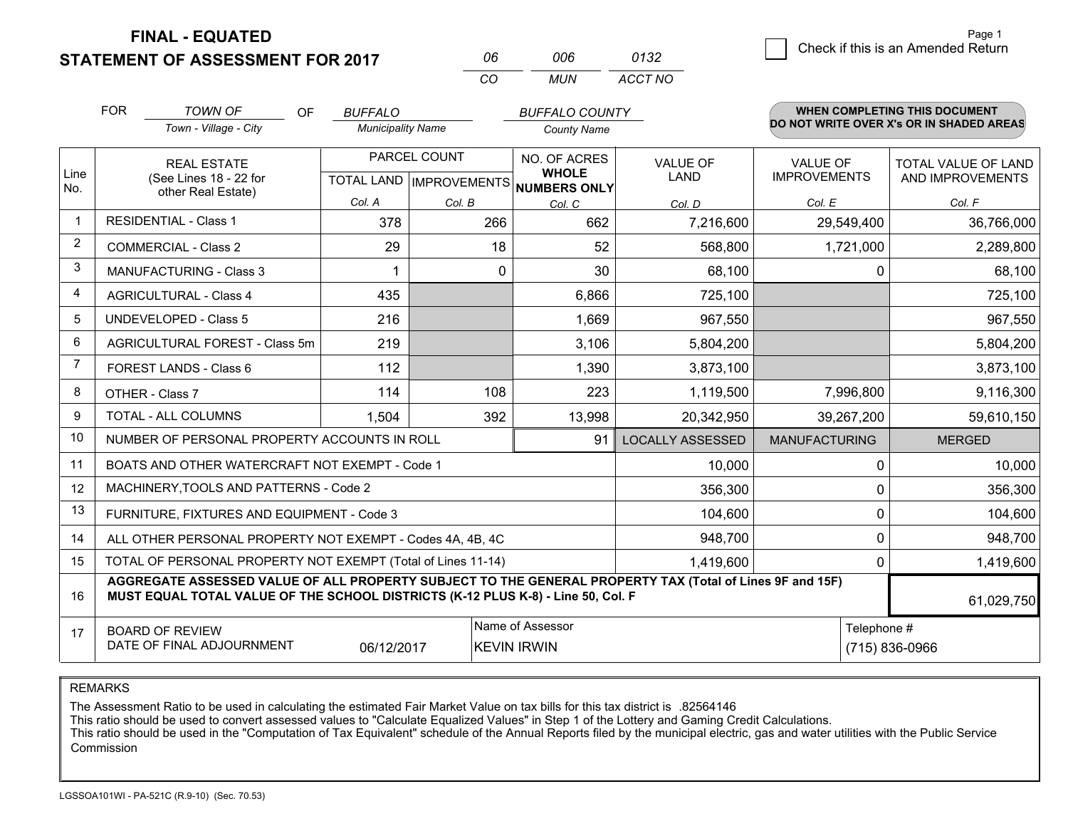**FINAL - EQUATED**

**STATEMENT OF ASSESSMENT FOR 2017** 

| 06  | NUE  | 0132    |
|-----|------|---------|
| CO. | MUN. | ACCT NO |

|                | <b>FOR</b>                                                                                                                                                                                   | <b>TOWN OF</b><br><b>OF</b><br>Town - Village - City | <b>BUFFALO</b><br><b>Municipality Name</b>           |          | <b>BUFFALO COUNTY</b><br><b>County Name</b> |                              |                                | <b>WHEN COMPLETING THIS DOCUMENT</b><br>DO NOT WRITE OVER X's OR IN SHADED AREAS |                                                |
|----------------|----------------------------------------------------------------------------------------------------------------------------------------------------------------------------------------------|------------------------------------------------------|------------------------------------------------------|----------|---------------------------------------------|------------------------------|--------------------------------|----------------------------------------------------------------------------------|------------------------------------------------|
| Line<br>No.    | <b>REAL ESTATE</b><br>(See Lines 18 - 22 for                                                                                                                                                 |                                                      | PARCEL COUNT<br>TOTAL LAND IMPROVEMENTS NUMBERS ONLY |          |                                             | NO. OF ACRES<br><b>WHOLE</b> | <b>VALUE OF</b><br><b>LAND</b> | <b>VALUE OF</b><br><b>IMPROVEMENTS</b>                                           | <b>TOTAL VALUE OF LAND</b><br>AND IMPROVEMENTS |
|                |                                                                                                                                                                                              | other Real Estate)                                   | Col. A                                               | Col. B   | Col. C                                      | Col. D                       | Col. E                         | Col. F                                                                           |                                                |
| -1             |                                                                                                                                                                                              | <b>RESIDENTIAL - Class 1</b>                         | 378                                                  | 266      | 662                                         | 7,216,600                    | 29,549,400                     | 36,766,000                                                                       |                                                |
| 2              |                                                                                                                                                                                              | <b>COMMERCIAL - Class 2</b>                          | 29                                                   | 18       | 52                                          | 568,800                      | 1,721,000                      | 2,289,800                                                                        |                                                |
| 3              |                                                                                                                                                                                              | <b>MANUFACTURING - Class 3</b>                       |                                                      | $\Omega$ | 30                                          | 68,100                       | $\Omega$                       | 68,100                                                                           |                                                |
| 4              |                                                                                                                                                                                              | <b>AGRICULTURAL - Class 4</b>                        | 435                                                  |          | 6,866                                       | 725,100                      |                                | 725,100                                                                          |                                                |
| 5              |                                                                                                                                                                                              | UNDEVELOPED - Class 5                                | 216                                                  |          | 1,669                                       | 967,550                      |                                | 967,550                                                                          |                                                |
| 6              | <b>AGRICULTURAL FOREST - Class 5m</b>                                                                                                                                                        |                                                      | 219                                                  |          | 3,106                                       | 5,804,200                    |                                | 5,804,200                                                                        |                                                |
| $\overline{7}$ |                                                                                                                                                                                              | FOREST LANDS - Class 6                               | 112                                                  |          | 1,390                                       | 3,873,100                    |                                | 3,873,100                                                                        |                                                |
| 8              |                                                                                                                                                                                              | OTHER - Class 7                                      | 114                                                  | 108      | 223                                         | 1,119,500                    | 7,996,800                      | 9,116,300                                                                        |                                                |
| 9              |                                                                                                                                                                                              | TOTAL - ALL COLUMNS                                  | 1,504                                                | 392      | 13,998                                      | 20,342,950                   | 39,267,200                     | 59,610,150                                                                       |                                                |
| 10             |                                                                                                                                                                                              | NUMBER OF PERSONAL PROPERTY ACCOUNTS IN ROLL         |                                                      |          | 91                                          | <b>LOCALLY ASSESSED</b>      | <b>MANUFACTURING</b>           | <b>MERGED</b>                                                                    |                                                |
| 11             |                                                                                                                                                                                              | BOATS AND OTHER WATERCRAFT NOT EXEMPT - Code 1       |                                                      |          |                                             | 10,000                       | $\Omega$                       | 10,000                                                                           |                                                |
| 12             |                                                                                                                                                                                              | MACHINERY, TOOLS AND PATTERNS - Code 2               |                                                      |          |                                             | 356,300                      | 0                              | 356,300                                                                          |                                                |
| 13             |                                                                                                                                                                                              | FURNITURE, FIXTURES AND EQUIPMENT - Code 3           |                                                      |          |                                             | 104,600                      | 0                              | 104,600                                                                          |                                                |
| 14             | 948,700<br>ALL OTHER PERSONAL PROPERTY NOT EXEMPT - Codes 4A, 4B, 4C                                                                                                                         |                                                      |                                                      |          |                                             |                              | $\Omega$                       | 948,700                                                                          |                                                |
| 15             | TOTAL OF PERSONAL PROPERTY NOT EXEMPT (Total of Lines 11-14)<br>1,419,600<br>0                                                                                                               |                                                      |                                                      |          |                                             |                              | 1,419,600                      |                                                                                  |                                                |
| 16             | AGGREGATE ASSESSED VALUE OF ALL PROPERTY SUBJECT TO THE GENERAL PROPERTY TAX (Total of Lines 9F and 15F)<br>MUST EQUAL TOTAL VALUE OF THE SCHOOL DISTRICTS (K-12 PLUS K-8) - Line 50, Col. F |                                                      |                                                      |          |                                             |                              | 61,029,750                     |                                                                                  |                                                |
| 17             | Name of Assessor<br>Telephone #<br><b>BOARD OF REVIEW</b><br>DATE OF FINAL ADJOURNMENT<br>(715) 836-0966<br>06/12/2017<br><b>KEVIN IRWIN</b>                                                 |                                                      |                                                      |          |                                             |                              |                                |                                                                                  |                                                |

REMARKS

The Assessment Ratio to be used in calculating the estimated Fair Market Value on tax bills for this tax district is .82564146

This ratio should be used to convert assessed values to "Calculate Equalized Values" in Step 1 of the Lottery and Gaming Credit Calculations.<br>This ratio should be used in the "Computation of Tax Equivalent" schedule of the Commission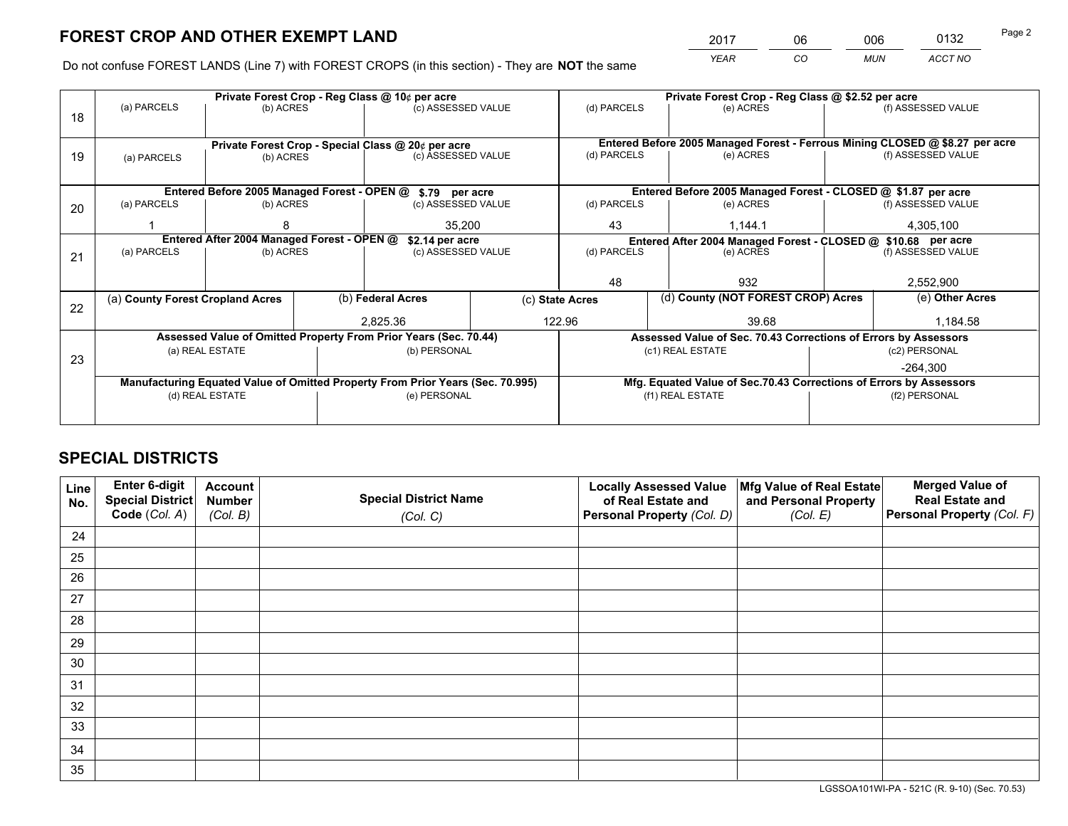*YEAR CO MUN ACCT NO* <sup>2017</sup> <sup>06</sup> <sup>006</sup> <sup>0132</sup> Page 2

Do not confuse FOREST LANDS (Line 7) with FOREST CROPS (in this section) - They are **NOT** the same

|    |                                                                                |                                             |  | Private Forest Crop - Reg Class @ 10¢ per acre                   |               | Private Forest Crop - Reg Class @ \$2.52 per acre             |                                                                                           |           |                    |  |
|----|--------------------------------------------------------------------------------|---------------------------------------------|--|------------------------------------------------------------------|---------------|---------------------------------------------------------------|-------------------------------------------------------------------------------------------|-----------|--------------------|--|
| 18 | (a) PARCELS                                                                    | (b) ACRES                                   |  | (c) ASSESSED VALUE                                               |               | (d) PARCELS                                                   | (e) ACRES                                                                                 |           | (f) ASSESSED VALUE |  |
|    |                                                                                |                                             |  |                                                                  |               |                                                               |                                                                                           |           |                    |  |
|    | Private Forest Crop - Special Class @ 20¢ per acre                             |                                             |  |                                                                  |               | (d) PARCELS                                                   | Entered Before 2005 Managed Forest - Ferrous Mining CLOSED @ \$8.27 per acre<br>(e) ACRES |           | (f) ASSESSED VALUE |  |
| 19 | (a) PARCELS                                                                    | (b) ACRES                                   |  | (c) ASSESSED VALUE                                               |               |                                                               |                                                                                           |           |                    |  |
|    |                                                                                |                                             |  |                                                                  |               |                                                               |                                                                                           |           |                    |  |
|    |                                                                                | Entered Before 2005 Managed Forest - OPEN @ |  | \$.79 per acre                                                   |               |                                                               | Entered Before 2005 Managed Forest - CLOSED @ \$1.87 per acre                             |           |                    |  |
| 20 | (a) PARCELS                                                                    | (b) ACRES                                   |  | (c) ASSESSED VALUE                                               |               | (d) PARCELS                                                   | (e) ACRES                                                                                 |           | (f) ASSESSED VALUE |  |
|    |                                                                                |                                             |  |                                                                  |               |                                                               |                                                                                           |           |                    |  |
|    |                                                                                | 35,200                                      |  |                                                                  | 43<br>1,144.1 |                                                               |                                                                                           | 4,305,100 |                    |  |
|    | Entered After 2004 Managed Forest - OPEN @                                     |                                             |  | \$2.14 per acre                                                  |               | Entered After 2004 Managed Forest - CLOSED @ \$10.68 per acre |                                                                                           |           | (f) ASSESSED VALUE |  |
| 21 | (a) PARCELS                                                                    | (b) ACRES                                   |  | (c) ASSESSED VALUE                                               |               | (d) PARCELS                                                   | (e) ACRES                                                                                 |           |                    |  |
|    |                                                                                |                                             |  |                                                                  |               |                                                               |                                                                                           |           |                    |  |
|    |                                                                                |                                             |  |                                                                  |               | 48                                                            | 932                                                                                       |           | 2,552,900          |  |
|    | (a) County Forest Cropland Acres                                               |                                             |  | (b) Federal Acres                                                |               | (c) State Acres                                               | (d) County (NOT FOREST CROP) Acres                                                        |           | (e) Other Acres    |  |
| 22 |                                                                                |                                             |  |                                                                  |               |                                                               |                                                                                           |           |                    |  |
|    |                                                                                |                                             |  | 2.825.36                                                         |               | 122.96                                                        | 39.68                                                                                     |           | 1.184.58           |  |
|    |                                                                                |                                             |  | Assessed Value of Omitted Property From Prior Years (Sec. 70.44) |               |                                                               | Assessed Value of Sec. 70.43 Corrections of Errors by Assessors                           |           |                    |  |
| 23 |                                                                                | (a) REAL ESTATE                             |  | (b) PERSONAL                                                     |               |                                                               | (c1) REAL ESTATE                                                                          |           | (c2) PERSONAL      |  |
|    |                                                                                |                                             |  |                                                                  |               |                                                               |                                                                                           |           | $-264.300$         |  |
|    | Manufacturing Equated Value of Omitted Property From Prior Years (Sec. 70.995) |                                             |  |                                                                  |               |                                                               | Mfg. Equated Value of Sec.70.43 Corrections of Errors by Assessors                        |           |                    |  |
|    |                                                                                | (d) REAL ESTATE                             |  | (e) PERSONAL                                                     |               |                                                               | (f1) REAL ESTATE                                                                          |           | (f2) PERSONAL      |  |
|    |                                                                                |                                             |  |                                                                  |               |                                                               |                                                                                           |           |                    |  |
|    |                                                                                |                                             |  |                                                                  |               |                                                               |                                                                                           |           |                    |  |

## **SPECIAL DISTRICTS**

| Line<br>No. | Enter 6-digit<br><b>Special District</b> | <b>Account</b><br><b>Number</b> | <b>Special District Name</b> | <b>Locally Assessed Value</b><br>of Real Estate and | Mfg Value of Real Estate<br>and Personal Property | <b>Merged Value of</b><br><b>Real Estate and</b> |
|-------------|------------------------------------------|---------------------------------|------------------------------|-----------------------------------------------------|---------------------------------------------------|--------------------------------------------------|
|             | Code (Col. A)                            | (Col. B)                        | (Col. C)                     | Personal Property (Col. D)                          | (Col. E)                                          | Personal Property (Col. F)                       |
| 24          |                                          |                                 |                              |                                                     |                                                   |                                                  |
| 25          |                                          |                                 |                              |                                                     |                                                   |                                                  |
| 26          |                                          |                                 |                              |                                                     |                                                   |                                                  |
| 27          |                                          |                                 |                              |                                                     |                                                   |                                                  |
| 28          |                                          |                                 |                              |                                                     |                                                   |                                                  |
| 29          |                                          |                                 |                              |                                                     |                                                   |                                                  |
| 30          |                                          |                                 |                              |                                                     |                                                   |                                                  |
| 31          |                                          |                                 |                              |                                                     |                                                   |                                                  |
| 32          |                                          |                                 |                              |                                                     |                                                   |                                                  |
| 33          |                                          |                                 |                              |                                                     |                                                   |                                                  |
| 34          |                                          |                                 |                              |                                                     |                                                   |                                                  |
| 35          |                                          |                                 |                              |                                                     |                                                   |                                                  |

LGSSOA101WI-PA - 521C (R. 9-10) (Sec. 70.53)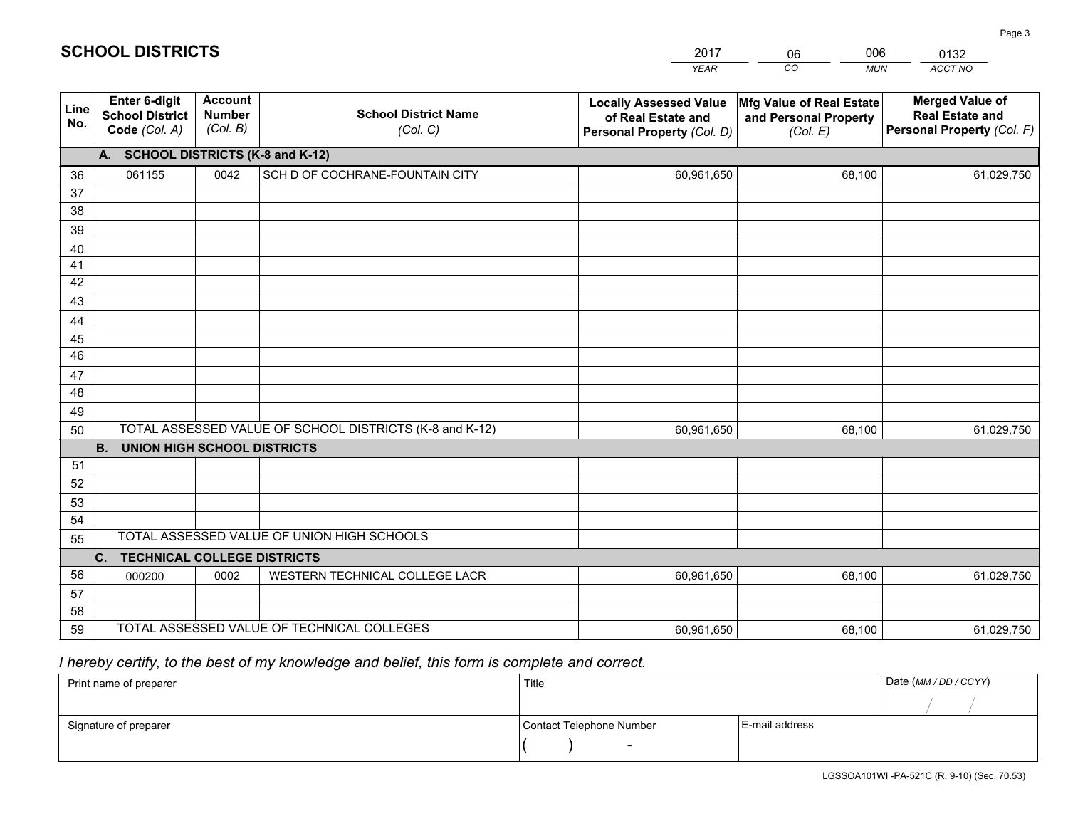|             |                                                          |                                             |                                                         | <b>YEAR</b>                                                                       | CO<br><b>MUN</b>                                              | ACCT NO                                                                        |
|-------------|----------------------------------------------------------|---------------------------------------------|---------------------------------------------------------|-----------------------------------------------------------------------------------|---------------------------------------------------------------|--------------------------------------------------------------------------------|
| Line<br>No. | Enter 6-digit<br><b>School District</b><br>Code (Col. A) | <b>Account</b><br><b>Number</b><br>(Col. B) | <b>School District Name</b><br>(Col. C)                 | <b>Locally Assessed Value</b><br>of Real Estate and<br>Personal Property (Col. D) | Mfg Value of Real Estate<br>and Personal Property<br>(Col. E) | <b>Merged Value of</b><br><b>Real Estate and</b><br>Personal Property (Col. F) |
|             | <b>SCHOOL DISTRICTS (K-8 and K-12)</b><br>А.             |                                             |                                                         |                                                                                   |                                                               |                                                                                |
| 36          | 061155                                                   | 0042                                        | SCH D OF COCHRANE-FOUNTAIN CITY                         | 60,961,650                                                                        | 68,100                                                        | 61,029,750                                                                     |
| 37          |                                                          |                                             |                                                         |                                                                                   |                                                               |                                                                                |
| 38          |                                                          |                                             |                                                         |                                                                                   |                                                               |                                                                                |
| 39          |                                                          |                                             |                                                         |                                                                                   |                                                               |                                                                                |
| 40          |                                                          |                                             |                                                         |                                                                                   |                                                               |                                                                                |
| 41<br>42    |                                                          |                                             |                                                         |                                                                                   |                                                               |                                                                                |
| 43          |                                                          |                                             |                                                         |                                                                                   |                                                               |                                                                                |
| 44          |                                                          |                                             |                                                         |                                                                                   |                                                               |                                                                                |
| 45          |                                                          |                                             |                                                         |                                                                                   |                                                               |                                                                                |
| 46          |                                                          |                                             |                                                         |                                                                                   |                                                               |                                                                                |
| 47          |                                                          |                                             |                                                         |                                                                                   |                                                               |                                                                                |
| 48          |                                                          |                                             |                                                         |                                                                                   |                                                               |                                                                                |
| 49          |                                                          |                                             |                                                         |                                                                                   |                                                               |                                                                                |
| 50          |                                                          |                                             | TOTAL ASSESSED VALUE OF SCHOOL DISTRICTS (K-8 and K-12) | 60,961,650                                                                        | 68,100                                                        | 61,029,750                                                                     |
|             | <b>B.</b><br><b>UNION HIGH SCHOOL DISTRICTS</b>          |                                             |                                                         |                                                                                   |                                                               |                                                                                |
| 51          |                                                          |                                             |                                                         |                                                                                   |                                                               |                                                                                |
| 52          |                                                          |                                             |                                                         |                                                                                   |                                                               |                                                                                |
| 53<br>54    |                                                          |                                             |                                                         |                                                                                   |                                                               |                                                                                |
| 55          |                                                          |                                             | TOTAL ASSESSED VALUE OF UNION HIGH SCHOOLS              |                                                                                   |                                                               |                                                                                |
|             | C.<br><b>TECHNICAL COLLEGE DISTRICTS</b>                 |                                             |                                                         |                                                                                   |                                                               |                                                                                |
| 56          | 000200                                                   | 0002                                        | WESTERN TECHNICAL COLLEGE LACR                          | 60,961,650                                                                        | 68,100                                                        | 61,029,750                                                                     |
| 57          |                                                          |                                             |                                                         |                                                                                   |                                                               |                                                                                |
| 58          |                                                          |                                             |                                                         |                                                                                   |                                                               |                                                                                |
| 59          |                                                          |                                             | TOTAL ASSESSED VALUE OF TECHNICAL COLLEGES              | 60,961,650                                                                        | 68,100                                                        | 61,029,750                                                                     |

## *I hereby certify, to the best of my knowledge and belief, this form is complete and correct.*

| Print name of preparer | Title                    |                | Date (MM / DD / CCYY) |
|------------------------|--------------------------|----------------|-----------------------|
|                        |                          |                |                       |
| Signature of preparer  | Contact Telephone Number | E-mail address |                       |
|                        | $\overline{\phantom{0}}$ |                |                       |

## **SCHOOL DISTRICTS**

201706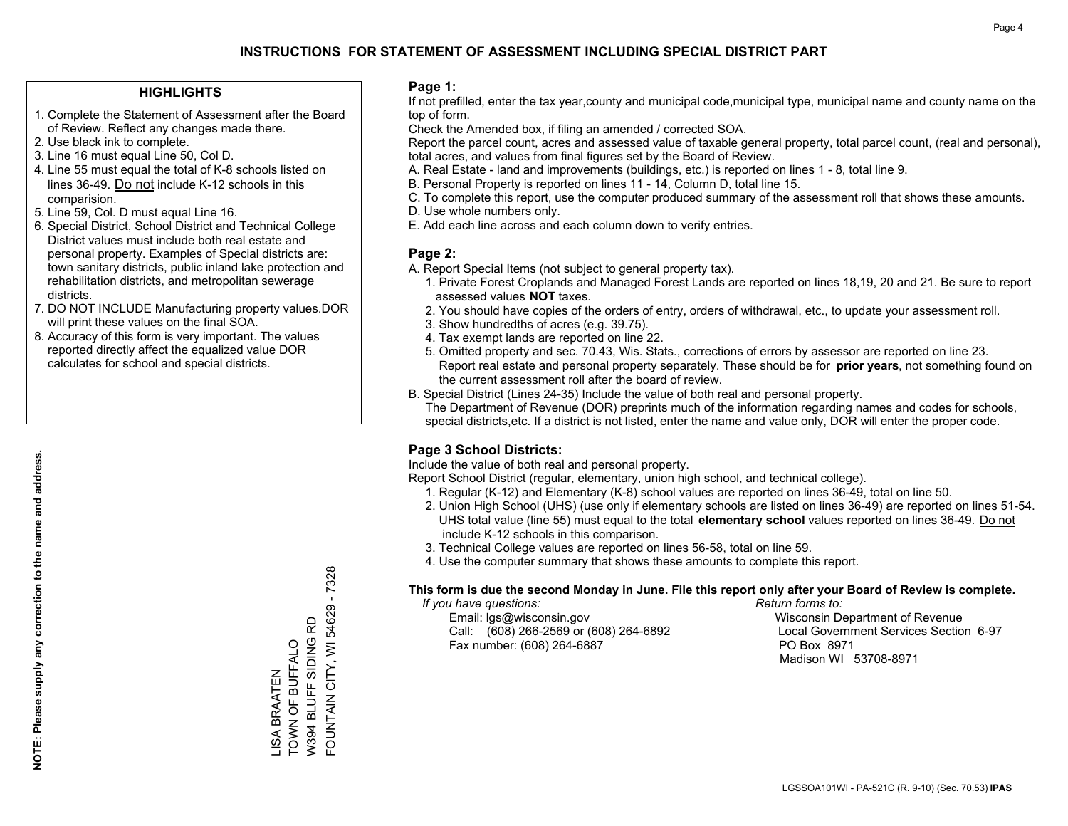#### **HIGHLIGHTS**

- 1. Complete the Statement of Assessment after the Board of Review. Reflect any changes made there.
- 2. Use black ink to complete.
- 3. Line 16 must equal Line 50, Col D.
- 4. Line 55 must equal the total of K-8 schools listed on lines 36-49. Do not include K-12 schools in this comparision.
- 5. Line 59, Col. D must equal Line 16.
- 6. Special District, School District and Technical College District values must include both real estate and personal property. Examples of Special districts are: town sanitary districts, public inland lake protection and rehabilitation districts, and metropolitan sewerage districts.
- 7. DO NOT INCLUDE Manufacturing property values.DOR will print these values on the final SOA.

LISA BRAATEN TOWN OF BUFFALO W394 BLUFF SIDING RD FOUNTAIN CITY, WI 54629 - 7328

FOUNTAIN CITY, WI 54629 - 7328

W394 BLUFF SIDING RD **TOWN OF BUFFALO JSA BRAATEN** 

 8. Accuracy of this form is very important. The values reported directly affect the equalized value DOR calculates for school and special districts.

#### **Page 1:**

 If not prefilled, enter the tax year,county and municipal code,municipal type, municipal name and county name on the top of form.

Check the Amended box, if filing an amended / corrected SOA.

 Report the parcel count, acres and assessed value of taxable general property, total parcel count, (real and personal), total acres, and values from final figures set by the Board of Review.

- A. Real Estate land and improvements (buildings, etc.) is reported on lines 1 8, total line 9.
- B. Personal Property is reported on lines 11 14, Column D, total line 15.
- C. To complete this report, use the computer produced summary of the assessment roll that shows these amounts.
- D. Use whole numbers only.
- E. Add each line across and each column down to verify entries.

### **Page 2:**

- A. Report Special Items (not subject to general property tax).
- 1. Private Forest Croplands and Managed Forest Lands are reported on lines 18,19, 20 and 21. Be sure to report assessed values **NOT** taxes.
- 2. You should have copies of the orders of entry, orders of withdrawal, etc., to update your assessment roll.
	- 3. Show hundredths of acres (e.g. 39.75).
- 4. Tax exempt lands are reported on line 22.
- 5. Omitted property and sec. 70.43, Wis. Stats., corrections of errors by assessor are reported on line 23. Report real estate and personal property separately. These should be for **prior years**, not something found on the current assessment roll after the board of review.
- B. Special District (Lines 24-35) Include the value of both real and personal property.
- The Department of Revenue (DOR) preprints much of the information regarding names and codes for schools, special districts,etc. If a district is not listed, enter the name and value only, DOR will enter the proper code.

## **Page 3 School Districts:**

Include the value of both real and personal property.

Report School District (regular, elementary, union high school, and technical college).

- 1. Regular (K-12) and Elementary (K-8) school values are reported on lines 36-49, total on line 50.
- 2. Union High School (UHS) (use only if elementary schools are listed on lines 36-49) are reported on lines 51-54. UHS total value (line 55) must equal to the total **elementary school** values reported on lines 36-49. Do notinclude K-12 schools in this comparison.
- 3. Technical College values are reported on lines 56-58, total on line 59.
- 4. Use the computer summary that shows these amounts to complete this report.

#### **This form is due the second Monday in June. File this report only after your Board of Review is complete.**

 *If you have questions: Return forms to:*

 Email: lgs@wisconsin.gov Wisconsin Department of RevenueCall:  $(608)$  266-2569 or  $(608)$  264-6892 Fax number: (608) 264-6887 PO Box 8971

Local Government Services Section 6-97 Madison WI 53708-8971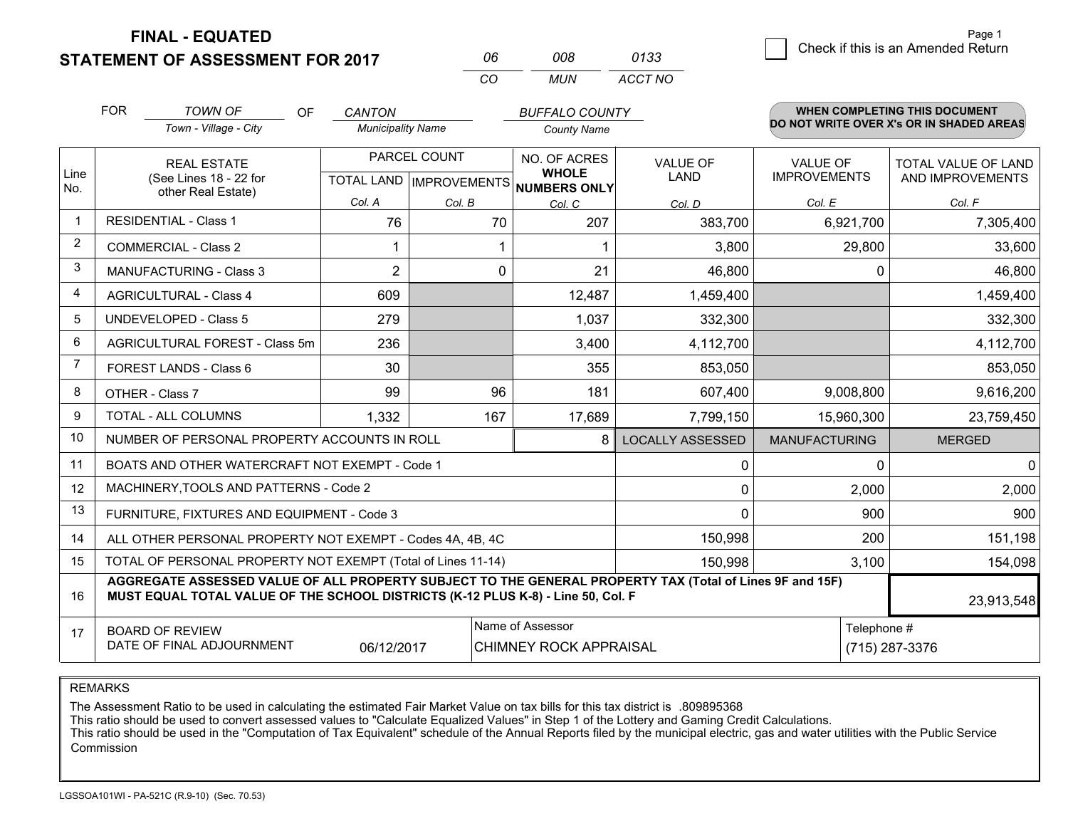**STATEMENT OF ASSESSMENT FOR 2017 FINAL - EQUATED**

3 Check if this is an Amended Return<br>3 Page 1

|             | <b>FOR</b>                                                                                                                                                                                   | TOWN OF<br><b>OF</b><br>Town - Village - City             | <b>CANTON</b><br><b>Municipality Name</b> |              | <b>BUFFALO COUNTY</b>                               |                         |                      | <b>WHEN COMPLETING THIS DOCUMENT</b><br>DO NOT WRITE OVER X's OR IN SHADED AREAS |
|-------------|----------------------------------------------------------------------------------------------------------------------------------------------------------------------------------------------|-----------------------------------------------------------|-------------------------------------------|--------------|-----------------------------------------------------|-------------------------|----------------------|----------------------------------------------------------------------------------|
|             |                                                                                                                                                                                              |                                                           |                                           |              | <b>County Name</b>                                  |                         |                      |                                                                                  |
|             |                                                                                                                                                                                              | <b>REAL ESTATE</b>                                        |                                           | PARCEL COUNT | NO. OF ACRES                                        | <b>VALUE OF</b>         | <b>VALUE OF</b>      | <b>TOTAL VALUE OF LAND</b>                                                       |
| Line<br>No. |                                                                                                                                                                                              | (See Lines 18 - 22 for                                    |                                           |              | <b>WHOLE</b><br>TOTAL LAND MPROVEMENTS NUMBERS ONLY | <b>LAND</b>             | <b>IMPROVEMENTS</b>  | AND IMPROVEMENTS                                                                 |
|             |                                                                                                                                                                                              | other Real Estate)                                        | Col. A                                    | Col. B       | Col. C                                              | Col. D                  | Col. E               | Col. F                                                                           |
|             |                                                                                                                                                                                              | <b>RESIDENTIAL - Class 1</b>                              | 76                                        | 70           | 207                                                 | 383,700                 | 6,921,700            | 7,305,400                                                                        |
| 2           |                                                                                                                                                                                              | <b>COMMERCIAL - Class 2</b>                               |                                           |              |                                                     | 3,800                   | 29,800               | 33,600                                                                           |
| 3           |                                                                                                                                                                                              | <b>MANUFACTURING - Class 3</b>                            | $\overline{2}$                            |              | 0<br>21                                             | 46,800                  | 0                    | 46,800                                                                           |
| 4           |                                                                                                                                                                                              | <b>AGRICULTURAL - Class 4</b>                             | 609                                       |              | 12,487                                              | 1,459,400               |                      | 1,459,400                                                                        |
| 5           |                                                                                                                                                                                              | <b>UNDEVELOPED - Class 5</b>                              | 279                                       |              | 1,037                                               | 332,300                 |                      | 332,300                                                                          |
| 6           |                                                                                                                                                                                              | AGRICULTURAL FOREST - Class 5m                            | 236                                       |              | 3,400                                               | 4,112,700               |                      | 4,112,700                                                                        |
| 7           |                                                                                                                                                                                              | FOREST LANDS - Class 6                                    | 30                                        |              | 355                                                 | 853,050                 |                      | 853,050                                                                          |
| 8           |                                                                                                                                                                                              | OTHER - Class 7                                           | 99                                        | 96           | 181                                                 | 607,400                 | 9,008,800            | 9,616,200                                                                        |
| 9           |                                                                                                                                                                                              | <b>TOTAL - ALL COLUMNS</b>                                | 1,332                                     | 167          | 17,689                                              | 7,799,150               | 15,960,300           | 23,759,450                                                                       |
| 10          |                                                                                                                                                                                              | NUMBER OF PERSONAL PROPERTY ACCOUNTS IN ROLL              |                                           |              |                                                     | <b>LOCALLY ASSESSED</b> | <b>MANUFACTURING</b> | <b>MERGED</b>                                                                    |
| 11          |                                                                                                                                                                                              | BOATS AND OTHER WATERCRAFT NOT EXEMPT - Code 1            |                                           |              |                                                     | $\Omega$                | $\Omega$             | 0                                                                                |
| 12          |                                                                                                                                                                                              | MACHINERY, TOOLS AND PATTERNS - Code 2                    |                                           |              |                                                     | $\mathbf 0$             | 2,000                | 2,000                                                                            |
| 13          |                                                                                                                                                                                              | FURNITURE, FIXTURES AND EQUIPMENT - Code 3                |                                           |              |                                                     | 0                       | 900                  | 900                                                                              |
| 14          |                                                                                                                                                                                              | ALL OTHER PERSONAL PROPERTY NOT EXEMPT - Codes 4A, 4B, 4C |                                           |              |                                                     | 150,998                 | 200                  | 151,198                                                                          |
| 15          | TOTAL OF PERSONAL PROPERTY NOT EXEMPT (Total of Lines 11-14)<br>150,998                                                                                                                      |                                                           |                                           |              |                                                     |                         | 3,100                | 154,098                                                                          |
| 16          | AGGREGATE ASSESSED VALUE OF ALL PROPERTY SUBJECT TO THE GENERAL PROPERTY TAX (Total of Lines 9F and 15F)<br>MUST EQUAL TOTAL VALUE OF THE SCHOOL DISTRICTS (K-12 PLUS K-8) - Line 50, Col. F |                                                           |                                           |              |                                                     | 23,913,548              |                      |                                                                                  |
| 17          | Name of Assessor<br>Telephone #<br><b>BOARD OF REVIEW</b><br>DATE OF FINAL ADJOURNMENT<br>(715) 287-3376<br>06/12/2017<br><b>CHIMNEY ROCK APPRAISAL</b>                                      |                                                           |                                           |              |                                                     |                         |                      |                                                                                  |

*CO*

*MUN*

*ACCT NO0133*

*<sup>06</sup> <sup>008</sup>*

REMARKS

The Assessment Ratio to be used in calculating the estimated Fair Market Value on tax bills for this tax district is .809895368<br>This ratio should be used to convert assessed values to "Calculate Equalized Values" in Step 1 Commission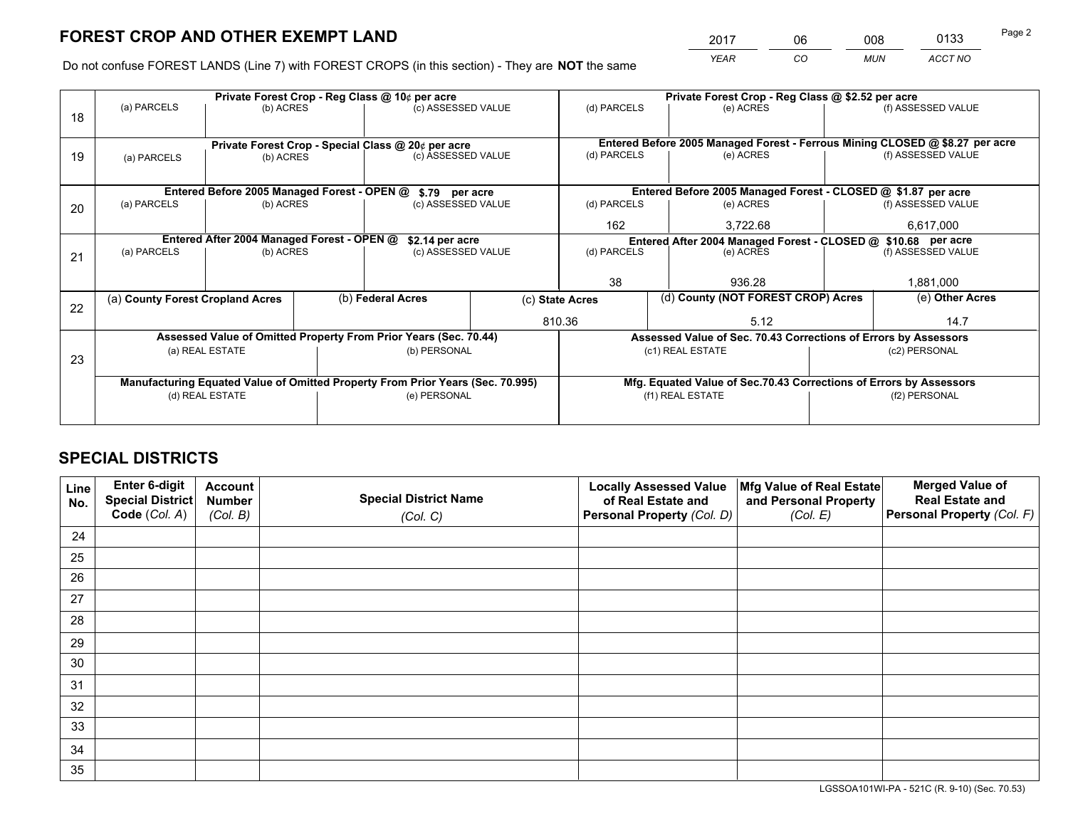*YEAR CO MUN ACCT NO* <sup>2017</sup> <sup>06</sup> <sup>008</sup> <sup>0133</sup> Page 2

Do not confuse FOREST LANDS (Line 7) with FOREST CROPS (in this section) - They are **NOT** the same

|    |                                                                                |                                             |                                                    | Private Forest Crop - Reg Class @ 10¢ per acre                   |                  | Private Forest Crop - Reg Class @ \$2.52 per acre                            |                                                                 |  |                    |  |
|----|--------------------------------------------------------------------------------|---------------------------------------------|----------------------------------------------------|------------------------------------------------------------------|------------------|------------------------------------------------------------------------------|-----------------------------------------------------------------|--|--------------------|--|
| 18 | (a) PARCELS                                                                    | (b) ACRES                                   |                                                    | (c) ASSESSED VALUE                                               |                  | (d) PARCELS                                                                  | (e) ACRES                                                       |  | (f) ASSESSED VALUE |  |
|    |                                                                                |                                             |                                                    |                                                                  |                  |                                                                              |                                                                 |  |                    |  |
|    |                                                                                |                                             | Private Forest Crop - Special Class @ 20¢ per acre |                                                                  |                  | Entered Before 2005 Managed Forest - Ferrous Mining CLOSED @ \$8.27 per acre |                                                                 |  |                    |  |
| 19 | (a) PARCELS                                                                    | (b) ACRES                                   |                                                    | (c) ASSESSED VALUE                                               |                  | (d) PARCELS                                                                  | (e) ACRES                                                       |  | (f) ASSESSED VALUE |  |
|    |                                                                                |                                             |                                                    |                                                                  |                  |                                                                              |                                                                 |  |                    |  |
|    |                                                                                | Entered Before 2005 Managed Forest - OPEN @ |                                                    | \$.79 per acre                                                   |                  |                                                                              | Entered Before 2005 Managed Forest - CLOSED @ \$1.87 per acre   |  |                    |  |
| 20 | (a) PARCELS                                                                    | (b) ACRES                                   |                                                    | (c) ASSESSED VALUE                                               |                  | (d) PARCELS                                                                  | (e) ACRES                                                       |  | (f) ASSESSED VALUE |  |
|    |                                                                                |                                             |                                                    |                                                                  |                  | 162                                                                          | 3,722.68                                                        |  | 6,617,000          |  |
|    | Entered After 2004 Managed Forest - OPEN @<br>\$2.14 per acre                  |                                             |                                                    |                                                                  |                  | Entered After 2004 Managed Forest - CLOSED @ \$10.68 per acre                |                                                                 |  |                    |  |
| 21 | (a) PARCELS                                                                    | (b) ACRES                                   |                                                    | (c) ASSESSED VALUE                                               |                  | (d) PARCELS<br>(e) ACRES                                                     |                                                                 |  | (f) ASSESSED VALUE |  |
|    |                                                                                |                                             |                                                    |                                                                  |                  |                                                                              |                                                                 |  |                    |  |
|    |                                                                                |                                             |                                                    |                                                                  |                  | 38                                                                           | 936.28                                                          |  | 1,881,000          |  |
| 22 | (a) County Forest Cropland Acres                                               |                                             |                                                    | (b) Federal Acres                                                |                  | (c) State Acres                                                              | (d) County (NOT FOREST CROP) Acres                              |  | (e) Other Acres    |  |
|    |                                                                                |                                             |                                                    |                                                                  |                  | 810.36                                                                       | 5.12                                                            |  | 14.7               |  |
|    |                                                                                |                                             |                                                    | Assessed Value of Omitted Property From Prior Years (Sec. 70.44) |                  |                                                                              | Assessed Value of Sec. 70.43 Corrections of Errors by Assessors |  |                    |  |
| 23 |                                                                                | (a) REAL ESTATE                             |                                                    | (b) PERSONAL                                                     |                  |                                                                              | (c1) REAL ESTATE                                                |  | (c2) PERSONAL      |  |
|    |                                                                                |                                             |                                                    |                                                                  |                  |                                                                              |                                                                 |  |                    |  |
|    | Manufacturing Equated Value of Omitted Property From Prior Years (Sec. 70.995) |                                             |                                                    |                                                                  |                  | Mfg. Equated Value of Sec.70.43 Corrections of Errors by Assessors           |                                                                 |  |                    |  |
|    | (e) PERSONAL<br>(d) REAL ESTATE                                                |                                             |                                                    |                                                                  | (f1) REAL ESTATE |                                                                              | (f2) PERSONAL                                                   |  |                    |  |
|    |                                                                                |                                             |                                                    |                                                                  |                  |                                                                              |                                                                 |  |                    |  |

## **SPECIAL DISTRICTS**

| Line<br>No. | Enter 6-digit<br>Special District<br>Code (Col. A) | <b>Account</b><br><b>Number</b> | <b>Special District Name</b> | <b>Locally Assessed Value</b><br>of Real Estate and | Mfg Value of Real Estate<br>and Personal Property | <b>Merged Value of</b><br><b>Real Estate and</b><br>Personal Property (Col. F) |
|-------------|----------------------------------------------------|---------------------------------|------------------------------|-----------------------------------------------------|---------------------------------------------------|--------------------------------------------------------------------------------|
|             |                                                    | (Col. B)                        | (Col. C)                     | Personal Property (Col. D)                          | (Col. E)                                          |                                                                                |
| 24          |                                                    |                                 |                              |                                                     |                                                   |                                                                                |
| 25          |                                                    |                                 |                              |                                                     |                                                   |                                                                                |
| 26          |                                                    |                                 |                              |                                                     |                                                   |                                                                                |
| 27          |                                                    |                                 |                              |                                                     |                                                   |                                                                                |
| 28          |                                                    |                                 |                              |                                                     |                                                   |                                                                                |
| 29          |                                                    |                                 |                              |                                                     |                                                   |                                                                                |
| 30          |                                                    |                                 |                              |                                                     |                                                   |                                                                                |
| 31          |                                                    |                                 |                              |                                                     |                                                   |                                                                                |
| 32          |                                                    |                                 |                              |                                                     |                                                   |                                                                                |
| 33          |                                                    |                                 |                              |                                                     |                                                   |                                                                                |
| 34          |                                                    |                                 |                              |                                                     |                                                   |                                                                                |
| 35          |                                                    |                                 |                              |                                                     |                                                   |                                                                                |

LGSSOA101WI-PA - 521C (R. 9-10) (Sec. 70.53)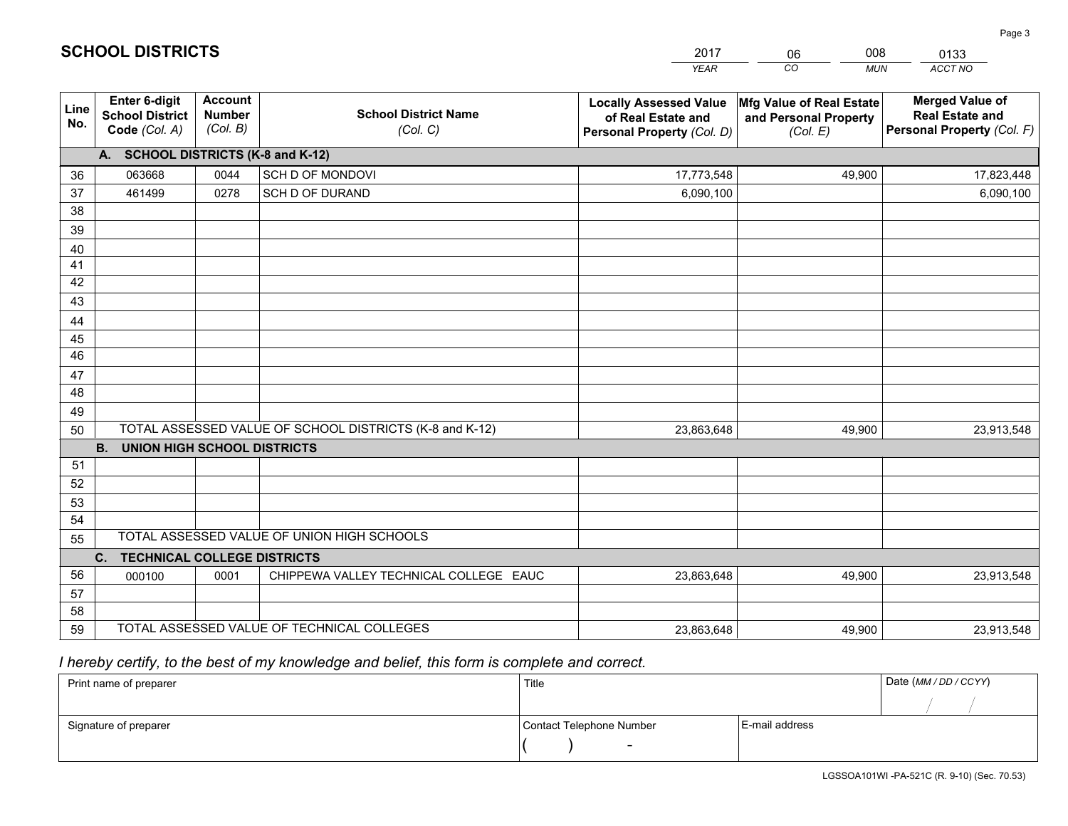|             |                                                                 |                                             |                                                         | <b>YEAR</b>                                                                       | CO<br><b>MUN</b>                                              | ACCT NO                                                                        |
|-------------|-----------------------------------------------------------------|---------------------------------------------|---------------------------------------------------------|-----------------------------------------------------------------------------------|---------------------------------------------------------------|--------------------------------------------------------------------------------|
| Line<br>No. | <b>Enter 6-digit</b><br><b>School District</b><br>Code (Col. A) | <b>Account</b><br><b>Number</b><br>(Col. B) | <b>School District Name</b><br>(Col. C)                 | <b>Locally Assessed Value</b><br>of Real Estate and<br>Personal Property (Col. D) | Mfg Value of Real Estate<br>and Personal Property<br>(Col. E) | <b>Merged Value of</b><br><b>Real Estate and</b><br>Personal Property (Col. F) |
|             | A. SCHOOL DISTRICTS (K-8 and K-12)                              |                                             |                                                         |                                                                                   |                                                               |                                                                                |
| 36          | 063668                                                          | 0044                                        | SCH D OF MONDOVI                                        | 17,773,548                                                                        | 49,900                                                        | 17,823,448                                                                     |
| 37          | 461499                                                          | 0278                                        | SCH D OF DURAND                                         | 6,090,100                                                                         |                                                               | 6,090,100                                                                      |
| 38          |                                                                 |                                             |                                                         |                                                                                   |                                                               |                                                                                |
| 39          |                                                                 |                                             |                                                         |                                                                                   |                                                               |                                                                                |
| 40          |                                                                 |                                             |                                                         |                                                                                   |                                                               |                                                                                |
| 41          |                                                                 |                                             |                                                         |                                                                                   |                                                               |                                                                                |
| 42          |                                                                 |                                             |                                                         |                                                                                   |                                                               |                                                                                |
| 43          |                                                                 |                                             |                                                         |                                                                                   |                                                               |                                                                                |
| 44          |                                                                 |                                             |                                                         |                                                                                   |                                                               |                                                                                |
| 45<br>46    |                                                                 |                                             |                                                         |                                                                                   |                                                               |                                                                                |
| 47          |                                                                 |                                             |                                                         |                                                                                   |                                                               |                                                                                |
| 48          |                                                                 |                                             |                                                         |                                                                                   |                                                               |                                                                                |
| 49          |                                                                 |                                             |                                                         |                                                                                   |                                                               |                                                                                |
| 50          |                                                                 |                                             | TOTAL ASSESSED VALUE OF SCHOOL DISTRICTS (K-8 and K-12) | 23,863,648                                                                        | 49,900                                                        | 23,913,548                                                                     |
|             | <b>B.</b><br><b>UNION HIGH SCHOOL DISTRICTS</b>                 |                                             |                                                         |                                                                                   |                                                               |                                                                                |
| 51          |                                                                 |                                             |                                                         |                                                                                   |                                                               |                                                                                |
| 52          |                                                                 |                                             |                                                         |                                                                                   |                                                               |                                                                                |
| 53          |                                                                 |                                             |                                                         |                                                                                   |                                                               |                                                                                |
| 54          |                                                                 |                                             |                                                         |                                                                                   |                                                               |                                                                                |
| 55          |                                                                 |                                             | TOTAL ASSESSED VALUE OF UNION HIGH SCHOOLS              |                                                                                   |                                                               |                                                                                |
|             | C.<br><b>TECHNICAL COLLEGE DISTRICTS</b>                        |                                             |                                                         |                                                                                   |                                                               |                                                                                |
| 56          | 000100                                                          | 0001                                        | CHIPPEWA VALLEY TECHNICAL COLLEGE EAUC                  | 23,863,648                                                                        | 49,900                                                        | 23,913,548                                                                     |
| 57          |                                                                 |                                             |                                                         |                                                                                   |                                                               |                                                                                |
| 58          |                                                                 |                                             |                                                         |                                                                                   |                                                               |                                                                                |
| 59          |                                                                 |                                             | TOTAL ASSESSED VALUE OF TECHNICAL COLLEGES              | 23,863,648                                                                        | 49,900                                                        | 23,913,548                                                                     |

 *I hereby certify, to the best of my knowledge and belief, this form is complete and correct.*

| Print name of preparer | Title                    |                | Date (MM / DD / CCYY) |
|------------------------|--------------------------|----------------|-----------------------|
|                        |                          |                |                       |
| Signature of preparer  | Contact Telephone Number | E-mail address |                       |
|                        | $\overline{\phantom{0}}$ |                |                       |

201706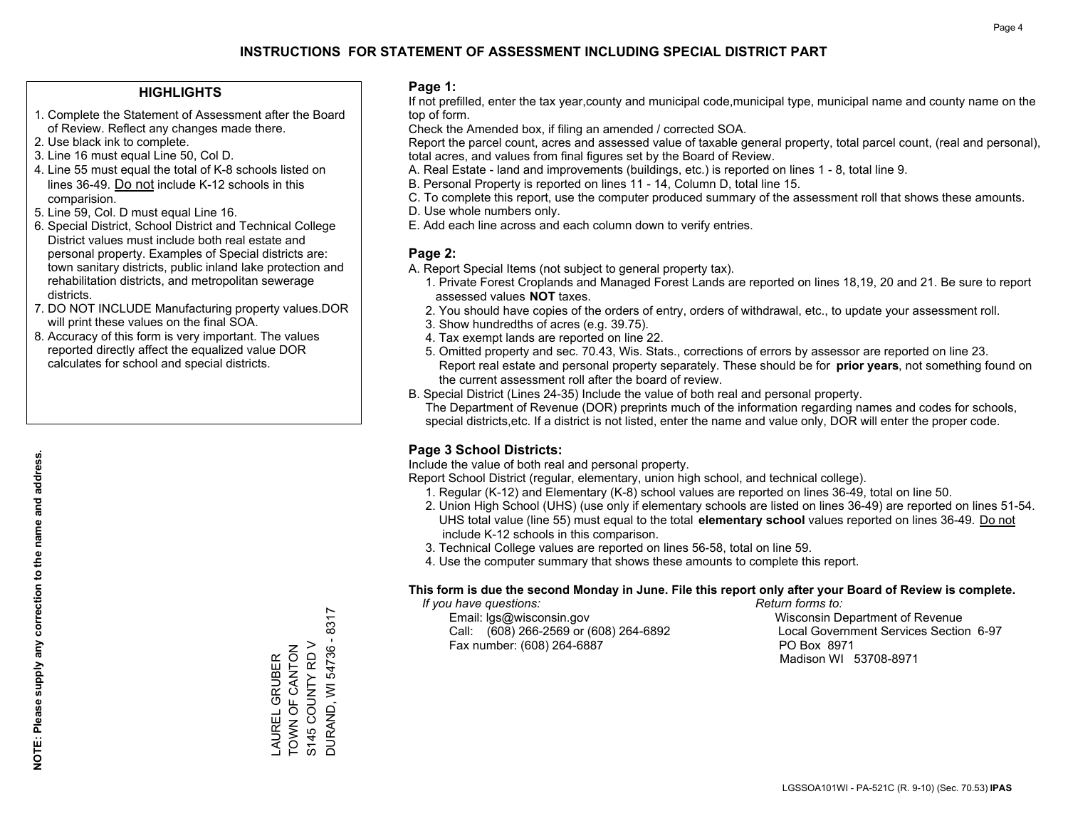#### **HIGHLIGHTS**

- 1. Complete the Statement of Assessment after the Board of Review. Reflect any changes made there.
- 2. Use black ink to complete.
- 3. Line 16 must equal Line 50, Col D.
- 4. Line 55 must equal the total of K-8 schools listed on lines 36-49. Do not include K-12 schools in this comparision.
- 5. Line 59, Col. D must equal Line 16.
- 6. Special District, School District and Technical College District values must include both real estate and personal property. Examples of Special districts are: town sanitary districts, public inland lake protection and rehabilitation districts, and metropolitan sewerage districts.
- 7. DO NOT INCLUDE Manufacturing property values.DOR will print these values on the final SOA.
- 8. Accuracy of this form is very important. The values reported directly affect the equalized value DOR calculates for school and special districts.

#### **Page 1:**

 If not prefilled, enter the tax year,county and municipal code,municipal type, municipal name and county name on the top of form.

Check the Amended box, if filing an amended / corrected SOA.

 Report the parcel count, acres and assessed value of taxable general property, total parcel count, (real and personal), total acres, and values from final figures set by the Board of Review.

- A. Real Estate land and improvements (buildings, etc.) is reported on lines 1 8, total line 9.
- B. Personal Property is reported on lines 11 14, Column D, total line 15.
- C. To complete this report, use the computer produced summary of the assessment roll that shows these amounts.
- D. Use whole numbers only.
- E. Add each line across and each column down to verify entries.

#### **Page 2:**

- A. Report Special Items (not subject to general property tax).
- 1. Private Forest Croplands and Managed Forest Lands are reported on lines 18,19, 20 and 21. Be sure to report assessed values **NOT** taxes.
- 2. You should have copies of the orders of entry, orders of withdrawal, etc., to update your assessment roll.
	- 3. Show hundredths of acres (e.g. 39.75).
- 4. Tax exempt lands are reported on line 22.
- 5. Omitted property and sec. 70.43, Wis. Stats., corrections of errors by assessor are reported on line 23. Report real estate and personal property separately. These should be for **prior years**, not something found on the current assessment roll after the board of review.
- B. Special District (Lines 24-35) Include the value of both real and personal property.

 The Department of Revenue (DOR) preprints much of the information regarding names and codes for schools, special districts,etc. If a district is not listed, enter the name and value only, DOR will enter the proper code.

### **Page 3 School Districts:**

Include the value of both real and personal property.

Report School District (regular, elementary, union high school, and technical college).

- 1. Regular (K-12) and Elementary (K-8) school values are reported on lines 36-49, total on line 50.
- 2. Union High School (UHS) (use only if elementary schools are listed on lines 36-49) are reported on lines 51-54. UHS total value (line 55) must equal to the total **elementary school** values reported on lines 36-49. Do notinclude K-12 schools in this comparison.
- 3. Technical College values are reported on lines 56-58, total on line 59.
- 4. Use the computer summary that shows these amounts to complete this report.

#### **This form is due the second Monday in June. File this report only after your Board of Review is complete.**

 *If you have questions: Return forms to:*

 Email: lgs@wisconsin.gov Wisconsin Department of RevenueCall:  $(608)$  266-2569 or  $(608)$  264-6892 Fax number: (608) 264-6887 PO Box 8971

Local Government Services Section 6-97 Madison WI 53708-8971

DURAND, WI 54736 - 8317 DURAND, WI 54736 - 8317 TOWN OF CANTON S145 COUNTY RD V S145 COUNTY RD V \_AUREL GRUBER<br>TOWN OF CANTON LAUREL GRUBER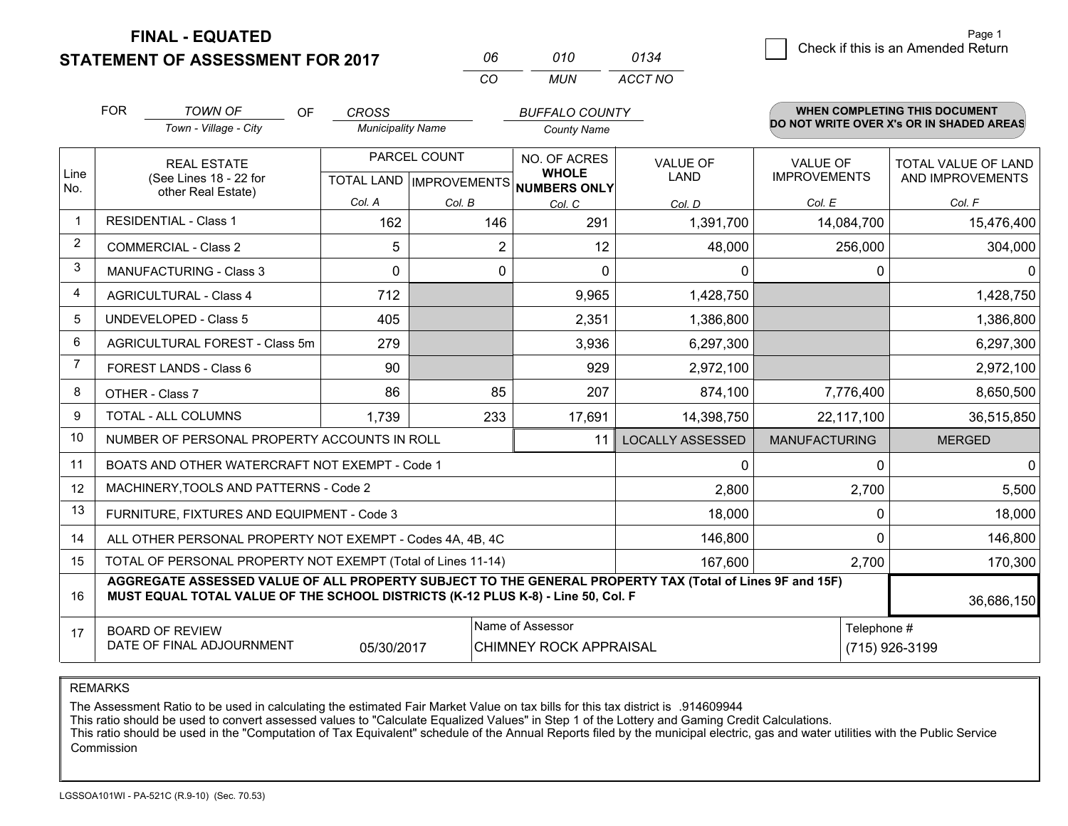**FINAL - EQUATED**

**STATEMENT OF ASSESSMENT FOR 2017** 

| Пĥ       | 01 O | 0134    |
|----------|------|---------|
| $\alpha$ | MUN  | ACCT NO |

|                | <b>FOR</b>                                                                                                                                                                                   | <b>TOWN OF</b><br><b>OF</b>                               | <b>CROSS</b>                                         |                | <b>BUFFALO COUNTY</b>        |                                |                                        | WHEN COMPLETING THIS DOCUMENT                  |
|----------------|----------------------------------------------------------------------------------------------------------------------------------------------------------------------------------------------|-----------------------------------------------------------|------------------------------------------------------|----------------|------------------------------|--------------------------------|----------------------------------------|------------------------------------------------|
|                |                                                                                                                                                                                              | Town - Village - City                                     | <b>Municipality Name</b>                             |                | <b>County Name</b>           |                                |                                        | DO NOT WRITE OVER X's OR IN SHADED AREAS       |
| Line<br>No.    |                                                                                                                                                                                              | <b>REAL ESTATE</b><br>(See Lines 18 - 22 for              | PARCEL COUNT<br>TOTAL LAND IMPROVEMENTS NUMBERS ONLY |                | NO. OF ACRES<br><b>WHOLE</b> | <b>VALUE OF</b><br><b>LAND</b> | <b>VALUE OF</b><br><b>IMPROVEMENTS</b> | <b>TOTAL VALUE OF LAND</b><br>AND IMPROVEMENTS |
|                | other Real Estate)                                                                                                                                                                           |                                                           | Col. A                                               | Col. B         | Col. C                       | Col. D                         | Col. E                                 | Col. F                                         |
| $\mathbf 1$    |                                                                                                                                                                                              | <b>RESIDENTIAL - Class 1</b>                              | 162                                                  | 146            | 291                          | 1,391,700                      | 14,084,700                             | 15,476,400                                     |
| 2              |                                                                                                                                                                                              | <b>COMMERCIAL - Class 2</b>                               | 5                                                    | $\overline{2}$ | 12                           | 48,000                         | 256,000                                | 304,000                                        |
| 3              |                                                                                                                                                                                              | <b>MANUFACTURING - Class 3</b>                            | $\Omega$                                             | 0              | $\Omega$                     | 0                              | $\Omega$                               | $\mathbf{0}$                                   |
| 4              |                                                                                                                                                                                              | <b>AGRICULTURAL - Class 4</b>                             | 712                                                  |                | 9,965                        | 1,428,750                      |                                        | 1,428,750                                      |
| 5              |                                                                                                                                                                                              | <b>UNDEVELOPED - Class 5</b>                              | 405                                                  |                | 2,351                        | 1,386,800                      |                                        | 1,386,800                                      |
| 6              |                                                                                                                                                                                              | AGRICULTURAL FOREST - Class 5m                            | 279                                                  |                | 3,936                        | 6,297,300                      |                                        | 6,297,300                                      |
| $\overline{7}$ |                                                                                                                                                                                              | <b>FOREST LANDS - Class 6</b>                             | 90                                                   |                | 929                          | 2,972,100                      |                                        | 2,972,100                                      |
| 8              |                                                                                                                                                                                              | OTHER - Class 7                                           | 86                                                   | 85             | 207                          | 874,100                        | 7,776,400                              | 8,650,500                                      |
| 9              |                                                                                                                                                                                              | TOTAL - ALL COLUMNS                                       | 1,739                                                | 233            | 17,691                       | 14,398,750                     | 22,117,100                             | 36,515,850                                     |
| 10             |                                                                                                                                                                                              | NUMBER OF PERSONAL PROPERTY ACCOUNTS IN ROLL              |                                                      |                | 11                           | <b>LOCALLY ASSESSED</b>        | <b>MANUFACTURING</b>                   | <b>MERGED</b>                                  |
| 11             |                                                                                                                                                                                              | BOATS AND OTHER WATERCRAFT NOT EXEMPT - Code 1            |                                                      |                |                              | 0                              | $\Omega$                               | $\mathbf{0}$                                   |
| 12             |                                                                                                                                                                                              | MACHINERY, TOOLS AND PATTERNS - Code 2                    |                                                      |                |                              | 2,800                          | 2,700                                  | 5,500                                          |
| 13             |                                                                                                                                                                                              | FURNITURE, FIXTURES AND EQUIPMENT - Code 3                |                                                      |                |                              | 18,000                         | $\Omega$                               | 18,000                                         |
| 14             |                                                                                                                                                                                              | ALL OTHER PERSONAL PROPERTY NOT EXEMPT - Codes 4A, 4B, 4C |                                                      |                |                              | 146,800                        | $\Omega$                               | 146,800                                        |
| 15             | TOTAL OF PERSONAL PROPERTY NOT EXEMPT (Total of Lines 11-14)                                                                                                                                 |                                                           |                                                      |                |                              |                                | 2,700                                  | 170,300                                        |
| 16             | AGGREGATE ASSESSED VALUE OF ALL PROPERTY SUBJECT TO THE GENERAL PROPERTY TAX (Total of Lines 9F and 15F)<br>MUST EQUAL TOTAL VALUE OF THE SCHOOL DISTRICTS (K-12 PLUS K-8) - Line 50, Col. F |                                                           |                                                      |                |                              |                                | 36,686,150                             |                                                |
| 17             | Name of Assessor<br>Telephone #<br><b>BOARD OF REVIEW</b><br>DATE OF FINAL ADJOURNMENT<br>(715) 926-3199<br>05/30/2017<br><b>CHIMNEY ROCK APPRAISAL</b>                                      |                                                           |                                                      |                |                              |                                |                                        |                                                |

REMARKS

The Assessment Ratio to be used in calculating the estimated Fair Market Value on tax bills for this tax district is .914609944<br>This ratio should be used to convert assessed values to "Calculate Equalized Values" in Step 1 Commission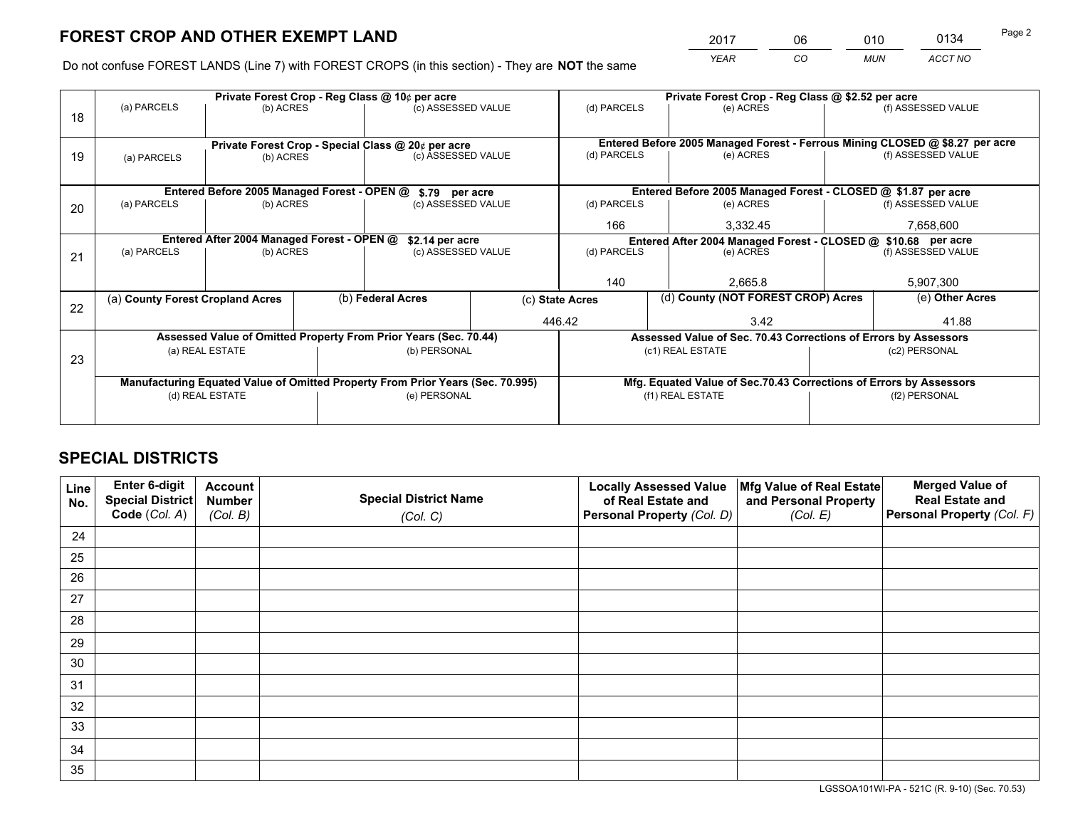*YEAR CO MUN ACCT NO* <sup>2017</sup> <sup>06</sup> <sup>010</sup> <sup>0134</sup> Page 2

Do not confuse FOREST LANDS (Line 7) with FOREST CROPS (in this section) - They are **NOT** the same

|    |                                                               |                                             |  | Private Forest Crop - Reg Class @ 10¢ per acre                                 |          | Private Forest Crop - Reg Class @ \$2.52 per acre             |                                                                              |  |                    |  |
|----|---------------------------------------------------------------|---------------------------------------------|--|--------------------------------------------------------------------------------|----------|---------------------------------------------------------------|------------------------------------------------------------------------------|--|--------------------|--|
| 18 | (a) PARCELS                                                   | (b) ACRES                                   |  | (c) ASSESSED VALUE                                                             |          | (d) PARCELS                                                   | (e) ACRES                                                                    |  | (f) ASSESSED VALUE |  |
|    |                                                               |                                             |  |                                                                                |          |                                                               |                                                                              |  |                    |  |
|    |                                                               |                                             |  | Private Forest Crop - Special Class @ 20¢ per acre                             |          |                                                               | Entered Before 2005 Managed Forest - Ferrous Mining CLOSED @ \$8.27 per acre |  |                    |  |
| 19 | (a) PARCELS                                                   | (b) ACRES                                   |  | (c) ASSESSED VALUE                                                             |          | (d) PARCELS                                                   | (e) ACRES                                                                    |  | (f) ASSESSED VALUE |  |
|    |                                                               |                                             |  |                                                                                |          |                                                               |                                                                              |  |                    |  |
|    |                                                               | Entered Before 2005 Managed Forest - OPEN @ |  | \$.79 per acre                                                                 |          |                                                               | Entered Before 2005 Managed Forest - CLOSED @ \$1.87 per acre                |  |                    |  |
| 20 | (a) PARCELS                                                   | (b) ACRES                                   |  | (c) ASSESSED VALUE                                                             |          | (d) PARCELS                                                   | (e) ACRES                                                                    |  | (f) ASSESSED VALUE |  |
|    |                                                               |                                             |  | 166                                                                            | 3,332.45 |                                                               | 7,658,600                                                                    |  |                    |  |
|    | Entered After 2004 Managed Forest - OPEN @<br>\$2.14 per acre |                                             |  |                                                                                |          | Entered After 2004 Managed Forest - CLOSED @ \$10.68 per acre |                                                                              |  |                    |  |
| 21 | (a) PARCELS                                                   | (b) ACRES                                   |  | (c) ASSESSED VALUE                                                             |          | (d) PARCELS                                                   | (e) ACRES                                                                    |  | (f) ASSESSED VALUE |  |
|    |                                                               |                                             |  |                                                                                |          |                                                               |                                                                              |  |                    |  |
|    |                                                               |                                             |  |                                                                                |          | 140                                                           | 2.665.8                                                                      |  | 5,907,300          |  |
|    | (a) County Forest Cropland Acres                              |                                             |  | (b) Federal Acres                                                              |          | (c) State Acres                                               | (d) County (NOT FOREST CROP) Acres                                           |  | (e) Other Acres    |  |
| 22 |                                                               |                                             |  | 446.42                                                                         |          |                                                               | 3.42                                                                         |  | 41.88              |  |
|    |                                                               |                                             |  | Assessed Value of Omitted Property From Prior Years (Sec. 70.44)               |          |                                                               | Assessed Value of Sec. 70.43 Corrections of Errors by Assessors              |  |                    |  |
|    |                                                               | (a) REAL ESTATE                             |  | (b) PERSONAL                                                                   |          |                                                               | (c1) REAL ESTATE                                                             |  | (c2) PERSONAL      |  |
| 23 |                                                               |                                             |  |                                                                                |          |                                                               |                                                                              |  |                    |  |
|    |                                                               |                                             |  | Manufacturing Equated Value of Omitted Property From Prior Years (Sec. 70.995) |          |                                                               | Mfg. Equated Value of Sec.70.43 Corrections of Errors by Assessors           |  |                    |  |
|    |                                                               | (d) REAL ESTATE                             |  | (e) PERSONAL                                                                   |          | (f1) REAL ESTATE                                              |                                                                              |  | (f2) PERSONAL      |  |
|    |                                                               |                                             |  |                                                                                |          |                                                               |                                                                              |  |                    |  |

## **SPECIAL DISTRICTS**

| Line<br>No. | Enter 6-digit<br>Special District | <b>Account</b><br><b>Number</b> | <b>Special District Name</b> | <b>Locally Assessed Value</b><br>of Real Estate and | Mfg Value of Real Estate<br>and Personal Property | <b>Merged Value of</b><br><b>Real Estate and</b> |
|-------------|-----------------------------------|---------------------------------|------------------------------|-----------------------------------------------------|---------------------------------------------------|--------------------------------------------------|
|             | Code (Col. A)                     | (Col. B)                        | (Col. C)                     | Personal Property (Col. D)                          | (Col. E)                                          | Personal Property (Col. F)                       |
| 24          |                                   |                                 |                              |                                                     |                                                   |                                                  |
| 25          |                                   |                                 |                              |                                                     |                                                   |                                                  |
| 26          |                                   |                                 |                              |                                                     |                                                   |                                                  |
| 27          |                                   |                                 |                              |                                                     |                                                   |                                                  |
| 28          |                                   |                                 |                              |                                                     |                                                   |                                                  |
| 29          |                                   |                                 |                              |                                                     |                                                   |                                                  |
| 30          |                                   |                                 |                              |                                                     |                                                   |                                                  |
| 31          |                                   |                                 |                              |                                                     |                                                   |                                                  |
| 32          |                                   |                                 |                              |                                                     |                                                   |                                                  |
| 33          |                                   |                                 |                              |                                                     |                                                   |                                                  |
| 34          |                                   |                                 |                              |                                                     |                                                   |                                                  |
| 35          |                                   |                                 |                              |                                                     |                                                   |                                                  |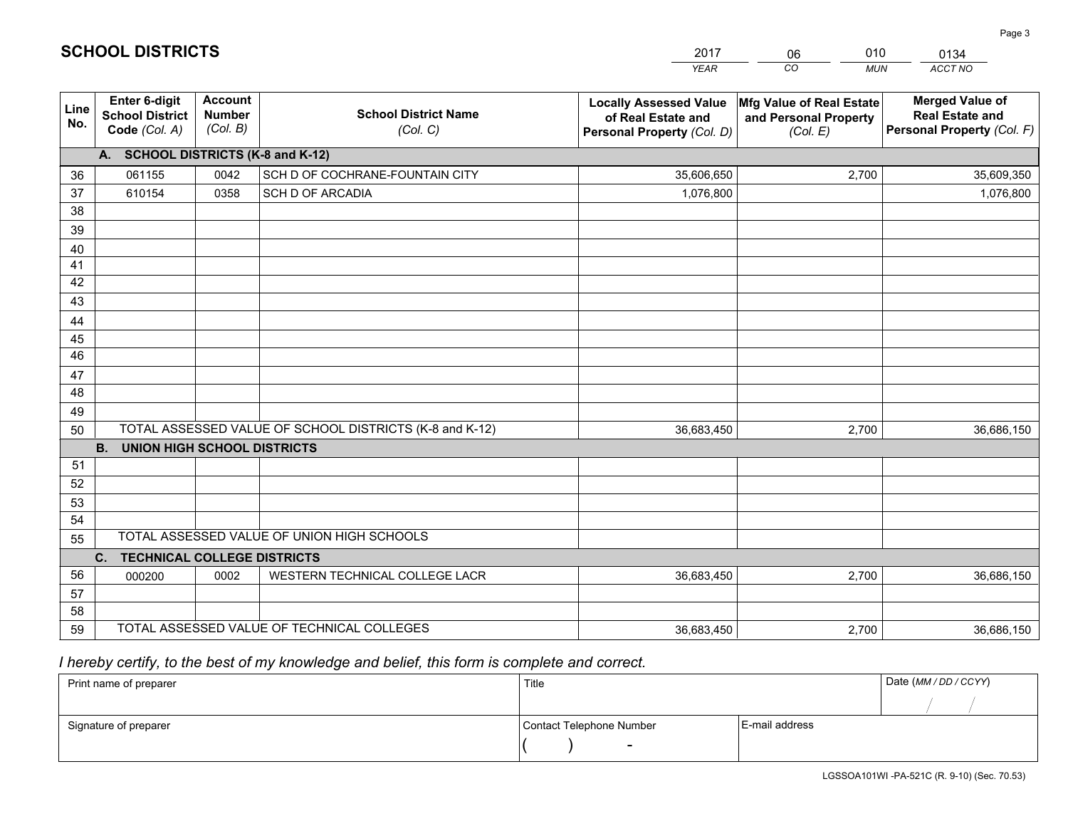|             |                                                                 |                                             |                                                         | <b>YEAR</b>                                                                       | CO.<br><b>MUN</b>                                             | ACCT NO                                                                        |
|-------------|-----------------------------------------------------------------|---------------------------------------------|---------------------------------------------------------|-----------------------------------------------------------------------------------|---------------------------------------------------------------|--------------------------------------------------------------------------------|
| Line<br>No. | <b>Enter 6-digit</b><br><b>School District</b><br>Code (Col. A) | <b>Account</b><br><b>Number</b><br>(Col. B) | <b>School District Name</b><br>(Col. C)                 | <b>Locally Assessed Value</b><br>of Real Estate and<br>Personal Property (Col. D) | Mfg Value of Real Estate<br>and Personal Property<br>(Col. E) | <b>Merged Value of</b><br><b>Real Estate and</b><br>Personal Property (Col. F) |
|             | A. SCHOOL DISTRICTS (K-8 and K-12)                              |                                             |                                                         |                                                                                   |                                                               |                                                                                |
| 36          | 061155                                                          | 0042                                        | SCH D OF COCHRANE-FOUNTAIN CITY                         | 35,606,650                                                                        | 2,700                                                         | 35,609,350                                                                     |
| 37          | 610154                                                          | 0358                                        | SCH D OF ARCADIA                                        | 1,076,800                                                                         |                                                               | 1,076,800                                                                      |
| 38          |                                                                 |                                             |                                                         |                                                                                   |                                                               |                                                                                |
| 39          |                                                                 |                                             |                                                         |                                                                                   |                                                               |                                                                                |
| 40          |                                                                 |                                             |                                                         |                                                                                   |                                                               |                                                                                |
| 41<br>42    |                                                                 |                                             |                                                         |                                                                                   |                                                               |                                                                                |
| 43          |                                                                 |                                             |                                                         |                                                                                   |                                                               |                                                                                |
| 44          |                                                                 |                                             |                                                         |                                                                                   |                                                               |                                                                                |
| 45          |                                                                 |                                             |                                                         |                                                                                   |                                                               |                                                                                |
| 46          |                                                                 |                                             |                                                         |                                                                                   |                                                               |                                                                                |
| 47          |                                                                 |                                             |                                                         |                                                                                   |                                                               |                                                                                |
| 48          |                                                                 |                                             |                                                         |                                                                                   |                                                               |                                                                                |
| 49          |                                                                 |                                             |                                                         |                                                                                   |                                                               |                                                                                |
| 50          |                                                                 |                                             | TOTAL ASSESSED VALUE OF SCHOOL DISTRICTS (K-8 and K-12) | 36,683,450                                                                        | 2,700                                                         | 36,686,150                                                                     |
|             | <b>B. UNION HIGH SCHOOL DISTRICTS</b>                           |                                             |                                                         |                                                                                   |                                                               |                                                                                |
| 51          |                                                                 |                                             |                                                         |                                                                                   |                                                               |                                                                                |
| 52          |                                                                 |                                             |                                                         |                                                                                   |                                                               |                                                                                |
| 53          |                                                                 |                                             |                                                         |                                                                                   |                                                               |                                                                                |
| 54          |                                                                 |                                             |                                                         |                                                                                   |                                                               |                                                                                |
| 55          |                                                                 |                                             | TOTAL ASSESSED VALUE OF UNION HIGH SCHOOLS              |                                                                                   |                                                               |                                                                                |
|             | C.<br><b>TECHNICAL COLLEGE DISTRICTS</b>                        |                                             |                                                         |                                                                                   |                                                               |                                                                                |
| 56          | 000200                                                          | 0002                                        | WESTERN TECHNICAL COLLEGE LACR                          | 36,683,450                                                                        | 2,700                                                         | 36,686,150                                                                     |
| 57<br>58    |                                                                 |                                             |                                                         |                                                                                   |                                                               |                                                                                |
| 59          |                                                                 |                                             | TOTAL ASSESSED VALUE OF TECHNICAL COLLEGES              | 36,683,450                                                                        | 2,700                                                         | 36,686,150                                                                     |
|             |                                                                 |                                             |                                                         |                                                                                   |                                                               |                                                                                |

2017

06

010

 *I hereby certify, to the best of my knowledge and belief, this form is complete and correct.*

**SCHOOL DISTRICTS**

| Print name of preparer | Title                    |                | Date (MM / DD / CCYY) |
|------------------------|--------------------------|----------------|-----------------------|
|                        |                          |                |                       |
| Signature of preparer  | Contact Telephone Number | E-mail address |                       |
|                        | $\sim$                   |                |                       |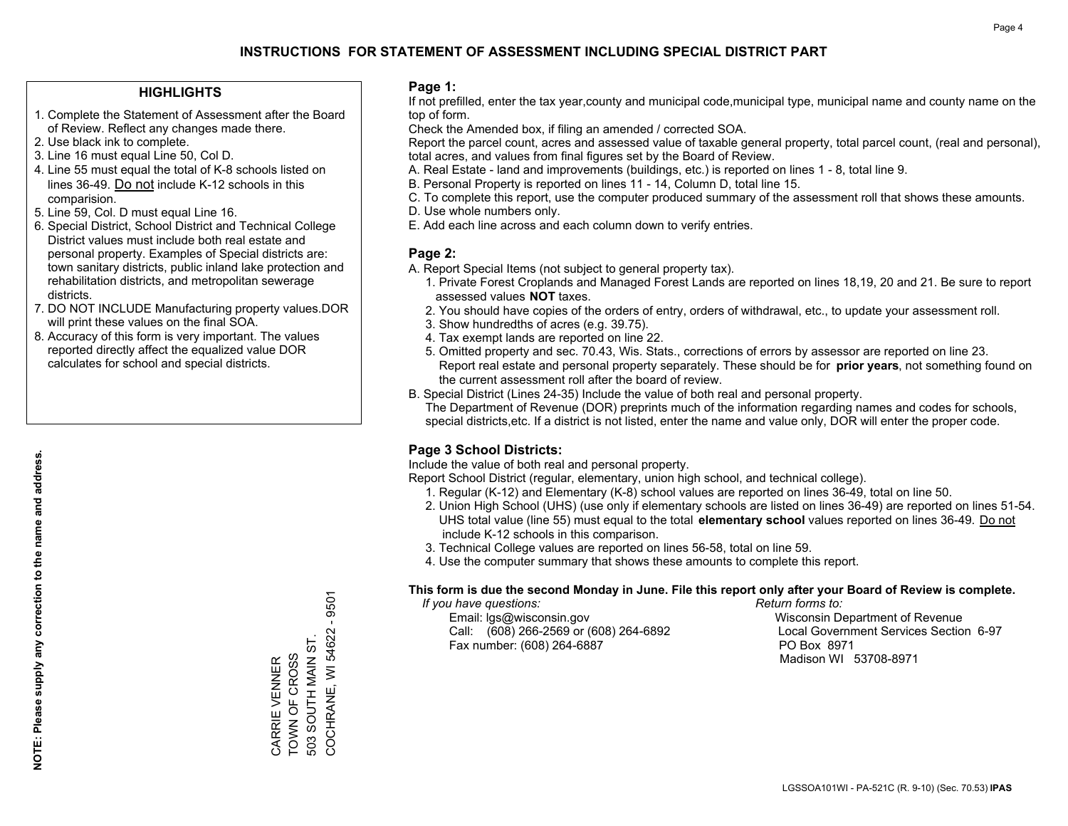#### **HIGHLIGHTS**

- 1. Complete the Statement of Assessment after the Board of Review. Reflect any changes made there.
- 2. Use black ink to complete.
- 3. Line 16 must equal Line 50, Col D.
- 4. Line 55 must equal the total of K-8 schools listed on lines 36-49. Do not include K-12 schools in this comparision.
- 5. Line 59, Col. D must equal Line 16.
- 6. Special District, School District and Technical College District values must include both real estate and personal property. Examples of Special districts are: town sanitary districts, public inland lake protection and rehabilitation districts, and metropolitan sewerage districts.
- 7. DO NOT INCLUDE Manufacturing property values.DOR will print these values on the final SOA.

CARRIE VENNER TOWN OF CROSS 503 SOUTH MAIN ST. COCHRANE, WI 54622 - 9501

COCHRANE, WI 54622 -503 SOUTH MAIN ST. CARRIE VENNER<br>TOWN OF CROSS

9501

 8. Accuracy of this form is very important. The values reported directly affect the equalized value DOR calculates for school and special districts.

#### **Page 1:**

 If not prefilled, enter the tax year,county and municipal code,municipal type, municipal name and county name on the top of form.

Check the Amended box, if filing an amended / corrected SOA.

 Report the parcel count, acres and assessed value of taxable general property, total parcel count, (real and personal), total acres, and values from final figures set by the Board of Review.

- A. Real Estate land and improvements (buildings, etc.) is reported on lines 1 8, total line 9.
- B. Personal Property is reported on lines 11 14, Column D, total line 15.
- C. To complete this report, use the computer produced summary of the assessment roll that shows these amounts.
- D. Use whole numbers only.
- E. Add each line across and each column down to verify entries.

### **Page 2:**

- A. Report Special Items (not subject to general property tax).
- 1. Private Forest Croplands and Managed Forest Lands are reported on lines 18,19, 20 and 21. Be sure to report assessed values **NOT** taxes.
- 2. You should have copies of the orders of entry, orders of withdrawal, etc., to update your assessment roll.
	- 3. Show hundredths of acres (e.g. 39.75).
- 4. Tax exempt lands are reported on line 22.
- 5. Omitted property and sec. 70.43, Wis. Stats., corrections of errors by assessor are reported on line 23. Report real estate and personal property separately. These should be for **prior years**, not something found on the current assessment roll after the board of review.
- B. Special District (Lines 24-35) Include the value of both real and personal property.
- The Department of Revenue (DOR) preprints much of the information regarding names and codes for schools, special districts,etc. If a district is not listed, enter the name and value only, DOR will enter the proper code.

## **Page 3 School Districts:**

Include the value of both real and personal property.

Report School District (regular, elementary, union high school, and technical college).

- 1. Regular (K-12) and Elementary (K-8) school values are reported on lines 36-49, total on line 50.
- 2. Union High School (UHS) (use only if elementary schools are listed on lines 36-49) are reported on lines 51-54. UHS total value (line 55) must equal to the total **elementary school** values reported on lines 36-49. Do notinclude K-12 schools in this comparison.
- 3. Technical College values are reported on lines 56-58, total on line 59.
- 4. Use the computer summary that shows these amounts to complete this report.

#### **This form is due the second Monday in June. File this report only after your Board of Review is complete.**

 *If you have questions: Return forms to:*

 Email: lgs@wisconsin.gov Wisconsin Department of RevenueCall:  $(608)$  266-2569 or  $(608)$  264-6892 Fax number: (608) 264-6887 PO Box 8971

Local Government Services Section 6-97

Madison WI 53708-8971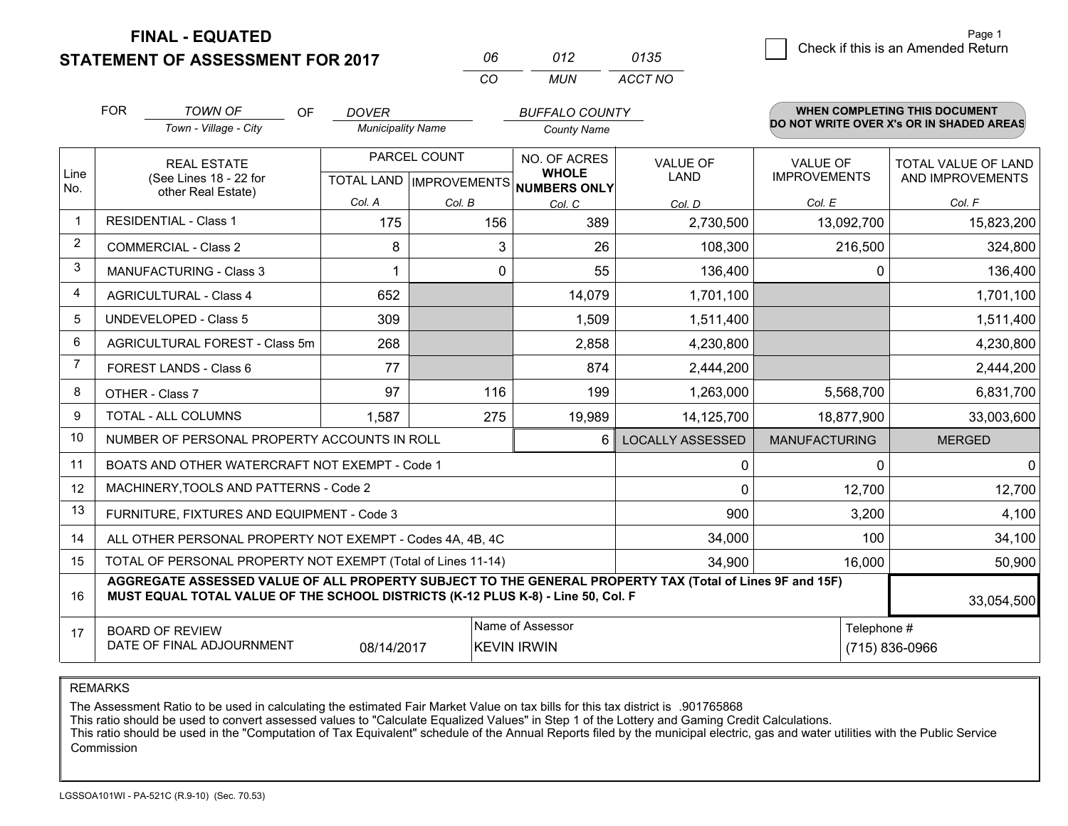**FINAL - EQUATED**

**STATEMENT OF ASSESSMENT FOR 2017** 

|          | N12 | 0135    |
|----------|-----|---------|
| $\cdots$ | MUN | ACCT NO |

|                | <b>FOR</b>                                                                                                                                                                                   | <b>TOWN OF</b><br><b>OF</b>                               | <b>DOVER</b>                              |        | <b>BUFFALO COUNTY</b>                               |                         |                                        | <b>WHEN COMPLETING THIS DOCUMENT</b>     |
|----------------|----------------------------------------------------------------------------------------------------------------------------------------------------------------------------------------------|-----------------------------------------------------------|-------------------------------------------|--------|-----------------------------------------------------|-------------------------|----------------------------------------|------------------------------------------|
|                |                                                                                                                                                                                              | Town - Village - City                                     | <b>Municipality Name</b>                  |        | <b>County Name</b>                                  |                         |                                        | DO NOT WRITE OVER X's OR IN SHADED AREAS |
| Line<br>No.    |                                                                                                                                                                                              | <b>REAL ESTATE</b><br>(See Lines 18 - 22 for              | PARCEL COUNT<br>TOTAL LAND   IMPROVEMENTS |        | NO. OF ACRES<br><b>WHOLE</b><br><b>NUMBERS ONLY</b> | VALUE OF<br><b>LAND</b> | <b>VALUE OF</b><br><b>IMPROVEMENTS</b> | TOTAL VALUE OF LAND<br>AND IMPROVEMENTS  |
|                |                                                                                                                                                                                              | other Real Estate)                                        | Col. A                                    | Col. B | Col. C                                              | Col. D                  | Col. E                                 | Col. F                                   |
|                |                                                                                                                                                                                              | <b>RESIDENTIAL - Class 1</b>                              | 175                                       | 156    | 389                                                 | 2,730,500               | 13,092,700                             | 15,823,200                               |
| $\overline{2}$ |                                                                                                                                                                                              | <b>COMMERCIAL - Class 2</b>                               | 8                                         | 3      | 26                                                  | 108,300                 | 216,500                                | 324,800                                  |
| 3              |                                                                                                                                                                                              | <b>MANUFACTURING - Class 3</b>                            |                                           | 0      | 55                                                  | 136,400                 | 0                                      | 136,400                                  |
| 4              |                                                                                                                                                                                              | <b>AGRICULTURAL - Class 4</b>                             | 652                                       |        | 14,079                                              | 1,701,100               |                                        | 1,701,100                                |
| 5              |                                                                                                                                                                                              | <b>UNDEVELOPED - Class 5</b>                              | 309                                       |        | 1,509                                               | 1,511,400               |                                        | 1,511,400                                |
| 6              |                                                                                                                                                                                              | AGRICULTURAL FOREST - Class 5m                            | 268                                       |        | 2,858                                               | 4,230,800               |                                        | 4,230,800                                |
| 7              |                                                                                                                                                                                              | FOREST LANDS - Class 6                                    | 77                                        |        | 874                                                 | 2,444,200               |                                        | 2,444,200                                |
| 8              |                                                                                                                                                                                              | OTHER - Class 7                                           | 97                                        | 116    | 199                                                 | 1,263,000               | 5,568,700                              | 6,831,700                                |
| 9              |                                                                                                                                                                                              | TOTAL - ALL COLUMNS                                       | 1,587                                     | 275    | 19,989                                              | 14,125,700              | 18,877,900                             | 33,003,600                               |
| 10             |                                                                                                                                                                                              | NUMBER OF PERSONAL PROPERTY ACCOUNTS IN ROLL              |                                           |        | 6                                                   | <b>LOCALLY ASSESSED</b> | <b>MANUFACTURING</b>                   | <b>MERGED</b>                            |
| 11             |                                                                                                                                                                                              | BOATS AND OTHER WATERCRAFT NOT EXEMPT - Code 1            |                                           |        |                                                     | 0                       | 0                                      | 0                                        |
| 12             |                                                                                                                                                                                              | MACHINERY, TOOLS AND PATTERNS - Code 2                    |                                           |        |                                                     | 0                       | 12,700                                 | 12,700                                   |
| 13             |                                                                                                                                                                                              | FURNITURE, FIXTURES AND EQUIPMENT - Code 3                |                                           |        |                                                     | 900                     | 3,200                                  | 4,100                                    |
| 14             |                                                                                                                                                                                              | ALL OTHER PERSONAL PROPERTY NOT EXEMPT - Codes 4A, 4B, 4C |                                           |        |                                                     | 34,000                  | 100                                    | 34,100                                   |
| 15             | TOTAL OF PERSONAL PROPERTY NOT EXEMPT (Total of Lines 11-14)                                                                                                                                 |                                                           |                                           |        |                                                     |                         | 16,000                                 | 50,900                                   |
| 16             | AGGREGATE ASSESSED VALUE OF ALL PROPERTY SUBJECT TO THE GENERAL PROPERTY TAX (Total of Lines 9F and 15F)<br>MUST EQUAL TOTAL VALUE OF THE SCHOOL DISTRICTS (K-12 PLUS K-8) - Line 50, Col. F |                                                           |                                           |        |                                                     |                         | 33,054,500                             |                                          |
| 17             | Name of Assessor<br>Telephone #<br><b>BOARD OF REVIEW</b><br>DATE OF FINAL ADJOURNMENT<br><b>KEVIN IRWIN</b><br>(715) 836-0966<br>08/14/2017                                                 |                                                           |                                           |        |                                                     |                         |                                        |                                          |

REMARKS

The Assessment Ratio to be used in calculating the estimated Fair Market Value on tax bills for this tax district is .901765868<br>This ratio should be used to convert assessed values to "Calculate Equalized Values" in Step 1 Commission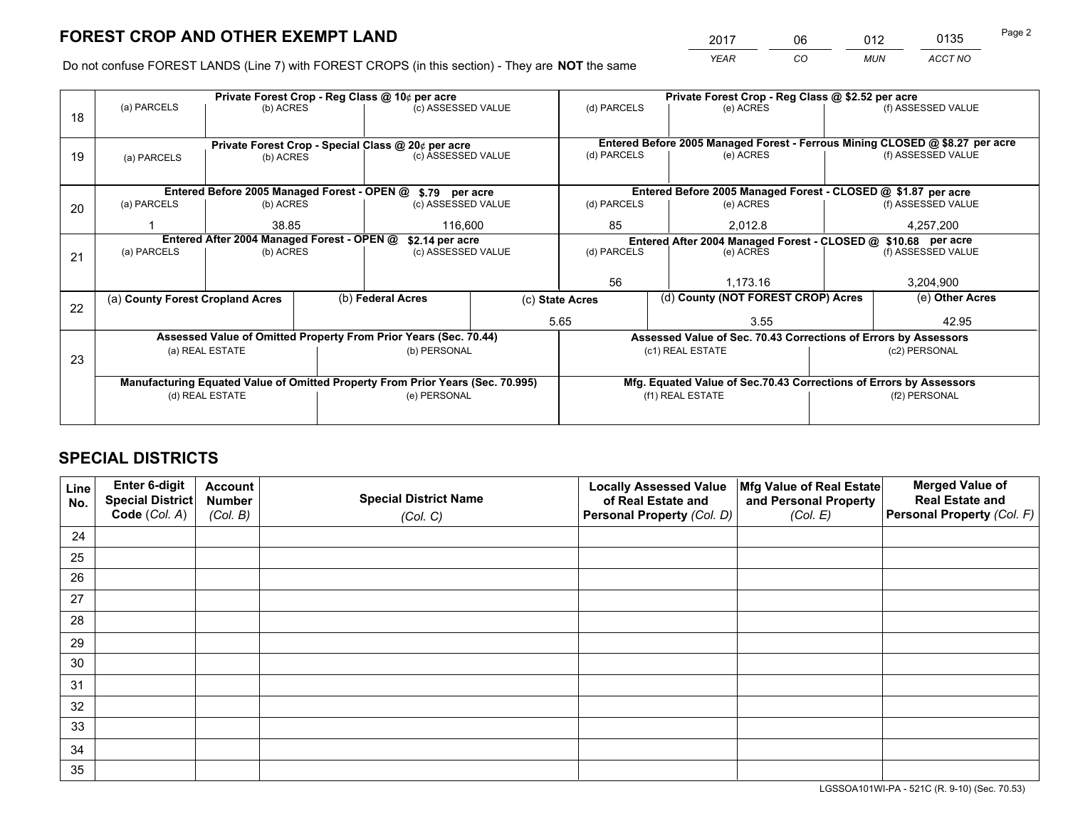*YEAR CO MUN ACCT NO* <sup>2017</sup> <sup>06</sup> <sup>012</sup> <sup>0135</sup> Page 2

Do not confuse FOREST LANDS (Line 7) with FOREST CROPS (in this section) - They are **NOT** the same

|    |                                                    |                                             |  | Private Forest Crop - Reg Class @ 10¢ per acre                                 | Private Forest Crop - Reg Class @ \$2.52 per acre |                                                                              |                                                                 |                                                                    |                    |  |
|----|----------------------------------------------------|---------------------------------------------|--|--------------------------------------------------------------------------------|---------------------------------------------------|------------------------------------------------------------------------------|-----------------------------------------------------------------|--------------------------------------------------------------------|--------------------|--|
| 18 | (a) PARCELS                                        | (b) ACRES                                   |  | (c) ASSESSED VALUE                                                             |                                                   | (d) PARCELS                                                                  | (e) ACRES                                                       |                                                                    | (f) ASSESSED VALUE |  |
|    |                                                    |                                             |  |                                                                                |                                                   |                                                                              |                                                                 |                                                                    |                    |  |
|    | Private Forest Crop - Special Class @ 20¢ per acre |                                             |  |                                                                                |                                                   | Entered Before 2005 Managed Forest - Ferrous Mining CLOSED @ \$8.27 per acre |                                                                 |                                                                    |                    |  |
| 19 | (a) PARCELS                                        | (b) ACRES                                   |  | (c) ASSESSED VALUE                                                             |                                                   | (d) PARCELS                                                                  | (e) ACRES                                                       |                                                                    | (f) ASSESSED VALUE |  |
|    |                                                    |                                             |  |                                                                                |                                                   |                                                                              |                                                                 |                                                                    |                    |  |
|    |                                                    | Entered Before 2005 Managed Forest - OPEN @ |  | \$.79 per acre                                                                 |                                                   |                                                                              | Entered Before 2005 Managed Forest - CLOSED @ \$1.87 per acre   |                                                                    |                    |  |
| 20 | (a) PARCELS                                        | (b) ACRES                                   |  | (c) ASSESSED VALUE                                                             |                                                   | (d) PARCELS                                                                  | (e) ACRES                                                       |                                                                    | (f) ASSESSED VALUE |  |
|    |                                                    | 38.85                                       |  | 116,600                                                                        |                                                   | 85                                                                           | 2,012.8                                                         |                                                                    | 4,257,200          |  |
|    | Entered After 2004 Managed Forest - OPEN @         |                                             |  | \$2.14 per acre                                                                |                                                   |                                                                              | Entered After 2004 Managed Forest - CLOSED @ \$10.68 per acre   |                                                                    |                    |  |
| 21 | (a) PARCELS                                        | (b) ACRES                                   |  | (c) ASSESSED VALUE                                                             |                                                   | (d) PARCELS                                                                  | (e) ACRES                                                       |                                                                    | (f) ASSESSED VALUE |  |
|    |                                                    |                                             |  |                                                                                |                                                   |                                                                              |                                                                 |                                                                    |                    |  |
|    |                                                    |                                             |  |                                                                                |                                                   | 56                                                                           | 1.173.16                                                        |                                                                    | 3,204,900          |  |
| 22 | (a) County Forest Cropland Acres                   |                                             |  | (b) Federal Acres                                                              | (c) State Acres                                   |                                                                              | (d) County (NOT FOREST CROP) Acres                              |                                                                    | (e) Other Acres    |  |
|    |                                                    |                                             |  |                                                                                |                                                   | 5.65                                                                         | 3.55                                                            |                                                                    | 42.95              |  |
|    |                                                    |                                             |  | Assessed Value of Omitted Property From Prior Years (Sec. 70.44)               |                                                   |                                                                              | Assessed Value of Sec. 70.43 Corrections of Errors by Assessors |                                                                    |                    |  |
| 23 |                                                    | (a) REAL ESTATE                             |  | (b) PERSONAL                                                                   |                                                   |                                                                              | (c1) REAL ESTATE                                                |                                                                    | (c2) PERSONAL      |  |
|    |                                                    |                                             |  |                                                                                |                                                   |                                                                              |                                                                 |                                                                    |                    |  |
|    |                                                    |                                             |  | Manufacturing Equated Value of Omitted Property From Prior Years (Sec. 70.995) |                                                   |                                                                              |                                                                 | Mfg. Equated Value of Sec.70.43 Corrections of Errors by Assessors |                    |  |
|    |                                                    | (d) REAL ESTATE                             |  | (e) PERSONAL                                                                   |                                                   |                                                                              | (f1) REAL ESTATE                                                |                                                                    | (f2) PERSONAL      |  |
|    |                                                    |                                             |  |                                                                                |                                                   |                                                                              |                                                                 |                                                                    |                    |  |

## **SPECIAL DISTRICTS**

| Line<br>No. | Enter 6-digit<br><b>Special District</b> | <b>Account</b><br><b>Number</b> | <b>Special District Name</b> | <b>Locally Assessed Value</b><br>of Real Estate and | Mfg Value of Real Estate<br>and Personal Property | <b>Merged Value of</b><br><b>Real Estate and</b> |
|-------------|------------------------------------------|---------------------------------|------------------------------|-----------------------------------------------------|---------------------------------------------------|--------------------------------------------------|
|             | Code (Col. A)                            | (Col. B)                        | (Col. C)                     | Personal Property (Col. D)                          | (Col. E)                                          | Personal Property (Col. F)                       |
| 24          |                                          |                                 |                              |                                                     |                                                   |                                                  |
| 25          |                                          |                                 |                              |                                                     |                                                   |                                                  |
| 26          |                                          |                                 |                              |                                                     |                                                   |                                                  |
| 27          |                                          |                                 |                              |                                                     |                                                   |                                                  |
| 28          |                                          |                                 |                              |                                                     |                                                   |                                                  |
| 29          |                                          |                                 |                              |                                                     |                                                   |                                                  |
| 30          |                                          |                                 |                              |                                                     |                                                   |                                                  |
| 31          |                                          |                                 |                              |                                                     |                                                   |                                                  |
| 32          |                                          |                                 |                              |                                                     |                                                   |                                                  |
| 33          |                                          |                                 |                              |                                                     |                                                   |                                                  |
| 34          |                                          |                                 |                              |                                                     |                                                   |                                                  |
| 35          |                                          |                                 |                              |                                                     |                                                   |                                                  |

LGSSOA101WI-PA - 521C (R. 9-10) (Sec. 70.53)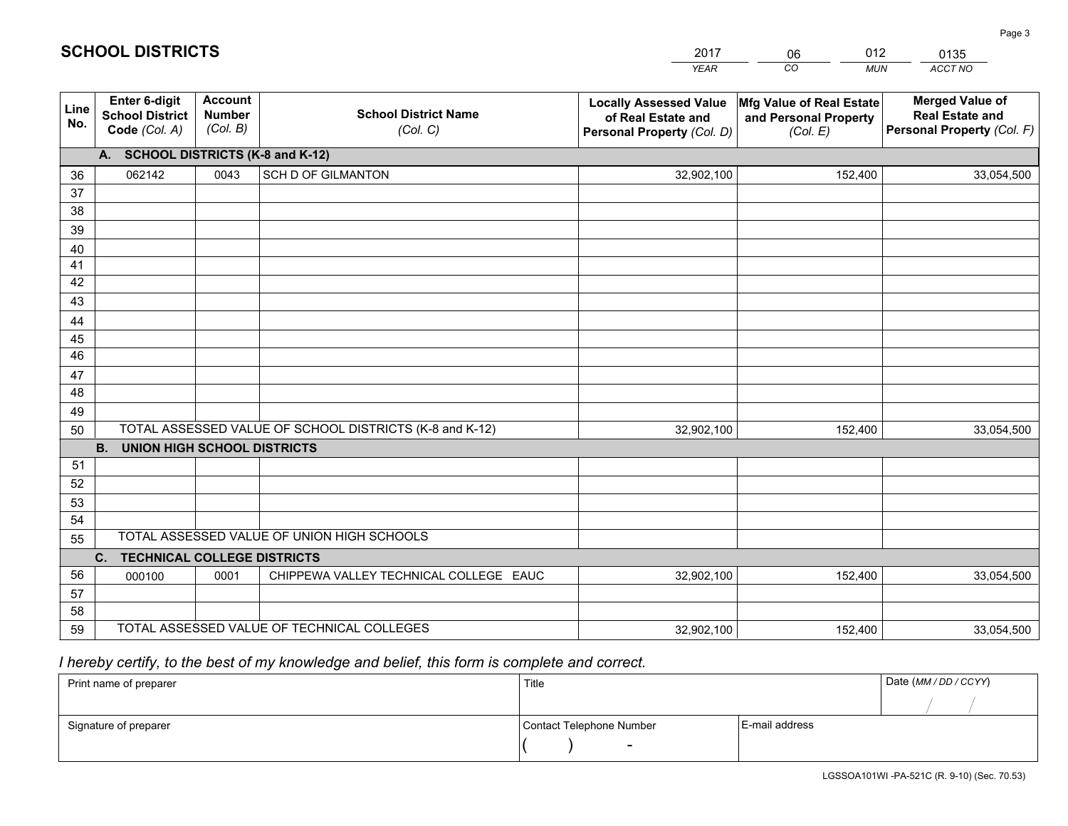|             |                                                                 |                                             |                                                         | <b>YEAR</b>                                                                       | CO<br><b>MUN</b>                                              | ACCT NO                                                                        |
|-------------|-----------------------------------------------------------------|---------------------------------------------|---------------------------------------------------------|-----------------------------------------------------------------------------------|---------------------------------------------------------------|--------------------------------------------------------------------------------|
| Line<br>No. | <b>Enter 6-digit</b><br><b>School District</b><br>Code (Col. A) | <b>Account</b><br><b>Number</b><br>(Col. B) | <b>School District Name</b><br>(Col. C)                 | <b>Locally Assessed Value</b><br>of Real Estate and<br>Personal Property (Col. D) | Mfg Value of Real Estate<br>and Personal Property<br>(Col. E) | <b>Merged Value of</b><br><b>Real Estate and</b><br>Personal Property (Col. F) |
|             | A. SCHOOL DISTRICTS (K-8 and K-12)                              |                                             |                                                         |                                                                                   |                                                               |                                                                                |
| 36          | 062142                                                          | 0043                                        | <b>SCH D OF GILMANTON</b>                               | 32,902,100                                                                        | 152,400                                                       | 33,054,500                                                                     |
| 37          |                                                                 |                                             |                                                         |                                                                                   |                                                               |                                                                                |
| 38          |                                                                 |                                             |                                                         |                                                                                   |                                                               |                                                                                |
| 39          |                                                                 |                                             |                                                         |                                                                                   |                                                               |                                                                                |
| 40          |                                                                 |                                             |                                                         |                                                                                   |                                                               |                                                                                |
| 41<br>42    |                                                                 |                                             |                                                         |                                                                                   |                                                               |                                                                                |
| 43          |                                                                 |                                             |                                                         |                                                                                   |                                                               |                                                                                |
|             |                                                                 |                                             |                                                         |                                                                                   |                                                               |                                                                                |
| 44<br>45    |                                                                 |                                             |                                                         |                                                                                   |                                                               |                                                                                |
| 46          |                                                                 |                                             |                                                         |                                                                                   |                                                               |                                                                                |
| 47          |                                                                 |                                             |                                                         |                                                                                   |                                                               |                                                                                |
| 48          |                                                                 |                                             |                                                         |                                                                                   |                                                               |                                                                                |
| 49          |                                                                 |                                             |                                                         |                                                                                   |                                                               |                                                                                |
| 50          |                                                                 |                                             | TOTAL ASSESSED VALUE OF SCHOOL DISTRICTS (K-8 and K-12) | 32,902,100                                                                        | 152,400                                                       | 33,054,500                                                                     |
|             | <b>B.</b><br>UNION HIGH SCHOOL DISTRICTS                        |                                             |                                                         |                                                                                   |                                                               |                                                                                |
| 51          |                                                                 |                                             |                                                         |                                                                                   |                                                               |                                                                                |
| 52          |                                                                 |                                             |                                                         |                                                                                   |                                                               |                                                                                |
| 53          |                                                                 |                                             |                                                         |                                                                                   |                                                               |                                                                                |
| 54          |                                                                 |                                             |                                                         |                                                                                   |                                                               |                                                                                |
| 55          |                                                                 |                                             | TOTAL ASSESSED VALUE OF UNION HIGH SCHOOLS              |                                                                                   |                                                               |                                                                                |
|             | C.<br><b>TECHNICAL COLLEGE DISTRICTS</b>                        |                                             |                                                         |                                                                                   |                                                               |                                                                                |
| 56          | 000100                                                          | 0001                                        | CHIPPEWA VALLEY TECHNICAL COLLEGE EAUC                  | 32,902,100                                                                        | 152,400                                                       | 33,054,500                                                                     |
| 57<br>58    |                                                                 |                                             |                                                         |                                                                                   |                                                               |                                                                                |
| 59          |                                                                 |                                             | TOTAL ASSESSED VALUE OF TECHNICAL COLLEGES              | 32,902,100                                                                        | 152,400                                                       | 33,054,500                                                                     |
|             |                                                                 |                                             |                                                         |                                                                                   |                                                               |                                                                                |

2017

06

012

 *I hereby certify, to the best of my knowledge and belief, this form is complete and correct.*

**SCHOOL DISTRICTS**

| Print name of preparer | Title                    |                | Date (MM / DD / CCYY) |
|------------------------|--------------------------|----------------|-----------------------|
|                        |                          |                |                       |
| Signature of preparer  | Contact Telephone Number | E-mail address |                       |
|                        | $\overline{\phantom{0}}$ |                |                       |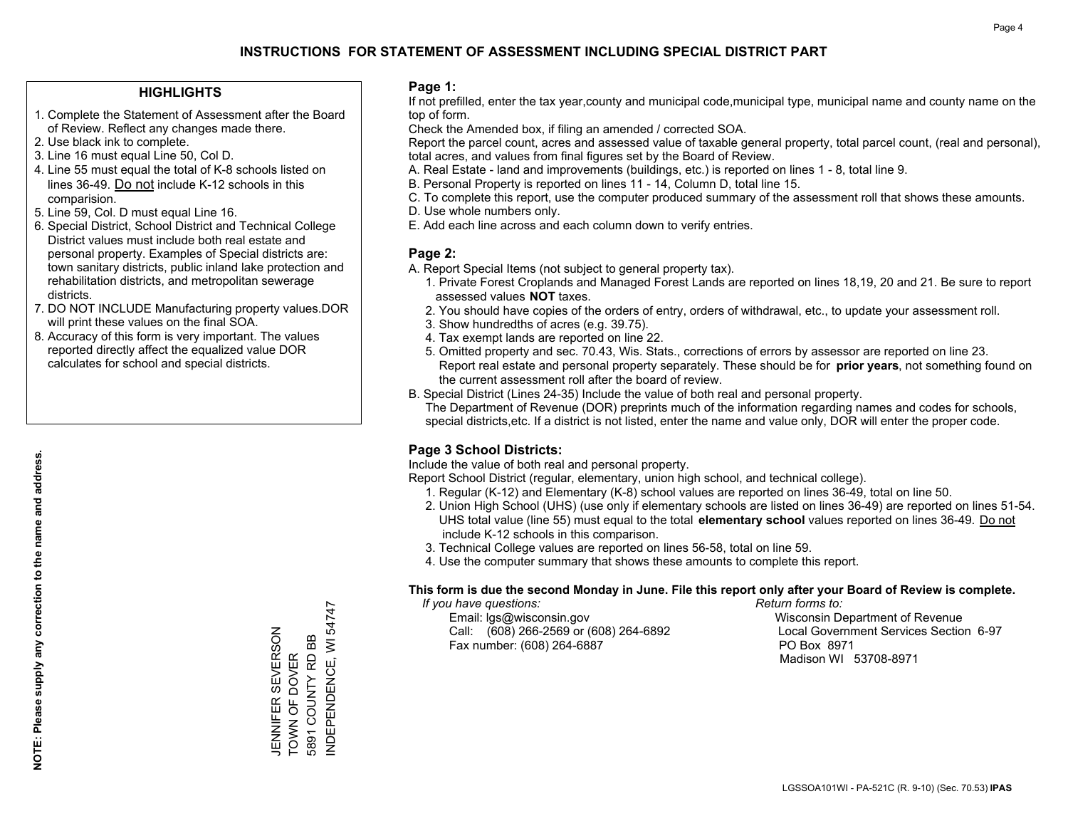#### **HIGHLIGHTS**

- 1. Complete the Statement of Assessment after the Board of Review. Reflect any changes made there.
- 2. Use black ink to complete.
- 3. Line 16 must equal Line 50, Col D.
- 4. Line 55 must equal the total of K-8 schools listed on lines 36-49. Do not include K-12 schools in this comparision.
- 5. Line 59, Col. D must equal Line 16.
- 6. Special District, School District and Technical College District values must include both real estate and personal property. Examples of Special districts are: town sanitary districts, public inland lake protection and rehabilitation districts, and metropolitan sewerage districts.
- 7. DO NOT INCLUDE Manufacturing property values.DOR will print these values on the final SOA.
- 8. Accuracy of this form is very important. The values reported directly affect the equalized value DOR calculates for school and special districts.

#### **Page 1:**

 If not prefilled, enter the tax year,county and municipal code,municipal type, municipal name and county name on the top of form.

Check the Amended box, if filing an amended / corrected SOA.

 Report the parcel count, acres and assessed value of taxable general property, total parcel count, (real and personal), total acres, and values from final figures set by the Board of Review.

- A. Real Estate land and improvements (buildings, etc.) is reported on lines 1 8, total line 9.
- B. Personal Property is reported on lines 11 14, Column D, total line 15.
- C. To complete this report, use the computer produced summary of the assessment roll that shows these amounts.
- D. Use whole numbers only.
- E. Add each line across and each column down to verify entries.

### **Page 2:**

- A. Report Special Items (not subject to general property tax).
- 1. Private Forest Croplands and Managed Forest Lands are reported on lines 18,19, 20 and 21. Be sure to report assessed values **NOT** taxes.
- 2. You should have copies of the orders of entry, orders of withdrawal, etc., to update your assessment roll.
	- 3. Show hundredths of acres (e.g. 39.75).
- 4. Tax exempt lands are reported on line 22.
- 5. Omitted property and sec. 70.43, Wis. Stats., corrections of errors by assessor are reported on line 23. Report real estate and personal property separately. These should be for **prior years**, not something found on the current assessment roll after the board of review.
- B. Special District (Lines 24-35) Include the value of both real and personal property.

 The Department of Revenue (DOR) preprints much of the information regarding names and codes for schools, special districts,etc. If a district is not listed, enter the name and value only, DOR will enter the proper code.

### **Page 3 School Districts:**

Include the value of both real and personal property.

Report School District (regular, elementary, union high school, and technical college).

- 1. Regular (K-12) and Elementary (K-8) school values are reported on lines 36-49, total on line 50.
- 2. Union High School (UHS) (use only if elementary schools are listed on lines 36-49) are reported on lines 51-54. UHS total value (line 55) must equal to the total **elementary school** values reported on lines 36-49. Do notinclude K-12 schools in this comparison.
- 3. Technical College values are reported on lines 56-58, total on line 59.
- 4. Use the computer summary that shows these amounts to complete this report.

#### **This form is due the second Monday in June. File this report only after your Board of Review is complete.**

 *If you have questions: Return forms to:*

 Email: lgs@wisconsin.gov Wisconsin Department of RevenueCall:  $(608)$  266-2569 or  $(608)$  264-6892 Fax number: (608) 264-6887 PO Box 8971

Local Government Services Section 6-97 Madison WI 53708-8971

NDEPENDENCE, WI 54747 INDEPENDENCE, WI 54747 JENNIFER SEVERSON<br>TOWN OF DOVER JENNIFER SEVERSON 5891 COUNTY RD BB 5891 COUNTY RD BB TOWN OF DOVER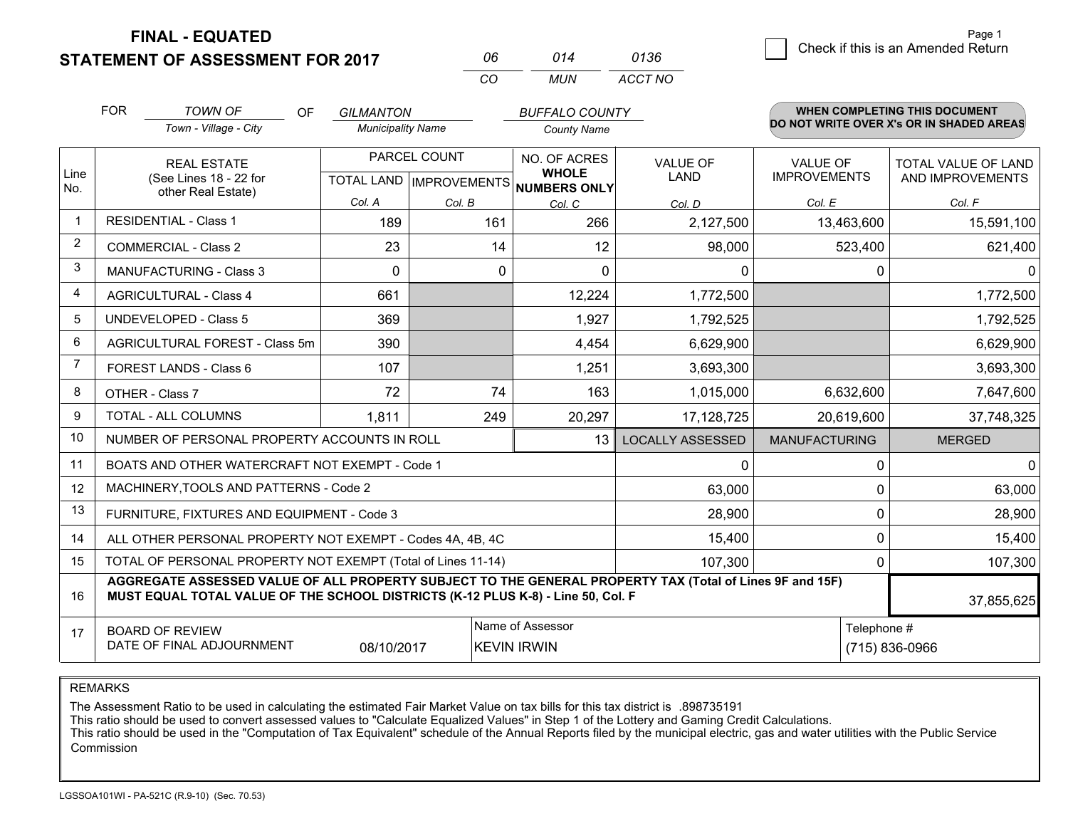**STATEMENT OF ASSESSMENT FOR 2017 FINAL - EQUATED**

 $\overline{6}$  Check if this is an Amended Return

|                         | <b>FOR</b> | TOWN OF<br><b>OF</b>                                                                                                                                                                         | <b>GILMANTON</b>         |                                        | <b>BUFFALO COUNTY</b>                |                         |                               | <b>WHEN COMPLETING THIS DOCUMENT</b>     |
|-------------------------|------------|----------------------------------------------------------------------------------------------------------------------------------------------------------------------------------------------|--------------------------|----------------------------------------|--------------------------------------|-------------------------|-------------------------------|------------------------------------------|
|                         |            | Town - Village - City                                                                                                                                                                        | <b>Municipality Name</b> |                                        | <b>County Name</b>                   |                         |                               | DO NOT WRITE OVER X's OR IN SHADED AREAS |
| Line                    |            | <b>REAL ESTATE</b>                                                                                                                                                                           |                          | PARCEL COUNT                           | NO. OF ACRES<br><b>WHOLE</b>         | <b>VALUE OF</b>         | <b>VALUE OF</b>               | TOTAL VALUE OF LAND                      |
| No.                     |            | (See Lines 18 - 22 for<br>other Real Estate)                                                                                                                                                 |                          |                                        | TOTAL LAND IMPROVEMENTS NUMBERS ONLY | LAND                    | <b>IMPROVEMENTS</b>           | AND IMPROVEMENTS                         |
|                         |            |                                                                                                                                                                                              | Col. A                   | Col. B                                 | Col. C                               | Col. D                  | Col. E                        | Col. F                                   |
| $\mathbf 1$             |            | <b>RESIDENTIAL - Class 1</b>                                                                                                                                                                 | 189                      | 161                                    | 266                                  | 2,127,500               | 13,463,600                    | 15,591,100                               |
| $\overline{2}$          |            | <b>COMMERCIAL - Class 2</b>                                                                                                                                                                  | 23                       | 14                                     | 12                                   | 98,000                  | 523,400                       | 621,400                                  |
| 3                       |            | <b>MANUFACTURING - Class 3</b>                                                                                                                                                               | $\Omega$                 | 0                                      | $\Omega$                             | 0                       |                               | 0<br>0                                   |
| $\overline{\mathbf{4}}$ |            | <b>AGRICULTURAL - Class 4</b>                                                                                                                                                                | 661                      |                                        | 12,224                               | 1,772,500               |                               | 1,772,500                                |
| 5                       |            | <b>UNDEVELOPED - Class 5</b>                                                                                                                                                                 | 369                      |                                        | 1,927                                | 1,792,525               |                               | 1,792,525                                |
| 6                       |            | AGRICULTURAL FOREST - Class 5m                                                                                                                                                               | 390                      |                                        | 4,454                                | 6,629,900               |                               | 6,629,900                                |
| 7                       |            | FOREST LANDS - Class 6                                                                                                                                                                       | 107                      |                                        | 1,251                                | 3,693,300               |                               | 3,693,300                                |
| 8                       |            | OTHER - Class 7                                                                                                                                                                              | 72                       | 74                                     | 163                                  | 1,015,000               | 6,632,600                     | 7,647,600                                |
| 9                       |            | TOTAL - ALL COLUMNS                                                                                                                                                                          | 1,811                    | 249                                    | 20,297                               | 17,128,725              | 20,619,600                    | 37,748,325                               |
| 10                      |            | NUMBER OF PERSONAL PROPERTY ACCOUNTS IN ROLL                                                                                                                                                 |                          |                                        | 13                                   | <b>LOCALLY ASSESSED</b> | <b>MANUFACTURING</b>          | <b>MERGED</b>                            |
| 11                      |            | BOATS AND OTHER WATERCRAFT NOT EXEMPT - Code 1                                                                                                                                               |                          |                                        |                                      | $\Omega$                |                               | $\Omega$<br>$\Omega$                     |
| 12                      |            | MACHINERY, TOOLS AND PATTERNS - Code 2                                                                                                                                                       |                          |                                        |                                      | 63,000                  |                               | 63,000<br>0                              |
| 13                      |            | FURNITURE, FIXTURES AND EQUIPMENT - Code 3                                                                                                                                                   |                          |                                        |                                      | 28,900                  |                               | 28,900<br>$\mathbf{0}$                   |
| 14                      |            | ALL OTHER PERSONAL PROPERTY NOT EXEMPT - Codes 4A, 4B, 4C                                                                                                                                    |                          |                                        |                                      | 15,400                  |                               | $\Omega$<br>15,400                       |
| 15                      |            | TOTAL OF PERSONAL PROPERTY NOT EXEMPT (Total of Lines 11-14)                                                                                                                                 |                          |                                        |                                      | 107,300                 |                               | 107,300<br>0                             |
| 16                      |            | AGGREGATE ASSESSED VALUE OF ALL PROPERTY SUBJECT TO THE GENERAL PROPERTY TAX (Total of Lines 9F and 15F)<br>MUST EQUAL TOTAL VALUE OF THE SCHOOL DISTRICTS (K-12 PLUS K-8) - Line 50, Col. F |                          |                                        |                                      |                         |                               | 37,855,625                               |
| 17                      |            | <b>BOARD OF REVIEW</b><br>DATE OF FINAL ADJOURNMENT                                                                                                                                          | 08/10/2017               | Name of Assessor<br><b>KEVIN IRWIN</b> |                                      |                         | Telephone #<br>(715) 836-0966 |                                          |

*CO*

*MUN*

*ACCT NO0136*

*<sup>06</sup> <sup>014</sup>*

REMARKS

The Assessment Ratio to be used in calculating the estimated Fair Market Value on tax bills for this tax district is .898735191<br>This ratio should be used to convert assessed values to "Calculate Equalized Values" in Step 1 Commission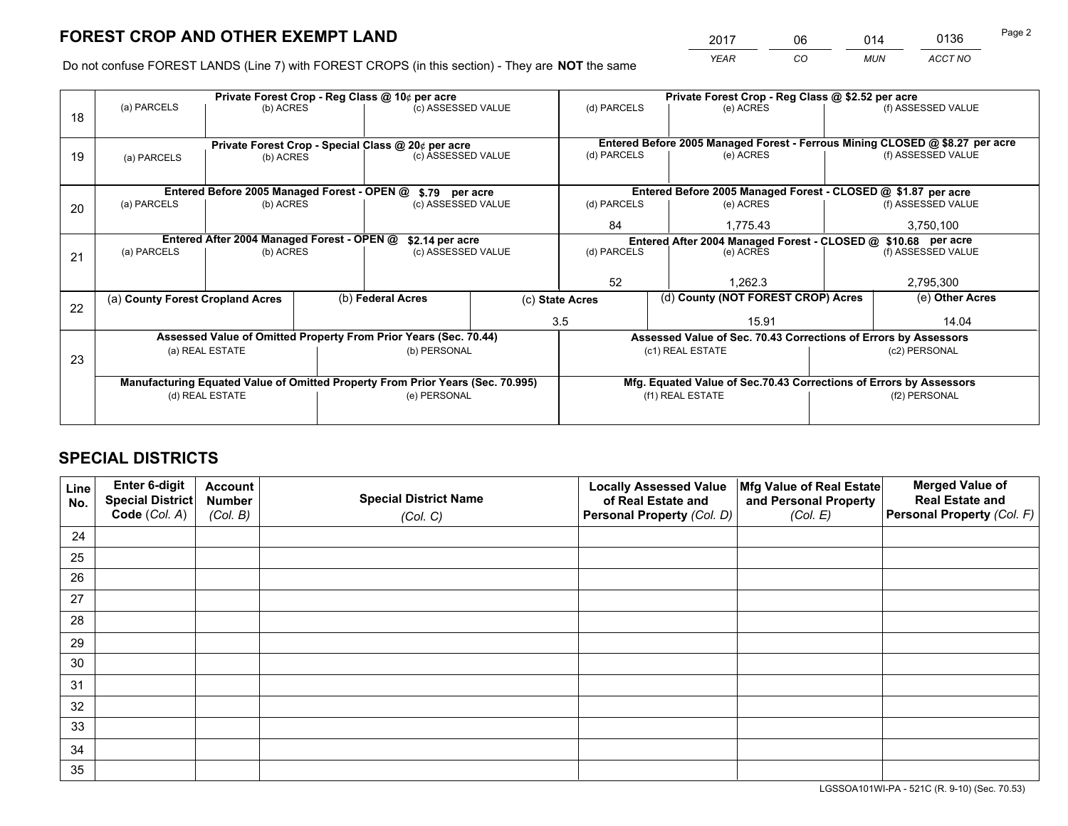*YEAR CO MUN ACCT NO* <sup>2017</sup> <sup>06</sup> <sup>014</sup> <sup>0136</sup> Page 2

Do not confuse FOREST LANDS (Line 7) with FOREST CROPS (in this section) - They are **NOT** the same

|    |                                                               |                 |                                                    | Private Forest Crop - Reg Class @ 10¢ per acre                                 |                                                               | Private Forest Crop - Reg Class @ \$2.52 per acre             |                                                                              |               |                    |
|----|---------------------------------------------------------------|-----------------|----------------------------------------------------|--------------------------------------------------------------------------------|---------------------------------------------------------------|---------------------------------------------------------------|------------------------------------------------------------------------------|---------------|--------------------|
| 18 | (a) PARCELS                                                   | (b) ACRES       |                                                    | (c) ASSESSED VALUE                                                             |                                                               | (d) PARCELS                                                   | (e) ACRES                                                                    |               | (f) ASSESSED VALUE |
|    |                                                               |                 |                                                    |                                                                                |                                                               |                                                               |                                                                              |               |                    |
|    |                                                               |                 | Private Forest Crop - Special Class @ 20¢ per acre |                                                                                |                                                               |                                                               | Entered Before 2005 Managed Forest - Ferrous Mining CLOSED @ \$8.27 per acre |               |                    |
| 19 | (a) PARCELS                                                   | (b) ACRES       |                                                    | (c) ASSESSED VALUE                                                             |                                                               | (d) PARCELS                                                   | (e) ACRES                                                                    |               | (f) ASSESSED VALUE |
|    |                                                               |                 |                                                    |                                                                                |                                                               |                                                               |                                                                              |               |                    |
|    | Entered Before 2005 Managed Forest - OPEN @<br>\$.79 per acre |                 |                                                    |                                                                                | Entered Before 2005 Managed Forest - CLOSED @ \$1.87 per acre |                                                               |                                                                              |               |                    |
| 20 | (a) PARCELS                                                   | (b) ACRES       |                                                    | (c) ASSESSED VALUE                                                             |                                                               | (d) PARCELS                                                   | (e) ACRES                                                                    |               | (f) ASSESSED VALUE |
|    |                                                               |                 |                                                    |                                                                                |                                                               | 84                                                            | 1.775.43                                                                     |               | 3,750,100          |
|    | Entered After 2004 Managed Forest - OPEN @<br>\$2.14 per acre |                 |                                                    |                                                                                |                                                               | Entered After 2004 Managed Forest - CLOSED @ \$10.68 per acre |                                                                              |               |                    |
| 21 | (a) PARCELS                                                   | (b) ACRES       |                                                    | (c) ASSESSED VALUE                                                             |                                                               | (d) PARCELS                                                   | (e) ACRES                                                                    |               | (f) ASSESSED VALUE |
|    |                                                               |                 |                                                    |                                                                                |                                                               |                                                               |                                                                              |               |                    |
|    |                                                               |                 |                                                    |                                                                                |                                                               | 52                                                            | 1.262.3                                                                      |               | 2,795,300          |
| 22 | (a) County Forest Cropland Acres                              |                 |                                                    | (b) Federal Acres                                                              |                                                               | (c) State Acres                                               | (d) County (NOT FOREST CROP) Acres                                           |               | (e) Other Acres    |
|    |                                                               |                 |                                                    |                                                                                |                                                               | 3.5                                                           | 15.91                                                                        |               | 14.04              |
|    |                                                               |                 |                                                    | Assessed Value of Omitted Property From Prior Years (Sec. 70.44)               |                                                               |                                                               | Assessed Value of Sec. 70.43 Corrections of Errors by Assessors              |               |                    |
| 23 |                                                               | (a) REAL ESTATE |                                                    | (b) PERSONAL                                                                   |                                                               |                                                               | (c1) REAL ESTATE                                                             |               | (c2) PERSONAL      |
|    |                                                               |                 |                                                    |                                                                                |                                                               |                                                               |                                                                              |               |                    |
|    |                                                               |                 |                                                    | Manufacturing Equated Value of Omitted Property From Prior Years (Sec. 70.995) |                                                               |                                                               | Mfg. Equated Value of Sec.70.43 Corrections of Errors by Assessors           |               |                    |
|    | (d) REAL ESTATE                                               |                 |                                                    | (e) PERSONAL                                                                   |                                                               | (f1) REAL ESTATE                                              |                                                                              | (f2) PERSONAL |                    |
|    |                                                               |                 |                                                    |                                                                                |                                                               |                                                               |                                                                              |               |                    |

## **SPECIAL DISTRICTS**

| Line<br>No. | Enter 6-digit<br>Special District<br>Code (Col. A) | <b>Account</b><br><b>Number</b><br>(Col. B) | <b>Special District Name</b><br>(Col. C) | <b>Locally Assessed Value</b><br>of Real Estate and<br>Personal Property (Col. D) | Mfg Value of Real Estate<br>and Personal Property<br>(Col. E) | <b>Merged Value of</b><br><b>Real Estate and</b><br>Personal Property (Col. F) |
|-------------|----------------------------------------------------|---------------------------------------------|------------------------------------------|-----------------------------------------------------------------------------------|---------------------------------------------------------------|--------------------------------------------------------------------------------|
| 24          |                                                    |                                             |                                          |                                                                                   |                                                               |                                                                                |
| 25          |                                                    |                                             |                                          |                                                                                   |                                                               |                                                                                |
| 26          |                                                    |                                             |                                          |                                                                                   |                                                               |                                                                                |
| 27          |                                                    |                                             |                                          |                                                                                   |                                                               |                                                                                |
| 28          |                                                    |                                             |                                          |                                                                                   |                                                               |                                                                                |
| 29          |                                                    |                                             |                                          |                                                                                   |                                                               |                                                                                |
| 30          |                                                    |                                             |                                          |                                                                                   |                                                               |                                                                                |
| 31          |                                                    |                                             |                                          |                                                                                   |                                                               |                                                                                |
| 32          |                                                    |                                             |                                          |                                                                                   |                                                               |                                                                                |
| 33          |                                                    |                                             |                                          |                                                                                   |                                                               |                                                                                |
| 34          |                                                    |                                             |                                          |                                                                                   |                                                               |                                                                                |
| 35          |                                                    |                                             |                                          |                                                                                   |                                                               |                                                                                |

LGSSOA101WI-PA - 521C (R. 9-10) (Sec. 70.53)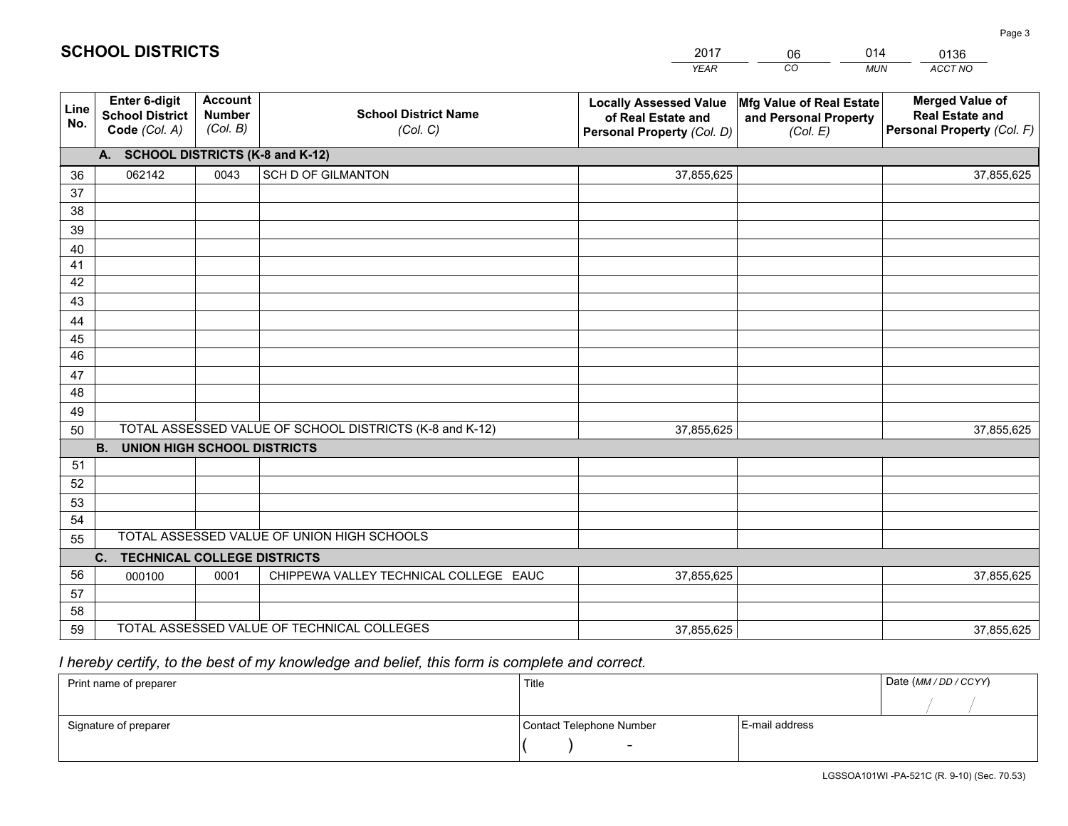|             |                                                          |                                             |                                                         | <b>YEAR</b>                                                                       | CO<br><b>MUN</b>                                              | ACCT NO                                                                        |
|-------------|----------------------------------------------------------|---------------------------------------------|---------------------------------------------------------|-----------------------------------------------------------------------------------|---------------------------------------------------------------|--------------------------------------------------------------------------------|
| Line<br>No. | Enter 6-digit<br><b>School District</b><br>Code (Col. A) | <b>Account</b><br><b>Number</b><br>(Col. B) | <b>School District Name</b><br>(Col. C)                 | <b>Locally Assessed Value</b><br>of Real Estate and<br>Personal Property (Col. D) | Mfg Value of Real Estate<br>and Personal Property<br>(Col. E) | <b>Merged Value of</b><br><b>Real Estate and</b><br>Personal Property (Col. F) |
|             | A. SCHOOL DISTRICTS (K-8 and K-12)                       |                                             |                                                         |                                                                                   |                                                               |                                                                                |
| 36          | 062142                                                   | 0043                                        | <b>SCH D OF GILMANTON</b>                               | 37,855,625                                                                        |                                                               | 37,855,625                                                                     |
| 37          |                                                          |                                             |                                                         |                                                                                   |                                                               |                                                                                |
| 38          |                                                          |                                             |                                                         |                                                                                   |                                                               |                                                                                |
| 39          |                                                          |                                             |                                                         |                                                                                   |                                                               |                                                                                |
| 40          |                                                          |                                             |                                                         |                                                                                   |                                                               |                                                                                |
| 41          |                                                          |                                             |                                                         |                                                                                   |                                                               |                                                                                |
| 42<br>43    |                                                          |                                             |                                                         |                                                                                   |                                                               |                                                                                |
|             |                                                          |                                             |                                                         |                                                                                   |                                                               |                                                                                |
| 44<br>45    |                                                          |                                             |                                                         |                                                                                   |                                                               |                                                                                |
| 46          |                                                          |                                             |                                                         |                                                                                   |                                                               |                                                                                |
| 47          |                                                          |                                             |                                                         |                                                                                   |                                                               |                                                                                |
| 48          |                                                          |                                             |                                                         |                                                                                   |                                                               |                                                                                |
| 49          |                                                          |                                             |                                                         |                                                                                   |                                                               |                                                                                |
| 50          |                                                          |                                             | TOTAL ASSESSED VALUE OF SCHOOL DISTRICTS (K-8 and K-12) | 37,855,625                                                                        |                                                               | 37,855,625                                                                     |
|             | <b>B.</b><br><b>UNION HIGH SCHOOL DISTRICTS</b>          |                                             |                                                         |                                                                                   |                                                               |                                                                                |
| 51          |                                                          |                                             |                                                         |                                                                                   |                                                               |                                                                                |
| 52          |                                                          |                                             |                                                         |                                                                                   |                                                               |                                                                                |
| 53          |                                                          |                                             |                                                         |                                                                                   |                                                               |                                                                                |
| 54          |                                                          |                                             |                                                         |                                                                                   |                                                               |                                                                                |
| 55          |                                                          |                                             | TOTAL ASSESSED VALUE OF UNION HIGH SCHOOLS              |                                                                                   |                                                               |                                                                                |
|             | C.<br><b>TECHNICAL COLLEGE DISTRICTS</b>                 |                                             |                                                         |                                                                                   |                                                               |                                                                                |
| 56          | 000100                                                   | 0001                                        | CHIPPEWA VALLEY TECHNICAL COLLEGE EAUC                  | 37,855,625                                                                        |                                                               | 37,855,625                                                                     |
| 57          |                                                          |                                             |                                                         |                                                                                   |                                                               |                                                                                |
| 58          |                                                          |                                             |                                                         |                                                                                   |                                                               |                                                                                |
| 59          |                                                          |                                             | TOTAL ASSESSED VALUE OF TECHNICAL COLLEGES              | 37,855,625                                                                        |                                                               | 37,855,625                                                                     |

2017

06

014

## *I hereby certify, to the best of my knowledge and belief, this form is complete and correct.*

**SCHOOL DISTRICTS**

| Print name of preparer | Title                    |                | Date (MM / DD / CCYY) |
|------------------------|--------------------------|----------------|-----------------------|
|                        |                          |                |                       |
| Signature of preparer  | Contact Telephone Number | E-mail address |                       |
|                        | $\overline{\phantom{0}}$ |                |                       |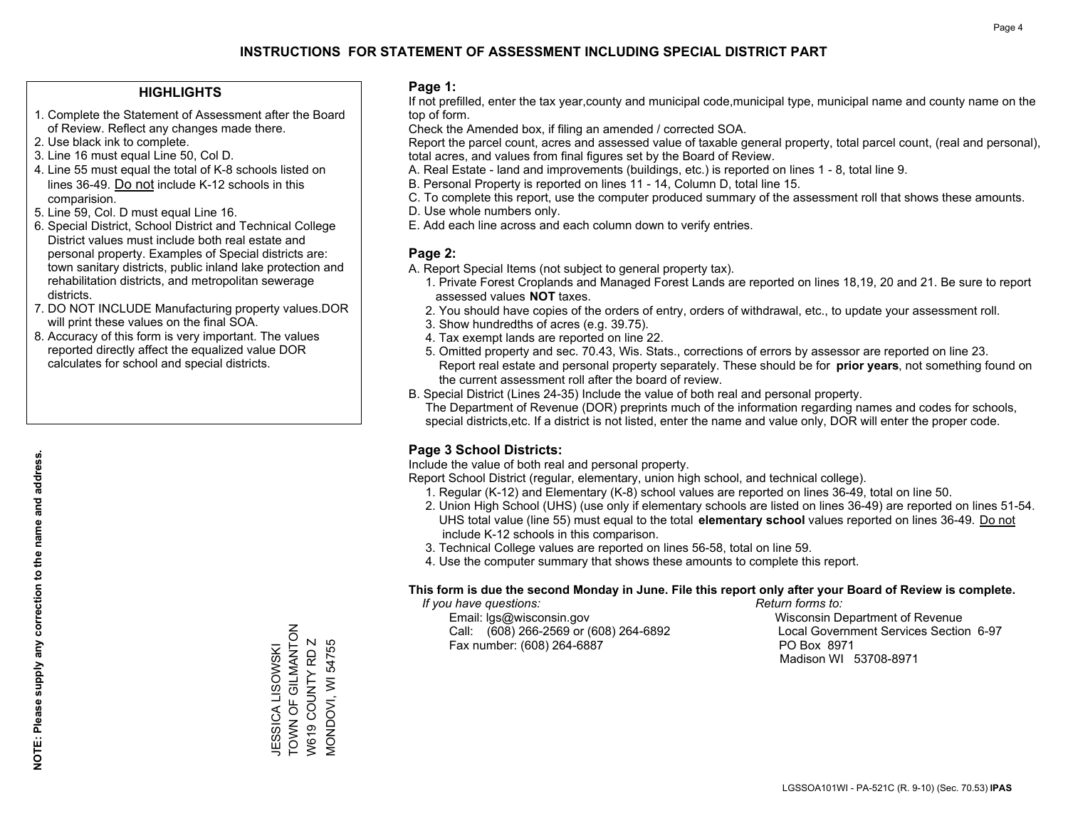#### **HIGHLIGHTS**

- 1. Complete the Statement of Assessment after the Board of Review. Reflect any changes made there.
- 2. Use black ink to complete.
- 3. Line 16 must equal Line 50, Col D.
- 4. Line 55 must equal the total of K-8 schools listed on lines 36-49. Do not include K-12 schools in this comparision.
- 5. Line 59, Col. D must equal Line 16.
- 6. Special District, School District and Technical College District values must include both real estate and personal property. Examples of Special districts are: town sanitary districts, public inland lake protection and rehabilitation districts, and metropolitan sewerage districts.
- 7. DO NOT INCLUDE Manufacturing property values.DOR will print these values on the final SOA.

JESSICA LISOWSKI TOWN OF GILMANTON W619 COUNTY RD Z MONDOVI, WI 54755

JESSICA LISOWSKI<br>TOWN OF GILMANTON<br>W619 COUNTY RD Z

VIONDOVI, WI 54755

 8. Accuracy of this form is very important. The values reported directly affect the equalized value DOR calculates for school and special districts.

#### **Page 1:**

 If not prefilled, enter the tax year,county and municipal code,municipal type, municipal name and county name on the top of form.

Check the Amended box, if filing an amended / corrected SOA.

 Report the parcel count, acres and assessed value of taxable general property, total parcel count, (real and personal), total acres, and values from final figures set by the Board of Review.

- A. Real Estate land and improvements (buildings, etc.) is reported on lines 1 8, total line 9.
- B. Personal Property is reported on lines 11 14, Column D, total line 15.
- C. To complete this report, use the computer produced summary of the assessment roll that shows these amounts.
- D. Use whole numbers only.
- E. Add each line across and each column down to verify entries.

### **Page 2:**

- A. Report Special Items (not subject to general property tax).
- 1. Private Forest Croplands and Managed Forest Lands are reported on lines 18,19, 20 and 21. Be sure to report assessed values **NOT** taxes.
- 2. You should have copies of the orders of entry, orders of withdrawal, etc., to update your assessment roll.
	- 3. Show hundredths of acres (e.g. 39.75).
- 4. Tax exempt lands are reported on line 22.
- 5. Omitted property and sec. 70.43, Wis. Stats., corrections of errors by assessor are reported on line 23. Report real estate and personal property separately. These should be for **prior years**, not something found on the current assessment roll after the board of review.
- B. Special District (Lines 24-35) Include the value of both real and personal property.

 The Department of Revenue (DOR) preprints much of the information regarding names and codes for schools, special districts,etc. If a district is not listed, enter the name and value only, DOR will enter the proper code.

### **Page 3 School Districts:**

Include the value of both real and personal property.

Report School District (regular, elementary, union high school, and technical college).

- 1. Regular (K-12) and Elementary (K-8) school values are reported on lines 36-49, total on line 50.
- 2. Union High School (UHS) (use only if elementary schools are listed on lines 36-49) are reported on lines 51-54. UHS total value (line 55) must equal to the total **elementary school** values reported on lines 36-49. Do notinclude K-12 schools in this comparison.
- 3. Technical College values are reported on lines 56-58, total on line 59.
- 4. Use the computer summary that shows these amounts to complete this report.

#### **This form is due the second Monday in June. File this report only after your Board of Review is complete.**

 *If you have questions: Return forms to:*

 Email: lgs@wisconsin.gov Wisconsin Department of RevenueCall:  $(608)$  266-2569 or  $(608)$  264-6892 Fax number: (608) 264-6887 PO Box 8971

Local Government Services Section 6-97 Madison WI 53708-8971

LGSSOA101WI - PA-521C (R. 9-10) (Sec. 70.53) **IPAS**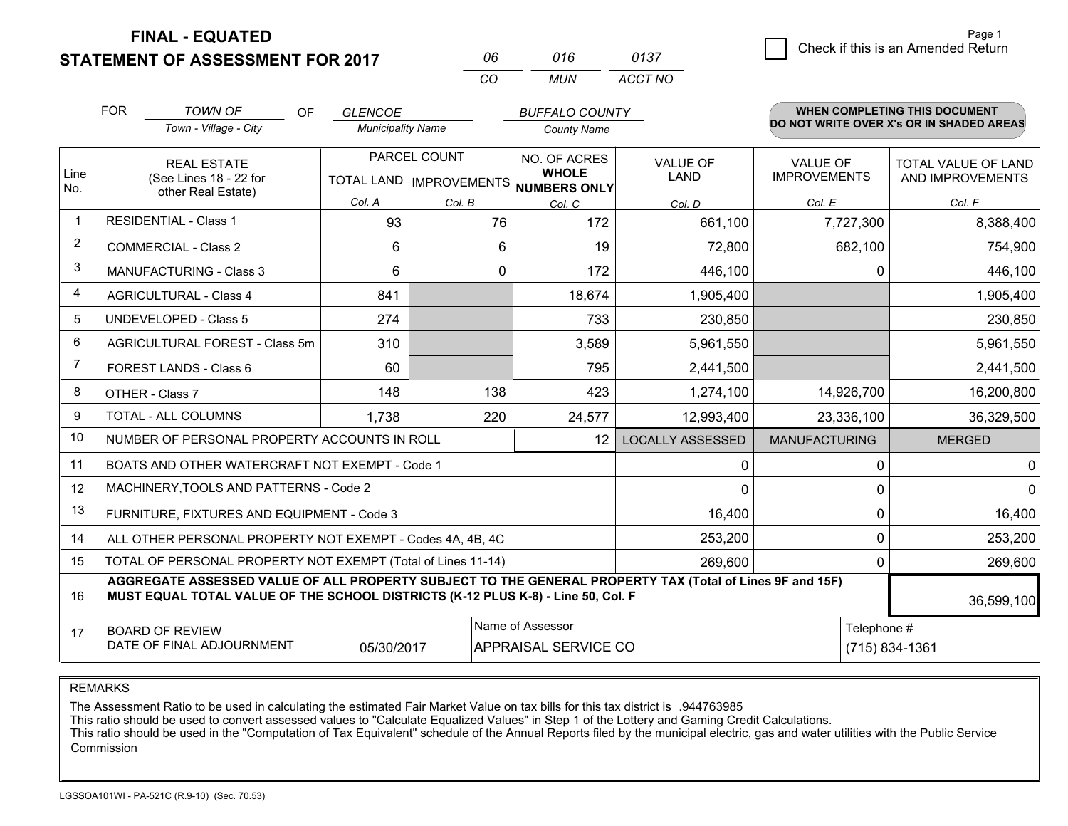**STATEMENT OF ASSESSMENT FOR 2017 FINAL - EQUATED**

| 06  | 016 | 0137    |
|-----|-----|---------|
| CO. | MUN | ACCT NO |

|             | <b>FOR</b><br><b>TOWN OF</b><br>Town - Village - City                                                                                                                                                      | OF. | <b>GLENCOE</b><br><b>Municipality Name</b> |              | <b>BUFFALO COUNTY</b><br><b>County Name</b>                         |                         |                                        | <b>WHEN COMPLETING THIS DOCUMENT</b><br>DO NOT WRITE OVER X's OR IN SHADED AREAS |
|-------------|------------------------------------------------------------------------------------------------------------------------------------------------------------------------------------------------------------|-----|--------------------------------------------|--------------|---------------------------------------------------------------------|-------------------------|----------------------------------------|----------------------------------------------------------------------------------|
| Line<br>No. | <b>REAL ESTATE</b><br>(See Lines 18 - 22 for<br>other Real Estate)                                                                                                                                         |     | Col. A                                     | PARCEL COUNT | NO. OF ACRES<br><b>WHOLE</b><br>TOTAL LAND MPROVEMENTS NUMBERS ONLY | VALUE OF<br>LAND        | <b>VALUE OF</b><br><b>IMPROVEMENTS</b> | TOTAL VALUE OF LAND<br>AND IMPROVEMENTS                                          |
| $\mathbf 1$ | <b>RESIDENTIAL - Class 1</b>                                                                                                                                                                               |     | 93                                         | Col. B<br>76 | Col. C<br>172                                                       | Col. D<br>661,100       | Col. E<br>7,727,300                    | Col. F<br>8,388,400                                                              |
| 2           | <b>COMMERCIAL - Class 2</b>                                                                                                                                                                                |     | 6                                          | 6            | 19                                                                  | 72,800                  | 682,100                                | 754,900                                                                          |
| 3           | <b>MANUFACTURING - Class 3</b>                                                                                                                                                                             |     | 6                                          | 0            | 172                                                                 | 446,100                 | 0                                      | 446,100                                                                          |
| 4           | <b>AGRICULTURAL - Class 4</b>                                                                                                                                                                              |     | 841                                        |              | 18,674                                                              | 1,905,400               |                                        | 1,905,400                                                                        |
| 5           | <b>UNDEVELOPED - Class 5</b>                                                                                                                                                                               |     | 274                                        |              | 733                                                                 | 230,850                 |                                        | 230,850                                                                          |
| 6           | AGRICULTURAL FOREST - Class 5m                                                                                                                                                                             |     | 310                                        |              | 3,589                                                               | 5,961,550               |                                        | 5,961,550                                                                        |
| 7           | FOREST LANDS - Class 6                                                                                                                                                                                     |     | 60                                         |              | 795                                                                 | 2,441,500               |                                        | 2,441,500                                                                        |
| 8           | OTHER - Class 7                                                                                                                                                                                            |     | 148                                        | 138          | 423                                                                 | 1,274,100               | 14,926,700                             | 16,200,800                                                                       |
| 9           | TOTAL - ALL COLUMNS                                                                                                                                                                                        |     | 1,738                                      | 220          | 24,577                                                              | 12,993,400              | 23,336,100                             | 36,329,500                                                                       |
| 10          | NUMBER OF PERSONAL PROPERTY ACCOUNTS IN ROLL                                                                                                                                                               |     |                                            |              | 12                                                                  | <b>LOCALLY ASSESSED</b> | <b>MANUFACTURING</b>                   | <b>MERGED</b>                                                                    |
| 11          | BOATS AND OTHER WATERCRAFT NOT EXEMPT - Code 1                                                                                                                                                             |     |                                            |              |                                                                     | 0                       | 0                                      | $\overline{0}$                                                                   |
| 12          | MACHINERY, TOOLS AND PATTERNS - Code 2                                                                                                                                                                     |     |                                            |              |                                                                     | $\mathbf{0}$            | 0                                      | $\overline{0}$                                                                   |
| 13          | FURNITURE, FIXTURES AND EQUIPMENT - Code 3                                                                                                                                                                 |     |                                            |              |                                                                     | 16,400                  | 0                                      | 16,400                                                                           |
| 14          | ALL OTHER PERSONAL PROPERTY NOT EXEMPT - Codes 4A, 4B, 4C                                                                                                                                                  |     |                                            |              |                                                                     | 253,200                 | 0                                      | 253,200                                                                          |
| 15          | TOTAL OF PERSONAL PROPERTY NOT EXEMPT (Total of Lines 11-14)                                                                                                                                               |     |                                            |              |                                                                     | 269,600                 | 0                                      | 269,600                                                                          |
| 16          | AGGREGATE ASSESSED VALUE OF ALL PROPERTY SUBJECT TO THE GENERAL PROPERTY TAX (Total of Lines 9F and 15F)<br>MUST EQUAL TOTAL VALUE OF THE SCHOOL DISTRICTS (K-12 PLUS K-8) - Line 50, Col. F<br>36,599,100 |     |                                            |              |                                                                     |                         |                                        |                                                                                  |
| 17          | Name of Assessor<br><b>BOARD OF REVIEW</b><br>DATE OF FINAL ADJOURNMENT<br>05/30/2017<br>APPRAISAL SERVICE CO                                                                                              |     |                                            |              |                                                                     |                         | Telephone #                            | (715) 834-1361                                                                   |

REMARKS

The Assessment Ratio to be used in calculating the estimated Fair Market Value on tax bills for this tax district is .944763985

This ratio should be used to convert assessed values to "Calculate Equalized Values" in Step 1 of the Lottery and Gaming Credit Calculations.<br>This ratio should be used in the "Computation of Tax Equivalent" schedule of the Commission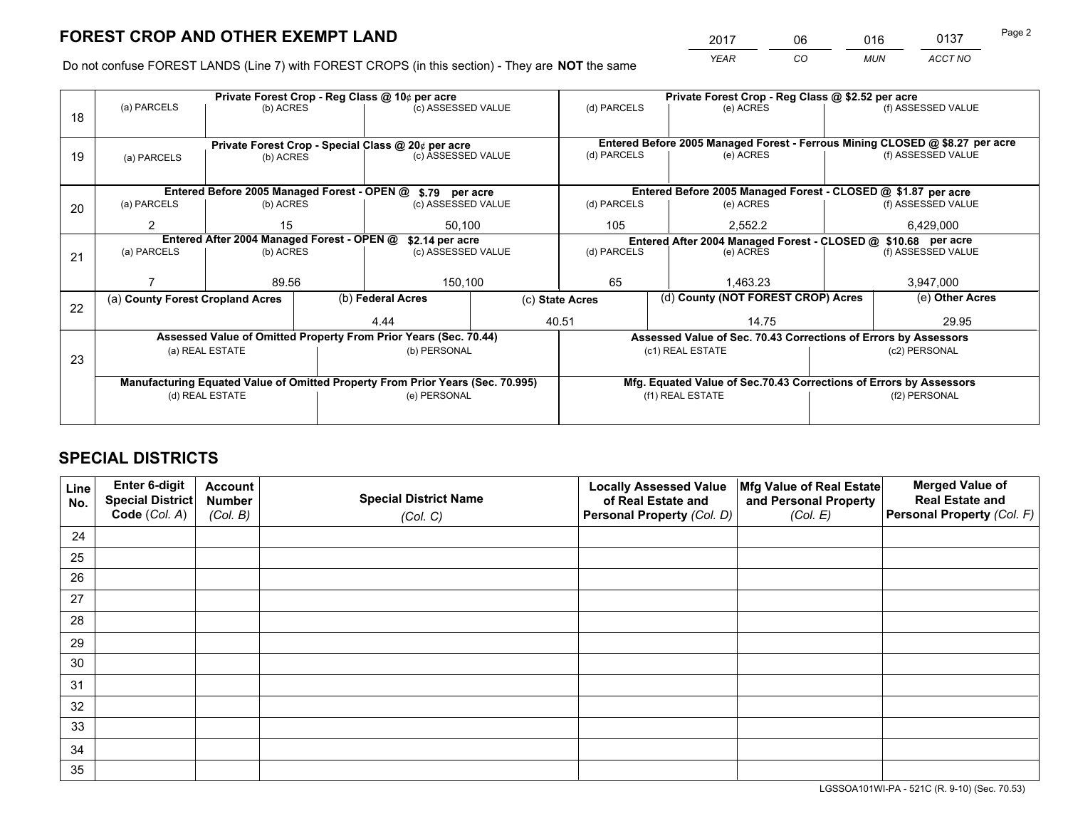*YEAR CO MUN ACCT NO* <sup>2017</sup> <sup>06</sup> <sup>016</sup> <sup>0137</sup> Page 2

Do not confuse FOREST LANDS (Line 7) with FOREST CROPS (in this section) - They are **NOT** the same

|    |                                                            |                 |                                                      | Private Forest Crop - Reg Class @ 10¢ per acre                                 |                 | Private Forest Crop - Reg Class @ \$2.52 per acre                                                               |                                                               |                                                                    |                                                                              |                    |
|----|------------------------------------------------------------|-----------------|------------------------------------------------------|--------------------------------------------------------------------------------|-----------------|-----------------------------------------------------------------------------------------------------------------|---------------------------------------------------------------|--------------------------------------------------------------------|------------------------------------------------------------------------------|--------------------|
| 18 | (a) PARCELS                                                | (b) ACRES       |                                                      | (c) ASSESSED VALUE                                                             |                 | (d) PARCELS                                                                                                     |                                                               | (e) ACRES                                                          |                                                                              | (f) ASSESSED VALUE |
|    |                                                            |                 |                                                      |                                                                                |                 |                                                                                                                 |                                                               |                                                                    |                                                                              |                    |
|    |                                                            |                 |                                                      | Private Forest Crop - Special Class @ 20¢ per acre                             |                 |                                                                                                                 |                                                               |                                                                    | Entered Before 2005 Managed Forest - Ferrous Mining CLOSED @ \$8.27 per acre |                    |
| 19 | (a) PARCELS                                                | (b) ACRES       |                                                      | (c) ASSESSED VALUE                                                             |                 | (d) PARCELS                                                                                                     |                                                               | (e) ACRES                                                          |                                                                              | (f) ASSESSED VALUE |
|    |                                                            |                 |                                                      |                                                                                |                 |                                                                                                                 |                                                               |                                                                    |                                                                              |                    |
|    | Entered Before 2005 Managed Forest - OPEN @ \$.79 per acre |                 |                                                      |                                                                                |                 |                                                                                                                 | Entered Before 2005 Managed Forest - CLOSED @ \$1.87 per acre |                                                                    |                                                                              |                    |
| 20 | (a) PARCELS                                                | (b) ACRES       |                                                      | (c) ASSESSED VALUE                                                             |                 | (d) PARCELS                                                                                                     |                                                               | (e) ACRES                                                          |                                                                              | (f) ASSESSED VALUE |
|    | $\mathcal{P}$                                              | 15              |                                                      |                                                                                |                 | 105                                                                                                             |                                                               | 2,552.2                                                            |                                                                              | 6,429,000          |
|    |                                                            |                 | 50,100<br>Entered After 2004 Managed Forest - OPEN @ |                                                                                |                 |                                                                                                                 |                                                               |                                                                    |                                                                              |                    |
|    |                                                            |                 |                                                      | \$2.14 per acre                                                                |                 | Entered After 2004 Managed Forest - CLOSED @ \$10.68 per acre<br>(d) PARCELS<br>(f) ASSESSED VALUE<br>(e) ACRES |                                                               |                                                                    |                                                                              |                    |
| 21 | (a) PARCELS                                                | (b) ACRES       |                                                      | (c) ASSESSED VALUE                                                             |                 |                                                                                                                 |                                                               |                                                                    |                                                                              |                    |
|    |                                                            |                 |                                                      |                                                                                |                 |                                                                                                                 |                                                               |                                                                    |                                                                              |                    |
|    |                                                            | 89.56           |                                                      | 150,100                                                                        |                 | 65                                                                                                              |                                                               | 1,463.23                                                           |                                                                              | 3,947,000          |
|    | (a) County Forest Cropland Acres                           |                 |                                                      | (b) Federal Acres                                                              | (c) State Acres |                                                                                                                 |                                                               | (d) County (NOT FOREST CROP) Acres                                 |                                                                              | (e) Other Acres    |
| 22 |                                                            |                 |                                                      | 4.44                                                                           |                 | 40.51                                                                                                           |                                                               | 14.75                                                              |                                                                              | 29.95              |
|    |                                                            |                 |                                                      |                                                                                |                 |                                                                                                                 |                                                               |                                                                    |                                                                              |                    |
|    |                                                            |                 |                                                      | Assessed Value of Omitted Property From Prior Years (Sec. 70.44)               |                 |                                                                                                                 |                                                               | Assessed Value of Sec. 70.43 Corrections of Errors by Assessors    |                                                                              |                    |
| 23 |                                                            | (a) REAL ESTATE |                                                      | (b) PERSONAL                                                                   |                 |                                                                                                                 | (c1) REAL ESTATE                                              |                                                                    |                                                                              | (c2) PERSONAL      |
|    |                                                            |                 |                                                      |                                                                                |                 |                                                                                                                 |                                                               |                                                                    |                                                                              |                    |
|    |                                                            |                 |                                                      | Manufacturing Equated Value of Omitted Property From Prior Years (Sec. 70.995) |                 |                                                                                                                 |                                                               | Mfg. Equated Value of Sec.70.43 Corrections of Errors by Assessors |                                                                              |                    |
|    |                                                            | (d) REAL ESTATE |                                                      | (e) PERSONAL                                                                   |                 | (f1) REAL ESTATE                                                                                                |                                                               | (f2) PERSONAL                                                      |                                                                              |                    |
|    |                                                            |                 |                                                      |                                                                                |                 |                                                                                                                 |                                                               |                                                                    |                                                                              |                    |
|    |                                                            |                 |                                                      |                                                                                |                 |                                                                                                                 |                                                               |                                                                    |                                                                              |                    |

## **SPECIAL DISTRICTS**

| Line<br>No. | Enter 6-digit<br><b>Special District</b> | <b>Account</b><br><b>Number</b> | <b>Special District Name</b> | <b>Locally Assessed Value</b><br>of Real Estate and | Mfg Value of Real Estate<br>and Personal Property | <b>Merged Value of</b><br><b>Real Estate and</b> |
|-------------|------------------------------------------|---------------------------------|------------------------------|-----------------------------------------------------|---------------------------------------------------|--------------------------------------------------|
|             | Code (Col. A)                            | (Col. B)                        | (Col. C)                     | Personal Property (Col. D)                          | (Col. E)                                          | Personal Property (Col. F)                       |
| 24          |                                          |                                 |                              |                                                     |                                                   |                                                  |
| 25          |                                          |                                 |                              |                                                     |                                                   |                                                  |
| 26          |                                          |                                 |                              |                                                     |                                                   |                                                  |
| 27          |                                          |                                 |                              |                                                     |                                                   |                                                  |
| 28          |                                          |                                 |                              |                                                     |                                                   |                                                  |
| 29          |                                          |                                 |                              |                                                     |                                                   |                                                  |
| 30          |                                          |                                 |                              |                                                     |                                                   |                                                  |
| 31          |                                          |                                 |                              |                                                     |                                                   |                                                  |
| 32          |                                          |                                 |                              |                                                     |                                                   |                                                  |
| 33          |                                          |                                 |                              |                                                     |                                                   |                                                  |
| 34          |                                          |                                 |                              |                                                     |                                                   |                                                  |
| 35          |                                          |                                 |                              |                                                     |                                                   |                                                  |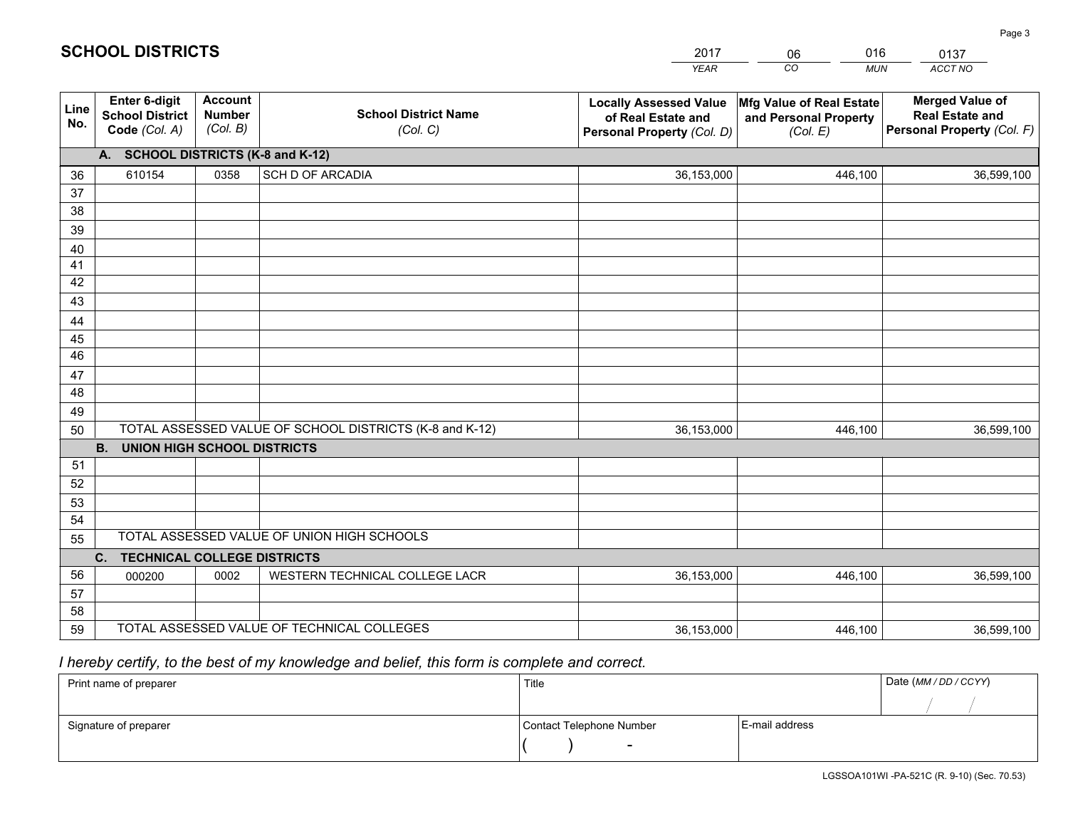|             |                                                                 |                                             |                                                         | <b>YEAR</b>                                                                       | CO<br><b>MUN</b>                                              | ACCT NO                                                                        |
|-------------|-----------------------------------------------------------------|---------------------------------------------|---------------------------------------------------------|-----------------------------------------------------------------------------------|---------------------------------------------------------------|--------------------------------------------------------------------------------|
| Line<br>No. | <b>Enter 6-digit</b><br><b>School District</b><br>Code (Col. A) | <b>Account</b><br><b>Number</b><br>(Col. B) | <b>School District Name</b><br>(Col. C)                 | <b>Locally Assessed Value</b><br>of Real Estate and<br>Personal Property (Col. D) | Mfg Value of Real Estate<br>and Personal Property<br>(Col. E) | <b>Merged Value of</b><br><b>Real Estate and</b><br>Personal Property (Col. F) |
|             | A. SCHOOL DISTRICTS (K-8 and K-12)                              |                                             |                                                         |                                                                                   |                                                               |                                                                                |
| 36          | 610154                                                          | 0358                                        | <b>SCH D OF ARCADIA</b>                                 | 36,153,000                                                                        | 446,100                                                       | 36,599,100                                                                     |
| 37          |                                                                 |                                             |                                                         |                                                                                   |                                                               |                                                                                |
| 38          |                                                                 |                                             |                                                         |                                                                                   |                                                               |                                                                                |
| 39          |                                                                 |                                             |                                                         |                                                                                   |                                                               |                                                                                |
| 40          |                                                                 |                                             |                                                         |                                                                                   |                                                               |                                                                                |
| 41<br>42    |                                                                 |                                             |                                                         |                                                                                   |                                                               |                                                                                |
| 43          |                                                                 |                                             |                                                         |                                                                                   |                                                               |                                                                                |
|             |                                                                 |                                             |                                                         |                                                                                   |                                                               |                                                                                |
| 44<br>45    |                                                                 |                                             |                                                         |                                                                                   |                                                               |                                                                                |
| 46          |                                                                 |                                             |                                                         |                                                                                   |                                                               |                                                                                |
| 47          |                                                                 |                                             |                                                         |                                                                                   |                                                               |                                                                                |
| 48          |                                                                 |                                             |                                                         |                                                                                   |                                                               |                                                                                |
| 49          |                                                                 |                                             |                                                         |                                                                                   |                                                               |                                                                                |
| 50          |                                                                 |                                             | TOTAL ASSESSED VALUE OF SCHOOL DISTRICTS (K-8 and K-12) | 36,153,000                                                                        | 446,100                                                       | 36,599,100                                                                     |
|             | <b>B.</b><br>UNION HIGH SCHOOL DISTRICTS                        |                                             |                                                         |                                                                                   |                                                               |                                                                                |
| 51          |                                                                 |                                             |                                                         |                                                                                   |                                                               |                                                                                |
| 52          |                                                                 |                                             |                                                         |                                                                                   |                                                               |                                                                                |
| 53          |                                                                 |                                             |                                                         |                                                                                   |                                                               |                                                                                |
| 54          |                                                                 |                                             |                                                         |                                                                                   |                                                               |                                                                                |
| 55          |                                                                 |                                             | TOTAL ASSESSED VALUE OF UNION HIGH SCHOOLS              |                                                                                   |                                                               |                                                                                |
|             | C.<br><b>TECHNICAL COLLEGE DISTRICTS</b>                        |                                             |                                                         |                                                                                   |                                                               |                                                                                |
| 56          | 000200                                                          | 0002                                        | WESTERN TECHNICAL COLLEGE LACR                          | 36,153,000                                                                        | 446,100                                                       | 36,599,100                                                                     |
| 57<br>58    |                                                                 |                                             |                                                         |                                                                                   |                                                               |                                                                                |
| 59          |                                                                 |                                             | TOTAL ASSESSED VALUE OF TECHNICAL COLLEGES              | 36,153,000                                                                        | 446,100                                                       | 36,599,100                                                                     |
|             |                                                                 |                                             |                                                         |                                                                                   |                                                               |                                                                                |

2017

06

016

## *I hereby certify, to the best of my knowledge and belief, this form is complete and correct.*

**SCHOOL DISTRICTS**

| Print name of preparer | Title                    |                | Date (MM / DD / CCYY) |
|------------------------|--------------------------|----------------|-----------------------|
|                        |                          |                |                       |
| Signature of preparer  | Contact Telephone Number | E-mail address |                       |
|                        | $\sim$                   |                |                       |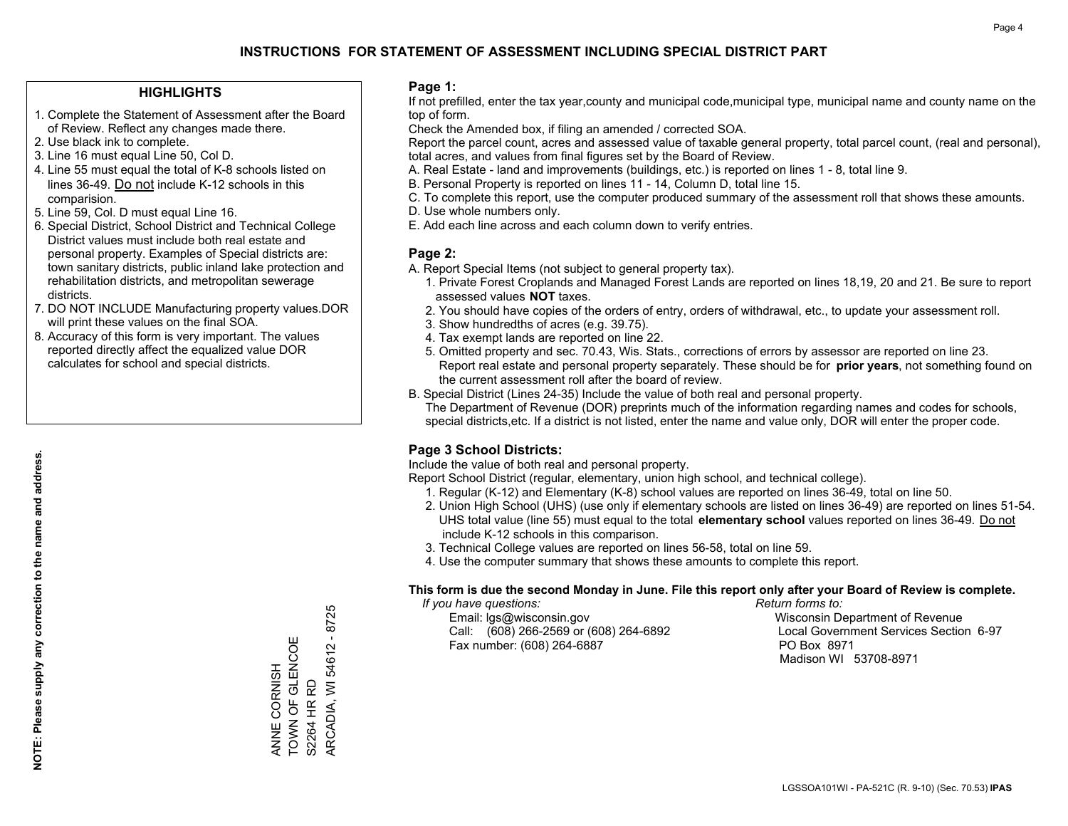#### **HIGHLIGHTS**

- 1. Complete the Statement of Assessment after the Board of Review. Reflect any changes made there.
- 2. Use black ink to complete.
- 3. Line 16 must equal Line 50, Col D.
- 4. Line 55 must equal the total of K-8 schools listed on lines 36-49. Do not include K-12 schools in this comparision.
- 5. Line 59, Col. D must equal Line 16.
- 6. Special District, School District and Technical College District values must include both real estate and personal property. Examples of Special districts are: town sanitary districts, public inland lake protection and rehabilitation districts, and metropolitan sewerage districts.
- 7. DO NOT INCLUDE Manufacturing property values.DOR will print these values on the final SOA.

ANNE CORNISH TOWN OF GLENCOE

ANNE CORNISH<br>TOWN OF GLENCOE

S2264 HR RD

S2264 HR RD

ARCADIA, WI 54612 - 8725

ARCADIA, WI 54612 - 8725

 8. Accuracy of this form is very important. The values reported directly affect the equalized value DOR calculates for school and special districts.

#### **Page 1:**

 If not prefilled, enter the tax year,county and municipal code,municipal type, municipal name and county name on the top of form.

Check the Amended box, if filing an amended / corrected SOA.

 Report the parcel count, acres and assessed value of taxable general property, total parcel count, (real and personal), total acres, and values from final figures set by the Board of Review.

- A. Real Estate land and improvements (buildings, etc.) is reported on lines 1 8, total line 9.
- B. Personal Property is reported on lines 11 14, Column D, total line 15.
- C. To complete this report, use the computer produced summary of the assessment roll that shows these amounts.
- D. Use whole numbers only.
- E. Add each line across and each column down to verify entries.

#### **Page 2:**

- A. Report Special Items (not subject to general property tax).
- 1. Private Forest Croplands and Managed Forest Lands are reported on lines 18,19, 20 and 21. Be sure to report assessed values **NOT** taxes.
- 2. You should have copies of the orders of entry, orders of withdrawal, etc., to update your assessment roll.
	- 3. Show hundredths of acres (e.g. 39.75).
- 4. Tax exempt lands are reported on line 22.
- 5. Omitted property and sec. 70.43, Wis. Stats., corrections of errors by assessor are reported on line 23. Report real estate and personal property separately. These should be for **prior years**, not something found on the current assessment roll after the board of review.
- B. Special District (Lines 24-35) Include the value of both real and personal property.

 The Department of Revenue (DOR) preprints much of the information regarding names and codes for schools, special districts,etc. If a district is not listed, enter the name and value only, DOR will enter the proper code.

### **Page 3 School Districts:**

Include the value of both real and personal property.

Report School District (regular, elementary, union high school, and technical college).

- 1. Regular (K-12) and Elementary (K-8) school values are reported on lines 36-49, total on line 50.
- 2. Union High School (UHS) (use only if elementary schools are listed on lines 36-49) are reported on lines 51-54. UHS total value (line 55) must equal to the total **elementary school** values reported on lines 36-49. Do notinclude K-12 schools in this comparison.
- 3. Technical College values are reported on lines 56-58, total on line 59.
- 4. Use the computer summary that shows these amounts to complete this report.

#### **This form is due the second Monday in June. File this report only after your Board of Review is complete.**

 *If you have questions: Return forms to:*

 Email: lgs@wisconsin.gov Wisconsin Department of RevenueCall:  $(608)$  266-2569 or  $(608)$  264-6892 Fax number: (608) 264-6887 PO Box 8971

Local Government Services Section 6-97 Madison WI 53708-8971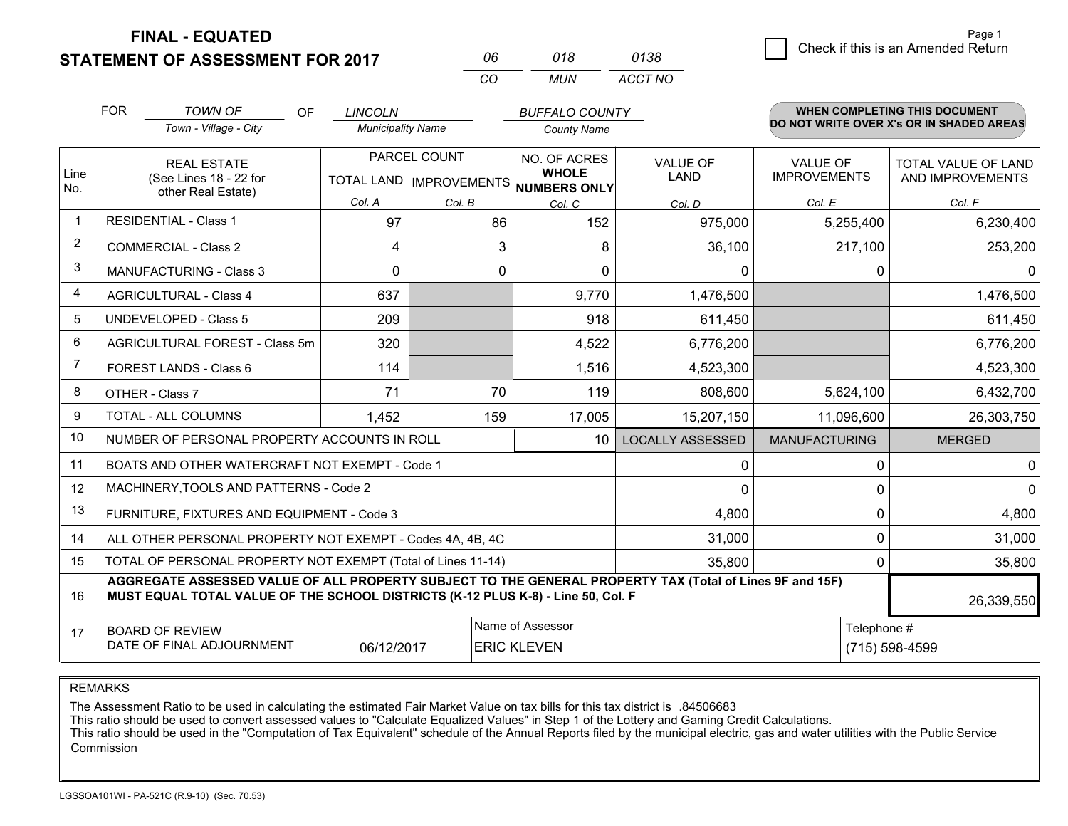**FINAL - EQUATED**

**STATEMENT OF ASSESSMENT FOR 2017** 

|          | 018 | 0138    |
|----------|-----|---------|
| $\alpha$ | MUN | ACCT NO |

|      | <b>FOR</b>                                                         | <b>TOWN OF</b><br><b>OF</b>                                                                                                                                                                                | <b>LINCOLN</b>                                                                        |          | <b>BUFFALO COUNTY</b>        |                                |                                        | WHEN COMPLETING THIS DOCUMENT                  |
|------|--------------------------------------------------------------------|------------------------------------------------------------------------------------------------------------------------------------------------------------------------------------------------------------|---------------------------------------------------------------------------------------|----------|------------------------------|--------------------------------|----------------------------------------|------------------------------------------------|
|      |                                                                    | Town - Village - City                                                                                                                                                                                      | <b>Municipality Name</b>                                                              |          | <b>County Name</b>           |                                |                                        | DO NOT WRITE OVER X's OR IN SHADED AREAS       |
| Line | <b>REAL ESTATE</b><br>(See Lines 18 - 22 for<br>other Real Estate) |                                                                                                                                                                                                            | PARCEL COUNT<br>TOTAL LAND   IMPROVEMENTS                                             |          | NO. OF ACRES<br><b>WHOLE</b> | <b>VALUE OF</b><br><b>LAND</b> | <b>VALUE OF</b><br><b>IMPROVEMENTS</b> | <b>TOTAL VALUE OF LAND</b><br>AND IMPROVEMENTS |
| No.  |                                                                    |                                                                                                                                                                                                            | Col. A                                                                                | Col. B   | NUMBERS ONLY<br>Col. C       | Col. D                         | Col. E                                 | Col. F                                         |
| -1   |                                                                    | <b>RESIDENTIAL - Class 1</b>                                                                                                                                                                               | 97                                                                                    | 86       | 152                          | 975,000                        | 5,255,400                              | 6,230,400                                      |
| 2    |                                                                    | <b>COMMERCIAL - Class 2</b>                                                                                                                                                                                | 4                                                                                     | 3        | 8                            | 36,100                         | 217,100                                | 253,200                                        |
| 3    |                                                                    | <b>MANUFACTURING - Class 3</b>                                                                                                                                                                             | $\Omega$                                                                              | $\Omega$ | $\Omega$                     | 0                              | $\Omega$                               | $\mathbf{0}$                                   |
| 4    |                                                                    | <b>AGRICULTURAL - Class 4</b>                                                                                                                                                                              | 637                                                                                   |          | 9,770                        | 1,476,500                      |                                        | 1,476,500                                      |
| 5    |                                                                    | <b>UNDEVELOPED - Class 5</b>                                                                                                                                                                               | 209                                                                                   |          | 918                          | 611,450                        |                                        | 611,450                                        |
| 6    |                                                                    | AGRICULTURAL FOREST - Class 5m                                                                                                                                                                             | 320                                                                                   |          | 4,522                        | 6,776,200                      |                                        | 6,776,200                                      |
| 7    |                                                                    | FOREST LANDS - Class 6                                                                                                                                                                                     | 114                                                                                   |          | 1,516                        | 4,523,300                      |                                        | 4,523,300                                      |
| 8    |                                                                    | OTHER - Class 7                                                                                                                                                                                            | 71                                                                                    | 70       | 119                          | 808,600                        | 5,624,100                              | 6,432,700                                      |
| 9    |                                                                    | TOTAL - ALL COLUMNS                                                                                                                                                                                        | 1,452                                                                                 | 159      | 17,005                       | 15,207,150                     | 11,096,600                             | 26,303,750                                     |
| 10   | NUMBER OF PERSONAL PROPERTY ACCOUNTS IN ROLL<br>10                 |                                                                                                                                                                                                            |                                                                                       |          |                              | <b>LOCALLY ASSESSED</b>        | <b>MANUFACTURING</b>                   | <b>MERGED</b>                                  |
| 11   |                                                                    | BOATS AND OTHER WATERCRAFT NOT EXEMPT - Code 1                                                                                                                                                             |                                                                                       |          | 0                            | $\Omega$                       | 0                                      |                                                |
| 12   |                                                                    | MACHINERY, TOOLS AND PATTERNS - Code 2                                                                                                                                                                     |                                                                                       |          | 0                            | <sup>0</sup>                   | $\Omega$                               |                                                |
| 13   |                                                                    | FURNITURE, FIXTURES AND EQUIPMENT - Code 3                                                                                                                                                                 |                                                                                       |          | 4,800                        | 0                              | 4,800                                  |                                                |
| 14   |                                                                    | ALL OTHER PERSONAL PROPERTY NOT EXEMPT - Codes 4A, 4B, 4C                                                                                                                                                  |                                                                                       |          | 31,000                       | 0                              | 31,000                                 |                                                |
| 15   |                                                                    | TOTAL OF PERSONAL PROPERTY NOT EXEMPT (Total of Lines 11-14)                                                                                                                                               |                                                                                       |          | 35,800                       | 0                              | 35,800                                 |                                                |
| 16   |                                                                    | AGGREGATE ASSESSED VALUE OF ALL PROPERTY SUBJECT TO THE GENERAL PROPERTY TAX (Total of Lines 9F and 15F)<br>MUST EQUAL TOTAL VALUE OF THE SCHOOL DISTRICTS (K-12 PLUS K-8) - Line 50, Col. F<br>26,339,550 |                                                                                       |          |                              |                                |                                        |                                                |
| 17   |                                                                    | <b>BOARD OF REVIEW</b><br>DATE OF FINAL ADJOURNMENT                                                                                                                                                        | Name of Assessor<br>Telephone #<br>06/12/2017<br><b>ERIC KLEVEN</b><br>(715) 598-4599 |          |                              |                                |                                        |                                                |

REMARKS

The Assessment Ratio to be used in calculating the estimated Fair Market Value on tax bills for this tax district is .84506683<br>This ratio should be used to convert assessed values to "Calculate Equalized Values" in Step 1 Commission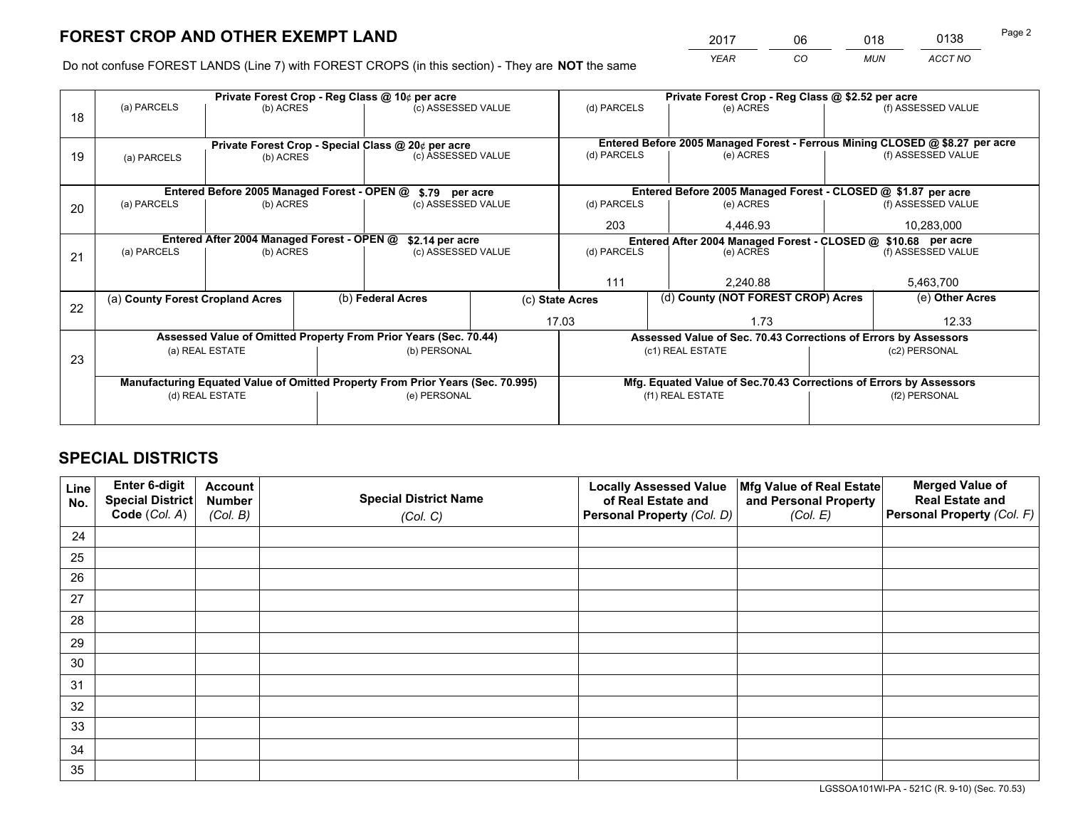*YEAR CO MUN ACCT NO* <sup>2017</sup> <sup>06</sup> <sup>018</sup> <sup>0138</sup> Page 2

Do not confuse FOREST LANDS (Line 7) with FOREST CROPS (in this section) - They are **NOT** the same

|    | Private Forest Crop - Reg Class @ 10¢ per acre                                 |                                                    |  |                    |  | Private Forest Crop - Reg Class @ \$2.52 per acre                                   |                                                                              |  |                    |  |
|----|--------------------------------------------------------------------------------|----------------------------------------------------|--|--------------------|--|-------------------------------------------------------------------------------------|------------------------------------------------------------------------------|--|--------------------|--|
| 18 | (a) PARCELS<br>(b) ACRES                                                       |                                                    |  | (c) ASSESSED VALUE |  | (d) PARCELS                                                                         | (e) ACRES                                                                    |  | (f) ASSESSED VALUE |  |
|    |                                                                                |                                                    |  |                    |  |                                                                                     |                                                                              |  |                    |  |
|    |                                                                                | Private Forest Crop - Special Class @ 20¢ per acre |  |                    |  |                                                                                     | Entered Before 2005 Managed Forest - Ferrous Mining CLOSED @ \$8.27 per acre |  |                    |  |
| 19 | (a) PARCELS                                                                    | (b) ACRES                                          |  | (c) ASSESSED VALUE |  | (d) PARCELS                                                                         | (e) ACRES                                                                    |  | (f) ASSESSED VALUE |  |
|    |                                                                                |                                                    |  |                    |  |                                                                                     |                                                                              |  |                    |  |
|    |                                                                                | Entered Before 2005 Managed Forest - OPEN @        |  | \$.79 per acre     |  | Entered Before 2005 Managed Forest - CLOSED @ \$1.87 per acre                       |                                                                              |  |                    |  |
| 20 | (a) PARCELS<br>(b) ACRES                                                       |                                                    |  | (c) ASSESSED VALUE |  | (d) PARCELS                                                                         | (e) ACRES                                                                    |  |                    |  |
|    |                                                                                |                                                    |  |                    |  | 203                                                                                 | 4.446.93                                                                     |  | 10,283,000         |  |
|    | Entered After 2004 Managed Forest - OPEN @<br>\$2.14 per acre                  |                                                    |  |                    |  | Entered After 2004 Managed Forest - CLOSED @ \$10.68 per acre<br>(f) ASSESSED VALUE |                                                                              |  |                    |  |
| 21 | (a) PARCELS                                                                    | (b) ACRES                                          |  | (c) ASSESSED VALUE |  | (d) PARCELS                                                                         | (e) ACRES                                                                    |  |                    |  |
|    |                                                                                |                                                    |  |                    |  |                                                                                     |                                                                              |  |                    |  |
|    |                                                                                |                                                    |  |                    |  | 111                                                                                 | 2,240.88                                                                     |  | 5,463,700          |  |
| 22 | (a) County Forest Cropland Acres                                               |                                                    |  | (b) Federal Acres  |  | (d) County (NOT FOREST CROP) Acres<br>(c) State Acres                               |                                                                              |  | (e) Other Acres    |  |
|    |                                                                                |                                                    |  |                    |  | 17.03<br>1.73                                                                       |                                                                              |  | 12.33              |  |
|    | Assessed Value of Omitted Property From Prior Years (Sec. 70.44)               |                                                    |  |                    |  | Assessed Value of Sec. 70.43 Corrections of Errors by Assessors                     |                                                                              |  |                    |  |
| 23 | (a) REAL ESTATE                                                                |                                                    |  | (b) PERSONAL       |  | (c1) REAL ESTATE                                                                    |                                                                              |  | (c2) PERSONAL      |  |
|    |                                                                                |                                                    |  |                    |  |                                                                                     |                                                                              |  |                    |  |
|    | Manufacturing Equated Value of Omitted Property From Prior Years (Sec. 70.995) |                                                    |  |                    |  | Mfg. Equated Value of Sec.70.43 Corrections of Errors by Assessors                  |                                                                              |  |                    |  |
|    | (d) REAL ESTATE                                                                |                                                    |  | (e) PERSONAL       |  | (f1) REAL ESTATE                                                                    |                                                                              |  | (f2) PERSONAL      |  |
|    |                                                                                |                                                    |  |                    |  |                                                                                     |                                                                              |  |                    |  |

## **SPECIAL DISTRICTS**

| Line<br>No. | Enter 6-digit<br><b>Special District</b> | <b>Account</b><br><b>Number</b> | <b>Special District Name</b> | <b>Locally Assessed Value</b><br>of Real Estate and | Mfg Value of Real Estate<br>and Personal Property | <b>Merged Value of</b><br><b>Real Estate and</b> |
|-------------|------------------------------------------|---------------------------------|------------------------------|-----------------------------------------------------|---------------------------------------------------|--------------------------------------------------|
|             | Code (Col. A)                            | (Col. B)                        | (Col. C)                     | Personal Property (Col. D)                          | (Col. E)                                          | Personal Property (Col. F)                       |
| 24          |                                          |                                 |                              |                                                     |                                                   |                                                  |
| 25          |                                          |                                 |                              |                                                     |                                                   |                                                  |
| 26          |                                          |                                 |                              |                                                     |                                                   |                                                  |
| 27          |                                          |                                 |                              |                                                     |                                                   |                                                  |
| 28          |                                          |                                 |                              |                                                     |                                                   |                                                  |
| 29          |                                          |                                 |                              |                                                     |                                                   |                                                  |
| 30          |                                          |                                 |                              |                                                     |                                                   |                                                  |
| 31          |                                          |                                 |                              |                                                     |                                                   |                                                  |
| 32          |                                          |                                 |                              |                                                     |                                                   |                                                  |
| 33          |                                          |                                 |                              |                                                     |                                                   |                                                  |
| 34          |                                          |                                 |                              |                                                     |                                                   |                                                  |
| 35          |                                          |                                 |                              |                                                     |                                                   |                                                  |

LGSSOA101WI-PA - 521C (R. 9-10) (Sec. 70.53)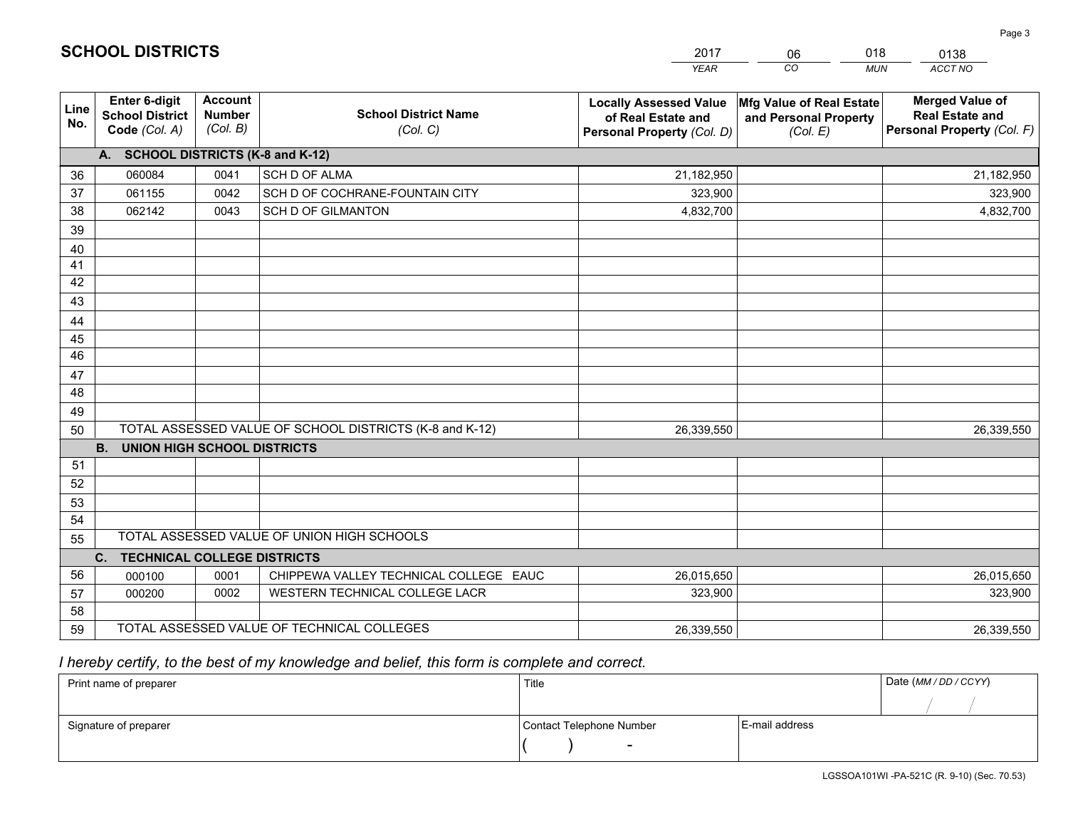|             |                                                          |                                             |                                                         | <b>YEAR</b>                                                                       | CO<br><b>MUN</b>                                              | <b>ACCT NO</b>                                                                 |  |  |
|-------------|----------------------------------------------------------|---------------------------------------------|---------------------------------------------------------|-----------------------------------------------------------------------------------|---------------------------------------------------------------|--------------------------------------------------------------------------------|--|--|
| Line<br>No. | Enter 6-digit<br><b>School District</b><br>Code (Col. A) | <b>Account</b><br><b>Number</b><br>(Col. B) | <b>School District Name</b><br>(Col. C)                 | <b>Locally Assessed Value</b><br>of Real Estate and<br>Personal Property (Col. D) | Mfg Value of Real Estate<br>and Personal Property<br>(Col. E) | <b>Merged Value of</b><br><b>Real Estate and</b><br>Personal Property (Col. F) |  |  |
|             | A. SCHOOL DISTRICTS (K-8 and K-12)                       |                                             |                                                         |                                                                                   |                                                               |                                                                                |  |  |
| 36          | 060084                                                   | 0041                                        | <b>SCH D OF ALMA</b>                                    | 21,182,950                                                                        |                                                               | 21,182,950                                                                     |  |  |
| 37          | 061155                                                   | 0042                                        | SCH D OF COCHRANE-FOUNTAIN CITY                         | 323,900                                                                           |                                                               | 323,900                                                                        |  |  |
| 38          | 062142                                                   | 0043                                        | <b>SCH D OF GILMANTON</b>                               | 4,832,700                                                                         |                                                               | 4,832,700                                                                      |  |  |
| 39          |                                                          |                                             |                                                         |                                                                                   |                                                               |                                                                                |  |  |
| 40          |                                                          |                                             |                                                         |                                                                                   |                                                               |                                                                                |  |  |
| 41          |                                                          |                                             |                                                         |                                                                                   |                                                               |                                                                                |  |  |
| 42          |                                                          |                                             |                                                         |                                                                                   |                                                               |                                                                                |  |  |
| 43          |                                                          |                                             |                                                         |                                                                                   |                                                               |                                                                                |  |  |
| 44          |                                                          |                                             |                                                         |                                                                                   |                                                               |                                                                                |  |  |
| 45          |                                                          |                                             |                                                         |                                                                                   |                                                               |                                                                                |  |  |
| 46          |                                                          |                                             |                                                         |                                                                                   |                                                               |                                                                                |  |  |
| 47          |                                                          |                                             |                                                         |                                                                                   |                                                               |                                                                                |  |  |
| 48          |                                                          |                                             |                                                         |                                                                                   |                                                               |                                                                                |  |  |
| 49          |                                                          |                                             |                                                         |                                                                                   |                                                               |                                                                                |  |  |
| 50          |                                                          |                                             | TOTAL ASSESSED VALUE OF SCHOOL DISTRICTS (K-8 and K-12) | 26,339,550                                                                        |                                                               | 26,339,550                                                                     |  |  |
|             | <b>B.</b><br><b>UNION HIGH SCHOOL DISTRICTS</b>          |                                             |                                                         |                                                                                   |                                                               |                                                                                |  |  |
| 51          |                                                          |                                             |                                                         |                                                                                   |                                                               |                                                                                |  |  |
| 52          |                                                          |                                             |                                                         |                                                                                   |                                                               |                                                                                |  |  |
| 53          |                                                          |                                             |                                                         |                                                                                   |                                                               |                                                                                |  |  |
| 54          |                                                          |                                             |                                                         |                                                                                   |                                                               |                                                                                |  |  |
| 55          | TOTAL ASSESSED VALUE OF UNION HIGH SCHOOLS               |                                             |                                                         |                                                                                   |                                                               |                                                                                |  |  |
|             | <b>TECHNICAL COLLEGE DISTRICTS</b><br>$C_{\cdot}$        |                                             |                                                         |                                                                                   |                                                               |                                                                                |  |  |
| 56          | 000100                                                   | 0001                                        | CHIPPEWA VALLEY TECHNICAL COLLEGE EAUC                  | 26,015,650                                                                        |                                                               | 26,015,650                                                                     |  |  |
| 57          | 000200                                                   | 0002                                        | WESTERN TECHNICAL COLLEGE LACR                          | 323,900                                                                           |                                                               | 323,900                                                                        |  |  |
| 58          |                                                          |                                             |                                                         |                                                                                   |                                                               |                                                                                |  |  |
| 59          |                                                          |                                             | TOTAL ASSESSED VALUE OF TECHNICAL COLLEGES              | 26,339,550                                                                        |                                                               | 26,339,550                                                                     |  |  |

2017

06

018

## *I hereby certify, to the best of my knowledge and belief, this form is complete and correct.*

**SCHOOL DISTRICTS**

| Print name of preparer | Title                    |                | Date (MM / DD / CCYY) |
|------------------------|--------------------------|----------------|-----------------------|
|                        |                          |                |                       |
| Signature of preparer  | Contact Telephone Number | E-mail address |                       |
|                        | $\overline{\phantom{0}}$ |                |                       |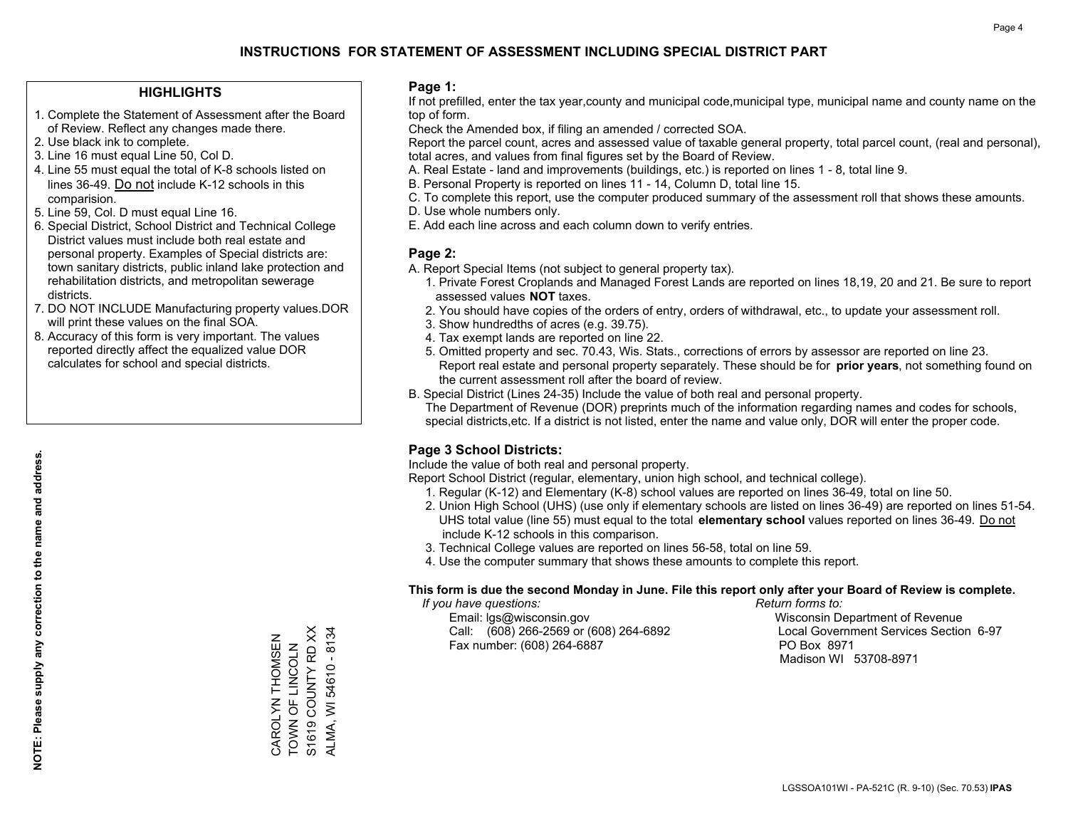#### **HIGHLIGHTS**

- 1. Complete the Statement of Assessment after the Board of Review. Reflect any changes made there.
- 2. Use black ink to complete.
- 3. Line 16 must equal Line 50, Col D.
- 4. Line 55 must equal the total of K-8 schools listed on lines 36-49. Do not include K-12 schools in this comparision.
- 5. Line 59, Col. D must equal Line 16.
- 6. Special District, School District and Technical College District values must include both real estate and personal property. Examples of Special districts are: town sanitary districts, public inland lake protection and rehabilitation districts, and metropolitan sewerage districts.
- 7. DO NOT INCLUDE Manufacturing property values.DOR will print these values on the final SOA.
- 8. Accuracy of this form is very important. The values reported directly affect the equalized value DOR calculates for school and special districts.

#### **Page 1:**

 If not prefilled, enter the tax year,county and municipal code,municipal type, municipal name and county name on the top of form.

Check the Amended box, if filing an amended / corrected SOA.

 Report the parcel count, acres and assessed value of taxable general property, total parcel count, (real and personal), total acres, and values from final figures set by the Board of Review.

- A. Real Estate land and improvements (buildings, etc.) is reported on lines 1 8, total line 9.
- B. Personal Property is reported on lines 11 14, Column D, total line 15.
- C. To complete this report, use the computer produced summary of the assessment roll that shows these amounts.
- D. Use whole numbers only.
- E. Add each line across and each column down to verify entries.

### **Page 2:**

- A. Report Special Items (not subject to general property tax).
- 1. Private Forest Croplands and Managed Forest Lands are reported on lines 18,19, 20 and 21. Be sure to report assessed values **NOT** taxes.
- 2. You should have copies of the orders of entry, orders of withdrawal, etc., to update your assessment roll.
	- 3. Show hundredths of acres (e.g. 39.75).
- 4. Tax exempt lands are reported on line 22.
- 5. Omitted property and sec. 70.43, Wis. Stats., corrections of errors by assessor are reported on line 23. Report real estate and personal property separately. These should be for **prior years**, not something found on the current assessment roll after the board of review.
- B. Special District (Lines 24-35) Include the value of both real and personal property.

 The Department of Revenue (DOR) preprints much of the information regarding names and codes for schools, special districts,etc. If a district is not listed, enter the name and value only, DOR will enter the proper code.

### **Page 3 School Districts:**

Include the value of both real and personal property.

Report School District (regular, elementary, union high school, and technical college).

- 1. Regular (K-12) and Elementary (K-8) school values are reported on lines 36-49, total on line 50.
- 2. Union High School (UHS) (use only if elementary schools are listed on lines 36-49) are reported on lines 51-54. UHS total value (line 55) must equal to the total **elementary school** values reported on lines 36-49. Do notinclude K-12 schools in this comparison.
- 3. Technical College values are reported on lines 56-58, total on line 59.
- 4. Use the computer summary that shows these amounts to complete this report.

#### **This form is due the second Monday in June. File this report only after your Board of Review is complete.**

 *If you have questions: Return forms to:*

 Email: lgs@wisconsin.gov Wisconsin Department of RevenueCall:  $(608)$  266-2569 or  $(608)$  264-6892 Fax number: (608) 264-6887 PO Box 8971

Local Government Services Section 6-97 Madison WI 53708-8971

S1619 COUNTY RD XX ALMA, WI 54610 - 8134 S1619 COUNTY RD XX ALMA, WI 54610 - 8134 CAROLYN THOMSEN<br>TOWN OF LINCOLN CAROLYN THOMSEN TOWN OF LINCOLN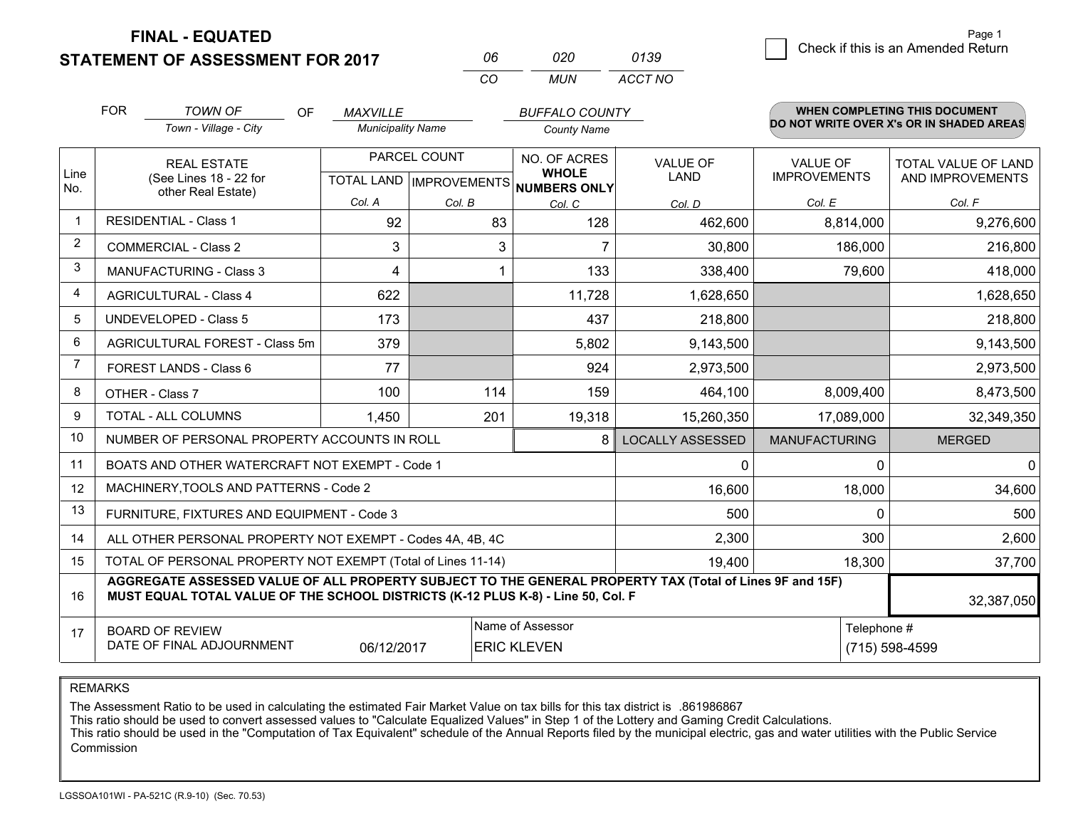**FINAL - EQUATED**

**STATEMENT OF ASSESSMENT FOR 2017** 

| Пĥ       | חלח | 0139    |
|----------|-----|---------|
| $\alpha$ | MUN | ACCT NO |

|      | <b>FOR</b>                                                                                                                                                                                   | <b>TOWN OF</b><br><b>OF</b><br>Town - Village - City      | <b>MAXVILLE</b><br><b>Municipality Name</b> |              | <b>BUFFALO COUNTY</b><br><b>County Name</b>    |                                |                                        | WHEN COMPLETING THIS DOCUMENT<br>DO NOT WRITE OVER X's OR IN SHADED AREAS |
|------|----------------------------------------------------------------------------------------------------------------------------------------------------------------------------------------------|-----------------------------------------------------------|---------------------------------------------|--------------|------------------------------------------------|--------------------------------|----------------------------------------|---------------------------------------------------------------------------|
| Line |                                                                                                                                                                                              | <b>REAL ESTATE</b>                                        |                                             | PARCEL COUNT | NO. OF ACRES<br><b>WHOLE</b>                   | <b>VALUE OF</b><br><b>LAND</b> | <b>VALUE OF</b><br><b>IMPROVEMENTS</b> | <b>TOTAL VALUE OF LAND</b><br>AND IMPROVEMENTS                            |
| No.  |                                                                                                                                                                                              | (See Lines 18 - 22 for<br>other Real Estate)              | Col. A                                      | Col. B       | TOTAL LAND IMPROVEMENTS NUMBERS ONLY<br>Col. C | Col. D                         | Col. E                                 | Col. F                                                                    |
| -1   |                                                                                                                                                                                              | <b>RESIDENTIAL - Class 1</b>                              | 92                                          | 83           | 128                                            | 462,600                        | 8,814,000                              | 9,276,600                                                                 |
| 2    |                                                                                                                                                                                              | <b>COMMERCIAL - Class 2</b>                               | 3                                           | 3            |                                                | 30,800                         | 186,000                                | 216,800                                                                   |
| 3    |                                                                                                                                                                                              | <b>MANUFACTURING - Class 3</b>                            | 4                                           | 1            | 133                                            | 338,400                        | 79,600                                 | 418,000                                                                   |
| 4    |                                                                                                                                                                                              | <b>AGRICULTURAL - Class 4</b>                             | 622                                         |              | 11,728                                         | 1,628,650                      |                                        | 1,628,650                                                                 |
| 5    |                                                                                                                                                                                              | <b>UNDEVELOPED - Class 5</b>                              | 173                                         |              | 437                                            | 218,800                        |                                        | 218,800                                                                   |
| 6    |                                                                                                                                                                                              | AGRICULTURAL FOREST - Class 5m                            | 379                                         |              | 5,802                                          | 9,143,500                      |                                        | 9,143,500                                                                 |
| 7    |                                                                                                                                                                                              | FOREST LANDS - Class 6                                    | 77                                          |              | 924                                            | 2,973,500                      |                                        | 2,973,500                                                                 |
| 8    |                                                                                                                                                                                              | OTHER - Class 7                                           | 100                                         | 114          | 159                                            | 464,100                        | 8,009,400                              | 8,473,500                                                                 |
| 9    |                                                                                                                                                                                              | TOTAL - ALL COLUMNS                                       | 1,450                                       | 201          | 19,318                                         | 15,260,350                     | 17,089,000                             | 32,349,350                                                                |
| 10   |                                                                                                                                                                                              | NUMBER OF PERSONAL PROPERTY ACCOUNTS IN ROLL              |                                             |              | 8                                              | <b>LOCALLY ASSESSED</b>        | <b>MANUFACTURING</b>                   | <b>MERGED</b>                                                             |
| 11   |                                                                                                                                                                                              | BOATS AND OTHER WATERCRAFT NOT EXEMPT - Code 1            |                                             |              |                                                | 0                              | $\Omega$                               | $\mathbf{0}$                                                              |
| 12   |                                                                                                                                                                                              | MACHINERY, TOOLS AND PATTERNS - Code 2                    |                                             |              |                                                | 16,600                         | 18,000                                 | 34,600                                                                    |
| 13   |                                                                                                                                                                                              | FURNITURE, FIXTURES AND EQUIPMENT - Code 3                |                                             |              |                                                | 500                            | $\Omega$                               | 500                                                                       |
| 14   |                                                                                                                                                                                              | ALL OTHER PERSONAL PROPERTY NOT EXEMPT - Codes 4A, 4B, 4C |                                             |              |                                                | 2,300                          | 300                                    | 2,600                                                                     |
| 15   | TOTAL OF PERSONAL PROPERTY NOT EXEMPT (Total of Lines 11-14)<br>19,400                                                                                                                       |                                                           |                                             |              |                                                |                                | 18,300                                 | 37,700                                                                    |
| 16   | AGGREGATE ASSESSED VALUE OF ALL PROPERTY SUBJECT TO THE GENERAL PROPERTY TAX (Total of Lines 9F and 15F)<br>MUST EQUAL TOTAL VALUE OF THE SCHOOL DISTRICTS (K-12 PLUS K-8) - Line 50, Col. F |                                                           |                                             |              |                                                |                                | 32,387,050                             |                                                                           |
| 17   | Name of Assessor<br>Telephone #<br><b>BOARD OF REVIEW</b><br>DATE OF FINAL ADJOURNMENT<br>06/12/2017<br><b>ERIC KLEVEN</b>                                                                   |                                                           |                                             |              |                                                |                                | (715) 598-4599                         |                                                                           |

REMARKS

The Assessment Ratio to be used in calculating the estimated Fair Market Value on tax bills for this tax district is .861986867<br>This ratio should be used to convert assessed values to "Calculate Equalized Values" in Step 1 Commission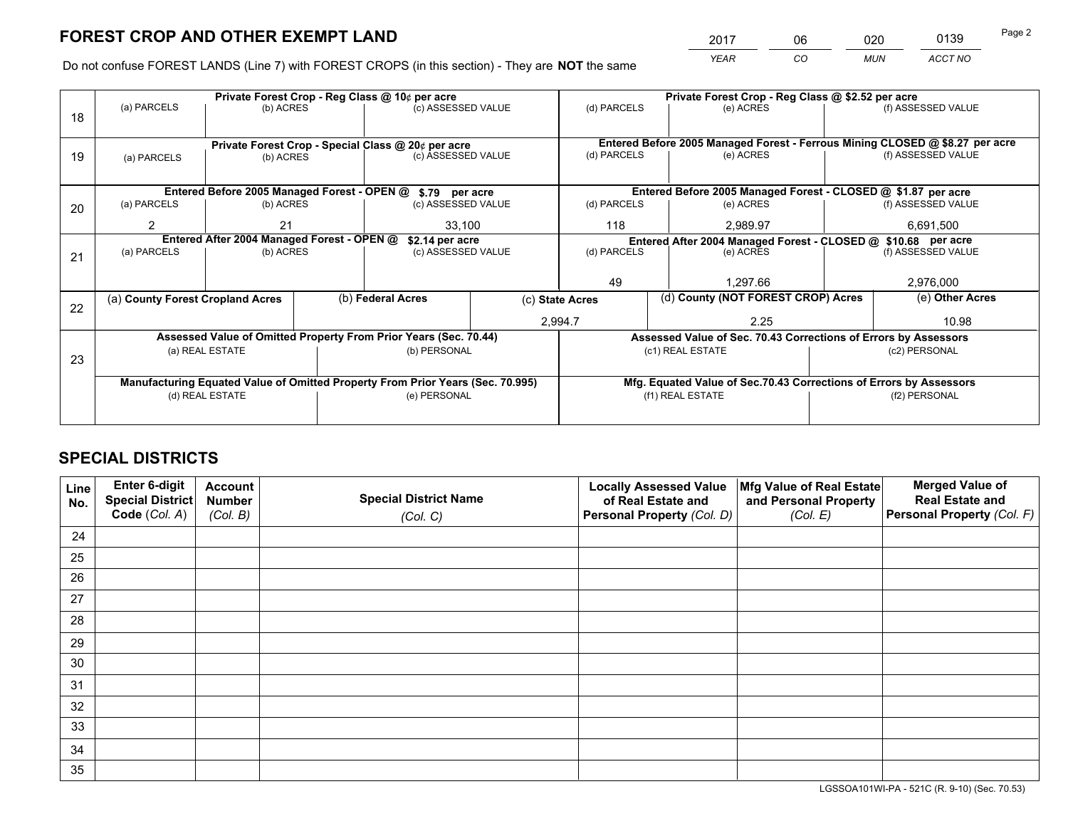*YEAR CO MUN ACCT NO* <sup>2017</sup> <sup>06</sup> <sup>020</sup> <sup>0139</sup> Page 2

Do not confuse FOREST LANDS (Line 7) with FOREST CROPS (in this section) - They are **NOT** the same

|    |                                            |                                             |  | Private Forest Crop - Reg Class @ 10¢ per acre                                 |                 | Private Forest Crop - Reg Class @ \$2.52 per acre                            |                                                                 |                                                               |                    |
|----|--------------------------------------------|---------------------------------------------|--|--------------------------------------------------------------------------------|-----------------|------------------------------------------------------------------------------|-----------------------------------------------------------------|---------------------------------------------------------------|--------------------|
| 18 | (a) PARCELS                                | (b) ACRES                                   |  | (c) ASSESSED VALUE                                                             |                 | (d) PARCELS                                                                  | (e) ACRES                                                       |                                                               | (f) ASSESSED VALUE |
|    |                                            |                                             |  |                                                                                |                 |                                                                              |                                                                 |                                                               |                    |
|    |                                            |                                             |  | Private Forest Crop - Special Class @ 20¢ per acre                             |                 | Entered Before 2005 Managed Forest - Ferrous Mining CLOSED @ \$8.27 per acre |                                                                 |                                                               |                    |
| 19 | (a) PARCELS                                | (b) ACRES                                   |  | (c) ASSESSED VALUE                                                             |                 | (d) PARCELS                                                                  | (e) ACRES                                                       |                                                               | (f) ASSESSED VALUE |
|    |                                            |                                             |  |                                                                                |                 |                                                                              |                                                                 |                                                               |                    |
|    |                                            | Entered Before 2005 Managed Forest - OPEN @ |  | \$.79 per acre                                                                 |                 | Entered Before 2005 Managed Forest - CLOSED @ \$1.87 per acre                |                                                                 |                                                               |                    |
| 20 | (a) PARCELS                                | (b) ACRES                                   |  | (c) ASSESSED VALUE                                                             |                 | (d) PARCELS                                                                  | (e) ACRES                                                       |                                                               | (f) ASSESSED VALUE |
|    | 2                                          | 21                                          |  | 33,100                                                                         |                 | 118                                                                          | 2.989.97                                                        |                                                               | 6,691,500          |
|    | Entered After 2004 Managed Forest - OPEN @ |                                             |  |                                                                                | \$2.14 per acre |                                                                              |                                                                 | Entered After 2004 Managed Forest - CLOSED @ \$10.68 per acre |                    |
| 21 | (a) PARCELS                                | (b) ACRES                                   |  | (c) ASSESSED VALUE                                                             |                 | (d) PARCELS                                                                  | (e) ACRES                                                       |                                                               | (f) ASSESSED VALUE |
|    |                                            |                                             |  |                                                                                |                 |                                                                              |                                                                 |                                                               |                    |
|    |                                            |                                             |  |                                                                                |                 | 49                                                                           | 1.297.66                                                        |                                                               | 2,976,000          |
| 22 | (a) County Forest Cropland Acres           |                                             |  | (b) Federal Acres                                                              |                 | (c) State Acres                                                              | (d) County (NOT FOREST CROP) Acres                              |                                                               | (e) Other Acres    |
|    |                                            |                                             |  |                                                                                |                 | 2,994.7                                                                      | 2.25                                                            |                                                               | 10.98              |
|    |                                            |                                             |  | Assessed Value of Omitted Property From Prior Years (Sec. 70.44)               |                 |                                                                              | Assessed Value of Sec. 70.43 Corrections of Errors by Assessors |                                                               |                    |
| 23 |                                            | (a) REAL ESTATE                             |  | (b) PERSONAL                                                                   |                 |                                                                              | (c1) REAL ESTATE                                                |                                                               | (c2) PERSONAL      |
|    |                                            |                                             |  |                                                                                |                 |                                                                              |                                                                 |                                                               |                    |
|    |                                            |                                             |  | Manufacturing Equated Value of Omitted Property From Prior Years (Sec. 70.995) |                 | Mfg. Equated Value of Sec.70.43 Corrections of Errors by Assessors           |                                                                 |                                                               |                    |
|    | (d) REAL ESTATE                            |                                             |  | (e) PERSONAL                                                                   |                 |                                                                              | (f1) REAL ESTATE                                                |                                                               | (f2) PERSONAL      |
|    |                                            |                                             |  |                                                                                |                 |                                                                              |                                                                 |                                                               |                    |

## **SPECIAL DISTRICTS**

| Line<br>No. | Enter 6-digit<br>Special District | <b>Account</b><br><b>Number</b> | <b>Special District Name</b> | <b>Locally Assessed Value</b><br>of Real Estate and | Mfg Value of Real Estate<br>and Personal Property | <b>Merged Value of</b><br><b>Real Estate and</b> |
|-------------|-----------------------------------|---------------------------------|------------------------------|-----------------------------------------------------|---------------------------------------------------|--------------------------------------------------|
|             | Code (Col. A)                     | (Col. B)                        | (Col. C)                     | Personal Property (Col. D)                          | (Col. E)                                          | Personal Property (Col. F)                       |
| 24          |                                   |                                 |                              |                                                     |                                                   |                                                  |
| 25          |                                   |                                 |                              |                                                     |                                                   |                                                  |
| 26          |                                   |                                 |                              |                                                     |                                                   |                                                  |
| 27          |                                   |                                 |                              |                                                     |                                                   |                                                  |
| 28          |                                   |                                 |                              |                                                     |                                                   |                                                  |
| 29          |                                   |                                 |                              |                                                     |                                                   |                                                  |
| 30          |                                   |                                 |                              |                                                     |                                                   |                                                  |
| 31          |                                   |                                 |                              |                                                     |                                                   |                                                  |
| 32          |                                   |                                 |                              |                                                     |                                                   |                                                  |
| 33          |                                   |                                 |                              |                                                     |                                                   |                                                  |
| 34          |                                   |                                 |                              |                                                     |                                                   |                                                  |
| 35          |                                   |                                 |                              |                                                     |                                                   |                                                  |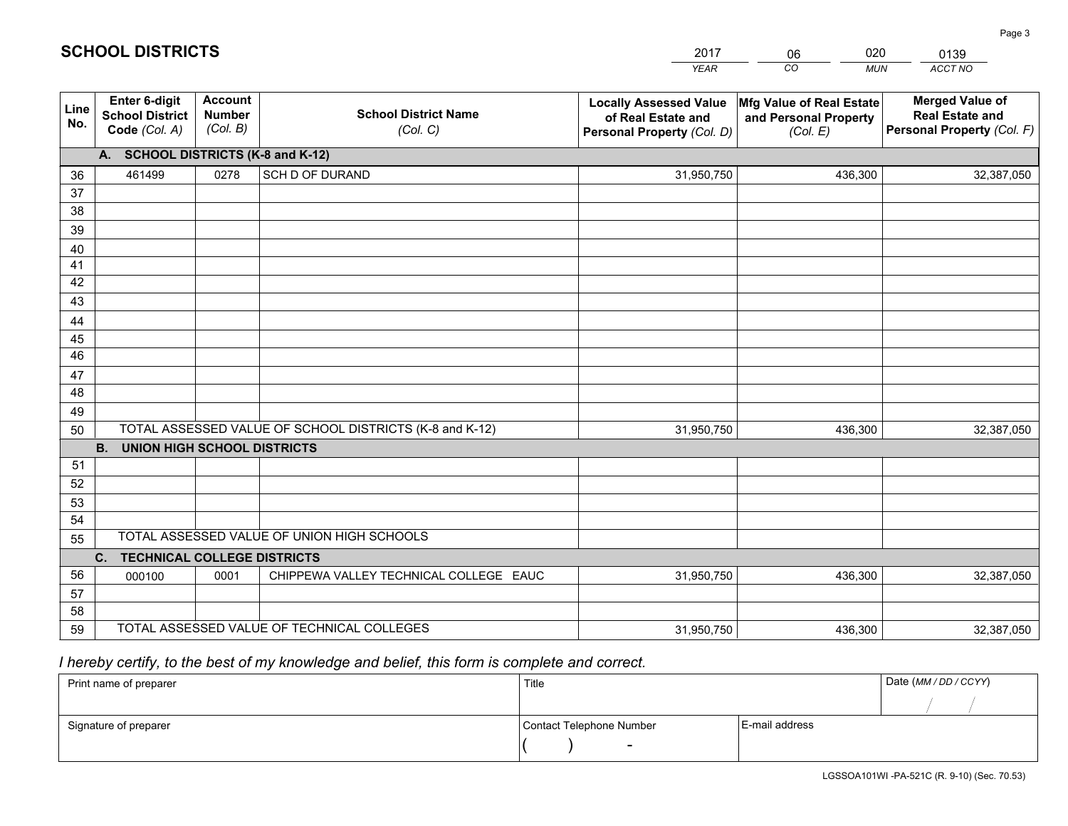|             |                                                                 |                                             |                                                         | <b>YEAR</b>                                                                       | CO<br><b>MUN</b>                                              | ACCT NO                                                                        |
|-------------|-----------------------------------------------------------------|---------------------------------------------|---------------------------------------------------------|-----------------------------------------------------------------------------------|---------------------------------------------------------------|--------------------------------------------------------------------------------|
| Line<br>No. | <b>Enter 6-digit</b><br><b>School District</b><br>Code (Col. A) | <b>Account</b><br><b>Number</b><br>(Col. B) | <b>School District Name</b><br>(Col. C)                 | <b>Locally Assessed Value</b><br>of Real Estate and<br>Personal Property (Col. D) | Mfg Value of Real Estate<br>and Personal Property<br>(Col. E) | <b>Merged Value of</b><br><b>Real Estate and</b><br>Personal Property (Col. F) |
|             | A. SCHOOL DISTRICTS (K-8 and K-12)                              |                                             |                                                         |                                                                                   |                                                               |                                                                                |
| 36          | 461499                                                          | 0278                                        | SCH D OF DURAND                                         | 31,950,750                                                                        | 436,300                                                       | 32,387,050                                                                     |
| 37          |                                                                 |                                             |                                                         |                                                                                   |                                                               |                                                                                |
| 38          |                                                                 |                                             |                                                         |                                                                                   |                                                               |                                                                                |
| 39          |                                                                 |                                             |                                                         |                                                                                   |                                                               |                                                                                |
| 40          |                                                                 |                                             |                                                         |                                                                                   |                                                               |                                                                                |
| 41<br>42    |                                                                 |                                             |                                                         |                                                                                   |                                                               |                                                                                |
| 43          |                                                                 |                                             |                                                         |                                                                                   |                                                               |                                                                                |
|             |                                                                 |                                             |                                                         |                                                                                   |                                                               |                                                                                |
| 44<br>45    |                                                                 |                                             |                                                         |                                                                                   |                                                               |                                                                                |
| 46          |                                                                 |                                             |                                                         |                                                                                   |                                                               |                                                                                |
| 47          |                                                                 |                                             |                                                         |                                                                                   |                                                               |                                                                                |
| 48          |                                                                 |                                             |                                                         |                                                                                   |                                                               |                                                                                |
| 49          |                                                                 |                                             |                                                         |                                                                                   |                                                               |                                                                                |
| 50          |                                                                 |                                             | TOTAL ASSESSED VALUE OF SCHOOL DISTRICTS (K-8 and K-12) | 31,950,750                                                                        | 436,300                                                       | 32,387,050                                                                     |
|             | <b>B.</b><br>UNION HIGH SCHOOL DISTRICTS                        |                                             |                                                         |                                                                                   |                                                               |                                                                                |
| 51          |                                                                 |                                             |                                                         |                                                                                   |                                                               |                                                                                |
| 52          |                                                                 |                                             |                                                         |                                                                                   |                                                               |                                                                                |
| 53          |                                                                 |                                             |                                                         |                                                                                   |                                                               |                                                                                |
| 54          |                                                                 |                                             |                                                         |                                                                                   |                                                               |                                                                                |
| 55          |                                                                 |                                             | TOTAL ASSESSED VALUE OF UNION HIGH SCHOOLS              |                                                                                   |                                                               |                                                                                |
|             | C.<br><b>TECHNICAL COLLEGE DISTRICTS</b>                        |                                             |                                                         |                                                                                   |                                                               |                                                                                |
| 56          | 000100                                                          | 0001                                        | CHIPPEWA VALLEY TECHNICAL COLLEGE EAUC                  | 31,950,750                                                                        | 436,300                                                       | 32,387,050                                                                     |
| 57<br>58    |                                                                 |                                             |                                                         |                                                                                   |                                                               |                                                                                |
| 59          |                                                                 |                                             | TOTAL ASSESSED VALUE OF TECHNICAL COLLEGES              | 31,950,750                                                                        | 436,300                                                       | 32,387,050                                                                     |
|             |                                                                 |                                             |                                                         |                                                                                   |                                                               |                                                                                |

 *I hereby certify, to the best of my knowledge and belief, this form is complete and correct.*

| Print name of preparer | Title                    |                | Date (MM / DD / CCYY) |
|------------------------|--------------------------|----------------|-----------------------|
|                        |                          |                |                       |
| Signature of preparer  | Contact Telephone Number | E-mail address |                       |
|                        | $\sim$                   |                |                       |

| <b>SCHOOL DISTRICTS</b> |  |
|-------------------------|--|
|-------------------------|--|

201706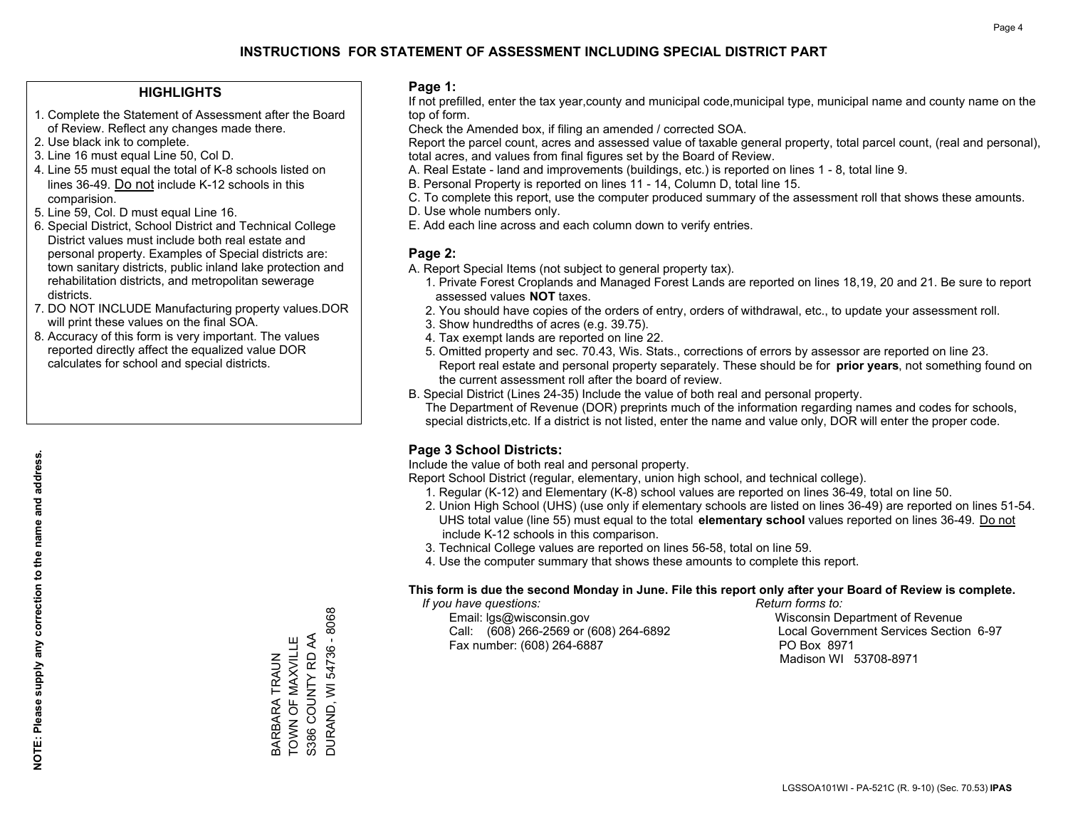## **HIGHLIGHTS**

- 1. Complete the Statement of Assessment after the Board of Review. Reflect any changes made there.
- 2. Use black ink to complete.
- 3. Line 16 must equal Line 50, Col D.
- 4. Line 55 must equal the total of K-8 schools listed on lines 36-49. Do not include K-12 schools in this comparision.
- 5. Line 59, Col. D must equal Line 16.
- 6. Special District, School District and Technical College District values must include both real estate and personal property. Examples of Special districts are: town sanitary districts, public inland lake protection and rehabilitation districts, and metropolitan sewerage districts.
- 7. DO NOT INCLUDE Manufacturing property values.DOR will print these values on the final SOA.
- 8. Accuracy of this form is very important. The values reported directly affect the equalized value DOR calculates for school and special districts.

#### **Page 1:**

 If not prefilled, enter the tax year,county and municipal code,municipal type, municipal name and county name on the top of form.

Check the Amended box, if filing an amended / corrected SOA.

 Report the parcel count, acres and assessed value of taxable general property, total parcel count, (real and personal), total acres, and values from final figures set by the Board of Review.

- A. Real Estate land and improvements (buildings, etc.) is reported on lines 1 8, total line 9.
- B. Personal Property is reported on lines 11 14, Column D, total line 15.
- C. To complete this report, use the computer produced summary of the assessment roll that shows these amounts.
- D. Use whole numbers only.
- E. Add each line across and each column down to verify entries.

## **Page 2:**

- A. Report Special Items (not subject to general property tax).
- 1. Private Forest Croplands and Managed Forest Lands are reported on lines 18,19, 20 and 21. Be sure to report assessed values **NOT** taxes.
- 2. You should have copies of the orders of entry, orders of withdrawal, etc., to update your assessment roll.
	- 3. Show hundredths of acres (e.g. 39.75).
- 4. Tax exempt lands are reported on line 22.
- 5. Omitted property and sec. 70.43, Wis. Stats., corrections of errors by assessor are reported on line 23. Report real estate and personal property separately. These should be for **prior years**, not something found on the current assessment roll after the board of review.
- B. Special District (Lines 24-35) Include the value of both real and personal property.
- The Department of Revenue (DOR) preprints much of the information regarding names and codes for schools, special districts,etc. If a district is not listed, enter the name and value only, DOR will enter the proper code.

## **Page 3 School Districts:**

Include the value of both real and personal property.

Report School District (regular, elementary, union high school, and technical college).

- 1. Regular (K-12) and Elementary (K-8) school values are reported on lines 36-49, total on line 50.
- 2. Union High School (UHS) (use only if elementary schools are listed on lines 36-49) are reported on lines 51-54. UHS total value (line 55) must equal to the total **elementary school** values reported on lines 36-49. Do notinclude K-12 schools in this comparison.
- 3. Technical College values are reported on lines 56-58, total on line 59.
- 4. Use the computer summary that shows these amounts to complete this report.

#### **This form is due the second Monday in June. File this report only after your Board of Review is complete.**

 *If you have questions: Return forms to:*

 Email: lgs@wisconsin.gov Wisconsin Department of RevenueCall:  $(608)$  266-2569 or  $(608)$  264-6892 Fax number: (608) 264-6887 PO Box 8971

Local Government Services Section 6-97 Madison WI 53708-8971

DURAND, WI 54736 - 8068 DURAND, WI 54736 - 8068 S386 COUNTY RD AA BARBARA TRAUN<br>TOWN OF MAXVILLE TOWN OF MAXVILLE S386 COUNTY RD AA BARBARA TRAUN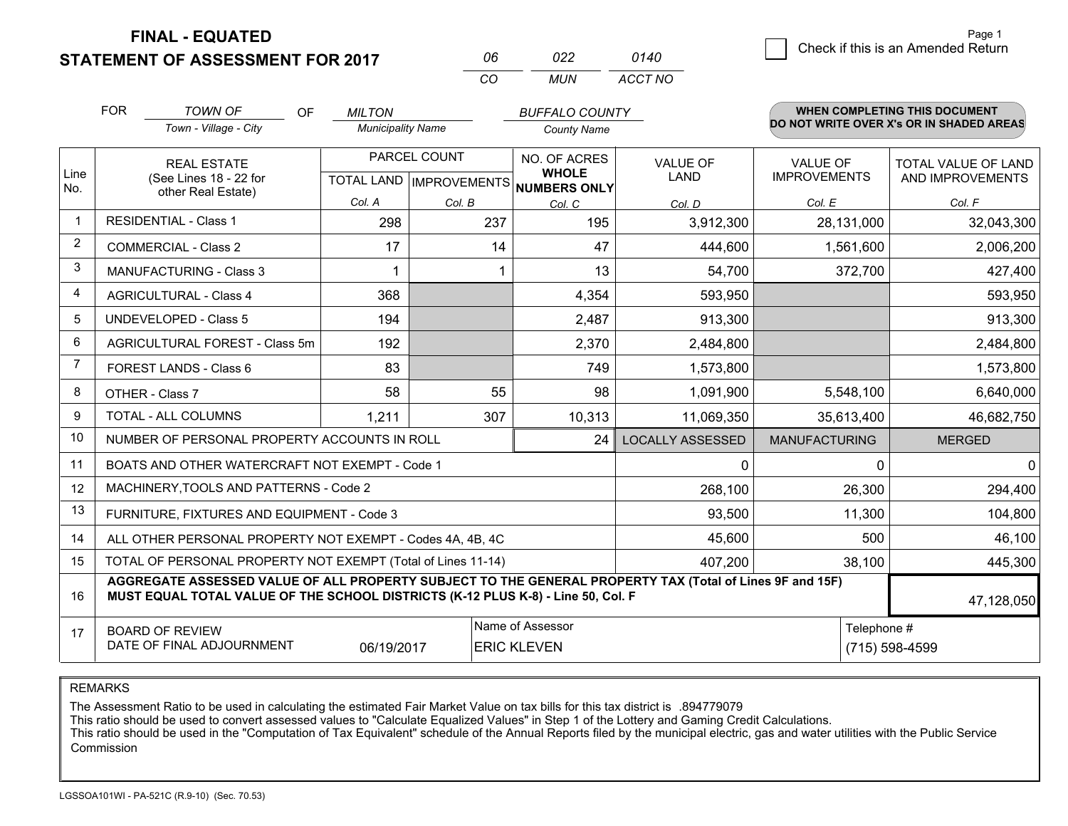**FINAL - EQUATED**

**STATEMENT OF ASSESSMENT FOR 2017** 

| Пĥ       | 7122 | 0140    |
|----------|------|---------|
| $\cdots$ | MUN. | ACCT NO |

|                | <b>FOR</b>                                                                                                                                                                                   | <b>TOWN OF</b><br>OF<br>Town - Village - City  | <b>MILTON</b><br><b>Municipality Name</b>           |        | <b>BUFFALO COUNTY</b><br><b>County Name</b> |                                |                                 | <b>WHEN COMPLETING THIS DOCUMENT</b><br>DO NOT WRITE OVER X's OR IN SHADED AREAS |
|----------------|----------------------------------------------------------------------------------------------------------------------------------------------------------------------------------------------|------------------------------------------------|-----------------------------------------------------|--------|---------------------------------------------|--------------------------------|---------------------------------|----------------------------------------------------------------------------------|
| Line<br>No.    | <b>REAL ESTATE</b><br>(See Lines 18 - 22 for<br>other Real Estate)                                                                                                                           |                                                | PARCEL COUNT<br>TOTAL LAND MPROVEMENTS NUMBERS ONLY |        | NO. OF ACRES<br><b>WHOLE</b>                | <b>VALUE OF</b><br><b>LAND</b> | VALUE OF<br><b>IMPROVEMENTS</b> | TOTAL VALUE OF LAND<br>AND IMPROVEMENTS                                          |
|                |                                                                                                                                                                                              |                                                | Col. A                                              | Col. B | Col. C                                      | Col. D                         | Col. E                          | Col. F                                                                           |
| -1             |                                                                                                                                                                                              | <b>RESIDENTIAL - Class 1</b>                   | 298                                                 | 237    | 195                                         | 3,912,300                      | 28,131,000                      | 32,043,300                                                                       |
| 2              |                                                                                                                                                                                              | <b>COMMERCIAL - Class 2</b>                    | 17                                                  | 14     | 47                                          | 444,600                        | 1,561,600                       | 2,006,200                                                                        |
| 3              |                                                                                                                                                                                              | <b>MANUFACTURING - Class 3</b>                 |                                                     |        | 13                                          | 54,700                         | 372,700                         | 427,400                                                                          |
| 4              |                                                                                                                                                                                              | <b>AGRICULTURAL - Class 4</b>                  | 368                                                 |        | 4,354                                       | 593,950                        |                                 | 593,950                                                                          |
| 5              |                                                                                                                                                                                              | UNDEVELOPED - Class 5                          | 194                                                 |        | 2,487                                       | 913,300                        |                                 | 913,300                                                                          |
| 6              |                                                                                                                                                                                              | AGRICULTURAL FOREST - Class 5m                 | 192                                                 |        | 2,370                                       | 2,484,800                      |                                 | 2,484,800                                                                        |
| $\overline{7}$ |                                                                                                                                                                                              | FOREST LANDS - Class 6                         | 83                                                  |        | 749                                         | 1,573,800                      |                                 | 1,573,800                                                                        |
| 8              |                                                                                                                                                                                              | OTHER - Class 7                                | 58                                                  | 55     | 98                                          | 1,091,900                      | 5,548,100                       | 6,640,000                                                                        |
| 9              |                                                                                                                                                                                              | TOTAL - ALL COLUMNS                            | 1,211                                               | 307    | 10,313                                      | 11,069,350                     | 35,613,400                      | 46,682,750                                                                       |
| 10             |                                                                                                                                                                                              | NUMBER OF PERSONAL PROPERTY ACCOUNTS IN ROLL   |                                                     |        | 24                                          | <b>LOCALLY ASSESSED</b>        | <b>MANUFACTURING</b>            | <b>MERGED</b>                                                                    |
| 11             |                                                                                                                                                                                              | BOATS AND OTHER WATERCRAFT NOT EXEMPT - Code 1 |                                                     |        |                                             | 0                              | 0                               | $\mathbf{0}$                                                                     |
| 12             |                                                                                                                                                                                              | MACHINERY, TOOLS AND PATTERNS - Code 2         |                                                     |        |                                             | 268,100                        | 26,300                          | 294,400                                                                          |
| 13             |                                                                                                                                                                                              | FURNITURE, FIXTURES AND EQUIPMENT - Code 3     |                                                     |        |                                             | 93,500                         | 11,300                          | 104,800                                                                          |
| 14             | ALL OTHER PERSONAL PROPERTY NOT EXEMPT - Codes 4A, 4B, 4C                                                                                                                                    |                                                |                                                     |        |                                             |                                | 500                             | 46,100                                                                           |
| 15             | TOTAL OF PERSONAL PROPERTY NOT EXEMPT (Total of Lines 11-14)                                                                                                                                 |                                                |                                                     |        |                                             | 407,200                        | 38,100                          | 445,300                                                                          |
| 16             | AGGREGATE ASSESSED VALUE OF ALL PROPERTY SUBJECT TO THE GENERAL PROPERTY TAX (Total of Lines 9F and 15F)<br>MUST EQUAL TOTAL VALUE OF THE SCHOOL DISTRICTS (K-12 PLUS K-8) - Line 50, Col. F |                                                |                                                     |        |                                             |                                | 47,128,050                      |                                                                                  |
| 17             | Name of Assessor<br><b>BOARD OF REVIEW</b><br>DATE OF FINAL ADJOURNMENT<br>06/19/2017<br><b>ERIC KLEVEN</b>                                                                                  |                                                |                                                     |        |                                             |                                | Telephone #                     | (715) 598-4599                                                                   |

REMARKS

The Assessment Ratio to be used in calculating the estimated Fair Market Value on tax bills for this tax district is .894779079

This ratio should be used to convert assessed values to "Calculate Equalized Values" in Step 1 of the Lottery and Gaming Credit Calculations.<br>This ratio should be used in the "Computation of Tax Equivalent" schedule of the Commission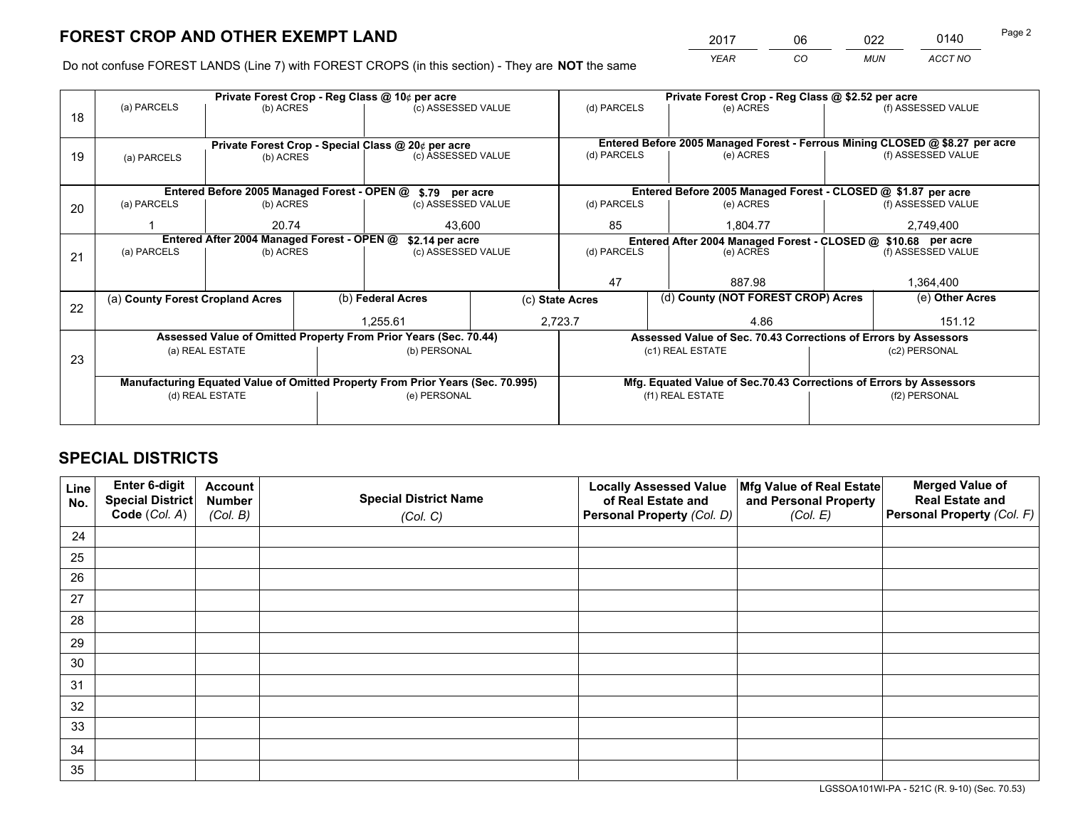*YEAR CO MUN ACCT NO* <sup>2017</sup> <sup>06</sup> <sup>022</sup> <sup>0140</sup>

Do not confuse FOREST LANDS (Line 7) with FOREST CROPS (in this section) - They are **NOT** the same

|    |                                            |                                             |  | Private Forest Crop - Reg Class @ 10¢ per acre                                 |  | Private Forest Crop - Reg Class @ \$2.52 per acre |                                                                              |                                                               |                    |  |
|----|--------------------------------------------|---------------------------------------------|--|--------------------------------------------------------------------------------|--|---------------------------------------------------|------------------------------------------------------------------------------|---------------------------------------------------------------|--------------------|--|
| 18 | (a) PARCELS                                | (b) ACRES                                   |  | (c) ASSESSED VALUE                                                             |  | (d) PARCELS                                       | (e) ACRES                                                                    |                                                               | (f) ASSESSED VALUE |  |
|    |                                            |                                             |  |                                                                                |  |                                                   |                                                                              |                                                               |                    |  |
|    |                                            |                                             |  | Private Forest Crop - Special Class @ 20¢ per acre                             |  |                                                   | Entered Before 2005 Managed Forest - Ferrous Mining CLOSED @ \$8.27 per acre |                                                               |                    |  |
| 19 | (a) PARCELS                                | (b) ACRES                                   |  | (c) ASSESSED VALUE                                                             |  | (d) PARCELS                                       | (e) ACRES                                                                    |                                                               | (f) ASSESSED VALUE |  |
|    |                                            |                                             |  |                                                                                |  |                                                   |                                                                              |                                                               |                    |  |
|    |                                            | Entered Before 2005 Managed Forest - OPEN @ |  | \$.79 per acre                                                                 |  |                                                   | Entered Before 2005 Managed Forest - CLOSED @ \$1.87 per acre                |                                                               |                    |  |
| 20 | (a) PARCELS                                | (b) ACRES                                   |  | (c) ASSESSED VALUE                                                             |  | (d) PARCELS                                       | (e) ACRES                                                                    |                                                               | (f) ASSESSED VALUE |  |
|    |                                            | 20.74                                       |  | 43.600                                                                         |  | 85                                                | 1.804.77                                                                     |                                                               | 2,749,400          |  |
|    | Entered After 2004 Managed Forest - OPEN @ |                                             |  | \$2.14 per acre                                                                |  |                                                   |                                                                              | Entered After 2004 Managed Forest - CLOSED @ \$10.68 per acre |                    |  |
| 21 | (a) PARCELS                                | (b) ACRES                                   |  | (c) ASSESSED VALUE                                                             |  | (d) PARCELS                                       | (e) ACRES                                                                    |                                                               | (f) ASSESSED VALUE |  |
|    |                                            |                                             |  |                                                                                |  |                                                   |                                                                              |                                                               |                    |  |
|    |                                            |                                             |  |                                                                                |  | 47                                                | 887.98                                                                       |                                                               | 1,364,400          |  |
| 22 | (a) County Forest Cropland Acres           |                                             |  | (b) Federal Acres                                                              |  | (c) State Acres                                   | (d) County (NOT FOREST CROP) Acres                                           |                                                               | (e) Other Acres    |  |
|    |                                            |                                             |  | 1,255.61                                                                       |  | 2,723.7<br>4.86                                   |                                                                              | 151.12                                                        |                    |  |
|    |                                            |                                             |  | Assessed Value of Omitted Property From Prior Years (Sec. 70.44)               |  |                                                   | Assessed Value of Sec. 70.43 Corrections of Errors by Assessors              |                                                               |                    |  |
| 23 |                                            | (a) REAL ESTATE                             |  | (b) PERSONAL                                                                   |  |                                                   | (c1) REAL ESTATE                                                             |                                                               | (c2) PERSONAL      |  |
|    |                                            |                                             |  |                                                                                |  |                                                   |                                                                              |                                                               |                    |  |
|    |                                            |                                             |  | Manufacturing Equated Value of Omitted Property From Prior Years (Sec. 70.995) |  |                                                   | Mfg. Equated Value of Sec.70.43 Corrections of Errors by Assessors           |                                                               |                    |  |
|    |                                            | (d) REAL ESTATE                             |  | (e) PERSONAL                                                                   |  |                                                   | (f1) REAL ESTATE                                                             |                                                               | (f2) PERSONAL      |  |
|    |                                            |                                             |  |                                                                                |  |                                                   |                                                                              |                                                               |                    |  |

## **SPECIAL DISTRICTS**

| Line<br>No. | Enter 6-digit<br>Special District<br>Code (Col. A) | <b>Account</b><br><b>Number</b> | <b>Special District Name</b> | <b>Locally Assessed Value</b><br>of Real Estate and | Mfg Value of Real Estate<br>and Personal Property | <b>Merged Value of</b><br><b>Real Estate and</b><br>Personal Property (Col. F) |
|-------------|----------------------------------------------------|---------------------------------|------------------------------|-----------------------------------------------------|---------------------------------------------------|--------------------------------------------------------------------------------|
|             |                                                    | (Col. B)                        | (Col. C)                     | Personal Property (Col. D)                          | (Col. E)                                          |                                                                                |
| 24          |                                                    |                                 |                              |                                                     |                                                   |                                                                                |
| 25          |                                                    |                                 |                              |                                                     |                                                   |                                                                                |
| 26          |                                                    |                                 |                              |                                                     |                                                   |                                                                                |
| 27          |                                                    |                                 |                              |                                                     |                                                   |                                                                                |
| 28          |                                                    |                                 |                              |                                                     |                                                   |                                                                                |
| 29          |                                                    |                                 |                              |                                                     |                                                   |                                                                                |
| 30          |                                                    |                                 |                              |                                                     |                                                   |                                                                                |
| 31          |                                                    |                                 |                              |                                                     |                                                   |                                                                                |
| 32          |                                                    |                                 |                              |                                                     |                                                   |                                                                                |
| 33          |                                                    |                                 |                              |                                                     |                                                   |                                                                                |
| 34          |                                                    |                                 |                              |                                                     |                                                   |                                                                                |
| 35          |                                                    |                                 |                              |                                                     |                                                   |                                                                                |

LGSSOA101WI-PA - 521C (R. 9-10) (Sec. 70.53)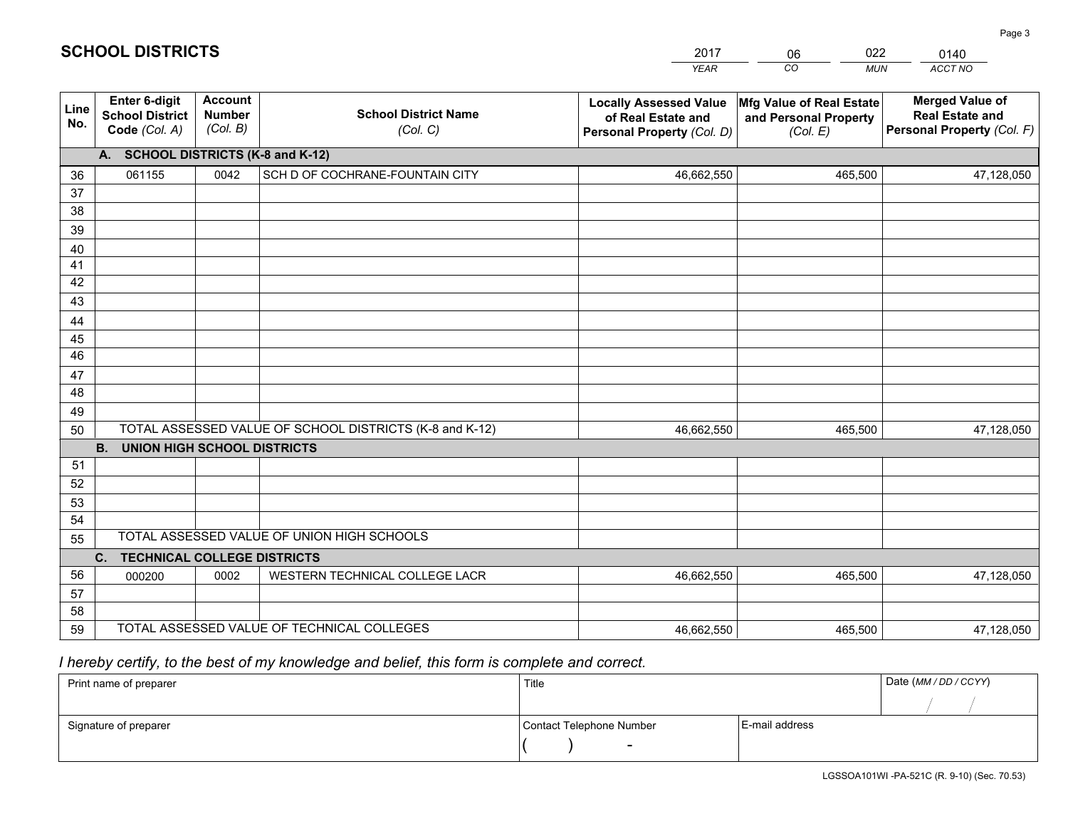|             |                                                                 |                                             |                                                         | <b>YEAR</b>                                                                       | CO<br><b>MUN</b>                                              | ACCT NO                                                                        |
|-------------|-----------------------------------------------------------------|---------------------------------------------|---------------------------------------------------------|-----------------------------------------------------------------------------------|---------------------------------------------------------------|--------------------------------------------------------------------------------|
| Line<br>No. | <b>Enter 6-digit</b><br><b>School District</b><br>Code (Col. A) | <b>Account</b><br><b>Number</b><br>(Col. B) | <b>School District Name</b><br>(Col. C)                 | <b>Locally Assessed Value</b><br>of Real Estate and<br>Personal Property (Col. D) | Mfg Value of Real Estate<br>and Personal Property<br>(Col. E) | <b>Merged Value of</b><br><b>Real Estate and</b><br>Personal Property (Col. F) |
|             | A.                                                              |                                             | <b>SCHOOL DISTRICTS (K-8 and K-12)</b>                  |                                                                                   |                                                               |                                                                                |
| 36          | 061155                                                          | 0042                                        | SCH D OF COCHRANE-FOUNTAIN CITY                         | 46,662,550                                                                        | 465,500                                                       | 47,128,050                                                                     |
| 37          |                                                                 |                                             |                                                         |                                                                                   |                                                               |                                                                                |
| 38          |                                                                 |                                             |                                                         |                                                                                   |                                                               |                                                                                |
| 39          |                                                                 |                                             |                                                         |                                                                                   |                                                               |                                                                                |
| 40          |                                                                 |                                             |                                                         |                                                                                   |                                                               |                                                                                |
| 41<br>42    |                                                                 |                                             |                                                         |                                                                                   |                                                               |                                                                                |
| 43          |                                                                 |                                             |                                                         |                                                                                   |                                                               |                                                                                |
| 44          |                                                                 |                                             |                                                         |                                                                                   |                                                               |                                                                                |
| 45          |                                                                 |                                             |                                                         |                                                                                   |                                                               |                                                                                |
| 46          |                                                                 |                                             |                                                         |                                                                                   |                                                               |                                                                                |
| 47          |                                                                 |                                             |                                                         |                                                                                   |                                                               |                                                                                |
| 48          |                                                                 |                                             |                                                         |                                                                                   |                                                               |                                                                                |
| 49          |                                                                 |                                             |                                                         |                                                                                   |                                                               |                                                                                |
| 50          |                                                                 |                                             | TOTAL ASSESSED VALUE OF SCHOOL DISTRICTS (K-8 and K-12) | 46,662,550                                                                        | 465,500                                                       | 47,128,050                                                                     |
|             | <b>B.</b><br><b>UNION HIGH SCHOOL DISTRICTS</b>                 |                                             |                                                         |                                                                                   |                                                               |                                                                                |
| 51          |                                                                 |                                             |                                                         |                                                                                   |                                                               |                                                                                |
| 52          |                                                                 |                                             |                                                         |                                                                                   |                                                               |                                                                                |
| 53<br>54    |                                                                 |                                             |                                                         |                                                                                   |                                                               |                                                                                |
| 55          |                                                                 |                                             | TOTAL ASSESSED VALUE OF UNION HIGH SCHOOLS              |                                                                                   |                                                               |                                                                                |
|             | $C_{1}$<br><b>TECHNICAL COLLEGE DISTRICTS</b>                   |                                             |                                                         |                                                                                   |                                                               |                                                                                |
| 56          | 000200                                                          | 0002                                        | WESTERN TECHNICAL COLLEGE LACR                          | 46,662,550                                                                        | 465,500                                                       | 47,128,050                                                                     |
| 57          |                                                                 |                                             |                                                         |                                                                                   |                                                               |                                                                                |
| 58          |                                                                 |                                             |                                                         |                                                                                   |                                                               |                                                                                |
| 59          |                                                                 |                                             | TOTAL ASSESSED VALUE OF TECHNICAL COLLEGES              | 46,662,550                                                                        | 465,500                                                       | 47,128,050                                                                     |

06

022

 *I hereby certify, to the best of my knowledge and belief, this form is complete and correct.*

**SCHOOL DISTRICTS**

| Print name of preparer | Title                    |                | Date (MM / DD / CCYY) |
|------------------------|--------------------------|----------------|-----------------------|
|                        |                          |                |                       |
| Signature of preparer  | Contact Telephone Number | E-mail address |                       |
|                        | $\overline{\phantom{0}}$ |                |                       |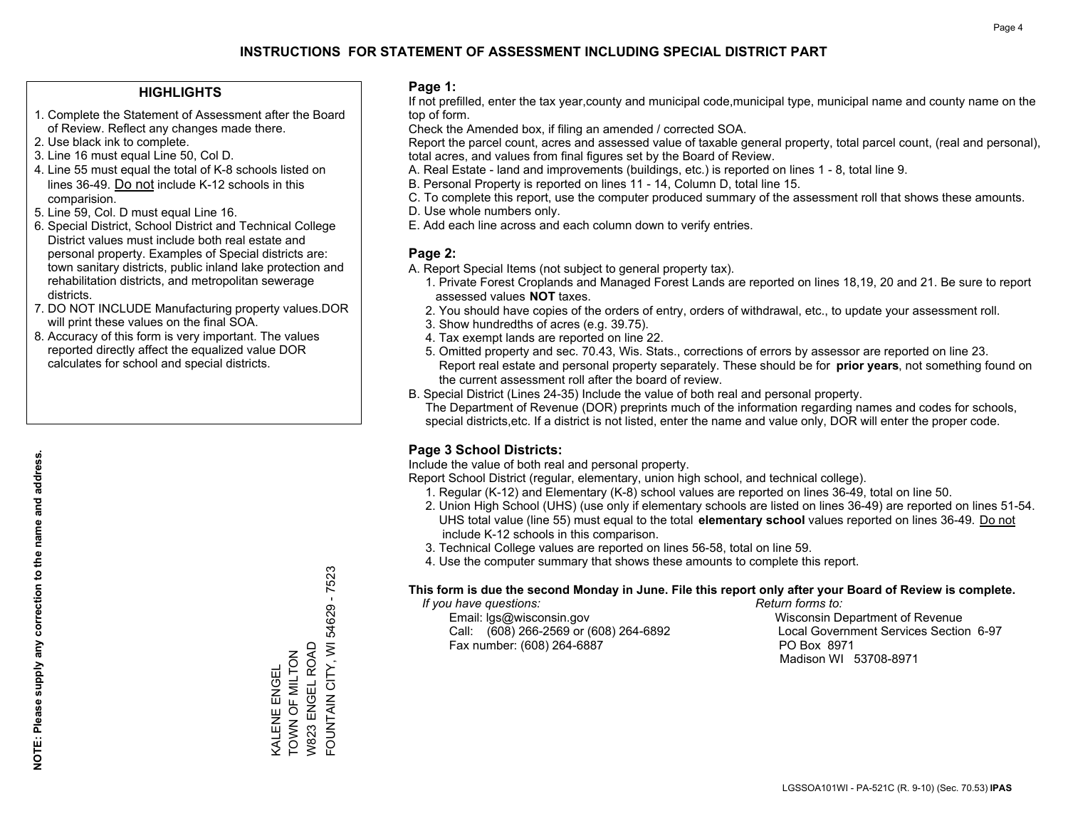## **HIGHLIGHTS**

- 1. Complete the Statement of Assessment after the Board of Review. Reflect any changes made there.
- 2. Use black ink to complete.
- 3. Line 16 must equal Line 50, Col D.
- 4. Line 55 must equal the total of K-8 schools listed on lines 36-49. Do not include K-12 schools in this comparision.
- 5. Line 59, Col. D must equal Line 16.
- 6. Special District, School District and Technical College District values must include both real estate and personal property. Examples of Special districts are: town sanitary districts, public inland lake protection and rehabilitation districts, and metropolitan sewerage districts.
- 7. DO NOT INCLUDE Manufacturing property values.DOR will print these values on the final SOA.

KALENE ENGEL TOWN OF MILTON W823 ENGEL ROAD FOUNTAIN CITY, WI 54629 - 7523

FOUNTAIN CITY, WI 54629 - 7523

W823 ENGEL ROAD KALENE ENGEL<br>TOWN OF MILTON

 8. Accuracy of this form is very important. The values reported directly affect the equalized value DOR calculates for school and special districts.

#### **Page 1:**

 If not prefilled, enter the tax year,county and municipal code,municipal type, municipal name and county name on the top of form.

Check the Amended box, if filing an amended / corrected SOA.

 Report the parcel count, acres and assessed value of taxable general property, total parcel count, (real and personal), total acres, and values from final figures set by the Board of Review.

- A. Real Estate land and improvements (buildings, etc.) is reported on lines 1 8, total line 9.
- B. Personal Property is reported on lines 11 14, Column D, total line 15.
- C. To complete this report, use the computer produced summary of the assessment roll that shows these amounts.
- D. Use whole numbers only.
- E. Add each line across and each column down to verify entries.

## **Page 2:**

- A. Report Special Items (not subject to general property tax).
- 1. Private Forest Croplands and Managed Forest Lands are reported on lines 18,19, 20 and 21. Be sure to report assessed values **NOT** taxes.
- 2. You should have copies of the orders of entry, orders of withdrawal, etc., to update your assessment roll.
	- 3. Show hundredths of acres (e.g. 39.75).
- 4. Tax exempt lands are reported on line 22.
- 5. Omitted property and sec. 70.43, Wis. Stats., corrections of errors by assessor are reported on line 23. Report real estate and personal property separately. These should be for **prior years**, not something found on the current assessment roll after the board of review.
- B. Special District (Lines 24-35) Include the value of both real and personal property.

 The Department of Revenue (DOR) preprints much of the information regarding names and codes for schools, special districts,etc. If a district is not listed, enter the name and value only, DOR will enter the proper code.

## **Page 3 School Districts:**

Include the value of both real and personal property.

Report School District (regular, elementary, union high school, and technical college).

- 1. Regular (K-12) and Elementary (K-8) school values are reported on lines 36-49, total on line 50.
- 2. Union High School (UHS) (use only if elementary schools are listed on lines 36-49) are reported on lines 51-54. UHS total value (line 55) must equal to the total **elementary school** values reported on lines 36-49. Do notinclude K-12 schools in this comparison.
- 3. Technical College values are reported on lines 56-58, total on line 59.
- 4. Use the computer summary that shows these amounts to complete this report.

#### **This form is due the second Monday in June. File this report only after your Board of Review is complete.**

 *If you have questions: Return forms to:*

 Email: lgs@wisconsin.gov Wisconsin Department of RevenueCall:  $(608)$  266-2569 or  $(608)$  264-6892 Fax number: (608) 264-6887 PO Box 8971

Local Government Services Section 6-97

Madison WI 53708-8971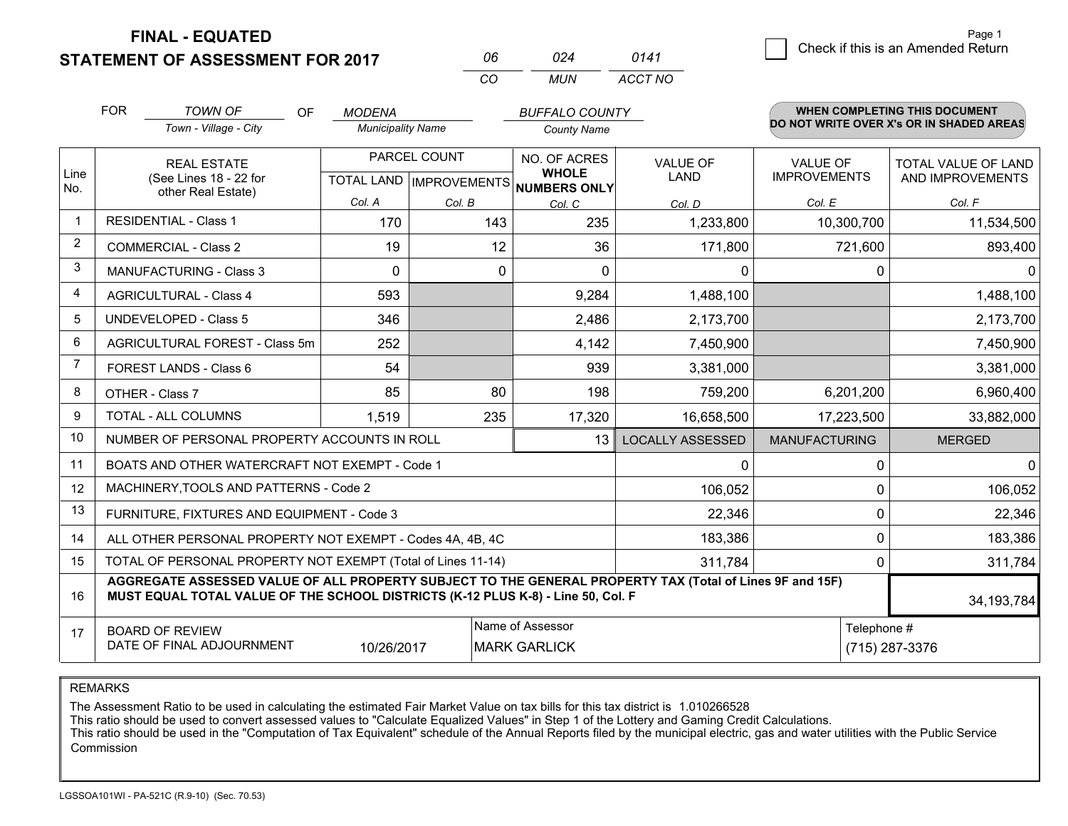**FINAL - EQUATED**

**STATEMENT OF ASSESSMENT FOR 2017** 

| NR  | በ24 | 0141    |
|-----|-----|---------|
| CO. | MUN | ACCT NO |

|                | <b>FOR</b>                                                | <b>TOWN OF</b><br><b>OF</b>                                                                                                                                                                  | <b>MODENA</b>                                        |             | <b>BUFFALO COUNTY</b>                 |                                |                                        | WHEN COMPLETING THIS DOCUMENT            |  |  |
|----------------|-----------------------------------------------------------|----------------------------------------------------------------------------------------------------------------------------------------------------------------------------------------------|------------------------------------------------------|-------------|---------------------------------------|--------------------------------|----------------------------------------|------------------------------------------|--|--|
|                |                                                           | Town - Village - City                                                                                                                                                                        | <b>Municipality Name</b>                             |             | <b>County Name</b>                    |                                |                                        | DO NOT WRITE OVER X's OR IN SHADED AREAS |  |  |
| Line<br>No.    |                                                           | <b>REAL ESTATE</b><br>(See Lines 18 - 22 for                                                                                                                                                 | PARCEL COUNT<br>TOTAL LAND IMPROVEMENTS NUMBERS ONLY |             | NO. OF ACRES<br><b>WHOLE</b>          | <b>VALUE OF</b><br><b>LAND</b> | <b>VALUE OF</b><br><b>IMPROVEMENTS</b> | TOTAL VALUE OF LAND<br>AND IMPROVEMENTS  |  |  |
|                | other Real Estate)                                        |                                                                                                                                                                                              | Col. A                                               | Col. B      | Col. C                                | Col. D                         | Col. E                                 | Col. F                                   |  |  |
|                |                                                           | <b>RESIDENTIAL - Class 1</b>                                                                                                                                                                 | 170                                                  | 143         | 235                                   | 1,233,800                      | 10,300,700                             | 11,534,500                               |  |  |
| $\overline{2}$ |                                                           | <b>COMMERCIAL - Class 2</b>                                                                                                                                                                  | 19                                                   | 12          | 36                                    | 171,800                        | 721,600                                | 893,400                                  |  |  |
| 3              |                                                           | <b>MANUFACTURING - Class 3</b>                                                                                                                                                               | $\Omega$                                             | $\mathbf 0$ | $\Omega$                              | 0                              |                                        | $\Omega$<br>$\mathbf{0}$                 |  |  |
| 4              |                                                           | <b>AGRICULTURAL - Class 4</b>                                                                                                                                                                | 593                                                  |             | 9,284                                 | 1,488,100                      |                                        | 1,488,100                                |  |  |
| 5              |                                                           | <b>UNDEVELOPED - Class 5</b>                                                                                                                                                                 | 346                                                  |             | 2,486                                 | 2,173,700                      |                                        | 2,173,700                                |  |  |
| 6              | AGRICULTURAL FOREST - Class 5m                            |                                                                                                                                                                                              | 252                                                  |             | 4,142                                 | 7,450,900                      |                                        | 7,450,900                                |  |  |
| $\overline{7}$ | FOREST LANDS - Class 6                                    |                                                                                                                                                                                              | 54                                                   |             | 939                                   | 3,381,000                      |                                        | 3,381,000                                |  |  |
| 8              |                                                           | OTHER - Class 7                                                                                                                                                                              | 85                                                   | 80          | 198                                   | 759,200                        | 6,201,200                              | 6,960,400                                |  |  |
| 9              |                                                           | TOTAL - ALL COLUMNS                                                                                                                                                                          | 1,519                                                | 235         | 17,320                                | 16,658,500                     | 17,223,500                             | 33,882,000                               |  |  |
| 10             |                                                           | NUMBER OF PERSONAL PROPERTY ACCOUNTS IN ROLL                                                                                                                                                 |                                                      |             | 13                                    | <b>LOCALLY ASSESSED</b>        | <b>MANUFACTURING</b>                   | <b>MERGED</b>                            |  |  |
| 11             |                                                           | BOATS AND OTHER WATERCRAFT NOT EXEMPT - Code 1                                                                                                                                               |                                                      |             |                                       | 0                              |                                        | $\Omega$<br>$\mathbf{0}$                 |  |  |
| 12             |                                                           | MACHINERY, TOOLS AND PATTERNS - Code 2                                                                                                                                                       |                                                      |             |                                       | 106,052                        |                                        | 106,052<br>$\Omega$                      |  |  |
| 13             |                                                           | FURNITURE, FIXTURES AND EQUIPMENT - Code 3                                                                                                                                                   |                                                      |             |                                       | 22,346                         |                                        | $\mathbf 0$<br>22,346                    |  |  |
| 14             |                                                           | ALL OTHER PERSONAL PROPERTY NOT EXEMPT - Codes 4A, 4B, 4C                                                                                                                                    |                                                      |             |                                       | 183,386                        |                                        | $\mathbf{0}$<br>183,386                  |  |  |
| 15             |                                                           | TOTAL OF PERSONAL PROPERTY NOT EXEMPT (Total of Lines 11-14)                                                                                                                                 |                                                      |             |                                       | 311,784                        |                                        | $\Omega$<br>311,784                      |  |  |
| 16             |                                                           | AGGREGATE ASSESSED VALUE OF ALL PROPERTY SUBJECT TO THE GENERAL PROPERTY TAX (Total of Lines 9F and 15F)<br>MUST EQUAL TOTAL VALUE OF THE SCHOOL DISTRICTS (K-12 PLUS K-8) - Line 50, Col. F |                                                      |             |                                       |                                |                                        | 34, 193, 784                             |  |  |
| 17             | Name of Assessor<br>Telephone #<br><b>BOARD OF REVIEW</b> |                                                                                                                                                                                              |                                                      |             |                                       |                                |                                        |                                          |  |  |
|                |                                                           | DATE OF FINAL ADJOURNMENT                                                                                                                                                                    | 10/26/2017                                           |             | <b>MARK GARLICK</b><br>(715) 287-3376 |                                |                                        |                                          |  |  |

REMARKS

The Assessment Ratio to be used in calculating the estimated Fair Market Value on tax bills for this tax district is 1.010266528

This ratio should be used to convert assessed values to "Calculate Equalized Values" in Step 1 of the Lottery and Gaming Credit Calculations.<br>This ratio should be used in the "Computation of Tax Equivalent" schedule of the Commission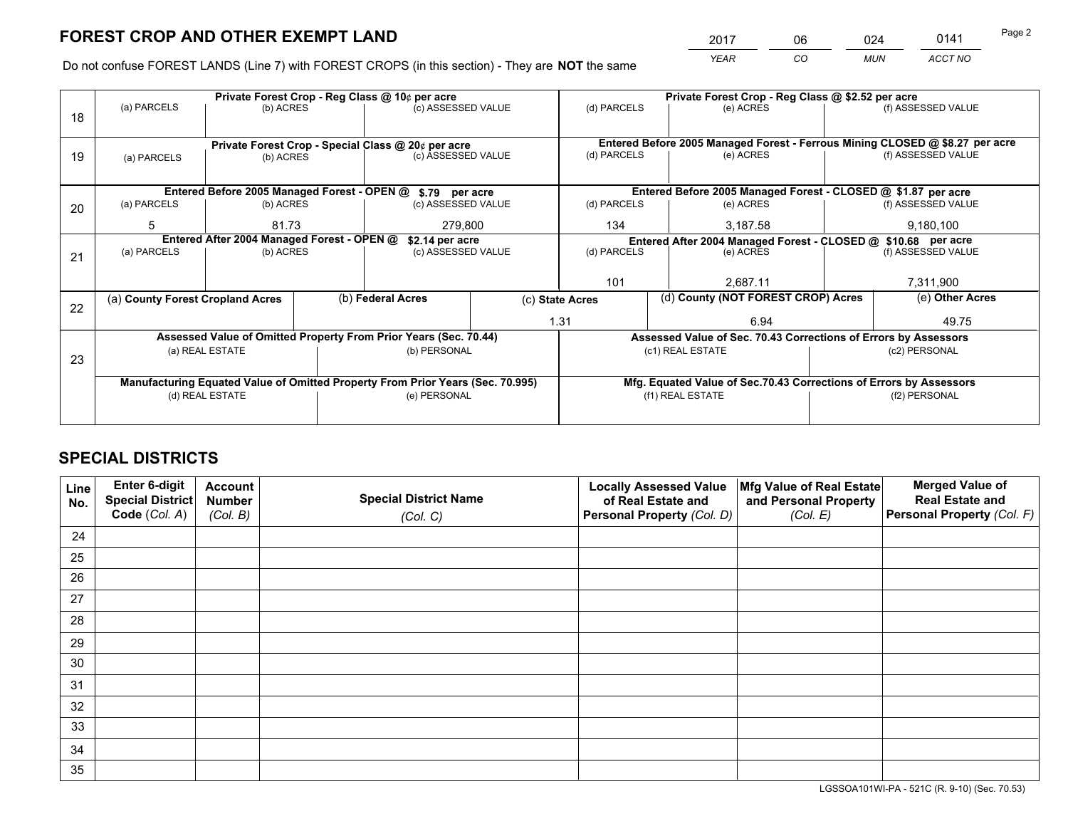*YEAR CO MUN ACCT NO* <sup>2017</sup> <sup>06</sup> <sup>024</sup> <sup>0141</sup>

Do not confuse FOREST LANDS (Line 7) with FOREST CROPS (in this section) - They are **NOT** the same

|    |                                            |                 |                                                               | Private Forest Crop - Reg Class @ 10¢ per acre                                 |                                   | Private Forest Crop - Reg Class @ \$2.52 per acre |  |                                                                    |               |                                                                              |  |
|----|--------------------------------------------|-----------------|---------------------------------------------------------------|--------------------------------------------------------------------------------|-----------------------------------|---------------------------------------------------|--|--------------------------------------------------------------------|---------------|------------------------------------------------------------------------------|--|
| 18 | (a) PARCELS                                | (b) ACRES       |                                                               | (c) ASSESSED VALUE                                                             |                                   | (d) PARCELS                                       |  | (e) ACRES                                                          |               | (f) ASSESSED VALUE                                                           |  |
|    |                                            |                 |                                                               |                                                                                |                                   |                                                   |  |                                                                    |               |                                                                              |  |
|    |                                            |                 |                                                               | Private Forest Crop - Special Class @ 20¢ per acre                             |                                   |                                                   |  |                                                                    |               | Entered Before 2005 Managed Forest - Ferrous Mining CLOSED @ \$8.27 per acre |  |
| 19 | (a) PARCELS                                | (b) ACRES       |                                                               | (c) ASSESSED VALUE                                                             |                                   | (d) PARCELS                                       |  | (e) ACRES                                                          |               | (f) ASSESSED VALUE                                                           |  |
|    |                                            |                 |                                                               |                                                                                |                                   |                                                   |  |                                                                    |               |                                                                              |  |
|    |                                            |                 |                                                               | Entered Before 2005 Managed Forest - OPEN @ \$.79 per acre                     |                                   |                                                   |  | Entered Before 2005 Managed Forest - CLOSED @ \$1.87 per acre      |               |                                                                              |  |
| 20 | (a) PARCELS                                | (b) ACRES       |                                                               | (c) ASSESSED VALUE                                                             |                                   | (d) PARCELS                                       |  | (e) ACRES                                                          |               | (f) ASSESSED VALUE                                                           |  |
|    | 5                                          | 81.73           |                                                               | 279,800                                                                        |                                   | 134                                               |  | 3,187.58                                                           |               | 9,180,100                                                                    |  |
|    | Entered After 2004 Managed Forest - OPEN @ | \$2.14 per acre | Entered After 2004 Managed Forest - CLOSED @ \$10.68 per acre |                                                                                |                                   |                                                   |  |                                                                    |               |                                                                              |  |
| 21 | (a) PARCELS                                | (b) ACRES       |                                                               |                                                                                | (d) PARCELS<br>(c) ASSESSED VALUE |                                                   |  | (e) ACRES                                                          |               | (f) ASSESSED VALUE                                                           |  |
|    |                                            |                 |                                                               |                                                                                |                                   |                                                   |  |                                                                    |               |                                                                              |  |
|    |                                            |                 |                                                               |                                                                                |                                   | 101                                               |  | 2,687.11                                                           |               | 7,311,900                                                                    |  |
| 22 | (a) County Forest Cropland Acres           |                 |                                                               | (b) Federal Acres                                                              |                                   | (c) State Acres                                   |  | (d) County (NOT FOREST CROP) Acres                                 |               | (e) Other Acres                                                              |  |
|    |                                            |                 |                                                               |                                                                                |                                   | 1.31                                              |  | 6.94                                                               |               | 49.75                                                                        |  |
|    |                                            |                 |                                                               | Assessed Value of Omitted Property From Prior Years (Sec. 70.44)               |                                   |                                                   |  | Assessed Value of Sec. 70.43 Corrections of Errors by Assessors    |               |                                                                              |  |
| 23 |                                            | (a) REAL ESTATE |                                                               | (b) PERSONAL                                                                   |                                   |                                                   |  | (c1) REAL ESTATE                                                   |               | (c2) PERSONAL                                                                |  |
|    |                                            |                 |                                                               |                                                                                |                                   |                                                   |  |                                                                    |               |                                                                              |  |
|    |                                            |                 |                                                               | Manufacturing Equated Value of Omitted Property From Prior Years (Sec. 70.995) |                                   |                                                   |  | Mfg. Equated Value of Sec.70.43 Corrections of Errors by Assessors |               |                                                                              |  |
|    | (d) REAL ESTATE                            |                 |                                                               | (e) PERSONAL                                                                   |                                   | (f1) REAL ESTATE                                  |  |                                                                    | (f2) PERSONAL |                                                                              |  |
|    |                                            |                 |                                                               |                                                                                |                                   |                                                   |  |                                                                    |               |                                                                              |  |

## **SPECIAL DISTRICTS**

| Line<br>No. | Enter 6-digit<br>Special District<br>Code (Col. A) | <b>Account</b><br><b>Number</b><br>(Col. B) | <b>Special District Name</b><br>(Col. C) | <b>Locally Assessed Value</b><br>of Real Estate and<br>Personal Property (Col. D) | Mfg Value of Real Estate<br>and Personal Property<br>(Col. E) | <b>Merged Value of</b><br><b>Real Estate and</b><br>Personal Property (Col. F) |
|-------------|----------------------------------------------------|---------------------------------------------|------------------------------------------|-----------------------------------------------------------------------------------|---------------------------------------------------------------|--------------------------------------------------------------------------------|
| 24          |                                                    |                                             |                                          |                                                                                   |                                                               |                                                                                |
| 25          |                                                    |                                             |                                          |                                                                                   |                                                               |                                                                                |
| 26          |                                                    |                                             |                                          |                                                                                   |                                                               |                                                                                |
| 27          |                                                    |                                             |                                          |                                                                                   |                                                               |                                                                                |
| 28          |                                                    |                                             |                                          |                                                                                   |                                                               |                                                                                |
| 29          |                                                    |                                             |                                          |                                                                                   |                                                               |                                                                                |
| 30          |                                                    |                                             |                                          |                                                                                   |                                                               |                                                                                |
| 31          |                                                    |                                             |                                          |                                                                                   |                                                               |                                                                                |
| 32          |                                                    |                                             |                                          |                                                                                   |                                                               |                                                                                |
| 33          |                                                    |                                             |                                          |                                                                                   |                                                               |                                                                                |
| 34          |                                                    |                                             |                                          |                                                                                   |                                                               |                                                                                |
| 35          |                                                    |                                             |                                          |                                                                                   |                                                               |                                                                                |

LGSSOA101WI-PA - 521C (R. 9-10) (Sec. 70.53)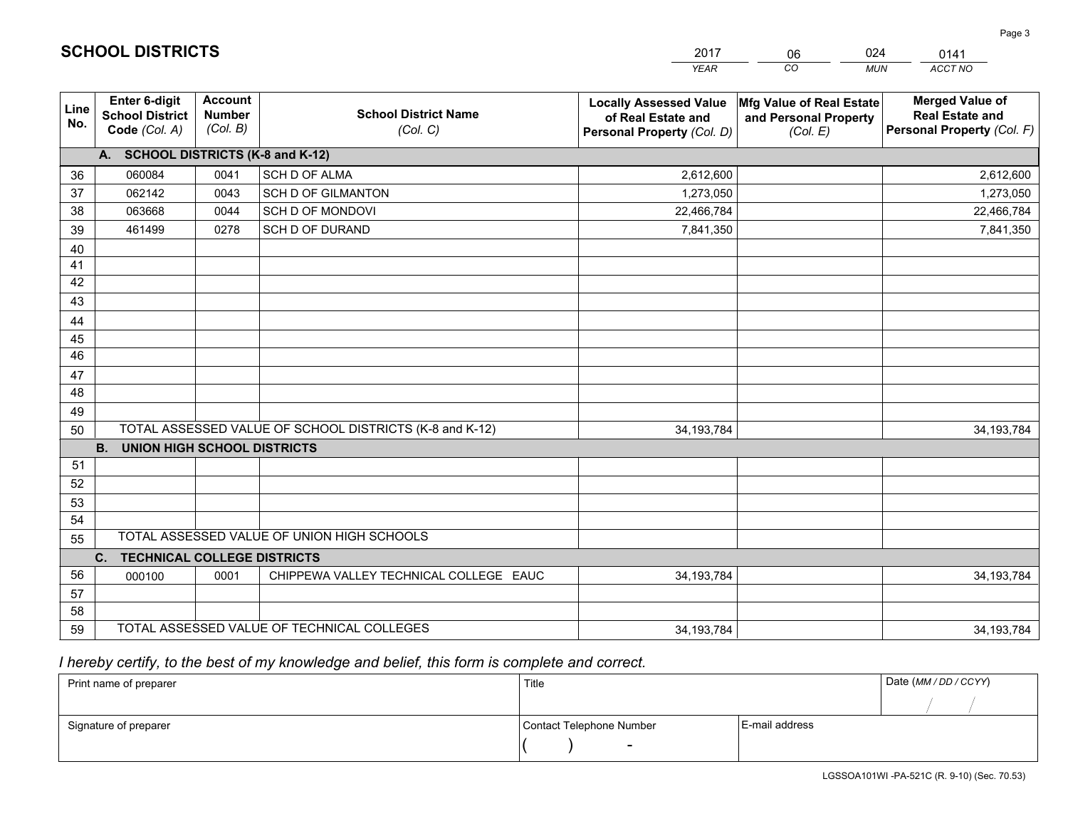|             |                                                          |                                             |                                                         | <b>YEAR</b>                                                                       | CO<br><b>MUN</b>                                              | ACCT NO                                                                        |
|-------------|----------------------------------------------------------|---------------------------------------------|---------------------------------------------------------|-----------------------------------------------------------------------------------|---------------------------------------------------------------|--------------------------------------------------------------------------------|
| Line<br>No. | Enter 6-digit<br><b>School District</b><br>Code (Col. A) | <b>Account</b><br><b>Number</b><br>(Col. B) | <b>School District Name</b><br>(Col. C)                 | <b>Locally Assessed Value</b><br>of Real Estate and<br>Personal Property (Col. D) | Mfg Value of Real Estate<br>and Personal Property<br>(Col. E) | <b>Merged Value of</b><br><b>Real Estate and</b><br>Personal Property (Col. F) |
|             | A. SCHOOL DISTRICTS (K-8 and K-12)                       |                                             |                                                         |                                                                                   |                                                               |                                                                                |
| 36          | 060084                                                   | 0041                                        | <b>SCH D OF ALMA</b>                                    | 2,612,600                                                                         |                                                               | 2,612,600                                                                      |
| 37          | 062142                                                   | 0043                                        | <b>SCH D OF GILMANTON</b>                               | 1,273,050                                                                         |                                                               | 1,273,050                                                                      |
| 38          | 063668                                                   | 0044                                        | SCH D OF MONDOVI                                        | 22,466,784                                                                        |                                                               | 22,466,784                                                                     |
| 39          | 461499                                                   | 0278                                        | SCH D OF DURAND                                         | 7,841,350                                                                         |                                                               | 7,841,350                                                                      |
| 40          |                                                          |                                             |                                                         |                                                                                   |                                                               |                                                                                |
| 41          |                                                          |                                             |                                                         |                                                                                   |                                                               |                                                                                |
| 42          |                                                          |                                             |                                                         |                                                                                   |                                                               |                                                                                |
| 43          |                                                          |                                             |                                                         |                                                                                   |                                                               |                                                                                |
| 44          |                                                          |                                             |                                                         |                                                                                   |                                                               |                                                                                |
| 45          |                                                          |                                             |                                                         |                                                                                   |                                                               |                                                                                |
| 46          |                                                          |                                             |                                                         |                                                                                   |                                                               |                                                                                |
| 47          |                                                          |                                             |                                                         |                                                                                   |                                                               |                                                                                |
| 48          |                                                          |                                             |                                                         |                                                                                   |                                                               |                                                                                |
| 49          |                                                          |                                             |                                                         |                                                                                   |                                                               |                                                                                |
| 50          |                                                          |                                             | TOTAL ASSESSED VALUE OF SCHOOL DISTRICTS (K-8 and K-12) | 34, 193, 784                                                                      |                                                               | 34, 193, 784                                                                   |
|             | <b>B.</b><br><b>UNION HIGH SCHOOL DISTRICTS</b>          |                                             |                                                         |                                                                                   |                                                               |                                                                                |
| 51          |                                                          |                                             |                                                         |                                                                                   |                                                               |                                                                                |
| 52          |                                                          |                                             |                                                         |                                                                                   |                                                               |                                                                                |
| 53          |                                                          |                                             |                                                         |                                                                                   |                                                               |                                                                                |
| 54          |                                                          |                                             |                                                         |                                                                                   |                                                               |                                                                                |
| 55          |                                                          |                                             | TOTAL ASSESSED VALUE OF UNION HIGH SCHOOLS              |                                                                                   |                                                               |                                                                                |
|             | <b>TECHNICAL COLLEGE DISTRICTS</b><br>C.                 |                                             |                                                         |                                                                                   |                                                               |                                                                                |
| 56          | 000100                                                   | 0001                                        | CHIPPEWA VALLEY TECHNICAL COLLEGE EAUC                  | 34, 193, 784                                                                      |                                                               | 34, 193, 784                                                                   |
| 57<br>58    |                                                          |                                             |                                                         |                                                                                   |                                                               |                                                                                |
| 59          |                                                          |                                             | TOTAL ASSESSED VALUE OF TECHNICAL COLLEGES              |                                                                                   |                                                               |                                                                                |
|             |                                                          |                                             |                                                         | 34, 193, 784                                                                      |                                                               | 34, 193, 784                                                                   |

06

024

## *I hereby certify, to the best of my knowledge and belief, this form is complete and correct.*

**SCHOOL DISTRICTS**

| Print name of preparer | Title                    |                | Date (MM / DD / CCYY) |
|------------------------|--------------------------|----------------|-----------------------|
|                        |                          |                |                       |
| Signature of preparer  | Contact Telephone Number | E-mail address |                       |
|                        | $\overline{\phantom{0}}$ |                |                       |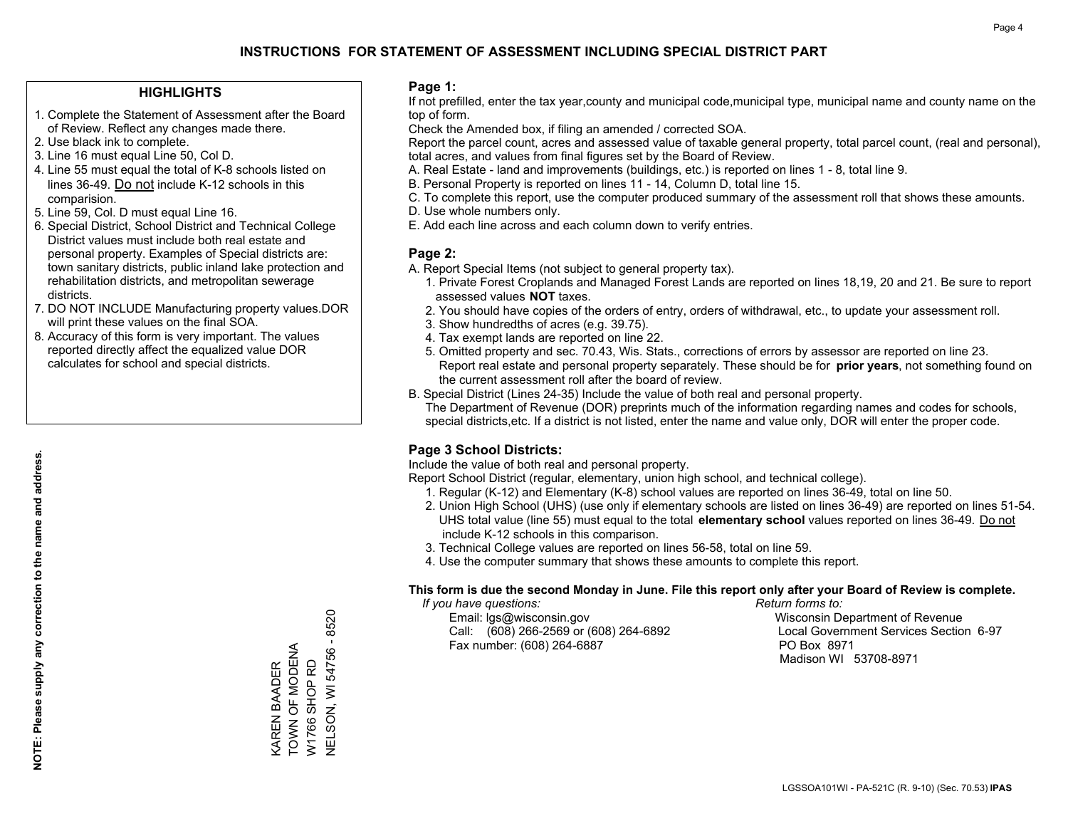## **HIGHLIGHTS**

- 1. Complete the Statement of Assessment after the Board of Review. Reflect any changes made there.
- 2. Use black ink to complete.
- 3. Line 16 must equal Line 50, Col D.
- 4. Line 55 must equal the total of K-8 schools listed on lines 36-49. Do not include K-12 schools in this comparision.
- 5. Line 59, Col. D must equal Line 16.
- 6. Special District, School District and Technical College District values must include both real estate and personal property. Examples of Special districts are: town sanitary districts, public inland lake protection and rehabilitation districts, and metropolitan sewerage districts.
- 7. DO NOT INCLUDE Manufacturing property values.DOR will print these values on the final SOA.
- 8. Accuracy of this form is very important. The values reported directly affect the equalized value DOR calculates for school and special districts.

#### **Page 1:**

 If not prefilled, enter the tax year,county and municipal code,municipal type, municipal name and county name on the top of form.

Check the Amended box, if filing an amended / corrected SOA.

 Report the parcel count, acres and assessed value of taxable general property, total parcel count, (real and personal), total acres, and values from final figures set by the Board of Review.

- A. Real Estate land and improvements (buildings, etc.) is reported on lines 1 8, total line 9.
- B. Personal Property is reported on lines 11 14, Column D, total line 15.
- C. To complete this report, use the computer produced summary of the assessment roll that shows these amounts.
- D. Use whole numbers only.
- E. Add each line across and each column down to verify entries.

## **Page 2:**

- A. Report Special Items (not subject to general property tax).
- 1. Private Forest Croplands and Managed Forest Lands are reported on lines 18,19, 20 and 21. Be sure to report assessed values **NOT** taxes.
- 2. You should have copies of the orders of entry, orders of withdrawal, etc., to update your assessment roll.
	- 3. Show hundredths of acres (e.g. 39.75).
- 4. Tax exempt lands are reported on line 22.
- 5. Omitted property and sec. 70.43, Wis. Stats., corrections of errors by assessor are reported on line 23. Report real estate and personal property separately. These should be for **prior years**, not something found on the current assessment roll after the board of review.
- B. Special District (Lines 24-35) Include the value of both real and personal property.

 The Department of Revenue (DOR) preprints much of the information regarding names and codes for schools, special districts,etc. If a district is not listed, enter the name and value only, DOR will enter the proper code.

## **Page 3 School Districts:**

Include the value of both real and personal property.

Report School District (regular, elementary, union high school, and technical college).

- 1. Regular (K-12) and Elementary (K-8) school values are reported on lines 36-49, total on line 50.
- 2. Union High School (UHS) (use only if elementary schools are listed on lines 36-49) are reported on lines 51-54. UHS total value (line 55) must equal to the total **elementary school** values reported on lines 36-49. Do notinclude K-12 schools in this comparison.
- 3. Technical College values are reported on lines 56-58, total on line 59.
- 4. Use the computer summary that shows these amounts to complete this report.

#### **This form is due the second Monday in June. File this report only after your Board of Review is complete.**

 *If you have questions: Return forms to:*

 Email: lgs@wisconsin.gov Wisconsin Department of RevenueCall:  $(608)$  266-2569 or  $(608)$  264-6892 Fax number: (608) 264-6887 PO Box 8971

Local Government Services Section 6-97 Madison WI 53708-8971

**NELSON, WI 54756 - 8520** NELSON, WI 54756 - 8520 TOWN OF MODENA KAREN BAADER<br>TOWN OF MODENA W1766 SHOP RD W1766 SHOP RD KAREN BAADER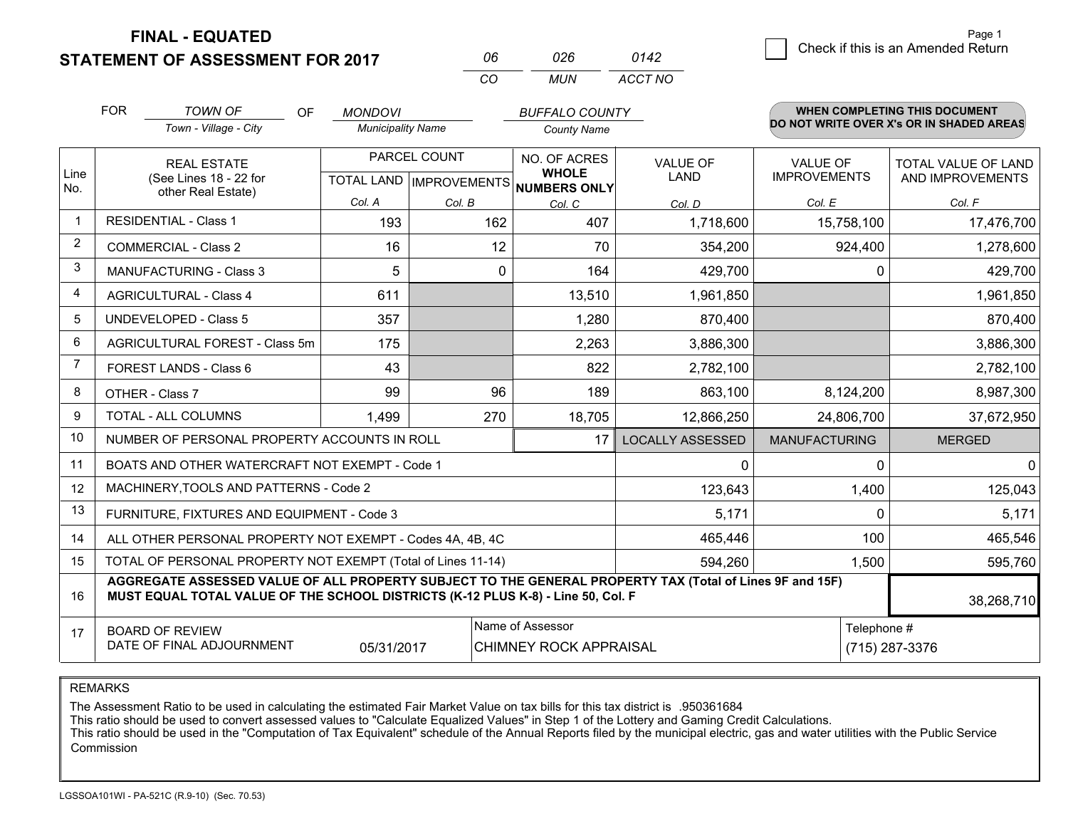**FINAL - EQUATED**

**STATEMENT OF ASSESSMENT FOR 2017** 

| NR       | กวค | 0142    |
|----------|-----|---------|
| $\alpha$ | MUN | ACCT NO |

|                | <b>FOR</b>                     | <b>TOWN OF</b><br><b>OF</b>                                                                                                                                                                  | <b>MONDOVI</b>           |                              | <b>BUFFALO COUNTY</b>                             |                                        |                                         | <b>WHEN COMPLETING THIS DOCUMENT</b>     |
|----------------|--------------------------------|----------------------------------------------------------------------------------------------------------------------------------------------------------------------------------------------|--------------------------|------------------------------|---------------------------------------------------|----------------------------------------|-----------------------------------------|------------------------------------------|
|                |                                | Town - Village - City                                                                                                                                                                        | <b>Municipality Name</b> |                              | <b>County Name</b>                                |                                        |                                         | DO NOT WRITE OVER X's OR IN SHADED AREAS |
| Line<br>No.    |                                | PARCEL COUNT<br><b>REAL ESTATE</b><br>(See Lines 18 - 22 for<br>TOTAL LAND IMPROVEMENTS NUMBERS ONLY                                                                                         |                          | NO. OF ACRES<br><b>WHOLE</b> | <b>VALUE OF</b><br><b>LAND</b>                    | <b>VALUE OF</b><br><b>IMPROVEMENTS</b> | TOTAL VALUE OF LAND<br>AND IMPROVEMENTS |                                          |
|                |                                | other Real Estate)                                                                                                                                                                           | Col. A                   | Col. B                       | Col. C                                            | Col. D                                 | Col. E                                  | Col. F                                   |
| $\mathbf 1$    |                                | <b>RESIDENTIAL - Class 1</b>                                                                                                                                                                 | 193                      | 162                          | 407                                               | 1,718,600                              | 15,758,100                              | 17,476,700                               |
| 2              |                                | <b>COMMERCIAL - Class 2</b>                                                                                                                                                                  | 16                       | 12                           | 70                                                | 354,200                                | 924,400                                 | 1,278,600                                |
| 3              |                                | <b>MANUFACTURING - Class 3</b>                                                                                                                                                               | 5                        | $\mathbf{0}$                 | 164                                               | 429,700                                |                                         | 429,700<br>$\Omega$                      |
| 4              |                                | <b>AGRICULTURAL - Class 4</b>                                                                                                                                                                | 611                      |                              | 13,510                                            | 1,961,850                              |                                         | 1,961,850                                |
| 5              |                                | <b>UNDEVELOPED - Class 5</b>                                                                                                                                                                 | 357                      |                              | 1,280                                             | 870,400                                |                                         | 870,400                                  |
| 6              | AGRICULTURAL FOREST - Class 5m |                                                                                                                                                                                              | 175                      |                              | 2,263                                             | 3,886,300                              |                                         | 3,886,300                                |
| $\overline{7}$ | FOREST LANDS - Class 6         |                                                                                                                                                                                              | 43                       |                              | 822                                               | 2,782,100                              |                                         | 2,782,100                                |
| 8              |                                | OTHER - Class 7                                                                                                                                                                              | 99                       | 96                           | 189                                               | 863,100                                | 8,124,200                               | 8,987,300                                |
| 9              |                                | TOTAL - ALL COLUMNS                                                                                                                                                                          | 1,499                    | 270                          | 18,705                                            | 12,866,250                             | 24,806,700                              | 37,672,950                               |
| 10             |                                | NUMBER OF PERSONAL PROPERTY ACCOUNTS IN ROLL                                                                                                                                                 |                          |                              | 17                                                | <b>LOCALLY ASSESSED</b>                | <b>MANUFACTURING</b>                    | <b>MERGED</b>                            |
| 11             |                                | BOATS AND OTHER WATERCRAFT NOT EXEMPT - Code 1                                                                                                                                               |                          |                              |                                                   | 0                                      |                                         | $\mathbf{0}$<br>$\Omega$                 |
| 12             |                                | MACHINERY, TOOLS AND PATTERNS - Code 2                                                                                                                                                       |                          |                              |                                                   | 123,643                                | 1,400                                   | 125,043                                  |
| 13             |                                | FURNITURE, FIXTURES AND EQUIPMENT - Code 3                                                                                                                                                   |                          |                              |                                                   | 5,171                                  |                                         | $\Omega$<br>5,171                        |
| 14             |                                | ALL OTHER PERSONAL PROPERTY NOT EXEMPT - Codes 4A, 4B, 4C                                                                                                                                    |                          |                              |                                                   | 465,446                                | 100                                     | 465,546                                  |
| 15             |                                | TOTAL OF PERSONAL PROPERTY NOT EXEMPT (Total of Lines 11-14)                                                                                                                                 |                          |                              |                                                   | 594,260                                | 1,500                                   | 595,760                                  |
| 16             |                                | AGGREGATE ASSESSED VALUE OF ALL PROPERTY SUBJECT TO THE GENERAL PROPERTY TAX (Total of Lines 9F and 15F)<br>MUST EQUAL TOTAL VALUE OF THE SCHOOL DISTRICTS (K-12 PLUS K-8) - Line 50, Col. F |                          |                              |                                                   |                                        |                                         | 38,268,710                               |
| 17             |                                | <b>BOARD OF REVIEW</b><br>DATE OF FINAL ADJOURNMENT                                                                                                                                          | 05/31/2017               |                              | Name of Assessor<br><b>CHIMNEY ROCK APPRAISAL</b> | Telephone #<br>(715) 287-3376          |                                         |                                          |

REMARKS

The Assessment Ratio to be used in calculating the estimated Fair Market Value on tax bills for this tax district is .950361684

This ratio should be used to convert assessed values to "Calculate Equalized Values" in Step 1 of the Lottery and Gaming Credit Calculations.<br>This ratio should be used in the "Computation of Tax Equivalent" schedule of the Commission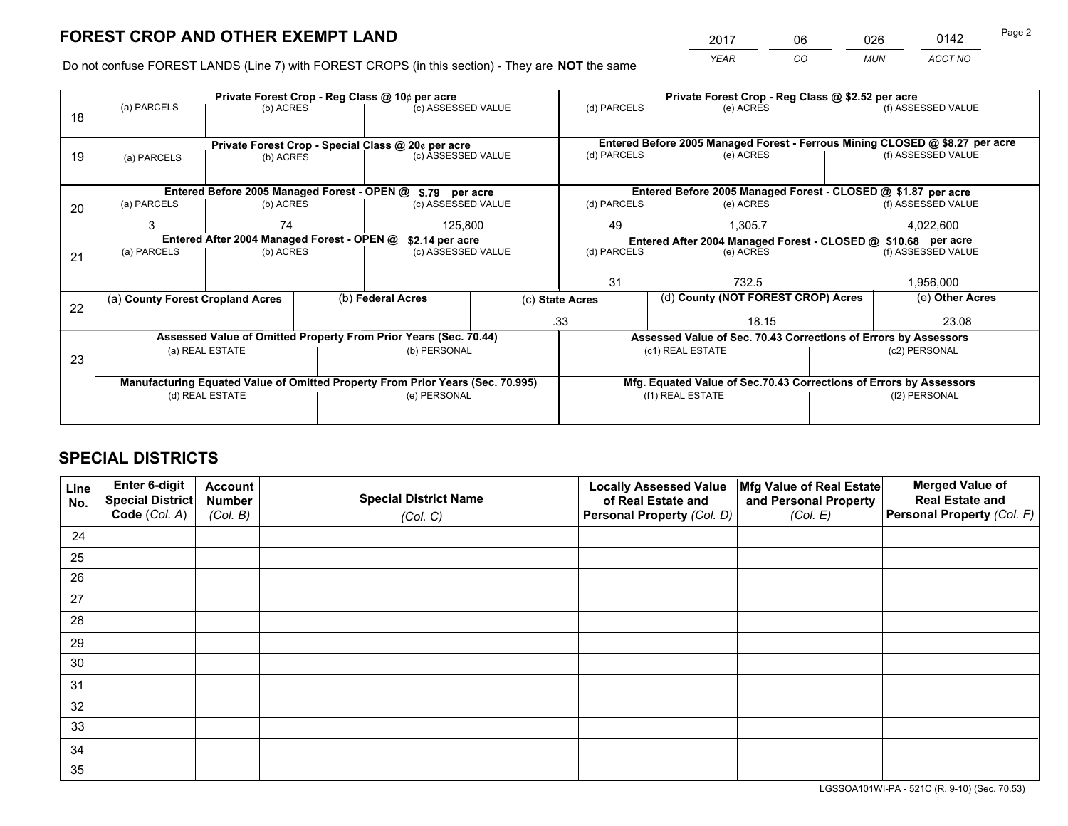*YEAR CO MUN ACCT NO* <sup>2017</sup> <sup>06</sup> <sup>026</sup> <sup>0142</sup> Page 2

Do not confuse FOREST LANDS (Line 7) with FOREST CROPS (in this section) - They are **NOT** the same

|    |                                  |                                             | Private Forest Crop - Reg Class @ 10¢ per acre                                   |  | Private Forest Crop - Reg Class @ \$2.52 per acre |                                                                              |           |                    |  |
|----|----------------------------------|---------------------------------------------|----------------------------------------------------------------------------------|--|---------------------------------------------------|------------------------------------------------------------------------------|-----------|--------------------|--|
| 18 | (a) PARCELS                      | (b) ACRES                                   | (c) ASSESSED VALUE                                                               |  | (d) PARCELS                                       | (e) ACRES                                                                    |           | (f) ASSESSED VALUE |  |
|    |                                  |                                             |                                                                                  |  |                                                   |                                                                              |           |                    |  |
|    |                                  |                                             | Private Forest Crop - Special Class @ 20¢ per acre                               |  |                                                   | Entered Before 2005 Managed Forest - Ferrous Mining CLOSED @ \$8.27 per acre |           |                    |  |
| 19 | (a) PARCELS                      | (b) ACRES                                   | (c) ASSESSED VALUE                                                               |  | (d) PARCELS                                       | (e) ACRES                                                                    |           | (f) ASSESSED VALUE |  |
|    |                                  |                                             |                                                                                  |  |                                                   |                                                                              |           |                    |  |
|    |                                  | Entered Before 2005 Managed Forest - OPEN @ | \$.79 per acre                                                                   |  |                                                   | Entered Before 2005 Managed Forest - CLOSED @ \$1.87 per acre                |           |                    |  |
| 20 | (a) PARCELS                      | (b) ACRES                                   | (c) ASSESSED VALUE                                                               |  | (d) PARCELS                                       | (e) ACRES                                                                    |           | (f) ASSESSED VALUE |  |
|    | 3                                | 74                                          | 125,800                                                                          |  | 49<br>1.305.7                                     |                                                                              | 4,022,600 |                    |  |
|    |                                  | Entered After 2004 Managed Forest - OPEN @  | \$2.14 per acre<br>Entered After 2004 Managed Forest - CLOSED @ \$10.68 per acre |  |                                                   |                                                                              |           |                    |  |
| 21 | (a) PARCELS                      | (b) ACRES                                   | (c) ASSESSED VALUE                                                               |  | (d) PARCELS                                       | (e) ACRES                                                                    |           | (f) ASSESSED VALUE |  |
|    |                                  |                                             |                                                                                  |  |                                                   |                                                                              |           |                    |  |
|    |                                  |                                             |                                                                                  |  | 31<br>732.5                                       |                                                                              |           | 1,956,000          |  |
| 22 | (a) County Forest Cropland Acres |                                             | (b) Federal Acres                                                                |  | (c) State Acres                                   | (d) County (NOT FOREST CROP) Acres                                           |           | (e) Other Acres    |  |
|    |                                  |                                             |                                                                                  |  | .33                                               | 18.15                                                                        |           | 23.08              |  |
|    |                                  |                                             | Assessed Value of Omitted Property From Prior Years (Sec. 70.44)                 |  |                                                   | Assessed Value of Sec. 70.43 Corrections of Errors by Assessors              |           |                    |  |
| 23 |                                  | (a) REAL ESTATE                             | (b) PERSONAL                                                                     |  |                                                   | (c1) REAL ESTATE                                                             |           | (c2) PERSONAL      |  |
|    |                                  |                                             |                                                                                  |  |                                                   |                                                                              |           |                    |  |
|    |                                  |                                             | Manufacturing Equated Value of Omitted Property From Prior Years (Sec. 70.995)   |  |                                                   | Mfg. Equated Value of Sec.70.43 Corrections of Errors by Assessors           |           |                    |  |
|    |                                  | (d) REAL ESTATE                             | (e) PERSONAL                                                                     |  | (f1) REAL ESTATE                                  |                                                                              |           | (f2) PERSONAL      |  |
|    |                                  |                                             |                                                                                  |  |                                                   |                                                                              |           |                    |  |

## **SPECIAL DISTRICTS**

| Line<br>No. | Enter 6-digit<br><b>Special District</b> | <b>Account</b><br><b>Number</b> | <b>Special District Name</b> | <b>Locally Assessed Value</b><br>of Real Estate and | Mfg Value of Real Estate<br>and Personal Property | <b>Merged Value of</b><br><b>Real Estate and</b> |
|-------------|------------------------------------------|---------------------------------|------------------------------|-----------------------------------------------------|---------------------------------------------------|--------------------------------------------------|
|             | Code (Col. A)                            | (Col. B)                        | (Col. C)                     | Personal Property (Col. D)                          | (Col. E)                                          | Personal Property (Col. F)                       |
| 24          |                                          |                                 |                              |                                                     |                                                   |                                                  |
| 25          |                                          |                                 |                              |                                                     |                                                   |                                                  |
| 26          |                                          |                                 |                              |                                                     |                                                   |                                                  |
| 27          |                                          |                                 |                              |                                                     |                                                   |                                                  |
| 28          |                                          |                                 |                              |                                                     |                                                   |                                                  |
| 29          |                                          |                                 |                              |                                                     |                                                   |                                                  |
| 30          |                                          |                                 |                              |                                                     |                                                   |                                                  |
| 31          |                                          |                                 |                              |                                                     |                                                   |                                                  |
| 32          |                                          |                                 |                              |                                                     |                                                   |                                                  |
| 33          |                                          |                                 |                              |                                                     |                                                   |                                                  |
| 34          |                                          |                                 |                              |                                                     |                                                   |                                                  |
| 35          |                                          |                                 |                              |                                                     |                                                   |                                                  |

LGSSOA101WI-PA - 521C (R. 9-10) (Sec. 70.53)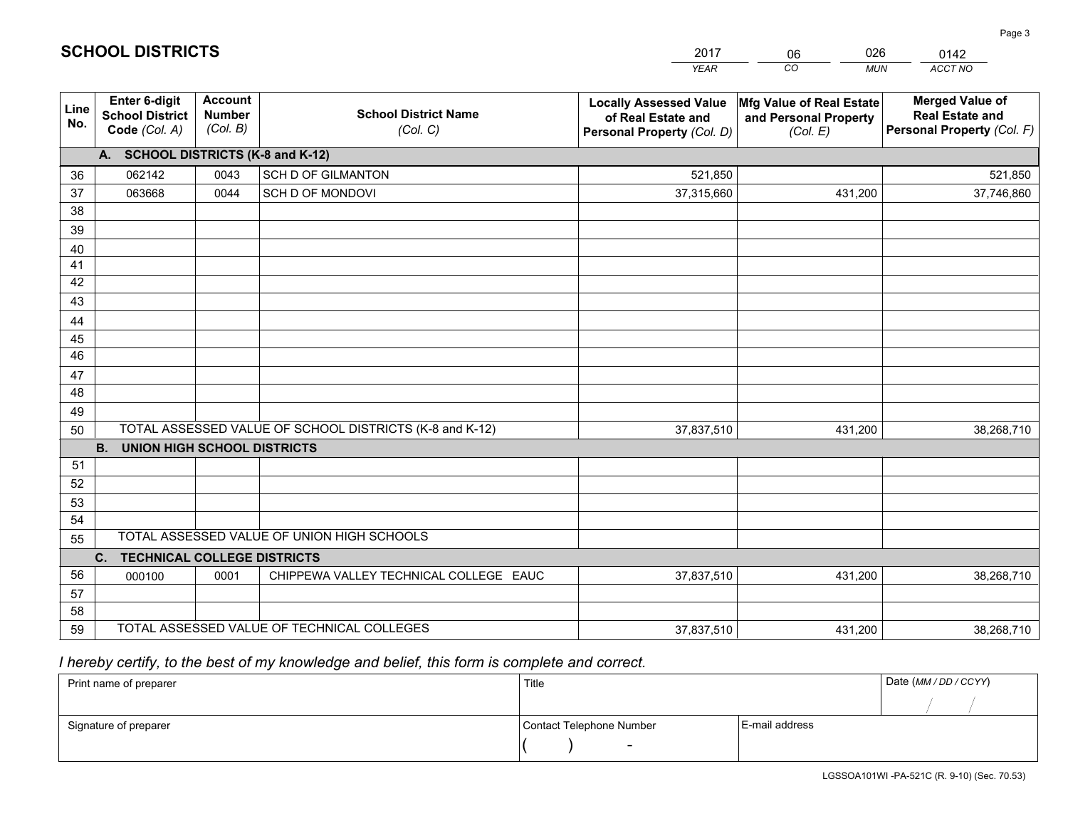|                 |                                                                                   |                                             |                                                         | <b>YEAR</b>                                                                       | CO<br><b>MUN</b>                                              | ACCT NO                                                                        |  |
|-----------------|-----------------------------------------------------------------------------------|---------------------------------------------|---------------------------------------------------------|-----------------------------------------------------------------------------------|---------------------------------------------------------------|--------------------------------------------------------------------------------|--|
| Line<br>No.     | <b>Enter 6-digit</b><br><b>School District</b><br>Code (Col. A)                   | <b>Account</b><br><b>Number</b><br>(Col. B) | <b>School District Name</b><br>(Col. C)                 | <b>Locally Assessed Value</b><br>of Real Estate and<br>Personal Property (Col. D) | Mfg Value of Real Estate<br>and Personal Property<br>(Col. E) | <b>Merged Value of</b><br><b>Real Estate and</b><br>Personal Property (Col. F) |  |
|                 | A. SCHOOL DISTRICTS (K-8 and K-12)                                                |                                             |                                                         |                                                                                   |                                                               |                                                                                |  |
| 36              | 062142                                                                            | 0043                                        | <b>SCH D OF GILMANTON</b>                               | 521,850                                                                           |                                                               | 521,850                                                                        |  |
| 37              | 063668                                                                            | 0044                                        | SCH D OF MONDOVI                                        | 37,315,660                                                                        | 431,200                                                       | 37,746,860                                                                     |  |
| 38              |                                                                                   |                                             |                                                         |                                                                                   |                                                               |                                                                                |  |
| 39              |                                                                                   |                                             |                                                         |                                                                                   |                                                               |                                                                                |  |
| 40              |                                                                                   |                                             |                                                         |                                                                                   |                                                               |                                                                                |  |
| 41              |                                                                                   |                                             |                                                         |                                                                                   |                                                               |                                                                                |  |
| 42<br>43        |                                                                                   |                                             |                                                         |                                                                                   |                                                               |                                                                                |  |
|                 |                                                                                   |                                             |                                                         |                                                                                   |                                                               |                                                                                |  |
| 44<br>45        |                                                                                   |                                             |                                                         |                                                                                   |                                                               |                                                                                |  |
| $\overline{46}$ |                                                                                   |                                             |                                                         |                                                                                   |                                                               |                                                                                |  |
| 47              |                                                                                   |                                             |                                                         |                                                                                   |                                                               |                                                                                |  |
| 48              |                                                                                   |                                             |                                                         |                                                                                   |                                                               |                                                                                |  |
| 49              |                                                                                   |                                             |                                                         |                                                                                   |                                                               |                                                                                |  |
| 50              |                                                                                   |                                             | TOTAL ASSESSED VALUE OF SCHOOL DISTRICTS (K-8 and K-12) | 37,837,510                                                                        | 431,200                                                       | 38,268,710                                                                     |  |
|                 | <b>B.</b><br>UNION HIGH SCHOOL DISTRICTS                                          |                                             |                                                         |                                                                                   |                                                               |                                                                                |  |
| 51              |                                                                                   |                                             |                                                         |                                                                                   |                                                               |                                                                                |  |
| 52              |                                                                                   |                                             |                                                         |                                                                                   |                                                               |                                                                                |  |
| 53              |                                                                                   |                                             |                                                         |                                                                                   |                                                               |                                                                                |  |
| 54              |                                                                                   |                                             |                                                         |                                                                                   |                                                               |                                                                                |  |
| 55              |                                                                                   |                                             | TOTAL ASSESSED VALUE OF UNION HIGH SCHOOLS              |                                                                                   |                                                               |                                                                                |  |
|                 | C.<br><b>TECHNICAL COLLEGE DISTRICTS</b>                                          |                                             |                                                         |                                                                                   |                                                               |                                                                                |  |
| 56              | 000100                                                                            | 0001                                        | CHIPPEWA VALLEY TECHNICAL COLLEGE EAUC                  | 37,837,510                                                                        | 431,200                                                       | 38,268,710                                                                     |  |
| 57              |                                                                                   |                                             |                                                         |                                                                                   |                                                               |                                                                                |  |
| 58<br>59        |                                                                                   |                                             |                                                         |                                                                                   |                                                               |                                                                                |  |
|                 | TOTAL ASSESSED VALUE OF TECHNICAL COLLEGES<br>431,200<br>38,268,710<br>37,837,510 |                                             |                                                         |                                                                                   |                                                               |                                                                                |  |

06

026

 *I hereby certify, to the best of my knowledge and belief, this form is complete and correct.*

**SCHOOL DISTRICTS**

| Print name of preparer | Title                    |                | Date (MM / DD / CCYY) |
|------------------------|--------------------------|----------------|-----------------------|
|                        |                          |                |                       |
| Signature of preparer  | Contact Telephone Number | E-mail address |                       |
|                        | $\sim$                   |                |                       |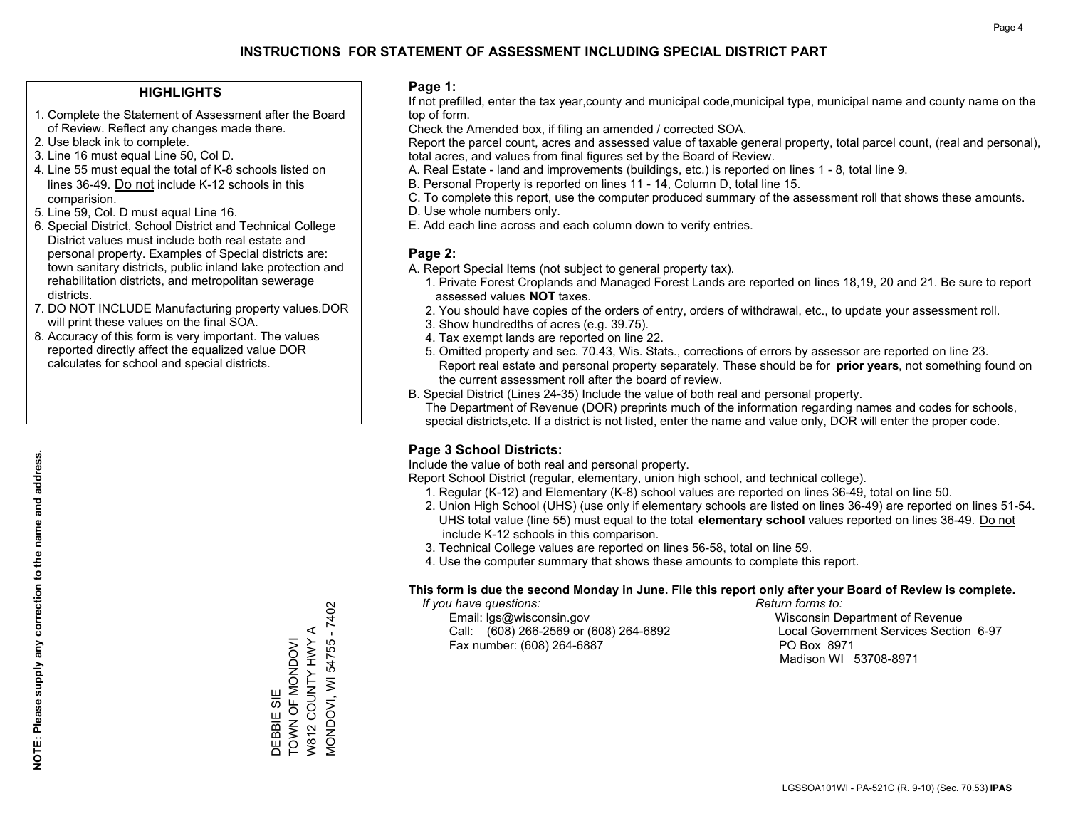## **HIGHLIGHTS**

- 1. Complete the Statement of Assessment after the Board of Review. Reflect any changes made there.
- 2. Use black ink to complete.
- 3. Line 16 must equal Line 50, Col D.
- 4. Line 55 must equal the total of K-8 schools listed on lines 36-49. Do not include K-12 schools in this comparision.
- 5. Line 59, Col. D must equal Line 16.
- 6. Special District, School District and Technical College District values must include both real estate and personal property. Examples of Special districts are: town sanitary districts, public inland lake protection and rehabilitation districts, and metropolitan sewerage districts.
- 7. DO NOT INCLUDE Manufacturing property values.DOR will print these values on the final SOA.

DEBBIE SIE

TOWN OF MONDOVI W812 COUNTY HWY A MONDOVI, WI 54755 - 7402

**MONDOVI, WI 54755 - 7402** W812 COUNTY HWY A DEBBIE SIE<br>TOWN OF MONDOVI

 8. Accuracy of this form is very important. The values reported directly affect the equalized value DOR calculates for school and special districts.

#### **Page 1:**

 If not prefilled, enter the tax year,county and municipal code,municipal type, municipal name and county name on the top of form.

Check the Amended box, if filing an amended / corrected SOA.

 Report the parcel count, acres and assessed value of taxable general property, total parcel count, (real and personal), total acres, and values from final figures set by the Board of Review.

- A. Real Estate land and improvements (buildings, etc.) is reported on lines 1 8, total line 9.
- B. Personal Property is reported on lines 11 14, Column D, total line 15.
- C. To complete this report, use the computer produced summary of the assessment roll that shows these amounts.
- D. Use whole numbers only.
- E. Add each line across and each column down to verify entries.

## **Page 2:**

- A. Report Special Items (not subject to general property tax).
- 1. Private Forest Croplands and Managed Forest Lands are reported on lines 18,19, 20 and 21. Be sure to report assessed values **NOT** taxes.
- 2. You should have copies of the orders of entry, orders of withdrawal, etc., to update your assessment roll.
	- 3. Show hundredths of acres (e.g. 39.75).
- 4. Tax exempt lands are reported on line 22.
- 5. Omitted property and sec. 70.43, Wis. Stats., corrections of errors by assessor are reported on line 23. Report real estate and personal property separately. These should be for **prior years**, not something found on the current assessment roll after the board of review.
- B. Special District (Lines 24-35) Include the value of both real and personal property.

 The Department of Revenue (DOR) preprints much of the information regarding names and codes for schools, special districts,etc. If a district is not listed, enter the name and value only, DOR will enter the proper code.

## **Page 3 School Districts:**

Include the value of both real and personal property.

Report School District (regular, elementary, union high school, and technical college).

- 1. Regular (K-12) and Elementary (K-8) school values are reported on lines 36-49, total on line 50.
- 2. Union High School (UHS) (use only if elementary schools are listed on lines 36-49) are reported on lines 51-54. UHS total value (line 55) must equal to the total **elementary school** values reported on lines 36-49. Do notinclude K-12 schools in this comparison.
- 3. Technical College values are reported on lines 56-58, total on line 59.
- 4. Use the computer summary that shows these amounts to complete this report.

#### **This form is due the second Monday in June. File this report only after your Board of Review is complete.**

 *If you have questions: Return forms to:*

 Email: lgs@wisconsin.gov Wisconsin Department of RevenueCall:  $(608)$  266-2569 or  $(608)$  264-6892 Fax number: (608) 264-6887 PO Box 8971

Local Government Services Section 6-97 Madison WI 53708-8971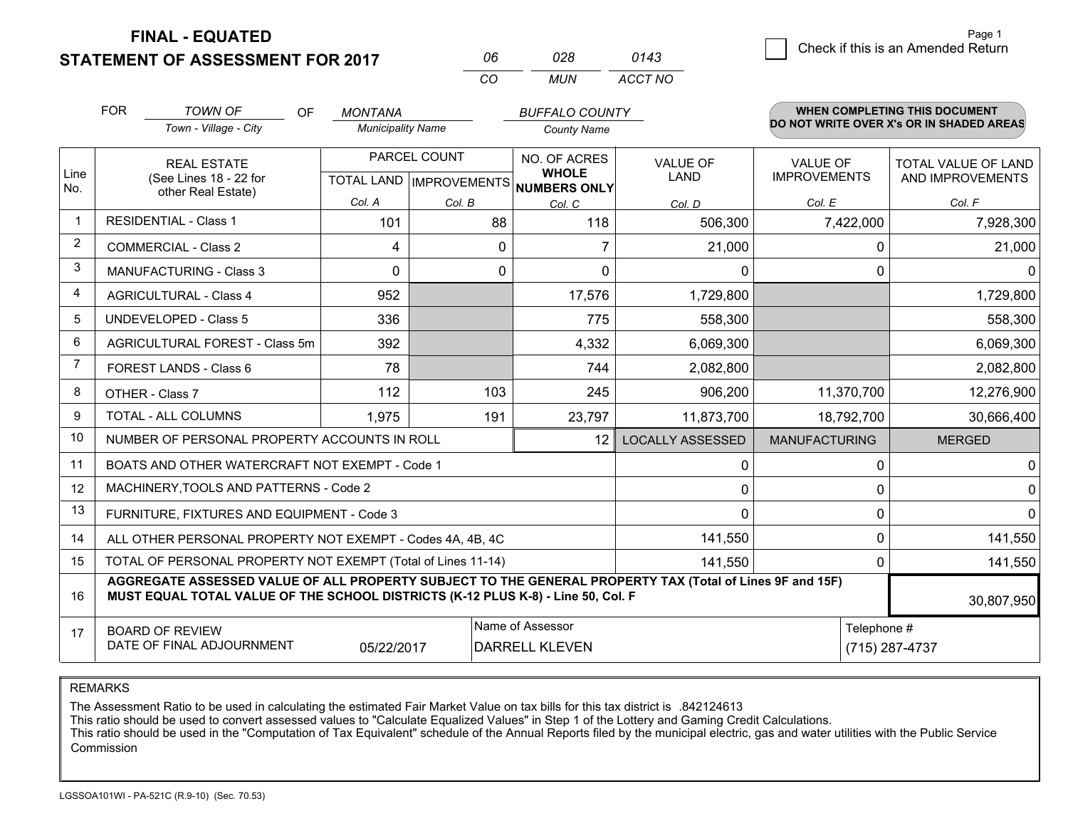**FINAL - EQUATED**

**STATEMENT OF ASSESSMENT FOR 2017** 

| nr       | กวล   | 0143    |
|----------|-------|---------|
| $\cdots$ | MI IN | ACCT NO |

|                | <b>FOR</b>                                                                                                                                                                                   | <b>TOWN OF</b><br>OF                                         | <b>MONTANA</b>                                       |          | <b>BUFFALO COUNTY</b>        |                         |                                        | WHEN COMPLETING THIS DOCUMENT            |
|----------------|----------------------------------------------------------------------------------------------------------------------------------------------------------------------------------------------|--------------------------------------------------------------|------------------------------------------------------|----------|------------------------------|-------------------------|----------------------------------------|------------------------------------------|
|                |                                                                                                                                                                                              | Town - Village - City                                        | <b>Municipality Name</b>                             |          | <b>County Name</b>           |                         |                                        | DO NOT WRITE OVER X's OR IN SHADED AREAS |
| Line<br>No.    | <b>REAL ESTATE</b><br>(See Lines 18 - 22 for                                                                                                                                                 |                                                              | PARCEL COUNT<br>TOTAL LAND IMPROVEMENTS NUMBERS ONLY |          | NO. OF ACRES<br><b>WHOLE</b> | <b>VALUE OF</b><br>LAND | <b>VALUE OF</b><br><b>IMPROVEMENTS</b> | TOTAL VALUE OF LAND<br>AND IMPROVEMENTS  |
|                |                                                                                                                                                                                              | other Real Estate)                                           | Col. A                                               | Col. B   | Col. C                       | Col. D                  | Col. E                                 | Col. F                                   |
|                | <b>RESIDENTIAL - Class 1</b>                                                                                                                                                                 |                                                              | 101                                                  | 88       | 118                          | 506,300                 | 7,422,000                              | 7,928,300                                |
| 2              |                                                                                                                                                                                              | <b>COMMERCIAL - Class 2</b>                                  | 4                                                    | $\Omega$ |                              | 21,000                  | 0                                      | 21,000                                   |
| 3              |                                                                                                                                                                                              | <b>MANUFACTURING - Class 3</b>                               | $\Omega$                                             | $\Omega$ | $\Omega$                     | 0                       | $\Omega$                               | $\Omega$                                 |
| 4              |                                                                                                                                                                                              | <b>AGRICULTURAL - Class 4</b>                                | 952                                                  |          | 17,576                       | 1,729,800               |                                        | 1,729,800                                |
| 5              |                                                                                                                                                                                              | UNDEVELOPED - Class 5                                        | 336                                                  |          | 775                          | 558,300                 |                                        | 558,300                                  |
| 6              |                                                                                                                                                                                              | AGRICULTURAL FOREST - Class 5m                               | 392                                                  |          | 4,332                        | 6,069,300               |                                        | 6,069,300                                |
| $\overline{7}$ |                                                                                                                                                                                              | FOREST LANDS - Class 6                                       | 78                                                   |          | 744                          | 2,082,800               |                                        | 2,082,800                                |
| 8              |                                                                                                                                                                                              | OTHER - Class 7                                              | 112                                                  | 103      | 245                          | 906,200                 | 11,370,700                             | 12,276,900                               |
| 9              |                                                                                                                                                                                              | TOTAL - ALL COLUMNS                                          | 1,975                                                | 191      | 23,797                       | 11,873,700              | 18,792,700                             | 30,666,400                               |
| 10             |                                                                                                                                                                                              | NUMBER OF PERSONAL PROPERTY ACCOUNTS IN ROLL                 |                                                      |          | 12                           | <b>LOCALLY ASSESSED</b> | <b>MANUFACTURING</b>                   | <b>MERGED</b>                            |
| 11             |                                                                                                                                                                                              | BOATS AND OTHER WATERCRAFT NOT EXEMPT - Code 1               |                                                      |          |                              | 0                       | $\Omega$                               | $\mathbf 0$                              |
| 12             |                                                                                                                                                                                              | MACHINERY, TOOLS AND PATTERNS - Code 2                       |                                                      |          |                              | 0                       | $\Omega$                               | $\mathbf 0$                              |
| 13             |                                                                                                                                                                                              | FURNITURE, FIXTURES AND EQUIPMENT - Code 3                   |                                                      |          |                              | $\Omega$                | $\Omega$                               | $\Omega$                                 |
| 14             |                                                                                                                                                                                              | ALL OTHER PERSONAL PROPERTY NOT EXEMPT - Codes 4A, 4B, 4C    |                                                      |          |                              | 141,550                 | 0                                      | 141,550                                  |
| 15             |                                                                                                                                                                                              | TOTAL OF PERSONAL PROPERTY NOT EXEMPT (Total of Lines 11-14) |                                                      |          | 141,550                      | 0                       | 141,550                                |                                          |
| 16             | AGGREGATE ASSESSED VALUE OF ALL PROPERTY SUBJECT TO THE GENERAL PROPERTY TAX (Total of Lines 9F and 15F)<br>MUST EQUAL TOTAL VALUE OF THE SCHOOL DISTRICTS (K-12 PLUS K-8) - Line 50, Col. F |                                                              |                                                      |          |                              |                         |                                        | 30,807,950                               |
| 17             | Name of Assessor<br><b>BOARD OF REVIEW</b><br>DATE OF FINAL ADJOURNMENT<br>05/22/2017<br><b>DARRELL KLEVEN</b>                                                                               |                                                              |                                                      |          |                              |                         | Telephone #                            | (715) 287-4737                           |

REMARKS

The Assessment Ratio to be used in calculating the estimated Fair Market Value on tax bills for this tax district is .842124613

This ratio should be used to convert assessed values to "Calculate Equalized Values" in Step 1 of the Lottery and Gaming Credit Calculations.<br>This ratio should be used in the "Computation of Tax Equivalent" schedule of the Commission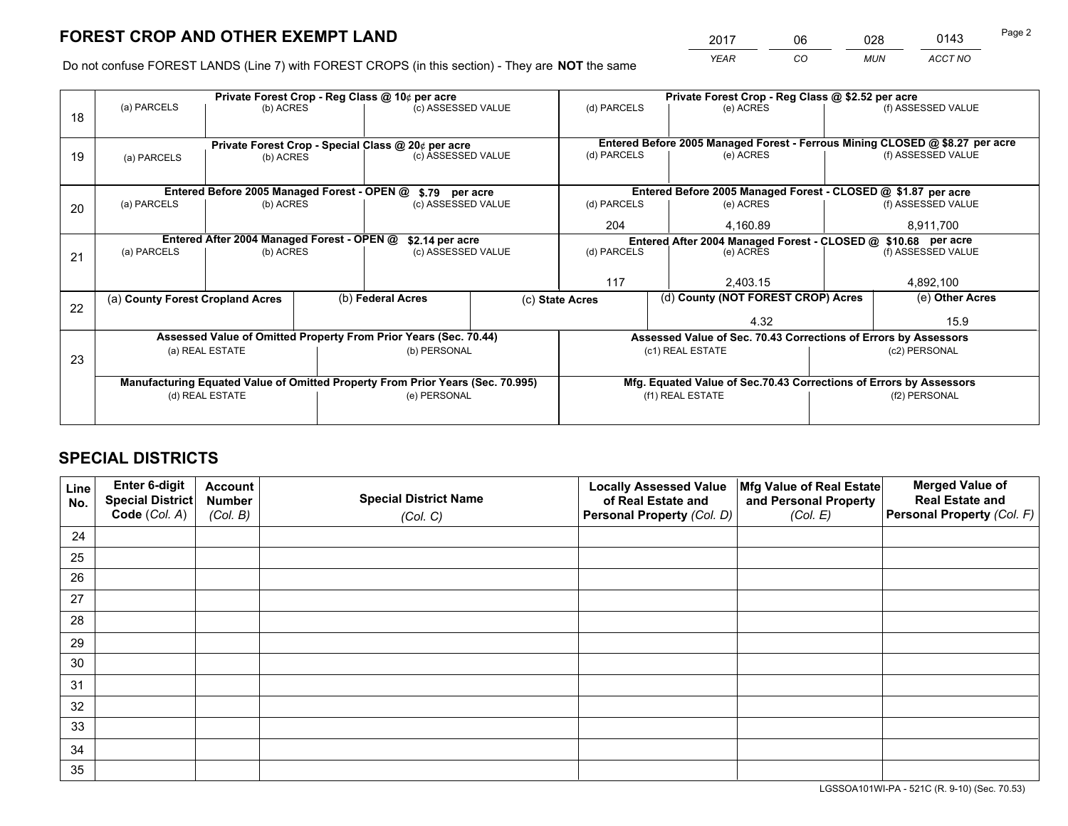*YEAR CO MUN ACCT NO* <sup>2017</sup> <sup>06</sup> <sup>028</sup> <sup>0143</sup> Page 2

Do not confuse FOREST LANDS (Line 7) with FOREST CROPS (in this section) - They are **NOT** the same

|    |                                                                                |                                             |                   | Private Forest Crop - Reg Class @ 10¢ per acre                   |                    | Private Forest Crop - Reg Class @ \$2.52 per acre                            |                                                                    |           |                                                                              |  |
|----|--------------------------------------------------------------------------------|---------------------------------------------|-------------------|------------------------------------------------------------------|--------------------|------------------------------------------------------------------------------|--------------------------------------------------------------------|-----------|------------------------------------------------------------------------------|--|
| 18 | (a) PARCELS                                                                    | (b) ACRES                                   |                   | (c) ASSESSED VALUE                                               |                    | (d) PARCELS                                                                  | (e) ACRES                                                          |           | (f) ASSESSED VALUE                                                           |  |
|    |                                                                                |                                             |                   |                                                                  |                    |                                                                              |                                                                    |           |                                                                              |  |
|    |                                                                                |                                             |                   | Private Forest Crop - Special Class @ 20¢ per acre               |                    |                                                                              |                                                                    |           | Entered Before 2005 Managed Forest - Ferrous Mining CLOSED @ \$8.27 per acre |  |
| 19 | (a) PARCELS                                                                    | (b) ACRES                                   |                   | (c) ASSESSED VALUE                                               |                    | (d) PARCELS                                                                  | (e) ACRES                                                          |           | (f) ASSESSED VALUE                                                           |  |
|    |                                                                                |                                             |                   |                                                                  |                    |                                                                              |                                                                    |           |                                                                              |  |
|    |                                                                                | Entered Before 2005 Managed Forest - OPEN @ |                   | \$.79 per acre                                                   |                    |                                                                              | Entered Before 2005 Managed Forest - CLOSED @ \$1.87 per acre      |           |                                                                              |  |
| 20 | (a) PARCELS                                                                    | (b) ACRES                                   |                   | (c) ASSESSED VALUE                                               |                    | (d) PARCELS                                                                  | (e) ACRES                                                          |           | (f) ASSESSED VALUE                                                           |  |
|    |                                                                                |                                             |                   |                                                                  | 204                | 4.160.89                                                                     |                                                                    | 8,911,700 |                                                                              |  |
|    | Entered After 2004 Managed Forest - OPEN @<br>\$2.14 per acre                  |                                             |                   |                                                                  |                    | Entered After 2004 Managed Forest - CLOSED @ \$10.68 per acre<br>(d) PARCELS |                                                                    |           |                                                                              |  |
| 21 | (a) PARCELS                                                                    | (b) ACRES                                   |                   |                                                                  | (c) ASSESSED VALUE |                                                                              | (e) ACRES                                                          |           | (f) ASSESSED VALUE                                                           |  |
|    |                                                                                |                                             |                   |                                                                  |                    |                                                                              |                                                                    |           |                                                                              |  |
|    |                                                                                |                                             |                   |                                                                  |                    | 117                                                                          | 2,403.15                                                           |           | 4,892,100                                                                    |  |
| 22 | (a) County Forest Cropland Acres                                               |                                             | (b) Federal Acres |                                                                  |                    | (c) State Acres                                                              | (d) County (NOT FOREST CROP) Acres                                 |           | (e) Other Acres                                                              |  |
|    |                                                                                |                                             |                   |                                                                  |                    |                                                                              | 4.32                                                               |           | 15.9                                                                         |  |
|    |                                                                                |                                             |                   | Assessed Value of Omitted Property From Prior Years (Sec. 70.44) |                    |                                                                              | Assessed Value of Sec. 70.43 Corrections of Errors by Assessors    |           |                                                                              |  |
| 23 |                                                                                | (a) REAL ESTATE                             |                   | (b) PERSONAL                                                     |                    |                                                                              | (c1) REAL ESTATE                                                   |           | (c2) PERSONAL                                                                |  |
|    |                                                                                |                                             |                   |                                                                  |                    |                                                                              |                                                                    |           |                                                                              |  |
|    | Manufacturing Equated Value of Omitted Property From Prior Years (Sec. 70.995) |                                             |                   |                                                                  |                    |                                                                              | Mfg. Equated Value of Sec.70.43 Corrections of Errors by Assessors |           |                                                                              |  |
|    |                                                                                | (d) REAL ESTATE                             |                   | (e) PERSONAL                                                     |                    | (f1) REAL ESTATE                                                             |                                                                    |           | (f2) PERSONAL                                                                |  |
|    |                                                                                |                                             |                   |                                                                  |                    |                                                                              |                                                                    |           |                                                                              |  |

## **SPECIAL DISTRICTS**

| Line<br>No. | Enter 6-digit<br>Special District<br>Code (Col. A) | <b>Account</b><br><b>Number</b> | <b>Special District Name</b> | <b>Locally Assessed Value</b><br>of Real Estate and | Mfg Value of Real Estate<br>and Personal Property | <b>Merged Value of</b><br><b>Real Estate and</b><br>Personal Property (Col. F) |
|-------------|----------------------------------------------------|---------------------------------|------------------------------|-----------------------------------------------------|---------------------------------------------------|--------------------------------------------------------------------------------|
|             |                                                    | (Col. B)                        | (Col. C)                     | Personal Property (Col. D)                          | (Col. E)                                          |                                                                                |
| 24          |                                                    |                                 |                              |                                                     |                                                   |                                                                                |
| 25          |                                                    |                                 |                              |                                                     |                                                   |                                                                                |
| 26          |                                                    |                                 |                              |                                                     |                                                   |                                                                                |
| 27          |                                                    |                                 |                              |                                                     |                                                   |                                                                                |
| 28          |                                                    |                                 |                              |                                                     |                                                   |                                                                                |
| 29          |                                                    |                                 |                              |                                                     |                                                   |                                                                                |
| 30          |                                                    |                                 |                              |                                                     |                                                   |                                                                                |
| 31          |                                                    |                                 |                              |                                                     |                                                   |                                                                                |
| 32          |                                                    |                                 |                              |                                                     |                                                   |                                                                                |
| 33          |                                                    |                                 |                              |                                                     |                                                   |                                                                                |
| 34          |                                                    |                                 |                              |                                                     |                                                   |                                                                                |
| 35          |                                                    |                                 |                              |                                                     |                                                   |                                                                                |

LGSSOA101WI-PA - 521C (R. 9-10) (Sec. 70.53)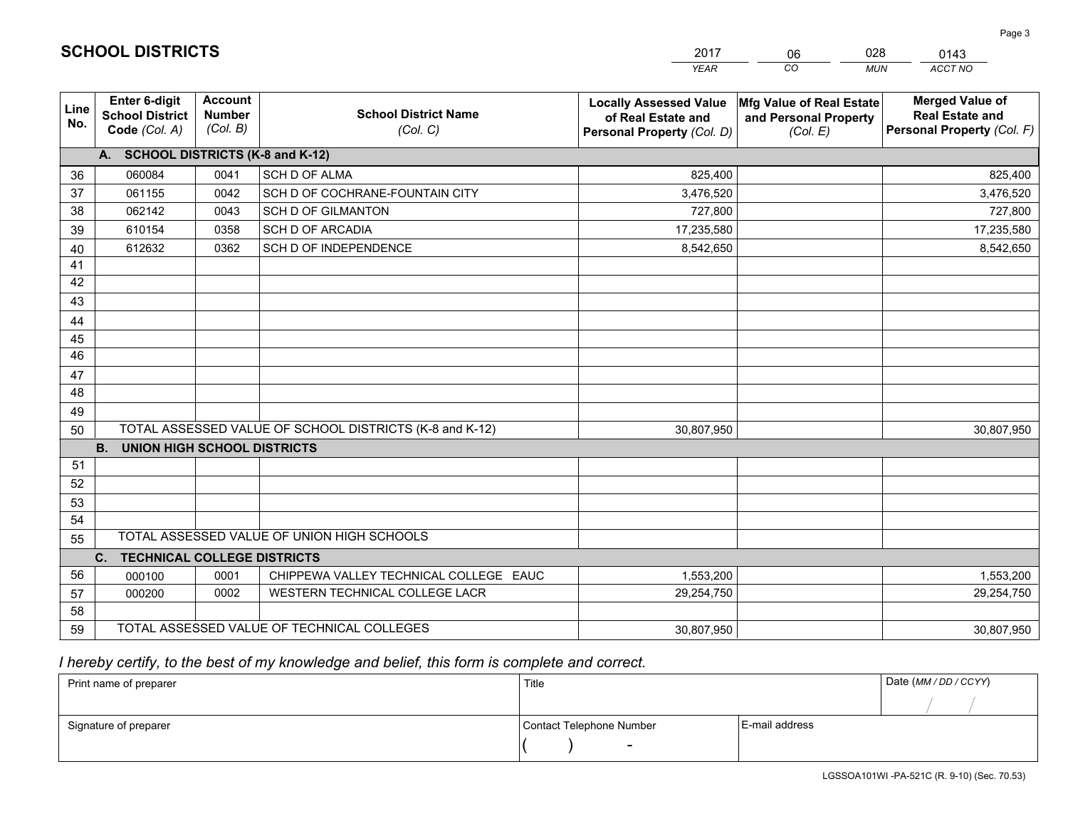|                 |                                                          |                                             |                                                         | <b>YEAR</b>                                                                       | CO<br><b>MUN</b>                                              | ACCT NO                                                                        |
|-----------------|----------------------------------------------------------|---------------------------------------------|---------------------------------------------------------|-----------------------------------------------------------------------------------|---------------------------------------------------------------|--------------------------------------------------------------------------------|
| Line<br>No.     | Enter 6-digit<br><b>School District</b><br>Code (Col. A) | <b>Account</b><br><b>Number</b><br>(Col. B) | <b>School District Name</b><br>(Col. C)                 | <b>Locally Assessed Value</b><br>of Real Estate and<br>Personal Property (Col. D) | Mfg Value of Real Estate<br>and Personal Property<br>(Col. E) | <b>Merged Value of</b><br><b>Real Estate and</b><br>Personal Property (Col. F) |
|                 | A. SCHOOL DISTRICTS (K-8 and K-12)                       |                                             |                                                         |                                                                                   |                                                               |                                                                                |
| 36              | 060084                                                   | 0041                                        | <b>SCH D OF ALMA</b>                                    | 825,400                                                                           |                                                               | 825,400                                                                        |
| 37              | 061155                                                   | 0042                                        | SCH D OF COCHRANE-FOUNTAIN CITY                         | 3,476,520                                                                         |                                                               | 3,476,520                                                                      |
| 38              | 062142                                                   | 0043                                        | <b>SCH D OF GILMANTON</b>                               | 727,800                                                                           |                                                               | 727,800                                                                        |
| 39              | 610154                                                   | 0358                                        | <b>SCH D OF ARCADIA</b>                                 | 17,235,580                                                                        |                                                               | 17,235,580                                                                     |
| 40              | 612632                                                   | 0362                                        | SCH D OF INDEPENDENCE                                   | 8,542,650                                                                         |                                                               | 8,542,650                                                                      |
| 41              |                                                          |                                             |                                                         |                                                                                   |                                                               |                                                                                |
| 42              |                                                          |                                             |                                                         |                                                                                   |                                                               |                                                                                |
| 43              |                                                          |                                             |                                                         |                                                                                   |                                                               |                                                                                |
| 44              |                                                          |                                             |                                                         |                                                                                   |                                                               |                                                                                |
| 45              |                                                          |                                             |                                                         |                                                                                   |                                                               |                                                                                |
| $\overline{46}$ |                                                          |                                             |                                                         |                                                                                   |                                                               |                                                                                |
| 47              |                                                          |                                             |                                                         |                                                                                   |                                                               |                                                                                |
| 48              |                                                          |                                             |                                                         |                                                                                   |                                                               |                                                                                |
| 49              |                                                          |                                             |                                                         |                                                                                   |                                                               |                                                                                |
| 50              |                                                          |                                             | TOTAL ASSESSED VALUE OF SCHOOL DISTRICTS (K-8 and K-12) | 30,807,950                                                                        |                                                               | 30,807,950                                                                     |
|                 | <b>B.</b><br><b>UNION HIGH SCHOOL DISTRICTS</b>          |                                             |                                                         |                                                                                   |                                                               |                                                                                |
| 51              |                                                          |                                             |                                                         |                                                                                   |                                                               |                                                                                |
| 52              |                                                          |                                             |                                                         |                                                                                   |                                                               |                                                                                |
| 53              |                                                          |                                             |                                                         |                                                                                   |                                                               |                                                                                |
| 54              |                                                          |                                             |                                                         |                                                                                   |                                                               |                                                                                |
| 55              |                                                          |                                             | TOTAL ASSESSED VALUE OF UNION HIGH SCHOOLS              |                                                                                   |                                                               |                                                                                |
|                 | C.<br><b>TECHNICAL COLLEGE DISTRICTS</b>                 |                                             |                                                         |                                                                                   |                                                               |                                                                                |
| 56              | 000100                                                   | 0001                                        | CHIPPEWA VALLEY TECHNICAL COLLEGE EAUC                  | 1,553,200                                                                         |                                                               | 1,553,200                                                                      |
| 57              | 000200                                                   | 0002                                        | WESTERN TECHNICAL COLLEGE LACR                          | 29,254,750                                                                        |                                                               | 29,254,750                                                                     |
| 58              |                                                          |                                             |                                                         |                                                                                   |                                                               |                                                                                |
| 59              |                                                          |                                             | TOTAL ASSESSED VALUE OF TECHNICAL COLLEGES              | 30,807,950                                                                        |                                                               | 30,807,950                                                                     |

06

028

## *I hereby certify, to the best of my knowledge and belief, this form is complete and correct.*

**SCHOOL DISTRICTS**

| Print name of preparer | Title                    |                | Date (MM / DD / CCYY) |
|------------------------|--------------------------|----------------|-----------------------|
|                        |                          |                |                       |
| Signature of preparer  | Contact Telephone Number | E-mail address |                       |
|                        | $\overline{\phantom{0}}$ |                |                       |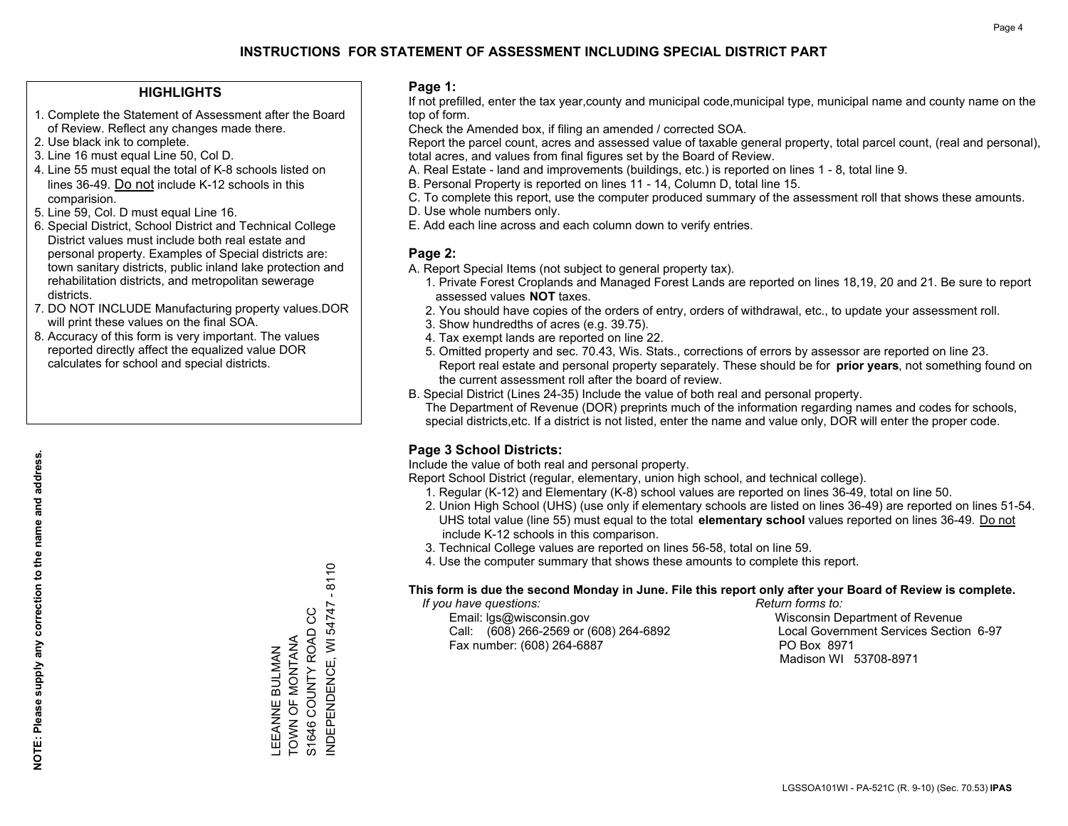## **HIGHLIGHTS**

- 1. Complete the Statement of Assessment after the Board of Review. Reflect any changes made there.
- 2. Use black ink to complete.
- 3. Line 16 must equal Line 50, Col D.
- 4. Line 55 must equal the total of K-8 schools listed on lines 36-49. Do not include K-12 schools in this comparision.
- 5. Line 59, Col. D must equal Line 16.
- 6. Special District, School District and Technical College District values must include both real estate and personal property. Examples of Special districts are: town sanitary districts, public inland lake protection and rehabilitation districts, and metropolitan sewerage districts.
- 7. DO NOT INCLUDE Manufacturing property values.DOR will print these values on the final SOA.
- 8. Accuracy of this form is very important. The values reported directly affect the equalized value DOR calculates for school and special districts.

#### **Page 1:**

 If not prefilled, enter the tax year,county and municipal code,municipal type, municipal name and county name on the top of form.

Check the Amended box, if filing an amended / corrected SOA.

 Report the parcel count, acres and assessed value of taxable general property, total parcel count, (real and personal), total acres, and values from final figures set by the Board of Review.

- A. Real Estate land and improvements (buildings, etc.) is reported on lines 1 8, total line 9.
- B. Personal Property is reported on lines 11 14, Column D, total line 15.
- C. To complete this report, use the computer produced summary of the assessment roll that shows these amounts.
- D. Use whole numbers only.
- E. Add each line across and each column down to verify entries.

#### **Page 2:**

- A. Report Special Items (not subject to general property tax).
- 1. Private Forest Croplands and Managed Forest Lands are reported on lines 18,19, 20 and 21. Be sure to report assessed values **NOT** taxes.
- 2. You should have copies of the orders of entry, orders of withdrawal, etc., to update your assessment roll.
	- 3. Show hundredths of acres (e.g. 39.75).
- 4. Tax exempt lands are reported on line 22.
- 5. Omitted property and sec. 70.43, Wis. Stats., corrections of errors by assessor are reported on line 23. Report real estate and personal property separately. These should be for **prior years**, not something found on the current assessment roll after the board of review.
- B. Special District (Lines 24-35) Include the value of both real and personal property.
- The Department of Revenue (DOR) preprints much of the information regarding names and codes for schools, special districts,etc. If a district is not listed, enter the name and value only, DOR will enter the proper code.

## **Page 3 School Districts:**

Include the value of both real and personal property.

Report School District (regular, elementary, union high school, and technical college).

- 1. Regular (K-12) and Elementary (K-8) school values are reported on lines 36-49, total on line 50.
- 2. Union High School (UHS) (use only if elementary schools are listed on lines 36-49) are reported on lines 51-54. UHS total value (line 55) must equal to the total **elementary school** values reported on lines 36-49. Do notinclude K-12 schools in this comparison.
- 3. Technical College values are reported on lines 56-58, total on line 59.
- 4. Use the computer summary that shows these amounts to complete this report.

#### **This form is due the second Monday in June. File this report only after your Board of Review is complete.**

 *If you have questions: Return forms to:*

 Email: lgs@wisconsin.gov Wisconsin Department of RevenueCall:  $(608)$  266-2569 or  $(608)$  264-6892 Fax number: (608) 264-6887 PO Box 8971

Local Government Services Section 6-97 Madison WI 53708-8971

NDEPENDENCE, WI 54747 - 8110 INDEPENDENCE, WI 54747 - 8110 S1646 COUNTY ROAD CC S1646 COUNTY ROAD CC TOWN OF MONTANA LEEANNE BULMAN<br>TOWN OF MONTANA LEEANNE BULMAN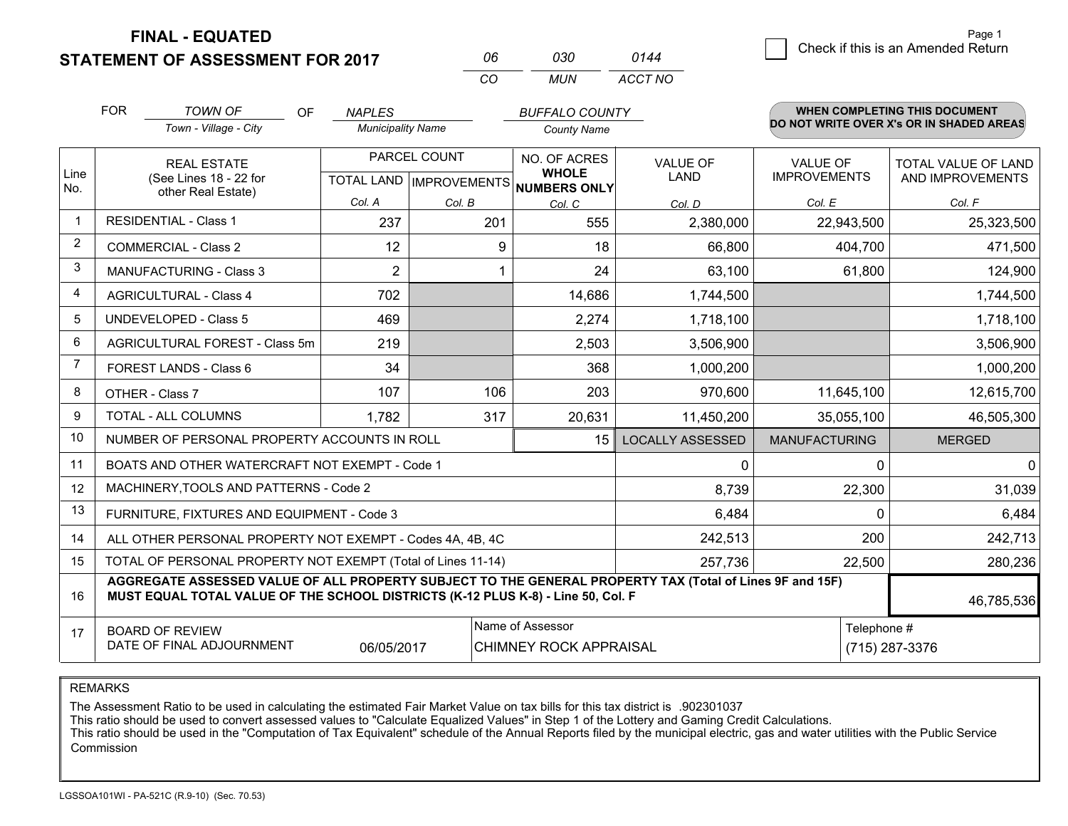**FINAL - EQUATED**

**STATEMENT OF ASSESSMENT FOR 2017** 

| 06  | റദറ | 0144    |
|-----|-----|---------|
| CO. | MUN | ACCT NO |

|              | <b>FOR</b>                                                                                                                                                                                                 | <b>TOWN OF</b><br><b>OF</b><br>Town - Village - City         | <b>NAPLES</b><br><b>Municipality Name</b> |                                                      | <b>BUFFALO COUNTY</b><br><b>County Name</b> |                                | WHEN COMPLETING THIS DOCUMENT<br>DO NOT WRITE OVER X's OR IN SHADED AREAS |                                                |
|--------------|------------------------------------------------------------------------------------------------------------------------------------------------------------------------------------------------------------|--------------------------------------------------------------|-------------------------------------------|------------------------------------------------------|---------------------------------------------|--------------------------------|---------------------------------------------------------------------------|------------------------------------------------|
| Line<br>No.  | <b>REAL ESTATE</b><br>(See Lines 18 - 22 for<br>other Real Estate)                                                                                                                                         |                                                              |                                           | PARCEL COUNT<br>TOTAL LAND IMPROVEMENTS NUMBERS ONLY |                                             | <b>VALUE OF</b><br><b>LAND</b> | <b>VALUE OF</b><br><b>IMPROVEMENTS</b>                                    | <b>TOTAL VALUE OF LAND</b><br>AND IMPROVEMENTS |
|              |                                                                                                                                                                                                            |                                                              | Col. A                                    | Col. B                                               | Col. C                                      | Col. D                         | Col. E                                                                    | Col. F                                         |
| $\mathbf{1}$ |                                                                                                                                                                                                            | <b>RESIDENTIAL - Class 1</b>                                 | 237                                       | 201                                                  | 555                                         | 2,380,000                      | 22,943,500                                                                | 25,323,500                                     |
| 2            |                                                                                                                                                                                                            | <b>COMMERCIAL - Class 2</b>                                  | 12                                        | 9                                                    | 18                                          | 66,800                         | 404,700                                                                   | 471,500                                        |
| 3            |                                                                                                                                                                                                            | MANUFACTURING - Class 3                                      | $\overline{2}$                            |                                                      | 24                                          | 63,100                         | 61,800                                                                    | 124,900                                        |
| 4            |                                                                                                                                                                                                            | <b>AGRICULTURAL - Class 4</b>                                | 702                                       |                                                      | 14,686                                      | 1,744,500                      |                                                                           | 1,744,500                                      |
| 5            |                                                                                                                                                                                                            | <b>UNDEVELOPED - Class 5</b>                                 | 469                                       |                                                      | 2,274                                       | 1,718,100                      |                                                                           | 1,718,100                                      |
| 6            |                                                                                                                                                                                                            | AGRICULTURAL FOREST - Class 5m                               | 219                                       |                                                      | 2,503                                       | 3,506,900                      |                                                                           | 3,506,900                                      |
| 7            |                                                                                                                                                                                                            | FOREST LANDS - Class 6                                       | 34                                        |                                                      | 368                                         | 1,000,200                      |                                                                           | 1,000,200                                      |
| 8            |                                                                                                                                                                                                            | OTHER - Class 7                                              | 107                                       | 106                                                  | 203                                         | 970,600                        | 11,645,100                                                                | 12,615,700                                     |
| 9            |                                                                                                                                                                                                            | TOTAL - ALL COLUMNS                                          | 1,782                                     | 317                                                  | 20,631                                      | 11,450,200                     | 35,055,100                                                                | 46,505,300                                     |
| 10           |                                                                                                                                                                                                            | NUMBER OF PERSONAL PROPERTY ACCOUNTS IN ROLL                 |                                           |                                                      | 15                                          | <b>LOCALLY ASSESSED</b>        | <b>MANUFACTURING</b>                                                      | <b>MERGED</b>                                  |
| 11           |                                                                                                                                                                                                            | BOATS AND OTHER WATERCRAFT NOT EXEMPT - Code 1               |                                           |                                                      |                                             | 0                              | 0                                                                         | $\mathbf{0}$                                   |
| 12           |                                                                                                                                                                                                            | MACHINERY, TOOLS AND PATTERNS - Code 2                       |                                           |                                                      |                                             | 8,739                          | 22,300                                                                    | 31,039                                         |
| 13           |                                                                                                                                                                                                            | FURNITURE, FIXTURES AND EQUIPMENT - Code 3                   |                                           |                                                      |                                             | 6,484                          | $\Omega$                                                                  | 6,484                                          |
| 14           |                                                                                                                                                                                                            | ALL OTHER PERSONAL PROPERTY NOT EXEMPT - Codes 4A, 4B, 4C    |                                           |                                                      |                                             | 242,513                        | 200                                                                       | 242,713                                        |
| 15           |                                                                                                                                                                                                            | TOTAL OF PERSONAL PROPERTY NOT EXEMPT (Total of Lines 11-14) |                                           |                                                      | 257,736                                     | 22,500                         | 280,236                                                                   |                                                |
| 16           | AGGREGATE ASSESSED VALUE OF ALL PROPERTY SUBJECT TO THE GENERAL PROPERTY TAX (Total of Lines 9F and 15F)<br>MUST EQUAL TOTAL VALUE OF THE SCHOOL DISTRICTS (K-12 PLUS K-8) - Line 50, Col. F<br>46,785,536 |                                                              |                                           |                                                      |                                             |                                |                                                                           |                                                |
| 17           | Name of Assessor<br><b>BOARD OF REVIEW</b><br>DATE OF FINAL ADJOURNMENT<br>06/05/2017<br>CHIMNEY ROCK APPRAISAL                                                                                            |                                                              |                                           |                                                      |                                             |                                | Telephone #                                                               | (715) 287-3376                                 |

REMARKS

The Assessment Ratio to be used in calculating the estimated Fair Market Value on tax bills for this tax district is .902301037

This ratio should be used to convert assessed values to "Calculate Equalized Values" in Step 1 of the Lottery and Gaming Credit Calculations.<br>This ratio should be used in the "Computation of Tax Equivalent" schedule of the Commission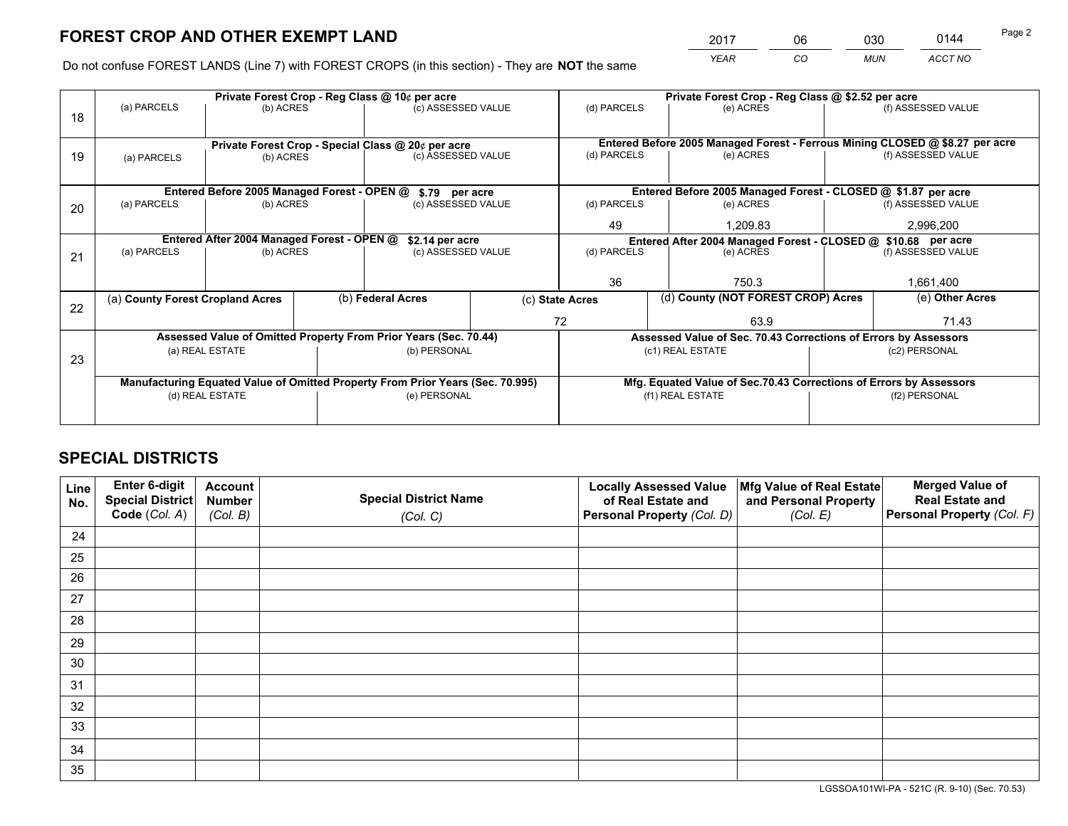*YEAR CO MUN ACCT NO* <sup>2017</sup> <sup>06</sup> <sup>030</sup> <sup>0144</sup>

Do not confuse FOREST LANDS (Line 7) with FOREST CROPS (in this section) - They are **NOT** the same

|    |                                                                                |                                             |  | Private Forest Crop - Reg Class @ 10¢ per acre                   |    | Private Forest Crop - Reg Class @ \$2.52 per acre |                                                                    |           |                                                                              |  |
|----|--------------------------------------------------------------------------------|---------------------------------------------|--|------------------------------------------------------------------|----|---------------------------------------------------|--------------------------------------------------------------------|-----------|------------------------------------------------------------------------------|--|
| 18 | (a) PARCELS                                                                    | (b) ACRES                                   |  | (c) ASSESSED VALUE                                               |    | (d) PARCELS                                       | (e) ACRES                                                          |           | (f) ASSESSED VALUE                                                           |  |
|    |                                                                                |                                             |  |                                                                  |    |                                                   |                                                                    |           |                                                                              |  |
|    |                                                                                |                                             |  | Private Forest Crop - Special Class @ 20¢ per acre               |    |                                                   |                                                                    |           | Entered Before 2005 Managed Forest - Ferrous Mining CLOSED @ \$8.27 per acre |  |
| 19 | (a) PARCELS                                                                    | (b) ACRES                                   |  | (c) ASSESSED VALUE                                               |    | (d) PARCELS                                       | (e) ACRES                                                          |           | (f) ASSESSED VALUE                                                           |  |
|    |                                                                                |                                             |  |                                                                  |    |                                                   |                                                                    |           |                                                                              |  |
|    |                                                                                | Entered Before 2005 Managed Forest - OPEN @ |  | \$.79 per acre                                                   |    |                                                   | Entered Before 2005 Managed Forest - CLOSED @ \$1.87 per acre      |           |                                                                              |  |
| 20 | (a) PARCELS                                                                    | (b) ACRES                                   |  | (c) ASSESSED VALUE                                               |    | (d) PARCELS                                       | (e) ACRES                                                          |           | (f) ASSESSED VALUE                                                           |  |
|    |                                                                                |                                             |  |                                                                  | 49 | 1.209.83                                          |                                                                    | 2,996,200 |                                                                              |  |
|    |                                                                                | Entered After 2004 Managed Forest - OPEN @  |  | \$2.14 per acre                                                  |    |                                                   | Entered After 2004 Managed Forest - CLOSED @ \$10.68 per acre      |           |                                                                              |  |
| 21 | (a) PARCELS                                                                    | (b) ACRES                                   |  | (c) ASSESSED VALUE                                               |    | (d) PARCELS                                       | (e) ACRES                                                          |           | (f) ASSESSED VALUE                                                           |  |
|    |                                                                                |                                             |  |                                                                  |    |                                                   |                                                                    |           |                                                                              |  |
|    |                                                                                |                                             |  |                                                                  |    | 36                                                | 750.3                                                              |           | 1,661,400                                                                    |  |
| 22 | (a) County Forest Cropland Acres                                               |                                             |  | (b) Federal Acres                                                |    | (c) State Acres                                   | (d) County (NOT FOREST CROP) Acres                                 |           | (e) Other Acres                                                              |  |
|    |                                                                                |                                             |  |                                                                  |    | 72                                                | 63.9                                                               |           | 71.43                                                                        |  |
|    |                                                                                |                                             |  | Assessed Value of Omitted Property From Prior Years (Sec. 70.44) |    |                                                   | Assessed Value of Sec. 70.43 Corrections of Errors by Assessors    |           |                                                                              |  |
| 23 |                                                                                | (a) REAL ESTATE                             |  | (b) PERSONAL                                                     |    |                                                   | (c1) REAL ESTATE                                                   |           | (c2) PERSONAL                                                                |  |
|    |                                                                                |                                             |  |                                                                  |    |                                                   |                                                                    |           |                                                                              |  |
|    | Manufacturing Equated Value of Omitted Property From Prior Years (Sec. 70.995) |                                             |  |                                                                  |    |                                                   | Mfg. Equated Value of Sec.70.43 Corrections of Errors by Assessors |           |                                                                              |  |
|    |                                                                                | (d) REAL ESTATE                             |  | (e) PERSONAL                                                     |    |                                                   | (f1) REAL ESTATE                                                   |           | (f2) PERSONAL                                                                |  |
|    |                                                                                |                                             |  |                                                                  |    |                                                   |                                                                    |           |                                                                              |  |

## **SPECIAL DISTRICTS**

| Line<br>No. | Enter 6-digit<br>Special District<br>Code (Col. A) | <b>Account</b><br><b>Number</b><br>(Col. B) | <b>Special District Name</b><br>(Col. C) | <b>Locally Assessed Value</b><br>of Real Estate and<br>Personal Property (Col. D) | Mfg Value of Real Estate<br>and Personal Property<br>(Col. E) | <b>Merged Value of</b><br><b>Real Estate and</b><br>Personal Property (Col. F) |
|-------------|----------------------------------------------------|---------------------------------------------|------------------------------------------|-----------------------------------------------------------------------------------|---------------------------------------------------------------|--------------------------------------------------------------------------------|
| 24          |                                                    |                                             |                                          |                                                                                   |                                                               |                                                                                |
| 25          |                                                    |                                             |                                          |                                                                                   |                                                               |                                                                                |
| 26          |                                                    |                                             |                                          |                                                                                   |                                                               |                                                                                |
| 27          |                                                    |                                             |                                          |                                                                                   |                                                               |                                                                                |
| 28          |                                                    |                                             |                                          |                                                                                   |                                                               |                                                                                |
| 29          |                                                    |                                             |                                          |                                                                                   |                                                               |                                                                                |
| 30          |                                                    |                                             |                                          |                                                                                   |                                                               |                                                                                |
| 31          |                                                    |                                             |                                          |                                                                                   |                                                               |                                                                                |
| 32          |                                                    |                                             |                                          |                                                                                   |                                                               |                                                                                |
| 33          |                                                    |                                             |                                          |                                                                                   |                                                               |                                                                                |
| 34          |                                                    |                                             |                                          |                                                                                   |                                                               |                                                                                |
| 35          |                                                    |                                             |                                          |                                                                                   |                                                               |                                                                                |

LGSSOA101WI-PA - 521C (R. 9-10) (Sec. 70.53)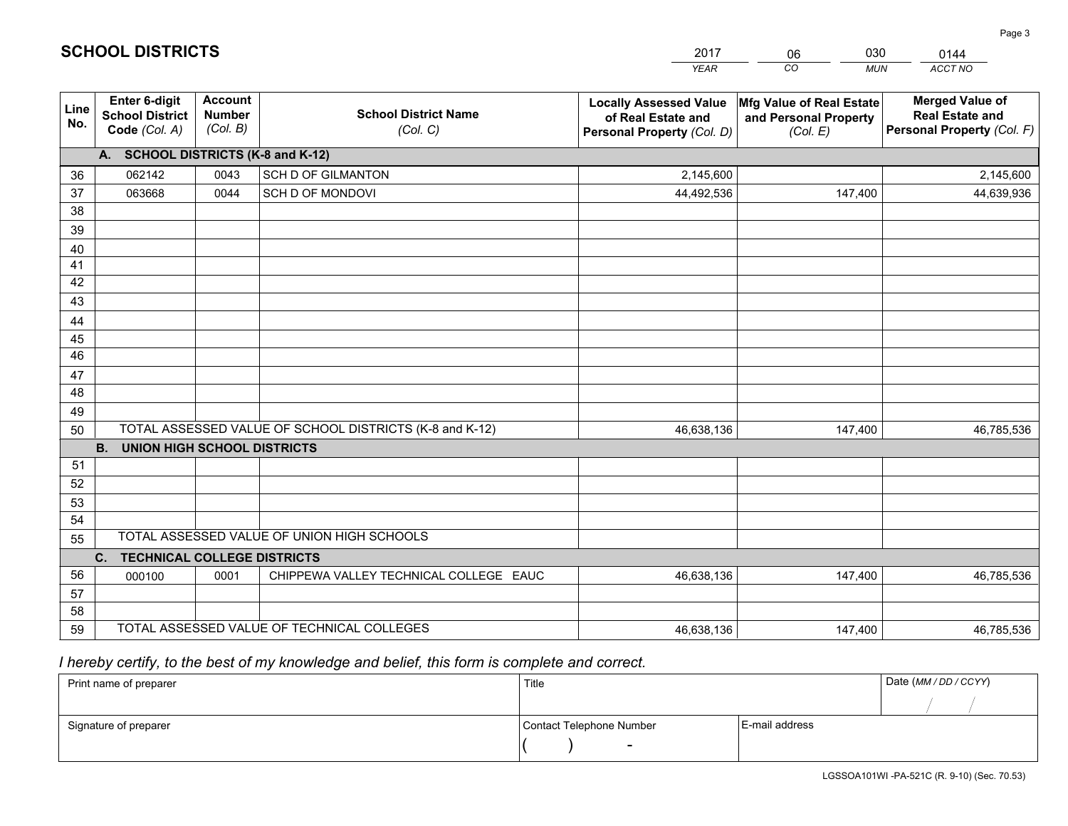|             |                                                                 |                                             |                                                         | <b>YEAR</b>                                                                       | CO<br><b>MUN</b>                                              | ACCT NO                                                                        |
|-------------|-----------------------------------------------------------------|---------------------------------------------|---------------------------------------------------------|-----------------------------------------------------------------------------------|---------------------------------------------------------------|--------------------------------------------------------------------------------|
| Line<br>No. | <b>Enter 6-digit</b><br><b>School District</b><br>Code (Col. A) | <b>Account</b><br><b>Number</b><br>(Col. B) | <b>School District Name</b><br>(Col. C)                 | <b>Locally Assessed Value</b><br>of Real Estate and<br>Personal Property (Col. D) | Mfg Value of Real Estate<br>and Personal Property<br>(Col. E) | <b>Merged Value of</b><br><b>Real Estate and</b><br>Personal Property (Col. F) |
|             | A. SCHOOL DISTRICTS (K-8 and K-12)                              |                                             |                                                         |                                                                                   |                                                               |                                                                                |
| 36          | 062142                                                          | 0043                                        | SCH D OF GILMANTON                                      | 2,145,600                                                                         |                                                               | 2,145,600                                                                      |
| 37          | 063668                                                          | 0044                                        | SCH D OF MONDOVI                                        | 44,492,536                                                                        | 147,400                                                       | 44,639,936                                                                     |
| 38          |                                                                 |                                             |                                                         |                                                                                   |                                                               |                                                                                |
| 39          |                                                                 |                                             |                                                         |                                                                                   |                                                               |                                                                                |
| 40          |                                                                 |                                             |                                                         |                                                                                   |                                                               |                                                                                |
| 41          |                                                                 |                                             |                                                         |                                                                                   |                                                               |                                                                                |
| 42          |                                                                 |                                             |                                                         |                                                                                   |                                                               |                                                                                |
| 43          |                                                                 |                                             |                                                         |                                                                                   |                                                               |                                                                                |
| 44<br>45    |                                                                 |                                             |                                                         |                                                                                   |                                                               |                                                                                |
| 46          |                                                                 |                                             |                                                         |                                                                                   |                                                               |                                                                                |
| 47          |                                                                 |                                             |                                                         |                                                                                   |                                                               |                                                                                |
| 48          |                                                                 |                                             |                                                         |                                                                                   |                                                               |                                                                                |
| 49          |                                                                 |                                             |                                                         |                                                                                   |                                                               |                                                                                |
| 50          |                                                                 |                                             | TOTAL ASSESSED VALUE OF SCHOOL DISTRICTS (K-8 and K-12) | 46,638,136                                                                        | 147,400                                                       | 46,785,536                                                                     |
|             | <b>B.</b><br><b>UNION HIGH SCHOOL DISTRICTS</b>                 |                                             |                                                         |                                                                                   |                                                               |                                                                                |
| 51          |                                                                 |                                             |                                                         |                                                                                   |                                                               |                                                                                |
| 52          |                                                                 |                                             |                                                         |                                                                                   |                                                               |                                                                                |
| 53          |                                                                 |                                             |                                                         |                                                                                   |                                                               |                                                                                |
| 54          |                                                                 |                                             |                                                         |                                                                                   |                                                               |                                                                                |
| 55          |                                                                 |                                             | TOTAL ASSESSED VALUE OF UNION HIGH SCHOOLS              |                                                                                   |                                                               |                                                                                |
|             | C.<br><b>TECHNICAL COLLEGE DISTRICTS</b>                        |                                             |                                                         |                                                                                   |                                                               |                                                                                |
| 56          | 000100                                                          | 0001                                        | CHIPPEWA VALLEY TECHNICAL COLLEGE EAUC                  | 46,638,136                                                                        | 147,400                                                       | 46,785,536                                                                     |
| 57          |                                                                 |                                             |                                                         |                                                                                   |                                                               |                                                                                |
| 58          |                                                                 |                                             | TOTAL ASSESSED VALUE OF TECHNICAL COLLEGES              |                                                                                   |                                                               |                                                                                |
| 59          |                                                                 |                                             |                                                         | 46,638,136                                                                        | 147,400                                                       | 46,785,536                                                                     |

06

030

 *I hereby certify, to the best of my knowledge and belief, this form is complete and correct.*

**SCHOOL DISTRICTS**

| Print name of preparer | Title                    | Date (MM / DD / CCYY) |  |
|------------------------|--------------------------|-----------------------|--|
|                        |                          |                       |  |
| Signature of preparer  | Contact Telephone Number | E-mail address        |  |
|                        | $\overline{\phantom{0}}$ |                       |  |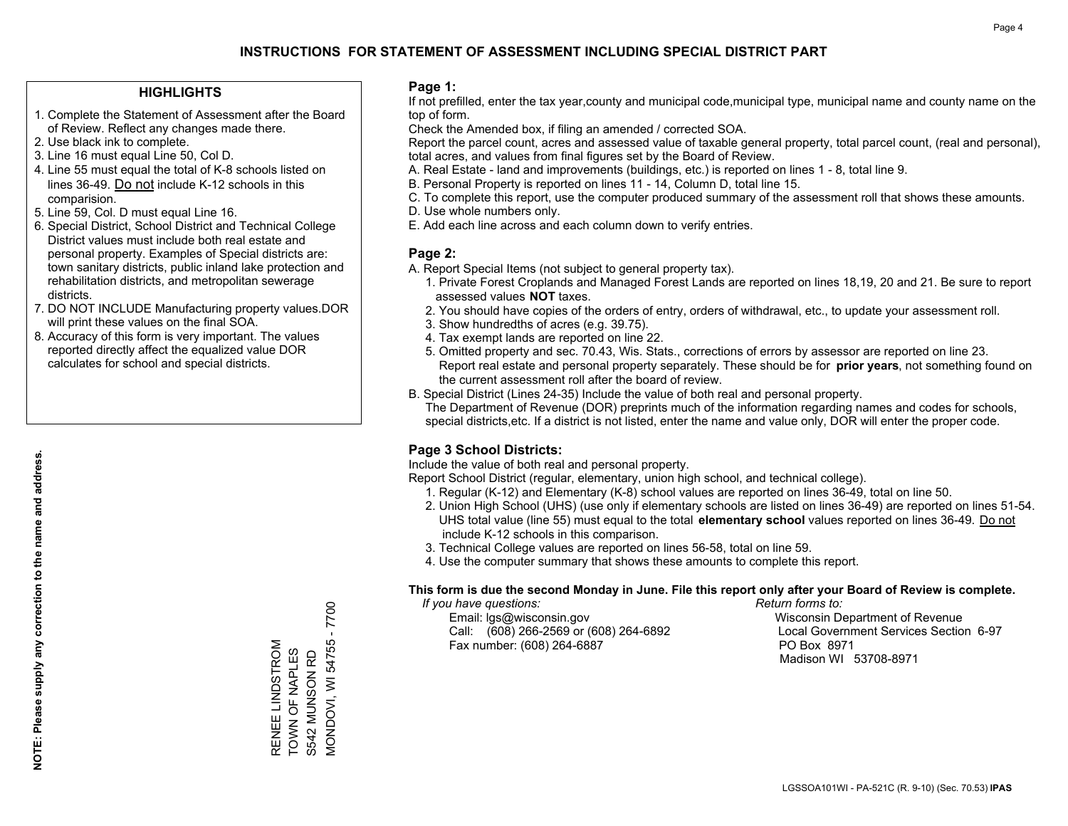## **HIGHLIGHTS**

- 1. Complete the Statement of Assessment after the Board of Review. Reflect any changes made there.
- 2. Use black ink to complete.
- 3. Line 16 must equal Line 50, Col D.
- 4. Line 55 must equal the total of K-8 schools listed on lines 36-49. Do not include K-12 schools in this comparision.
- 5. Line 59, Col. D must equal Line 16.
- 6. Special District, School District and Technical College District values must include both real estate and personal property. Examples of Special districts are: town sanitary districts, public inland lake protection and rehabilitation districts, and metropolitan sewerage districts.
- 7. DO NOT INCLUDE Manufacturing property values.DOR will print these values on the final SOA.
- 8. Accuracy of this form is very important. The values reported directly affect the equalized value DOR calculates for school and special districts.

#### **Page 1:**

 If not prefilled, enter the tax year,county and municipal code,municipal type, municipal name and county name on the top of form.

Check the Amended box, if filing an amended / corrected SOA.

 Report the parcel count, acres and assessed value of taxable general property, total parcel count, (real and personal), total acres, and values from final figures set by the Board of Review.

- A. Real Estate land and improvements (buildings, etc.) is reported on lines 1 8, total line 9.
- B. Personal Property is reported on lines 11 14, Column D, total line 15.
- C. To complete this report, use the computer produced summary of the assessment roll that shows these amounts.
- D. Use whole numbers only.
- E. Add each line across and each column down to verify entries.

## **Page 2:**

- A. Report Special Items (not subject to general property tax).
- 1. Private Forest Croplands and Managed Forest Lands are reported on lines 18,19, 20 and 21. Be sure to report assessed values **NOT** taxes.
- 2. You should have copies of the orders of entry, orders of withdrawal, etc., to update your assessment roll.
	- 3. Show hundredths of acres (e.g. 39.75).
- 4. Tax exempt lands are reported on line 22.
- 5. Omitted property and sec. 70.43, Wis. Stats., corrections of errors by assessor are reported on line 23. Report real estate and personal property separately. These should be for **prior years**, not something found on the current assessment roll after the board of review.
- B. Special District (Lines 24-35) Include the value of both real and personal property.

 The Department of Revenue (DOR) preprints much of the information regarding names and codes for schools, special districts,etc. If a district is not listed, enter the name and value only, DOR will enter the proper code.

## **Page 3 School Districts:**

Include the value of both real and personal property.

Report School District (regular, elementary, union high school, and technical college).

- 1. Regular (K-12) and Elementary (K-8) school values are reported on lines 36-49, total on line 50.
- 2. Union High School (UHS) (use only if elementary schools are listed on lines 36-49) are reported on lines 51-54. UHS total value (line 55) must equal to the total **elementary school** values reported on lines 36-49. Do notinclude K-12 schools in this comparison.
- 3. Technical College values are reported on lines 56-58, total on line 59.
- 4. Use the computer summary that shows these amounts to complete this report.

#### **This form is due the second Monday in June. File this report only after your Board of Review is complete.**

 *If you have questions: Return forms to:*

 Email: lgs@wisconsin.gov Wisconsin Department of RevenueCall:  $(608)$  266-2569 or  $(608)$  264-6892 Fax number: (608) 264-6887 PO Box 8971

Local Government Services Section 6-97 Madison WI 53708-8971

**MONDOVI, WI 54755 - 7700** MONDOVI, WI 54755 - 7700 RENEE LINDSTROM RENEE LINDSTROM TOWN OF NAPLES TOWN OF NAPLES S542 MUNSON RD S542 MUNSON RD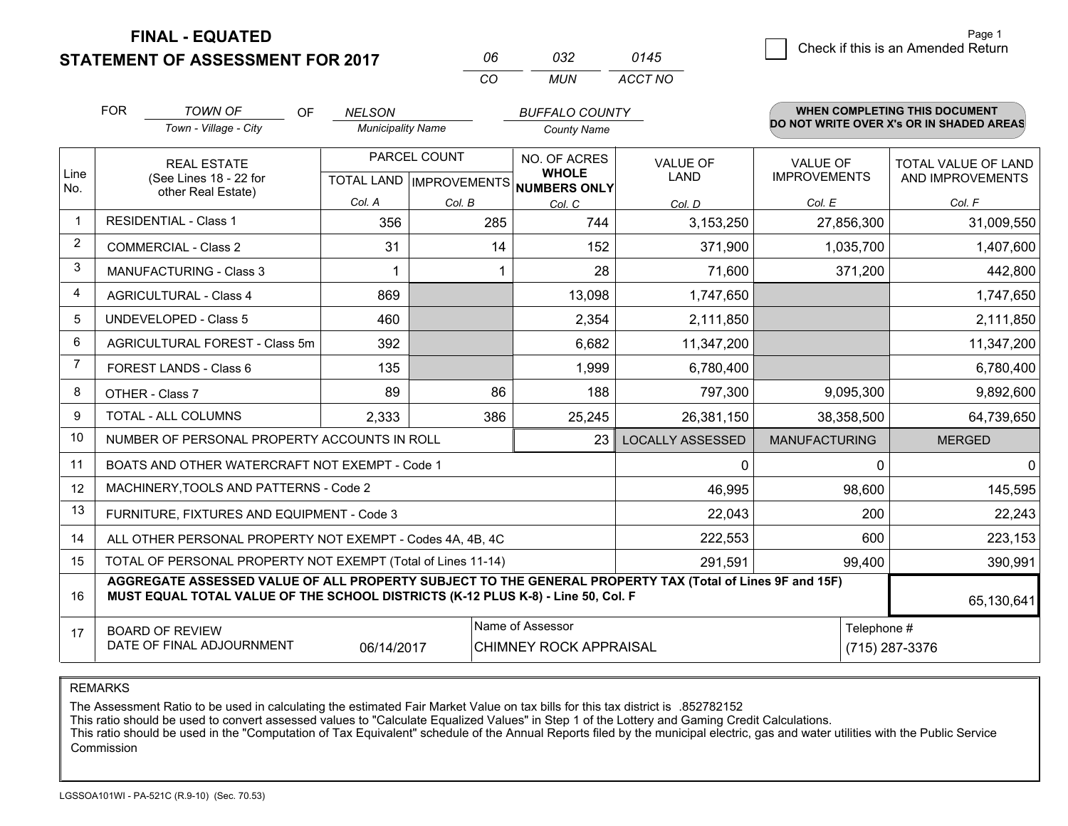**FINAL - EQUATED**

**STATEMENT OF ASSESSMENT FOR 2017** 

| กธ | กจว  | 0145    |
|----|------|---------|
| rη | MUN. | ACCT NO |

|                | <b>FOR</b>                                 | <b>TOWN OF</b><br>OF                                                                                                                                                                         | <b>NELSON</b>            |                           | <b>BUFFALO COUNTY</b>               |                         |                      | <b>WHEN COMPLETING THIS DOCUMENT</b><br>DO NOT WRITE OVER X's OR IN SHADED AREAS |  |
|----------------|--------------------------------------------|----------------------------------------------------------------------------------------------------------------------------------------------------------------------------------------------|--------------------------|---------------------------|-------------------------------------|-------------------------|----------------------|----------------------------------------------------------------------------------|--|
|                |                                            | Town - Village - City                                                                                                                                                                        | <b>Municipality Name</b> |                           | <b>County Name</b>                  |                         |                      |                                                                                  |  |
|                |                                            | <b>REAL ESTATE</b>                                                                                                                                                                           |                          | PARCEL COUNT              | NO. OF ACRES                        | <b>VALUE OF</b>         | <b>VALUE OF</b>      | TOTAL VALUE OF LAND                                                              |  |
| Line<br>No.    |                                            | (See Lines 18 - 22 for<br>other Real Estate)                                                                                                                                                 |                          | TOTAL LAND   IMPROVEMENTS | <b>WHOLE</b><br><b>NUMBERS ONLY</b> | <b>LAND</b>             | <b>IMPROVEMENTS</b>  | AND IMPROVEMENTS                                                                 |  |
|                |                                            |                                                                                                                                                                                              | Col. A                   | Col. B                    | Col. C                              | Col. D                  | Col. E               | Col. F                                                                           |  |
| $\mathbf 1$    |                                            | <b>RESIDENTIAL - Class 1</b>                                                                                                                                                                 | 356                      | 285                       | 744                                 | 3,153,250               | 27,856,300           | 31,009,550                                                                       |  |
| $\overline{2}$ |                                            | <b>COMMERCIAL - Class 2</b>                                                                                                                                                                  | 31                       | 14                        | 152                                 | 371,900                 | 1,035,700            | 1,407,600                                                                        |  |
| 3              |                                            | <b>MANUFACTURING - Class 3</b>                                                                                                                                                               |                          |                           | 28                                  | 71,600                  | 371,200              | 442,800                                                                          |  |
| $\overline{4}$ |                                            | <b>AGRICULTURAL - Class 4</b>                                                                                                                                                                | 869                      |                           | 13,098                              | 1,747,650               |                      | 1,747,650                                                                        |  |
| 5              | <b>UNDEVELOPED - Class 5</b>               |                                                                                                                                                                                              | 460                      |                           | 2,354                               | 2,111,850               |                      | 2,111,850                                                                        |  |
| 6              |                                            | AGRICULTURAL FOREST - Class 5m                                                                                                                                                               | 392                      |                           | 6,682                               | 11,347,200              |                      | 11,347,200                                                                       |  |
| 7              | FOREST LANDS - Class 6                     |                                                                                                                                                                                              | 135                      |                           | 1,999                               | 6,780,400               |                      | 6,780,400                                                                        |  |
| 8              |                                            | OTHER - Class 7                                                                                                                                                                              | 89                       | 86                        | 188                                 | 797,300                 | 9,095,300            | 9,892,600                                                                        |  |
| 9              |                                            | TOTAL - ALL COLUMNS                                                                                                                                                                          | 2,333                    | 386                       | 25,245                              | 26,381,150              | 38,358,500           | 64,739,650                                                                       |  |
| 10             |                                            | NUMBER OF PERSONAL PROPERTY ACCOUNTS IN ROLL                                                                                                                                                 |                          |                           | 23                                  | <b>LOCALLY ASSESSED</b> | <b>MANUFACTURING</b> | <b>MERGED</b>                                                                    |  |
| 11             |                                            | BOATS AND OTHER WATERCRAFT NOT EXEMPT - Code 1                                                                                                                                               |                          |                           |                                     | 0                       | $\Omega$             | 0                                                                                |  |
| 12             |                                            | MACHINERY, TOOLS AND PATTERNS - Code 2                                                                                                                                                       |                          |                           |                                     | 46,995                  | 98,600               | 145,595                                                                          |  |
| 13             |                                            | FURNITURE, FIXTURES AND EQUIPMENT - Code 3                                                                                                                                                   |                          |                           |                                     | 22,043                  | 200                  | 22,243                                                                           |  |
| 14             |                                            | ALL OTHER PERSONAL PROPERTY NOT EXEMPT - Codes 4A, 4B, 4C                                                                                                                                    |                          |                           | 222,553                             | 600                     | 223,153              |                                                                                  |  |
| 15             |                                            | TOTAL OF PERSONAL PROPERTY NOT EXEMPT (Total of Lines 11-14)                                                                                                                                 |                          |                           |                                     | 291,591                 | 99,400               | 390,991                                                                          |  |
| 16             |                                            | AGGREGATE ASSESSED VALUE OF ALL PROPERTY SUBJECT TO THE GENERAL PROPERTY TAX (Total of Lines 9F and 15F)<br>MUST EQUAL TOTAL VALUE OF THE SCHOOL DISTRICTS (K-12 PLUS K-8) - Line 50, Col. F |                          |                           |                                     |                         |                      | 65,130,641                                                                       |  |
| 17             | Name of Assessor<br><b>BOARD OF REVIEW</b> |                                                                                                                                                                                              |                          |                           |                                     |                         | Telephone #          |                                                                                  |  |
|                |                                            | DATE OF FINAL ADJOURNMENT                                                                                                                                                                    | 06/14/2017               |                           | <b>CHIMNEY ROCK APPRAISAL</b>       |                         |                      | (715) 287-3376                                                                   |  |

REMARKS

The Assessment Ratio to be used in calculating the estimated Fair Market Value on tax bills for this tax district is .852782152

This ratio should be used to convert assessed values to "Calculate Equalized Values" in Step 1 of the Lottery and Gaming Credit Calculations.<br>This ratio should be used in the "Computation of Tax Equivalent" schedule of the Commission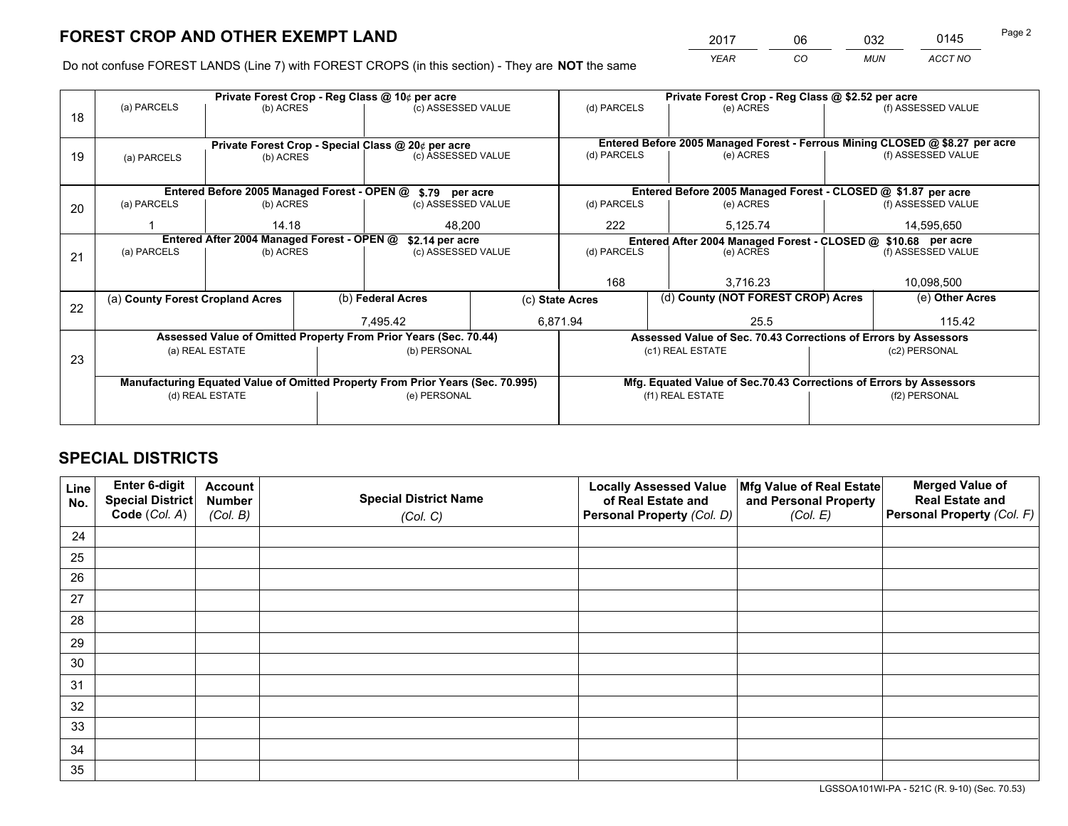*YEAR CO MUN ACCT NO* <sup>2017</sup> <sup>06</sup> <sup>032</sup> <sup>0145</sup> Page 2

Do not confuse FOREST LANDS (Line 7) with FOREST CROPS (in this section) - They are **NOT** the same

|    |                                  |                                                    | Private Forest Crop - Reg Class @ 10¢ per acre |                                                                                | Private Forest Crop - Reg Class @ \$2.52 per acre |                          |                  |                                                               |               |                                                                              |
|----|----------------------------------|----------------------------------------------------|------------------------------------------------|--------------------------------------------------------------------------------|---------------------------------------------------|--------------------------|------------------|---------------------------------------------------------------|---------------|------------------------------------------------------------------------------|
| 18 | (a) PARCELS                      | (b) ACRES                                          |                                                | (c) ASSESSED VALUE                                                             |                                                   | (d) PARCELS              |                  | (e) ACRES                                                     |               | (f) ASSESSED VALUE                                                           |
|    |                                  |                                                    |                                                |                                                                                |                                                   |                          |                  |                                                               |               |                                                                              |
|    |                                  | Private Forest Crop - Special Class @ 20¢ per acre |                                                |                                                                                |                                                   |                          |                  |                                                               |               | Entered Before 2005 Managed Forest - Ferrous Mining CLOSED @ \$8.27 per acre |
| 19 | (a) PARCELS                      | (b) ACRES                                          |                                                | (c) ASSESSED VALUE                                                             |                                                   | (d) PARCELS              |                  | (e) ACRES                                                     |               | (f) ASSESSED VALUE                                                           |
|    |                                  |                                                    |                                                |                                                                                |                                                   |                          |                  |                                                               |               |                                                                              |
|    |                                  |                                                    |                                                |                                                                                |                                                   |                          |                  |                                                               |               |                                                                              |
|    |                                  |                                                    |                                                | Entered Before 2005 Managed Forest - OPEN @ \$.79 per acre                     |                                                   |                          |                  |                                                               |               | Entered Before 2005 Managed Forest - CLOSED @ \$1.87 per acre                |
| 20 | (a) PARCELS                      | (b) ACRES                                          |                                                | (c) ASSESSED VALUE                                                             |                                                   | (d) PARCELS              |                  | (e) ACRES                                                     |               | (f) ASSESSED VALUE                                                           |
|    |                                  | 14.18                                              |                                                | 48,200                                                                         |                                                   | 222                      |                  | 5,125.74                                                      |               | 14,595,650                                                                   |
|    |                                  | Entered After 2004 Managed Forest - OPEN @         | \$2.14 per acre                                |                                                                                |                                                   |                          |                  | Entered After 2004 Managed Forest - CLOSED @ \$10.68 per acre |               |                                                                              |
| 21 | (a) PARCELS                      | (b) ACRES                                          |                                                | (c) ASSESSED VALUE                                                             |                                                   | (d) PARCELS<br>(e) ACRES |                  |                                                               |               | (f) ASSESSED VALUE                                                           |
|    |                                  |                                                    |                                                |                                                                                |                                                   |                          |                  |                                                               |               |                                                                              |
|    |                                  |                                                    |                                                |                                                                                |                                                   | 168                      |                  | 3.716.23                                                      |               | 10,098,500                                                                   |
|    | (a) County Forest Cropland Acres |                                                    |                                                | (b) Federal Acres                                                              |                                                   | (c) State Acres          |                  | (d) County (NOT FOREST CROP) Acres                            |               | (e) Other Acres                                                              |
| 22 |                                  |                                                    |                                                |                                                                                |                                                   |                          |                  |                                                               |               |                                                                              |
|    |                                  |                                                    |                                                | 7.495.42                                                                       |                                                   | 6,871.94                 |                  | 25.5                                                          |               | 115.42                                                                       |
|    |                                  |                                                    |                                                | Assessed Value of Omitted Property From Prior Years (Sec. 70.44)               |                                                   |                          |                  |                                                               |               | Assessed Value of Sec. 70.43 Corrections of Errors by Assessors              |
| 23 |                                  | (a) REAL ESTATE                                    |                                                | (b) PERSONAL                                                                   |                                                   |                          | (c1) REAL ESTATE |                                                               |               | (c2) PERSONAL                                                                |
|    |                                  |                                                    |                                                |                                                                                |                                                   |                          |                  |                                                               |               |                                                                              |
|    |                                  |                                                    |                                                | Manufacturing Equated Value of Omitted Property From Prior Years (Sec. 70.995) |                                                   |                          |                  |                                                               |               | Mfg. Equated Value of Sec.70.43 Corrections of Errors by Assessors           |
|    |                                  | (d) REAL ESTATE                                    |                                                | (e) PERSONAL                                                                   |                                                   |                          | (f1) REAL ESTATE |                                                               | (f2) PERSONAL |                                                                              |
|    |                                  |                                                    |                                                |                                                                                |                                                   |                          |                  |                                                               |               |                                                                              |
|    |                                  |                                                    |                                                |                                                                                |                                                   |                          |                  |                                                               |               |                                                                              |

## **SPECIAL DISTRICTS**

| Line<br>No. | Enter 6-digit<br><b>Special District</b><br>Code (Col. A) | <b>Account</b><br><b>Number</b><br>(Col. B) | <b>Special District Name</b> | <b>Locally Assessed Value</b><br>of Real Estate and<br>Personal Property (Col. D) | Mfg Value of Real Estate<br>and Personal Property<br>(Col. E) | <b>Merged Value of</b><br><b>Real Estate and</b><br>Personal Property (Col. F) |
|-------------|-----------------------------------------------------------|---------------------------------------------|------------------------------|-----------------------------------------------------------------------------------|---------------------------------------------------------------|--------------------------------------------------------------------------------|
|             |                                                           |                                             | (Col. C)                     |                                                                                   |                                                               |                                                                                |
| 24          |                                                           |                                             |                              |                                                                                   |                                                               |                                                                                |
| 25          |                                                           |                                             |                              |                                                                                   |                                                               |                                                                                |
| 26          |                                                           |                                             |                              |                                                                                   |                                                               |                                                                                |
| 27          |                                                           |                                             |                              |                                                                                   |                                                               |                                                                                |
| 28          |                                                           |                                             |                              |                                                                                   |                                                               |                                                                                |
| 29          |                                                           |                                             |                              |                                                                                   |                                                               |                                                                                |
| 30          |                                                           |                                             |                              |                                                                                   |                                                               |                                                                                |
| 31          |                                                           |                                             |                              |                                                                                   |                                                               |                                                                                |
| 32          |                                                           |                                             |                              |                                                                                   |                                                               |                                                                                |
| 33          |                                                           |                                             |                              |                                                                                   |                                                               |                                                                                |
| 34          |                                                           |                                             |                              |                                                                                   |                                                               |                                                                                |
| 35          |                                                           |                                             |                              |                                                                                   |                                                               |                                                                                |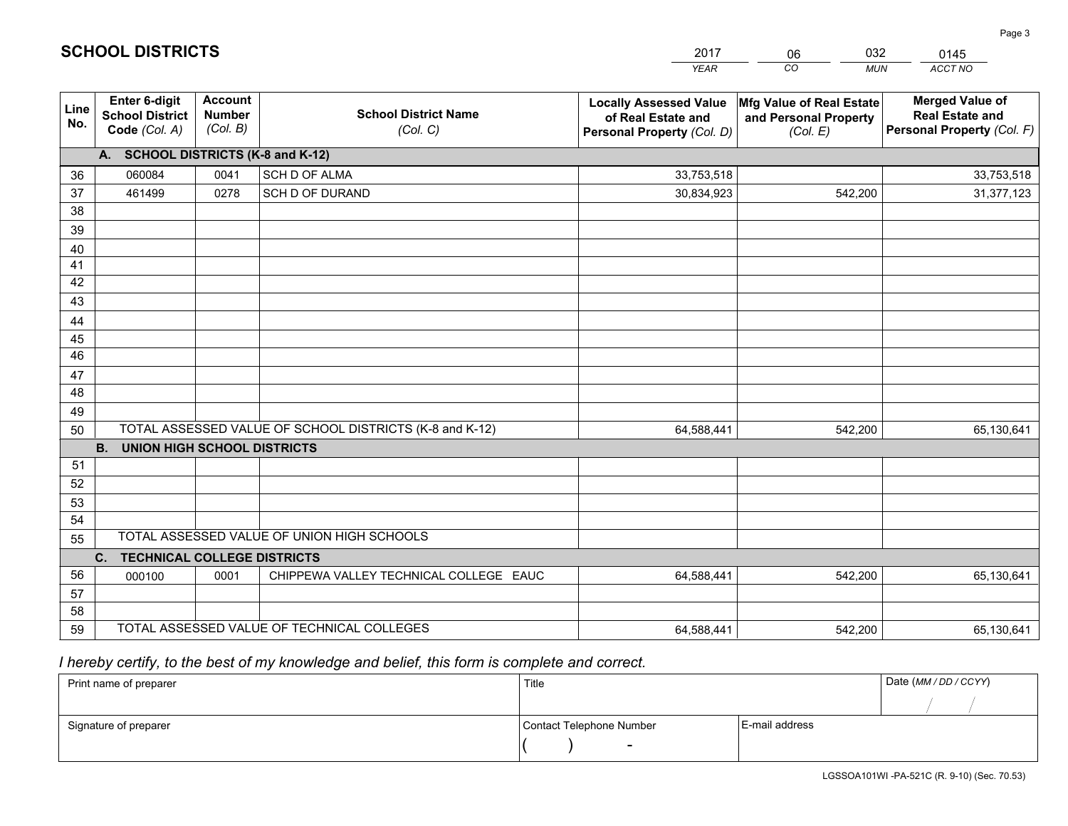|                 |                                                          |                                             |                                                         | <b>YEAR</b>                                                                       | CO<br><b>MUN</b>                                              | ACCT NO                                                                        |
|-----------------|----------------------------------------------------------|---------------------------------------------|---------------------------------------------------------|-----------------------------------------------------------------------------------|---------------------------------------------------------------|--------------------------------------------------------------------------------|
| Line<br>No.     | Enter 6-digit<br><b>School District</b><br>Code (Col. A) | <b>Account</b><br><b>Number</b><br>(Col. B) | <b>School District Name</b><br>(Col. C)                 | <b>Locally Assessed Value</b><br>of Real Estate and<br>Personal Property (Col. D) | Mfg Value of Real Estate<br>and Personal Property<br>(Col. E) | <b>Merged Value of</b><br><b>Real Estate and</b><br>Personal Property (Col. F) |
|                 | A. SCHOOL DISTRICTS (K-8 and K-12)                       |                                             |                                                         |                                                                                   |                                                               |                                                                                |
| 36              | 060084                                                   | 0041                                        | <b>SCH D OF ALMA</b>                                    | 33,753,518                                                                        |                                                               | 33,753,518                                                                     |
| 37              | 461499                                                   | 0278                                        | SCH D OF DURAND                                         | 30,834,923                                                                        | 542,200                                                       | 31,377,123                                                                     |
| 38              |                                                          |                                             |                                                         |                                                                                   |                                                               |                                                                                |
| 39              |                                                          |                                             |                                                         |                                                                                   |                                                               |                                                                                |
| 40              |                                                          |                                             |                                                         |                                                                                   |                                                               |                                                                                |
| 41              |                                                          |                                             |                                                         |                                                                                   |                                                               |                                                                                |
| 42              |                                                          |                                             |                                                         |                                                                                   |                                                               |                                                                                |
| 43              |                                                          |                                             |                                                         |                                                                                   |                                                               |                                                                                |
| 44<br>45        |                                                          |                                             |                                                         |                                                                                   |                                                               |                                                                                |
| $\overline{46}$ |                                                          |                                             |                                                         |                                                                                   |                                                               |                                                                                |
| 47              |                                                          |                                             |                                                         |                                                                                   |                                                               |                                                                                |
| 48              |                                                          |                                             |                                                         |                                                                                   |                                                               |                                                                                |
| 49              |                                                          |                                             |                                                         |                                                                                   |                                                               |                                                                                |
| 50              |                                                          |                                             | TOTAL ASSESSED VALUE OF SCHOOL DISTRICTS (K-8 and K-12) | 64,588,441                                                                        | 542,200                                                       | 65,130,641                                                                     |
|                 | <b>B.</b><br><b>UNION HIGH SCHOOL DISTRICTS</b>          |                                             |                                                         |                                                                                   |                                                               |                                                                                |
| 51              |                                                          |                                             |                                                         |                                                                                   |                                                               |                                                                                |
| 52              |                                                          |                                             |                                                         |                                                                                   |                                                               |                                                                                |
| 53              |                                                          |                                             |                                                         |                                                                                   |                                                               |                                                                                |
| 54              |                                                          |                                             |                                                         |                                                                                   |                                                               |                                                                                |
| 55              |                                                          |                                             | TOTAL ASSESSED VALUE OF UNION HIGH SCHOOLS              |                                                                                   |                                                               |                                                                                |
|                 | C.<br><b>TECHNICAL COLLEGE DISTRICTS</b>                 |                                             |                                                         |                                                                                   |                                                               |                                                                                |
| 56              | 000100                                                   | 0001                                        | CHIPPEWA VALLEY TECHNICAL COLLEGE EAUC                  | 64,588,441                                                                        | 542,200                                                       | 65,130,641                                                                     |
| 57              |                                                          |                                             |                                                         |                                                                                   |                                                               |                                                                                |
| 58              |                                                          |                                             |                                                         |                                                                                   |                                                               |                                                                                |
| 59              |                                                          |                                             | TOTAL ASSESSED VALUE OF TECHNICAL COLLEGES              | 64,588,441                                                                        | 542,200                                                       | 65,130,641                                                                     |

06

032

 *I hereby certify, to the best of my knowledge and belief, this form is complete and correct.*

**SCHOOL DISTRICTS**

| Print name of preparer | Title                    |                | Date (MM / DD / CCYY) |
|------------------------|--------------------------|----------------|-----------------------|
|                        |                          |                |                       |
| Signature of preparer  | Contact Telephone Number | E-mail address |                       |
|                        | $\sim$                   |                |                       |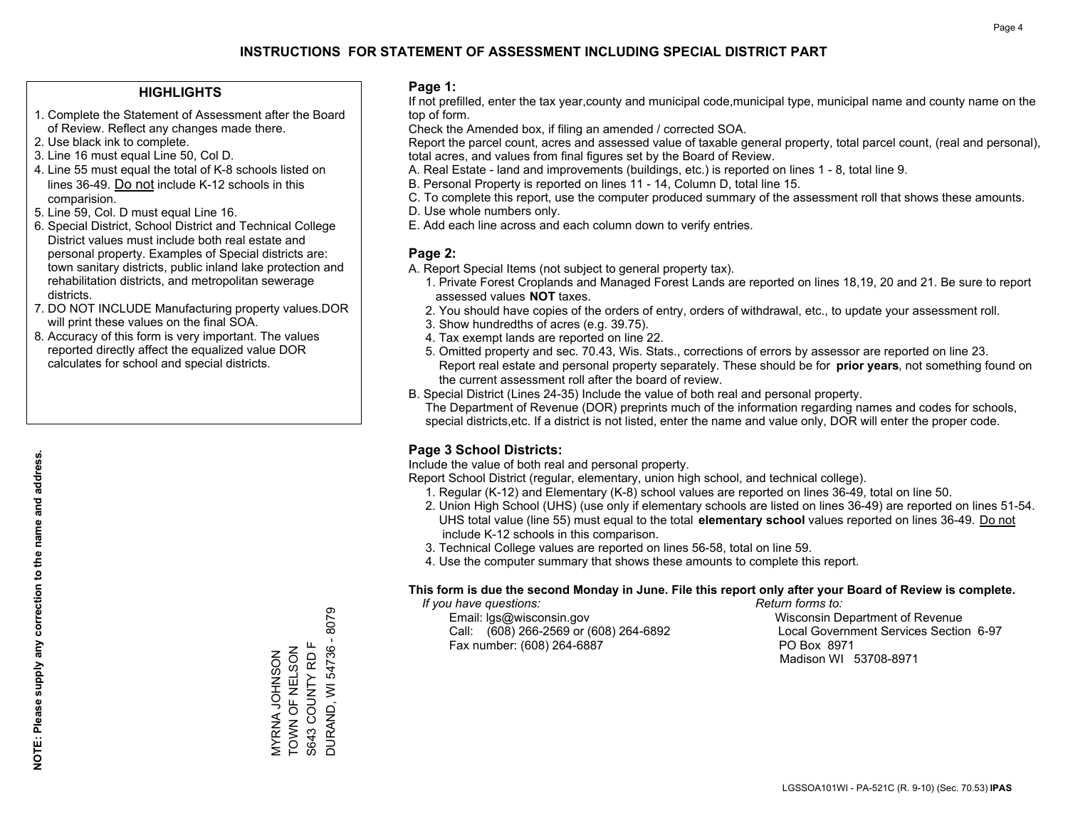## **HIGHLIGHTS**

- 1. Complete the Statement of Assessment after the Board of Review. Reflect any changes made there.
- 2. Use black ink to complete.

**NOTE: Please supply any correction to the name and address.**

NOTE: Please supply any correction to the name and address.

- 3. Line 16 must equal Line 50, Col D.
- 4. Line 55 must equal the total of K-8 schools listed on lines 36-49. Do not include K-12 schools in this comparision.
- 5. Line 59, Col. D must equal Line 16.
- 6. Special District, School District and Technical College District values must include both real estate and personal property. Examples of Special districts are: town sanitary districts, public inland lake protection and rehabilitation districts, and metropolitan sewerage districts.
- 7. DO NOT INCLUDE Manufacturing property values.DOR will print these values on the final SOA.
- 8. Accuracy of this form is very important. The values reported directly affect the equalized value DOR calculates for school and special districts.

#### **Page 1:**

 If not prefilled, enter the tax year,county and municipal code,municipal type, municipal name and county name on the top of form.

Check the Amended box, if filing an amended / corrected SOA.

 Report the parcel count, acres and assessed value of taxable general property, total parcel count, (real and personal), total acres, and values from final figures set by the Board of Review.

- A. Real Estate land and improvements (buildings, etc.) is reported on lines 1 8, total line 9.
- B. Personal Property is reported on lines 11 14, Column D, total line 15.
- C. To complete this report, use the computer produced summary of the assessment roll that shows these amounts.
- D. Use whole numbers only.
- E. Add each line across and each column down to verify entries.

## **Page 2:**

- A. Report Special Items (not subject to general property tax).
- 1. Private Forest Croplands and Managed Forest Lands are reported on lines 18,19, 20 and 21. Be sure to report assessed values **NOT** taxes.
- 2. You should have copies of the orders of entry, orders of withdrawal, etc., to update your assessment roll.
	- 3. Show hundredths of acres (e.g. 39.75).
- 4. Tax exempt lands are reported on line 22.
- 5. Omitted property and sec. 70.43, Wis. Stats., corrections of errors by assessor are reported on line 23. Report real estate and personal property separately. These should be for **prior years**, not something found on the current assessment roll after the board of review.
- B. Special District (Lines 24-35) Include the value of both real and personal property.

 The Department of Revenue (DOR) preprints much of the information regarding names and codes for schools, special districts,etc. If a district is not listed, enter the name and value only, DOR will enter the proper code.

## **Page 3 School Districts:**

Include the value of both real and personal property.

Report School District (regular, elementary, union high school, and technical college).

- 1. Regular (K-12) and Elementary (K-8) school values are reported on lines 36-49, total on line 50.
- 2. Union High School (UHS) (use only if elementary schools are listed on lines 36-49) are reported on lines 51-54. UHS total value (line 55) must equal to the total **elementary school** values reported on lines 36-49. Do notinclude K-12 schools in this comparison.
- 3. Technical College values are reported on lines 56-58, total on line 59.
- 4. Use the computer summary that shows these amounts to complete this report.

#### **This form is due the second Monday in June. File this report only after your Board of Review is complete.**

 *If you have questions: Return forms to:*

 Email: lgs@wisconsin.gov Wisconsin Department of RevenueCall:  $(608)$  266-2569 or  $(608)$  264-6892 Fax number: (608) 264-6887 PO Box 8971

Local Government Services Section 6-97 Madison WI 53708-8971

S643 COUNTY RD F TOWN OF NELSON WYRNA JOHNSON<br>TOWN OF NELSON MYRNA JOHNSON

S643 COUNTY RD F DURAND, WI 54736 - 8079

8079

**DURAND, WI 54736 -**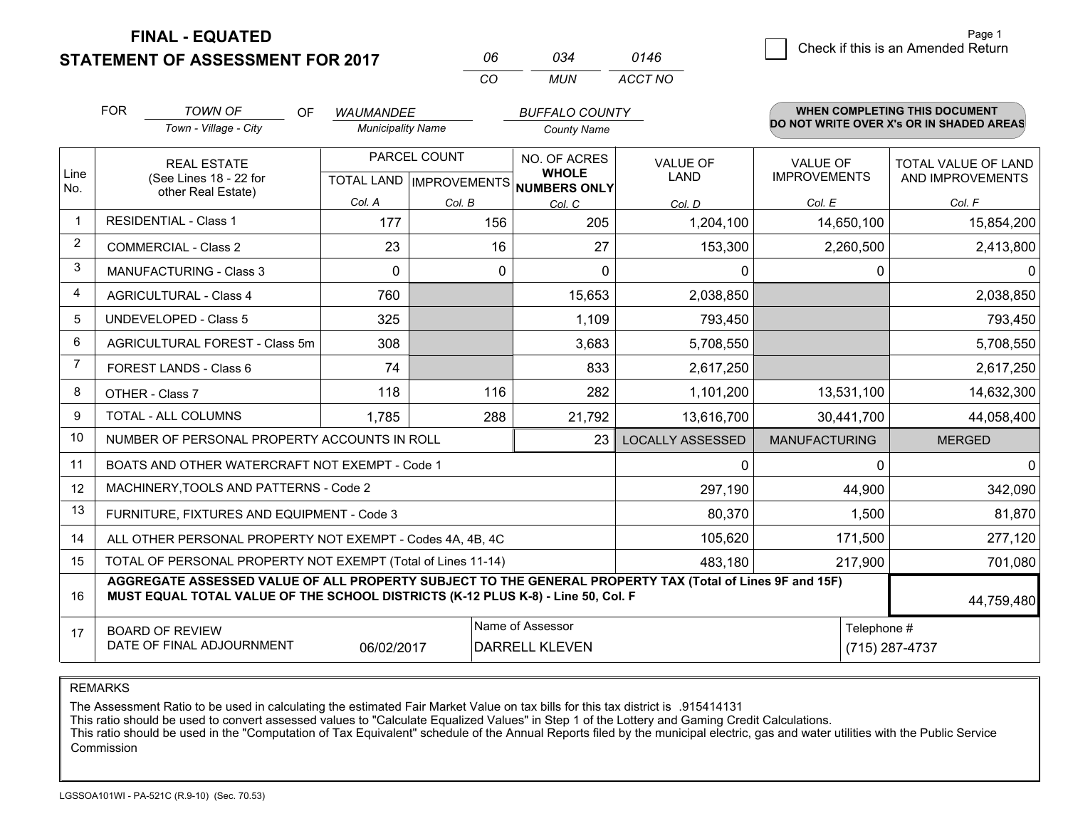**STATEMENT OF ASSESSMENT FOR 2017** 

**FINAL - EQUATED**

|   | Page 1                             |
|---|------------------------------------|
| 6 | Check if this is an Amended Return |
|   |                                    |

|                         | <b>FOR</b>                                                                                                                    | <b>TOWN OF</b><br>OF<br>Town - Village - City                                                                                                                                                | <b>WAUMANDEE</b><br><b>Municipality Name</b> |              | <b>BUFFALO COUNTY</b><br><b>County Name</b>                          |                                |                                        | <b>WHEN COMPLETING THIS DOCUMENT</b><br>DO NOT WRITE OVER X's OR IN SHADED AREAS |
|-------------------------|-------------------------------------------------------------------------------------------------------------------------------|----------------------------------------------------------------------------------------------------------------------------------------------------------------------------------------------|----------------------------------------------|--------------|----------------------------------------------------------------------|--------------------------------|----------------------------------------|----------------------------------------------------------------------------------|
| Line<br>No.             |                                                                                                                               | <b>REAL ESTATE</b><br>(See Lines 18 - 22 for<br>other Real Estate)                                                                                                                           |                                              | PARCEL COUNT | NO. OF ACRES<br><b>WHOLE</b><br>TOTAL LAND IMPROVEMENTS NUMBERS ONLY | <b>VALUE OF</b><br><b>LAND</b> | <b>VALUE OF</b><br><b>IMPROVEMENTS</b> | <b>TOTAL VALUE OF LAND</b><br>AND IMPROVEMENTS                                   |
|                         |                                                                                                                               |                                                                                                                                                                                              | Col. A                                       | Col. B       | Col. C                                                               | Col. D                         | Col. E                                 | Col. F                                                                           |
| $\mathbf 1$             |                                                                                                                               | <b>RESIDENTIAL - Class 1</b>                                                                                                                                                                 | 177                                          | 156          | 205                                                                  | 1,204,100                      | 14,650,100                             | 15,854,200                                                                       |
| $\overline{2}$          | <b>COMMERCIAL - Class 2</b>                                                                                                   |                                                                                                                                                                                              | 23                                           | 16           | 27                                                                   | 153,300                        | 2,260,500                              | 2,413,800                                                                        |
| 3                       |                                                                                                                               | <b>MANUFACTURING - Class 3</b>                                                                                                                                                               | $\Omega$                                     | $\Omega$     | $\Omega$                                                             | $\Omega$                       | $\Omega$                               | 0                                                                                |
| $\overline{\mathbf{4}}$ |                                                                                                                               | <b>AGRICULTURAL - Class 4</b>                                                                                                                                                                | 760                                          |              | 15,653                                                               | 2,038,850                      |                                        | 2,038,850                                                                        |
| 5                       |                                                                                                                               | <b>UNDEVELOPED - Class 5</b>                                                                                                                                                                 | 325                                          |              | 1,109                                                                | 793,450                        |                                        | 793,450                                                                          |
| 6                       | AGRICULTURAL FOREST - Class 5m<br>FOREST LANDS - Class 6                                                                      |                                                                                                                                                                                              | 308                                          |              | 3,683                                                                | 5,708,550                      |                                        | 5,708,550                                                                        |
| $\overline{7}$          |                                                                                                                               |                                                                                                                                                                                              | 74                                           |              | 833                                                                  | 2,617,250                      |                                        | 2,617,250                                                                        |
| 8                       |                                                                                                                               | OTHER - Class 7                                                                                                                                                                              | 118                                          | 116          | 282                                                                  | 1,101,200                      | 13,531,100                             | 14,632,300                                                                       |
| 9                       |                                                                                                                               | <b>TOTAL - ALL COLUMNS</b>                                                                                                                                                                   | 1,785                                        | 288          | 21,792                                                               | 13,616,700                     | 30,441,700                             | 44,058,400                                                                       |
| 10                      |                                                                                                                               | NUMBER OF PERSONAL PROPERTY ACCOUNTS IN ROLL                                                                                                                                                 |                                              |              | 23                                                                   | <b>LOCALLY ASSESSED</b>        | <b>MANUFACTURING</b>                   | <b>MERGED</b>                                                                    |
| 11                      |                                                                                                                               | BOATS AND OTHER WATERCRAFT NOT EXEMPT - Code 1                                                                                                                                               |                                              |              |                                                                      | 0                              | $\Omega$                               | 0                                                                                |
| 12                      |                                                                                                                               | MACHINERY, TOOLS AND PATTERNS - Code 2                                                                                                                                                       |                                              |              |                                                                      | 297,190                        | 44,900                                 | 342,090                                                                          |
| 13                      |                                                                                                                               | FURNITURE, FIXTURES AND EQUIPMENT - Code 3                                                                                                                                                   |                                              |              |                                                                      | 80,370                         | 1,500                                  | 81,870                                                                           |
| 14                      |                                                                                                                               | ALL OTHER PERSONAL PROPERTY NOT EXEMPT - Codes 4A, 4B, 4C                                                                                                                                    |                                              |              |                                                                      | 105,620                        | 171,500                                | 277,120                                                                          |
| 15                      |                                                                                                                               | TOTAL OF PERSONAL PROPERTY NOT EXEMPT (Total of Lines 11-14)                                                                                                                                 |                                              |              |                                                                      | 483,180                        | 217,900                                | 701,080                                                                          |
| 16                      |                                                                                                                               | AGGREGATE ASSESSED VALUE OF ALL PROPERTY SUBJECT TO THE GENERAL PROPERTY TAX (Total of Lines 9F and 15F)<br>MUST EQUAL TOTAL VALUE OF THE SCHOOL DISTRICTS (K-12 PLUS K-8) - Line 50, Col. F |                                              |              |                                                                      |                                |                                        | 44,759,480                                                                       |
| 17                      | Name of Assessor<br>Telephone #<br><b>BOARD OF REVIEW</b><br>DATE OF FINAL ADJOURNMENT<br>06/02/2017<br><b>DARRELL KLEVEN</b> |                                                                                                                                                                                              |                                              |              |                                                                      |                                | (715) 287-4737                         |                                                                                  |

*CO*

*MUN*

*ACCT NO0146*

*<sup>06</sup> <sup>034</sup>*

REMARKS

The Assessment Ratio to be used in calculating the estimated Fair Market Value on tax bills for this tax district is .915414131<br>This ratio should be used to convert assessed values to "Calculate Equalized Values" in Step 1 Commission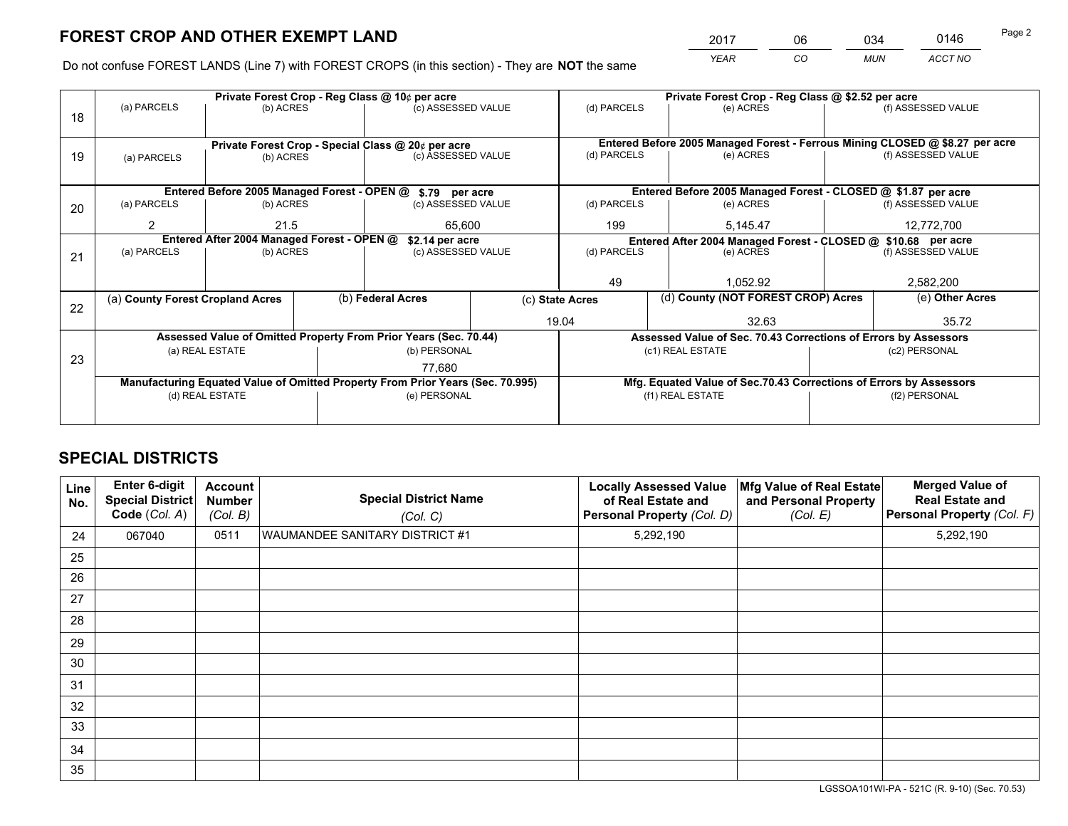*YEAR CO MUN ACCT NO* <sup>2017</sup> <sup>06</sup> <sup>034</sup> <sup>0146</sup> Page 2

Do not confuse FOREST LANDS (Line 7) with FOREST CROPS (in this section) - They are **NOT** the same

|    |                                            |                                                    |  | Private Forest Crop - Reg Class @ 10¢ per acre                                 |                 | Private Forest Crop - Reg Class @ \$2.52 per acre                                         |                                                                              |  |                    |  |
|----|--------------------------------------------|----------------------------------------------------|--|--------------------------------------------------------------------------------|-----------------|-------------------------------------------------------------------------------------------|------------------------------------------------------------------------------|--|--------------------|--|
| 18 | (a) PARCELS                                | (b) ACRES                                          |  | (c) ASSESSED VALUE                                                             |                 | (d) PARCELS                                                                               | (e) ACRES                                                                    |  | (f) ASSESSED VALUE |  |
|    |                                            |                                                    |  |                                                                                |                 |                                                                                           |                                                                              |  |                    |  |
|    |                                            | Private Forest Crop - Special Class @ 20¢ per acre |  |                                                                                |                 |                                                                                           | Entered Before 2005 Managed Forest - Ferrous Mining CLOSED @ \$8.27 per acre |  |                    |  |
| 19 | (a) PARCELS                                | (b) ACRES                                          |  | (c) ASSESSED VALUE                                                             |                 | (d) PARCELS                                                                               | (e) ACRES                                                                    |  | (f) ASSESSED VALUE |  |
|    |                                            |                                                    |  |                                                                                |                 |                                                                                           |                                                                              |  |                    |  |
|    |                                            |                                                    |  | Entered Before 2005 Managed Forest - OPEN @ \$.79 per acre                     |                 | Entered Before 2005 Managed Forest - CLOSED @ \$1.87 per acre                             |                                                                              |  |                    |  |
| 20 | (a) PARCELS                                | (b) ACRES                                          |  | (c) ASSESSED VALUE                                                             |                 | (d) PARCELS                                                                               | (e) ACRES                                                                    |  | (f) ASSESSED VALUE |  |
|    | $\mathfrak{p}$                             | 21.5                                               |  |                                                                                |                 | 199                                                                                       | 5,145.47                                                                     |  | 12,772,700         |  |
|    | Entered After 2004 Managed Forest - OPEN @ |                                                    |  | 65,600                                                                         |                 |                                                                                           |                                                                              |  |                    |  |
|    | (b) ACRES                                  |                                                    |  | \$2.14 per acre<br>(c) ASSESSED VALUE                                          |                 | Entered After 2004 Managed Forest - CLOSED @ \$10.68 per acre<br>(d) PARCELS<br>(e) ACRES |                                                                              |  | (f) ASSESSED VALUE |  |
| 21 | (a) PARCELS                                |                                                    |  |                                                                                |                 |                                                                                           |                                                                              |  |                    |  |
|    |                                            |                                                    |  |                                                                                |                 |                                                                                           |                                                                              |  |                    |  |
|    |                                            |                                                    |  |                                                                                |                 | 49                                                                                        | 1,052.92                                                                     |  | 2,582,200          |  |
| 22 | (a) County Forest Cropland Acres           |                                                    |  | (b) Federal Acres                                                              | (c) State Acres |                                                                                           | (d) County (NOT FOREST CROP) Acres                                           |  | (e) Other Acres    |  |
|    |                                            |                                                    |  |                                                                                | 19.04           |                                                                                           |                                                                              |  | 35.72              |  |
|    |                                            |                                                    |  | Assessed Value of Omitted Property From Prior Years (Sec. 70.44)               |                 |                                                                                           | Assessed Value of Sec. 70.43 Corrections of Errors by Assessors              |  |                    |  |
|    |                                            | (a) REAL ESTATE                                    |  | (b) PERSONAL                                                                   |                 |                                                                                           | (c1) REAL ESTATE                                                             |  | (c2) PERSONAL      |  |
| 23 |                                            |                                                    |  | 77,680                                                                         |                 |                                                                                           |                                                                              |  |                    |  |
|    |                                            |                                                    |  | Manufacturing Equated Value of Omitted Property From Prior Years (Sec. 70.995) |                 |                                                                                           | Mfg. Equated Value of Sec.70.43 Corrections of Errors by Assessors           |  |                    |  |
|    |                                            | (d) REAL ESTATE                                    |  | (e) PERSONAL                                                                   |                 |                                                                                           | (f1) REAL ESTATE                                                             |  | (f2) PERSONAL      |  |
|    |                                            |                                                    |  |                                                                                |                 |                                                                                           |                                                                              |  |                    |  |
|    |                                            |                                                    |  |                                                                                |                 |                                                                                           |                                                                              |  |                    |  |

## **SPECIAL DISTRICTS**

| Line<br>No. | Enter 6-digit<br>Special District<br>Code (Col. A) | <b>Account</b><br><b>Number</b><br>(Col. B) | <b>Special District Name</b><br>(Col. C) | <b>Locally Assessed Value</b><br>of Real Estate and<br>Personal Property (Col. D) | Mfg Value of Real Estate<br>and Personal Property<br>(Col. E) | <b>Merged Value of</b><br><b>Real Estate and</b><br>Personal Property (Col. F) |
|-------------|----------------------------------------------------|---------------------------------------------|------------------------------------------|-----------------------------------------------------------------------------------|---------------------------------------------------------------|--------------------------------------------------------------------------------|
| 24          | 067040                                             | 0511                                        | WAUMANDEE SANITARY DISTRICT #1           | 5,292,190                                                                         |                                                               | 5,292,190                                                                      |
| 25          |                                                    |                                             |                                          |                                                                                   |                                                               |                                                                                |
| 26          |                                                    |                                             |                                          |                                                                                   |                                                               |                                                                                |
| 27          |                                                    |                                             |                                          |                                                                                   |                                                               |                                                                                |
| 28          |                                                    |                                             |                                          |                                                                                   |                                                               |                                                                                |
| 29          |                                                    |                                             |                                          |                                                                                   |                                                               |                                                                                |
| 30          |                                                    |                                             |                                          |                                                                                   |                                                               |                                                                                |
| 31          |                                                    |                                             |                                          |                                                                                   |                                                               |                                                                                |
| 32          |                                                    |                                             |                                          |                                                                                   |                                                               |                                                                                |
| 33          |                                                    |                                             |                                          |                                                                                   |                                                               |                                                                                |
| 34          |                                                    |                                             |                                          |                                                                                   |                                                               |                                                                                |
| 35          |                                                    |                                             |                                          |                                                                                   |                                                               |                                                                                |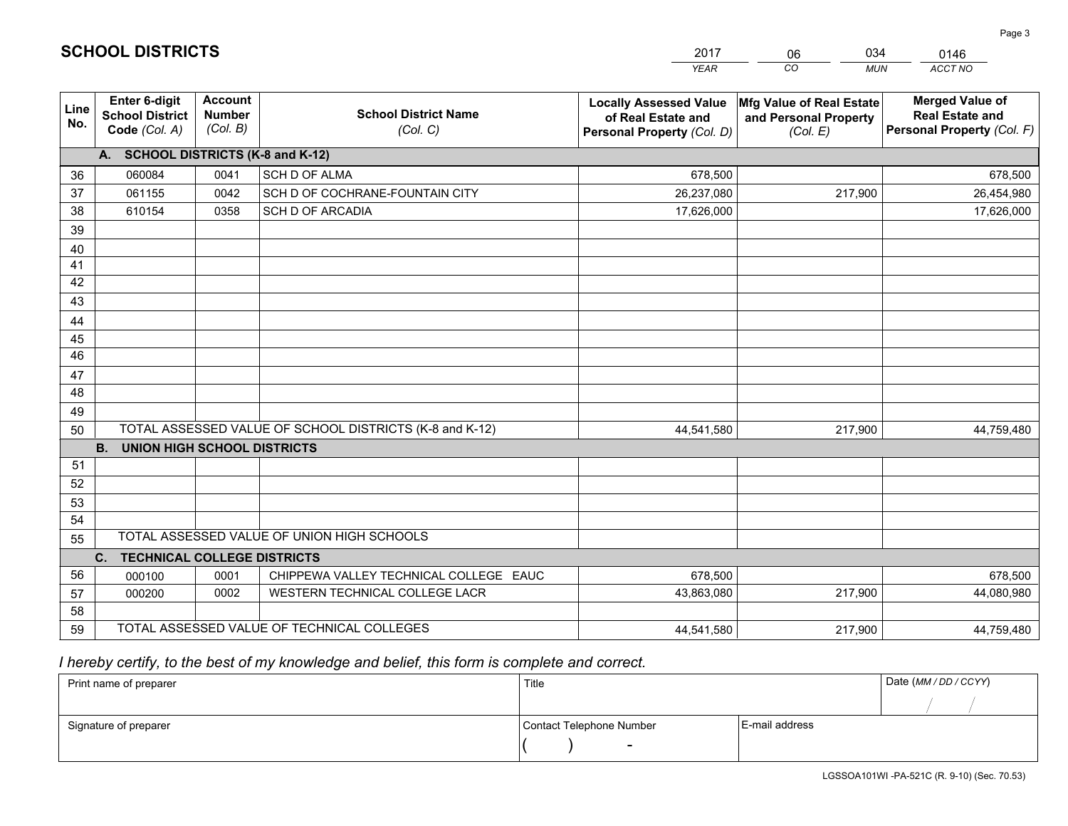|             |                                                                 |                                             |                                                         | <b>YEAR</b>                                                                       | CO<br><b>MUN</b>                                              | ACCT NO                                                                        |
|-------------|-----------------------------------------------------------------|---------------------------------------------|---------------------------------------------------------|-----------------------------------------------------------------------------------|---------------------------------------------------------------|--------------------------------------------------------------------------------|
| Line<br>No. | <b>Enter 6-digit</b><br><b>School District</b><br>Code (Col. A) | <b>Account</b><br><b>Number</b><br>(Col. B) | <b>School District Name</b><br>(Col. C)                 | <b>Locally Assessed Value</b><br>of Real Estate and<br>Personal Property (Col. D) | Mfg Value of Real Estate<br>and Personal Property<br>(Col. E) | <b>Merged Value of</b><br><b>Real Estate and</b><br>Personal Property (Col. F) |
|             | A. SCHOOL DISTRICTS (K-8 and K-12)                              |                                             |                                                         |                                                                                   |                                                               |                                                                                |
| 36          | 060084                                                          | 0041                                        | <b>SCH D OF ALMA</b>                                    | 678,500                                                                           |                                                               | 678,500                                                                        |
| 37          | 061155                                                          | 0042                                        | SCH D OF COCHRANE-FOUNTAIN CITY                         | 26,237,080                                                                        | 217,900                                                       | 26,454,980                                                                     |
| 38          | 610154                                                          | 0358                                        | <b>SCH D OF ARCADIA</b>                                 | 17,626,000                                                                        |                                                               | 17,626,000                                                                     |
| 39          |                                                                 |                                             |                                                         |                                                                                   |                                                               |                                                                                |
| 40          |                                                                 |                                             |                                                         |                                                                                   |                                                               |                                                                                |
| 41          |                                                                 |                                             |                                                         |                                                                                   |                                                               |                                                                                |
| 42          |                                                                 |                                             |                                                         |                                                                                   |                                                               |                                                                                |
| 43          |                                                                 |                                             |                                                         |                                                                                   |                                                               |                                                                                |
| 44          |                                                                 |                                             |                                                         |                                                                                   |                                                               |                                                                                |
| 45          |                                                                 |                                             |                                                         |                                                                                   |                                                               |                                                                                |
| 46          |                                                                 |                                             |                                                         |                                                                                   |                                                               |                                                                                |
| 47          |                                                                 |                                             |                                                         |                                                                                   |                                                               |                                                                                |
| 48          |                                                                 |                                             |                                                         |                                                                                   |                                                               |                                                                                |
| 49          |                                                                 |                                             |                                                         |                                                                                   |                                                               |                                                                                |
| 50          |                                                                 |                                             | TOTAL ASSESSED VALUE OF SCHOOL DISTRICTS (K-8 and K-12) | 44,541,580                                                                        | 217,900                                                       | 44,759,480                                                                     |
|             | <b>B.</b><br><b>UNION HIGH SCHOOL DISTRICTS</b>                 |                                             |                                                         |                                                                                   |                                                               |                                                                                |
| 51<br>52    |                                                                 |                                             |                                                         |                                                                                   |                                                               |                                                                                |
| 53          |                                                                 |                                             |                                                         |                                                                                   |                                                               |                                                                                |
| 54          |                                                                 |                                             |                                                         |                                                                                   |                                                               |                                                                                |
| 55          |                                                                 |                                             | TOTAL ASSESSED VALUE OF UNION HIGH SCHOOLS              |                                                                                   |                                                               |                                                                                |
|             | C.<br><b>TECHNICAL COLLEGE DISTRICTS</b>                        |                                             |                                                         |                                                                                   |                                                               |                                                                                |
| 56          | 000100                                                          | 0001                                        | CHIPPEWA VALLEY TECHNICAL COLLEGE EAUC                  | 678,500                                                                           |                                                               | 678,500                                                                        |
| 57          | 000200                                                          | 0002                                        | WESTERN TECHNICAL COLLEGE LACR                          | 43,863,080                                                                        | 217,900                                                       | 44,080,980                                                                     |
| 58          |                                                                 |                                             |                                                         |                                                                                   |                                                               |                                                                                |
| 59          |                                                                 |                                             | TOTAL ASSESSED VALUE OF TECHNICAL COLLEGES              | 44,541,580                                                                        | 217,900                                                       | 44,759,480                                                                     |

06

034

## *I hereby certify, to the best of my knowledge and belief, this form is complete and correct.*

**SCHOOL DISTRICTS**

| Print name of preparer | Title                    |                | Date (MM / DD / CCYY) |
|------------------------|--------------------------|----------------|-----------------------|
|                        |                          |                |                       |
| Signature of preparer  | Contact Telephone Number | E-mail address |                       |
|                        | $\overline{\phantom{0}}$ |                |                       |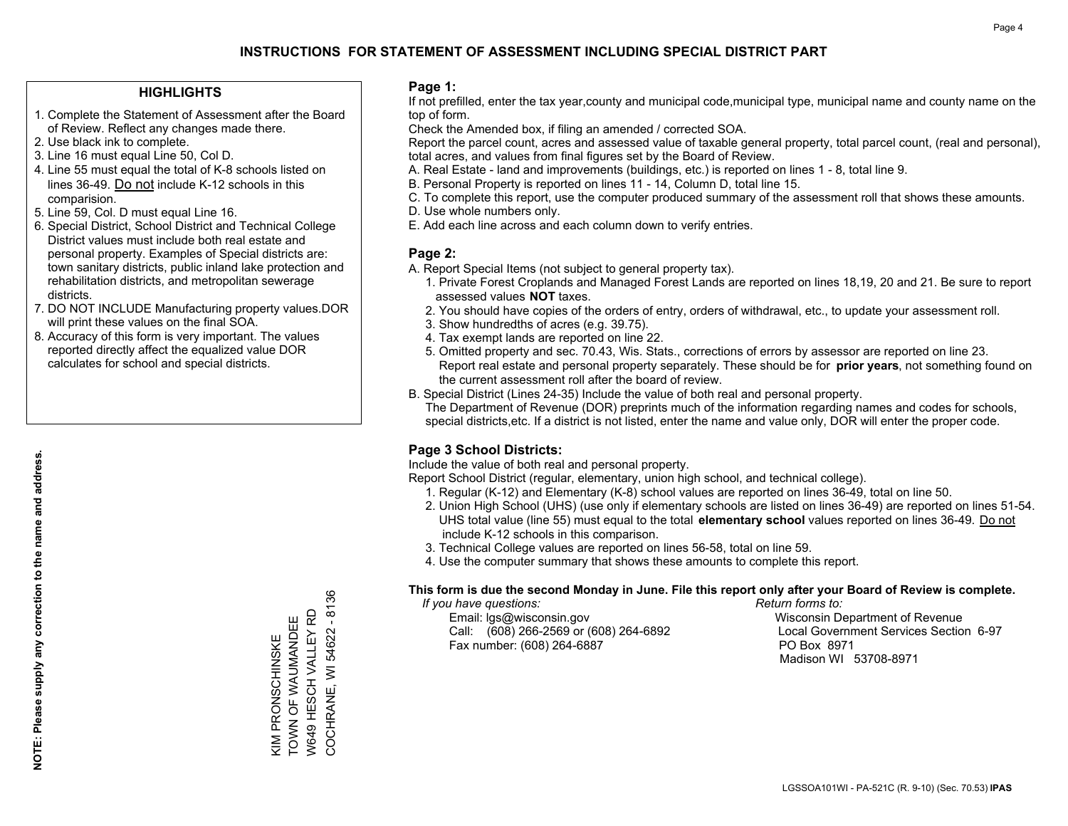## **HIGHLIGHTS**

- 1. Complete the Statement of Assessment after the Board of Review. Reflect any changes made there.
- 2. Use black ink to complete.
- 3. Line 16 must equal Line 50, Col D.
- 4. Line 55 must equal the total of K-8 schools listed on lines 36-49. Do not include K-12 schools in this comparision.
- 5. Line 59, Col. D must equal Line 16.
- 6. Special District, School District and Technical College District values must include both real estate and personal property. Examples of Special districts are: town sanitary districts, public inland lake protection and rehabilitation districts, and metropolitan sewerage districts.
- 7. DO NOT INCLUDE Manufacturing property values.DOR will print these values on the final SOA.
- 8. Accuracy of this form is very important. The values reported directly affect the equalized value DOR calculates for school and special districts.

#### **Page 1:**

 If not prefilled, enter the tax year,county and municipal code,municipal type, municipal name and county name on the top of form.

Check the Amended box, if filing an amended / corrected SOA.

 Report the parcel count, acres and assessed value of taxable general property, total parcel count, (real and personal), total acres, and values from final figures set by the Board of Review.

- A. Real Estate land and improvements (buildings, etc.) is reported on lines 1 8, total line 9.
- B. Personal Property is reported on lines 11 14, Column D, total line 15.
- C. To complete this report, use the computer produced summary of the assessment roll that shows these amounts.
- D. Use whole numbers only.
- E. Add each line across and each column down to verify entries.

## **Page 2:**

- A. Report Special Items (not subject to general property tax).
- 1. Private Forest Croplands and Managed Forest Lands are reported on lines 18,19, 20 and 21. Be sure to report assessed values **NOT** taxes.
- 2. You should have copies of the orders of entry, orders of withdrawal, etc., to update your assessment roll.
	- 3. Show hundredths of acres (e.g. 39.75).
- 4. Tax exempt lands are reported on line 22.
- 5. Omitted property and sec. 70.43, Wis. Stats., corrections of errors by assessor are reported on line 23. Report real estate and personal property separately. These should be for **prior years**, not something found on the current assessment roll after the board of review.
- B. Special District (Lines 24-35) Include the value of both real and personal property.

 The Department of Revenue (DOR) preprints much of the information regarding names and codes for schools, special districts,etc. If a district is not listed, enter the name and value only, DOR will enter the proper code.

## **Page 3 School Districts:**

Include the value of both real and personal property.

Report School District (regular, elementary, union high school, and technical college).

- 1. Regular (K-12) and Elementary (K-8) school values are reported on lines 36-49, total on line 50.
- 2. Union High School (UHS) (use only if elementary schools are listed on lines 36-49) are reported on lines 51-54. UHS total value (line 55) must equal to the total **elementary school** values reported on lines 36-49. Do notinclude K-12 schools in this comparison.
- 3. Technical College values are reported on lines 56-58, total on line 59.
- 4. Use the computer summary that shows these amounts to complete this report.

#### **This form is due the second Monday in June. File this report only after your Board of Review is complete.**

 *If you have questions: Return forms to:*

 Email: lgs@wisconsin.gov Wisconsin Department of RevenueCall:  $(608)$  266-2569 or  $(608)$  264-6892 Fax number: (608) 264-6887 PO Box 8971

Local Government Services Section 6-97 Madison WI 53708-8971

COCHRANE, WI 54622 - 8136 COCHRANE, WI 54622 - 8136 W649 HESCH VALLEY RD W649 HESCH VALLEY RD TOWN OF WAUMANDEE KIM PRONSCHINSKE<br>TOWN OF WAUMANDEE KIM PRONSCHINSKE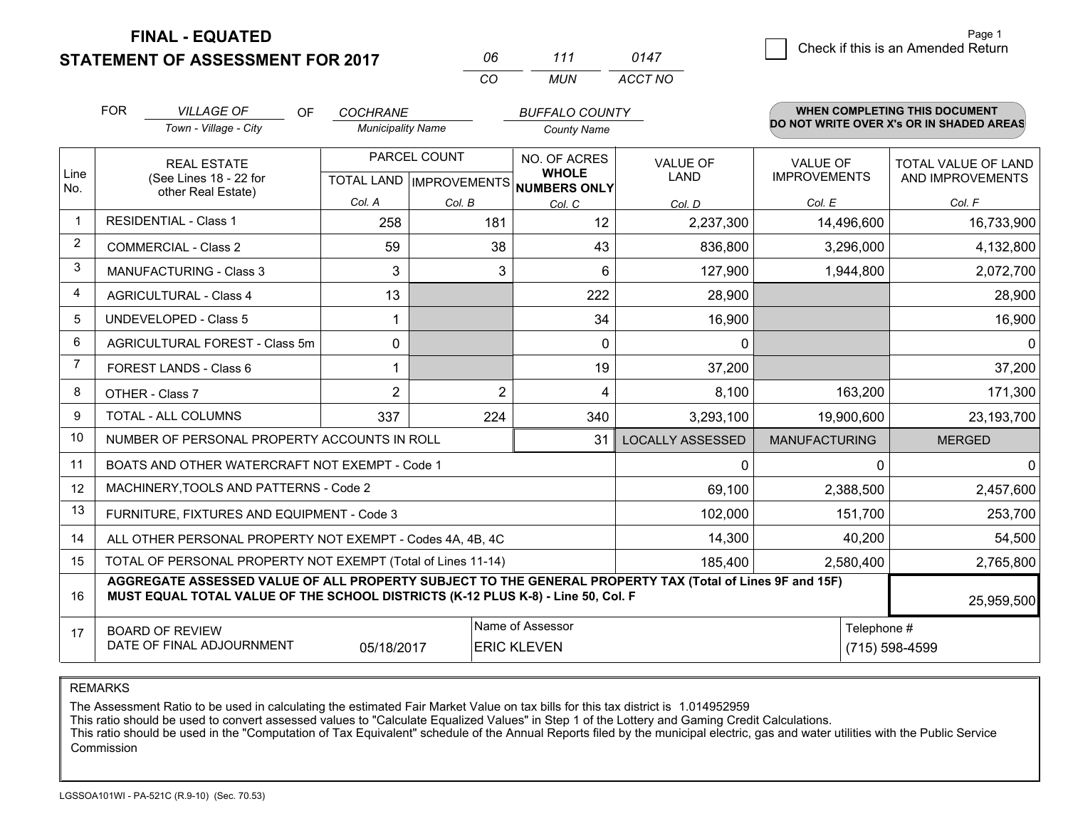**STATEMENT OF ASSESSMENT FOR 2017** 

**FINAL - EQUATED**

| Пĥ  | 111  | በ147    |
|-----|------|---------|
| ΓO. | MUN. | ACCT NO |

|                         | <b>FOR</b><br><b>VILLAGE OF</b><br><b>OF</b><br>Town - Village - City                                                                                                                                      | <b>COCHRANE</b><br><b>Municipality Name</b>          |                         | <b>BUFFALO COUNTY</b><br><b>County Name</b> |                                |                                        | WHEN COMPLETING THIS DOCUMENT<br>DO NOT WRITE OVER X's OR IN SHADED AREAS |
|-------------------------|------------------------------------------------------------------------------------------------------------------------------------------------------------------------------------------------------------|------------------------------------------------------|-------------------------|---------------------------------------------|--------------------------------|----------------------------------------|---------------------------------------------------------------------------|
| Line<br>No.             | <b>REAL ESTATE</b><br>(See Lines 18 - 22 for<br>other Real Estate)                                                                                                                                         | PARCEL COUNT<br>TOTAL LAND IMPROVEMENTS NUMBERS ONLY |                         | NO. OF ACRES<br><b>WHOLE</b>                | <b>VALUE OF</b><br><b>LAND</b> | <b>VALUE OF</b><br><b>IMPROVEMENTS</b> | TOTAL VALUE OF LAND<br>AND IMPROVEMENTS                                   |
|                         |                                                                                                                                                                                                            | Col. A                                               | Col. B                  | Col. C                                      | Col. D                         | Col. E                                 | Col. F                                                                    |
| $\overline{\mathbf{1}}$ | <b>RESIDENTIAL - Class 1</b>                                                                                                                                                                               | 258                                                  | 181                     | 12                                          | 2,237,300                      | 14,496,600                             | 16,733,900                                                                |
| 2                       | <b>COMMERCIAL - Class 2</b>                                                                                                                                                                                | 59                                                   | 38                      | 43                                          | 836,800                        | 3,296,000                              | 4,132,800                                                                 |
| 3                       | MANUFACTURING - Class 3                                                                                                                                                                                    | 3                                                    | 3                       | 6                                           | 127,900                        | 1,944,800                              | 2,072,700                                                                 |
| 4                       | <b>AGRICULTURAL - Class 4</b>                                                                                                                                                                              | 13                                                   |                         | 222                                         | 28,900                         |                                        | 28,900                                                                    |
| 5                       | UNDEVELOPED - Class 5                                                                                                                                                                                      | -1                                                   |                         | 34                                          | 16,900                         |                                        | 16,900                                                                    |
| 6                       | AGRICULTURAL FOREST - Class 5m                                                                                                                                                                             | $\mathbf{0}$                                         |                         | $\mathbf{0}$                                | 0                              |                                        | $\overline{0}$                                                            |
| $\overline{7}$          | FOREST LANDS - Class 6                                                                                                                                                                                     |                                                      |                         | 19                                          | 37,200                         |                                        | 37,200                                                                    |
| 8                       | OTHER - Class 7                                                                                                                                                                                            | $\overline{2}$                                       | $\overline{2}$          | 4                                           | 8,100                          | 163,200                                | 171,300                                                                   |
| 9                       | TOTAL - ALL COLUMNS                                                                                                                                                                                        | 224                                                  | 340                     | 3,293,100                                   | 19,900,600                     | 23,193,700                             |                                                                           |
| 10                      | NUMBER OF PERSONAL PROPERTY ACCOUNTS IN ROLL                                                                                                                                                               |                                                      | <b>LOCALLY ASSESSED</b> | <b>MANUFACTURING</b>                        | <b>MERGED</b>                  |                                        |                                                                           |
| 11                      | BOATS AND OTHER WATERCRAFT NOT EXEMPT - Code 1                                                                                                                                                             |                                                      |                         |                                             | 0                              | 0                                      | $\Omega$                                                                  |
| 12                      | MACHINERY, TOOLS AND PATTERNS - Code 2                                                                                                                                                                     |                                                      |                         |                                             | 69,100                         | 2,388,500                              | 2,457,600                                                                 |
| 13                      | FURNITURE, FIXTURES AND EQUIPMENT - Code 3                                                                                                                                                                 |                                                      | 102,000                 | 151,700                                     | 253,700                        |                                        |                                                                           |
| 14                      | ALL OTHER PERSONAL PROPERTY NOT EXEMPT - Codes 4A, 4B, 4C                                                                                                                                                  | 14,300                                               | 40,200                  | 54,500                                      |                                |                                        |                                                                           |
| 15                      | TOTAL OF PERSONAL PROPERTY NOT EXEMPT (Total of Lines 11-14)                                                                                                                                               |                                                      | 185,400                 | 2,580,400                                   | 2,765,800                      |                                        |                                                                           |
| 16                      | AGGREGATE ASSESSED VALUE OF ALL PROPERTY SUBJECT TO THE GENERAL PROPERTY TAX (Total of Lines 9F and 15F)<br>MUST EQUAL TOTAL VALUE OF THE SCHOOL DISTRICTS (K-12 PLUS K-8) - Line 50, Col. F<br>25,959,500 |                                                      |                         |                                             |                                |                                        |                                                                           |
| 17                      | Name of Assessor<br><b>BOARD OF REVIEW</b><br>DATE OF FINAL ADJOURNMENT<br>05/18/2017<br><b>ERIC KLEVEN</b>                                                                                                |                                                      |                         |                                             |                                | Telephone #                            | (715) 598-4599                                                            |

REMARKS

The Assessment Ratio to be used in calculating the estimated Fair Market Value on tax bills for this tax district is 1.014952959

This ratio should be used to convert assessed values to "Calculate Equalized Values" in Step 1 of the Lottery and Gaming Credit Calculations.<br>This ratio should be used in the "Computation of Tax Equivalent" schedule of the Commission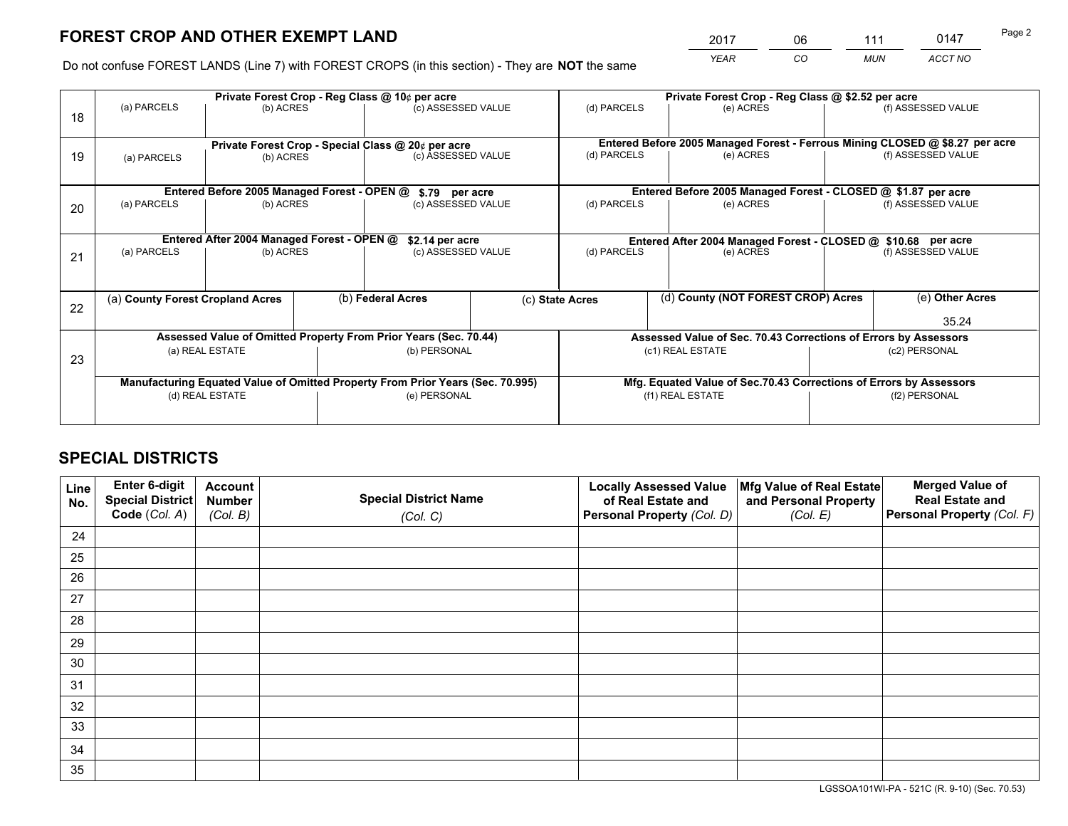*YEAR CO MUN ACCT NO* <sup>2017</sup> <sup>06</sup> <sup>111</sup> <sup>0147</sup>

Do not confuse FOREST LANDS (Line 7) with FOREST CROPS (in this section) - They are **NOT** the same

|    | Private Forest Crop - Reg Class @ 10¢ per acre                                 |                                                                  |              |                                      |                  | Private Forest Crop - Reg Class @ \$2.52 per acre                  |                                                                              |               |                    |  |
|----|--------------------------------------------------------------------------------|------------------------------------------------------------------|--------------|--------------------------------------|------------------|--------------------------------------------------------------------|------------------------------------------------------------------------------|---------------|--------------------|--|
| 18 | (a) PARCELS                                                                    | (b) ACRES                                                        |              | (c) ASSESSED VALUE                   |                  | (d) PARCELS                                                        | (e) ACRES                                                                    |               | (f) ASSESSED VALUE |  |
|    |                                                                                | Private Forest Crop - Special Class @ 20¢ per acre               |              |                                      |                  |                                                                    | Entered Before 2005 Managed Forest - Ferrous Mining CLOSED @ \$8.27 per acre |               |                    |  |
| 19 | (a) PARCELS                                                                    | (b) ACRES                                                        |              | (c) ASSESSED VALUE                   |                  | (d) PARCELS                                                        | (e) ACRES                                                                    |               | (f) ASSESSED VALUE |  |
|    |                                                                                |                                                                  |              |                                      |                  |                                                                    | Entered Before 2005 Managed Forest - CLOSED @ \$1.87 per acre                |               |                    |  |
| 20 | Entered Before 2005 Managed Forest - OPEN @<br>(a) PARCELS<br>(b) ACRES        |                                                                  |              | \$.79 per acre<br>(c) ASSESSED VALUE |                  | (d) PARCELS<br>(e) ACRES                                           |                                                                              |               | (f) ASSESSED VALUE |  |
|    | Entered After 2004 Managed Forest - OPEN @<br>\$2.14 per acre                  |                                                                  |              |                                      |                  | Entered After 2004 Managed Forest - CLOSED @ \$10.68 per acre      |                                                                              |               |                    |  |
| 21 | (a) PARCELS<br>(b) ACRES                                                       |                                                                  |              | (c) ASSESSED VALUE                   |                  | (d) PARCELS                                                        | (e) ACRES                                                                    |               | (f) ASSESSED VALUE |  |
|    | (a) County Forest Cropland Acres                                               |                                                                  |              | (b) Federal Acres                    |                  | (d) County (NOT FOREST CROP) Acres<br>(c) State Acres              |                                                                              |               | (e) Other Acres    |  |
| 22 |                                                                                |                                                                  |              |                                      |                  |                                                                    |                                                                              |               | 35.24              |  |
|    |                                                                                | Assessed Value of Omitted Property From Prior Years (Sec. 70.44) |              |                                      |                  |                                                                    | Assessed Value of Sec. 70.43 Corrections of Errors by Assessors              |               |                    |  |
| 23 |                                                                                | (b) PERSONAL<br>(a) REAL ESTATE                                  |              | (c1) REAL ESTATE<br>(c2) PERSONAL    |                  |                                                                    |                                                                              |               |                    |  |
|    | Manufacturing Equated Value of Omitted Property From Prior Years (Sec. 70.995) |                                                                  |              |                                      |                  | Mfg. Equated Value of Sec.70.43 Corrections of Errors by Assessors |                                                                              |               |                    |  |
|    | (d) REAL ESTATE                                                                |                                                                  | (e) PERSONAL |                                      | (f1) REAL ESTATE |                                                                    |                                                                              | (f2) PERSONAL |                    |  |
|    |                                                                                |                                                                  |              |                                      |                  |                                                                    |                                                                              |               |                    |  |

## **SPECIAL DISTRICTS**

| Line<br>No. | Enter 6-digit<br>Special District<br>Code (Col. A) | <b>Account</b><br><b>Number</b> | <b>Special District Name</b> | <b>Locally Assessed Value</b><br>of Real Estate and | Mfg Value of Real Estate<br>and Personal Property | <b>Merged Value of</b><br><b>Real Estate and</b><br>Personal Property (Col. F) |
|-------------|----------------------------------------------------|---------------------------------|------------------------------|-----------------------------------------------------|---------------------------------------------------|--------------------------------------------------------------------------------|
|             |                                                    | (Col. B)                        | (Col. C)                     | Personal Property (Col. D)                          | (Col. E)                                          |                                                                                |
| 24          |                                                    |                                 |                              |                                                     |                                                   |                                                                                |
| 25          |                                                    |                                 |                              |                                                     |                                                   |                                                                                |
| 26          |                                                    |                                 |                              |                                                     |                                                   |                                                                                |
| 27          |                                                    |                                 |                              |                                                     |                                                   |                                                                                |
| 28          |                                                    |                                 |                              |                                                     |                                                   |                                                                                |
| 29          |                                                    |                                 |                              |                                                     |                                                   |                                                                                |
| 30          |                                                    |                                 |                              |                                                     |                                                   |                                                                                |
| 31          |                                                    |                                 |                              |                                                     |                                                   |                                                                                |
| 32          |                                                    |                                 |                              |                                                     |                                                   |                                                                                |
| 33          |                                                    |                                 |                              |                                                     |                                                   |                                                                                |
| 34          |                                                    |                                 |                              |                                                     |                                                   |                                                                                |
| 35          |                                                    |                                 |                              |                                                     |                                                   |                                                                                |

LGSSOA101WI-PA - 521C (R. 9-10) (Sec. 70.53)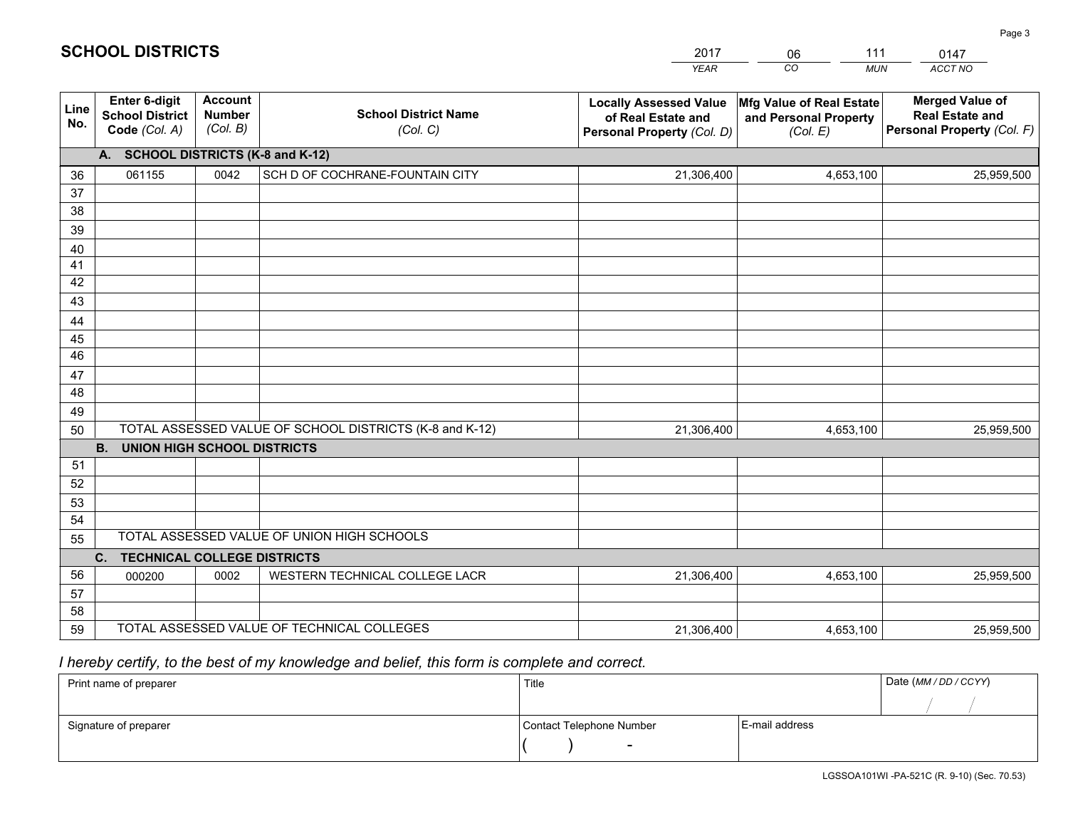|             |                                                          |                                             |                                                         | <b>YEAR</b>                                                                       | CO<br><b>MUN</b>                                              | ACCT NO                                                                        |  |  |
|-------------|----------------------------------------------------------|---------------------------------------------|---------------------------------------------------------|-----------------------------------------------------------------------------------|---------------------------------------------------------------|--------------------------------------------------------------------------------|--|--|
| Line<br>No. | Enter 6-digit<br><b>School District</b><br>Code (Col. A) | <b>Account</b><br><b>Number</b><br>(Col. B) | <b>School District Name</b><br>(Col. C)                 | <b>Locally Assessed Value</b><br>of Real Estate and<br>Personal Property (Col. D) | Mfg Value of Real Estate<br>and Personal Property<br>(Col. E) | <b>Merged Value of</b><br><b>Real Estate and</b><br>Personal Property (Col. F) |  |  |
|             | <b>SCHOOL DISTRICTS (K-8 and K-12)</b><br>A.             |                                             |                                                         |                                                                                   |                                                               |                                                                                |  |  |
| 36          | 061155                                                   | 0042                                        | SCH D OF COCHRANE-FOUNTAIN CITY                         | 21,306,400                                                                        | 4,653,100                                                     | 25,959,500                                                                     |  |  |
| 37          |                                                          |                                             |                                                         |                                                                                   |                                                               |                                                                                |  |  |
| 38          |                                                          |                                             |                                                         |                                                                                   |                                                               |                                                                                |  |  |
| 39          |                                                          |                                             |                                                         |                                                                                   |                                                               |                                                                                |  |  |
| 40          |                                                          |                                             |                                                         |                                                                                   |                                                               |                                                                                |  |  |
| 41<br>42    |                                                          |                                             |                                                         |                                                                                   |                                                               |                                                                                |  |  |
| 43          |                                                          |                                             |                                                         |                                                                                   |                                                               |                                                                                |  |  |
| 44          |                                                          |                                             |                                                         |                                                                                   |                                                               |                                                                                |  |  |
| 45          |                                                          |                                             |                                                         |                                                                                   |                                                               |                                                                                |  |  |
| 46          |                                                          |                                             |                                                         |                                                                                   |                                                               |                                                                                |  |  |
| 47          |                                                          |                                             |                                                         |                                                                                   |                                                               |                                                                                |  |  |
| 48          |                                                          |                                             |                                                         |                                                                                   |                                                               |                                                                                |  |  |
| 49          |                                                          |                                             |                                                         |                                                                                   |                                                               |                                                                                |  |  |
| 50          |                                                          |                                             | TOTAL ASSESSED VALUE OF SCHOOL DISTRICTS (K-8 and K-12) | 21,306,400                                                                        | 4,653,100                                                     | 25,959,500                                                                     |  |  |
|             | <b>B.</b><br><b>UNION HIGH SCHOOL DISTRICTS</b>          |                                             |                                                         |                                                                                   |                                                               |                                                                                |  |  |
| 51          |                                                          |                                             |                                                         |                                                                                   |                                                               |                                                                                |  |  |
| 52          |                                                          |                                             |                                                         |                                                                                   |                                                               |                                                                                |  |  |
| 53<br>54    |                                                          |                                             |                                                         |                                                                                   |                                                               |                                                                                |  |  |
| 55          |                                                          |                                             | TOTAL ASSESSED VALUE OF UNION HIGH SCHOOLS              |                                                                                   |                                                               |                                                                                |  |  |
|             | $C_{1}$<br><b>TECHNICAL COLLEGE DISTRICTS</b>            |                                             |                                                         |                                                                                   |                                                               |                                                                                |  |  |
| 56          | 000200                                                   | 0002                                        | WESTERN TECHNICAL COLLEGE LACR                          | 21,306,400                                                                        | 4,653,100                                                     | 25,959,500                                                                     |  |  |
| 57          |                                                          |                                             |                                                         |                                                                                   |                                                               |                                                                                |  |  |
| 58          |                                                          |                                             |                                                         |                                                                                   |                                                               |                                                                                |  |  |
| 59          |                                                          |                                             | TOTAL ASSESSED VALUE OF TECHNICAL COLLEGES              | 21,306,400                                                                        | 4,653,100                                                     | 25,959,500                                                                     |  |  |

06

111

 *I hereby certify, to the best of my knowledge and belief, this form is complete and correct.*

**SCHOOL DISTRICTS**

| Print name of preparer | Title                    |                | Date (MM / DD / CCYY) |
|------------------------|--------------------------|----------------|-----------------------|
|                        |                          |                |                       |
| Signature of preparer  | Contact Telephone Number | E-mail address |                       |
|                        | $\sim$                   |                |                       |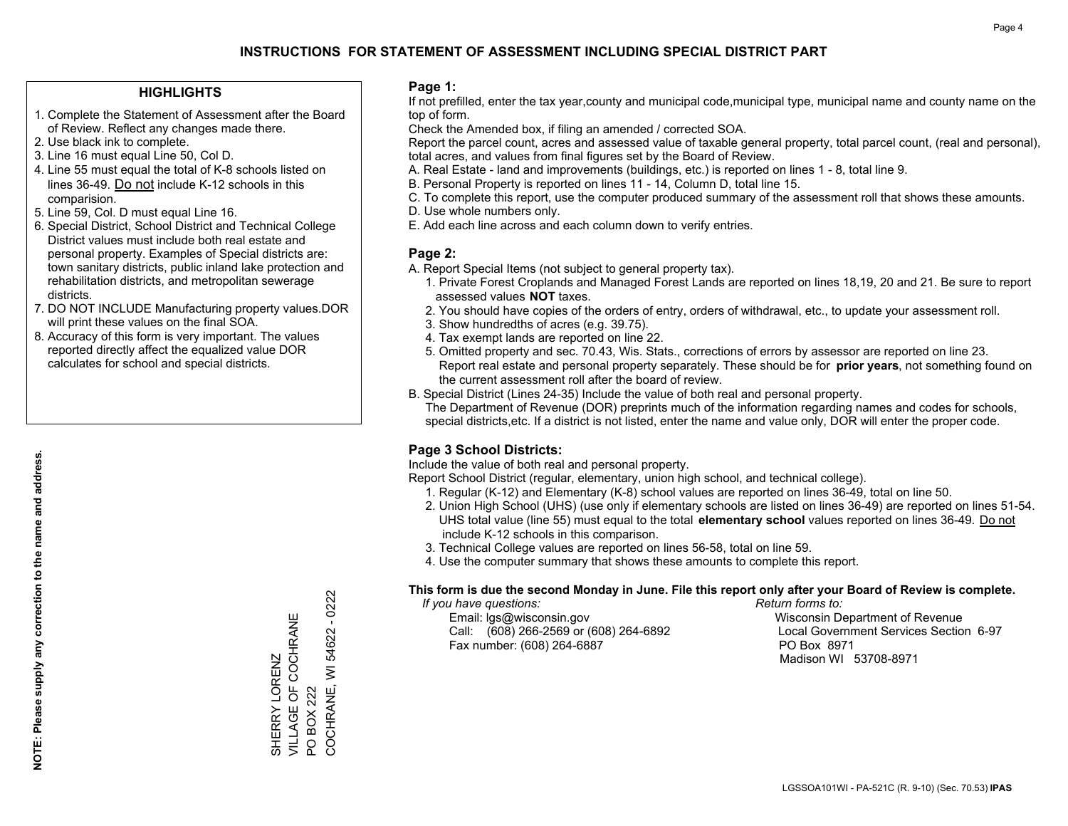## **HIGHLIGHTS**

- 1. Complete the Statement of Assessment after the Board of Review. Reflect any changes made there.
- 2. Use black ink to complete.
- 3. Line 16 must equal Line 50, Col D.
- 4. Line 55 must equal the total of K-8 schools listed on lines 36-49. Do not include K-12 schools in this comparision.
- 5. Line 59, Col. D must equal Line 16.
- 6. Special District, School District and Technical College District values must include both real estate and personal property. Examples of Special districts are: town sanitary districts, public inland lake protection and rehabilitation districts, and metropolitan sewerage districts.
- 7. DO NOT INCLUDE Manufacturing property values.DOR will print these values on the final SOA.

SHERRY LORENZ

VILLAGE OF COCHRANE

SHERRY LORENZ<br>VILLAGE OF COCHRANE

PO BOX 222

 $\overline{S}$ 

BOX 222

COCHRANE, WI 54622 - 0222

COCHRANE, WI 54622

 $-0222$ 

 8. Accuracy of this form is very important. The values reported directly affect the equalized value DOR calculates for school and special districts.

#### **Page 1:**

 If not prefilled, enter the tax year,county and municipal code,municipal type, municipal name and county name on the top of form.

Check the Amended box, if filing an amended / corrected SOA.

 Report the parcel count, acres and assessed value of taxable general property, total parcel count, (real and personal), total acres, and values from final figures set by the Board of Review.

- A. Real Estate land and improvements (buildings, etc.) is reported on lines 1 8, total line 9.
- B. Personal Property is reported on lines 11 14, Column D, total line 15.
- C. To complete this report, use the computer produced summary of the assessment roll that shows these amounts.
- D. Use whole numbers only.
- E. Add each line across and each column down to verify entries.

## **Page 2:**

- A. Report Special Items (not subject to general property tax).
- 1. Private Forest Croplands and Managed Forest Lands are reported on lines 18,19, 20 and 21. Be sure to report assessed values **NOT** taxes.
- 2. You should have copies of the orders of entry, orders of withdrawal, etc., to update your assessment roll.
	- 3. Show hundredths of acres (e.g. 39.75).
- 4. Tax exempt lands are reported on line 22.
- 5. Omitted property and sec. 70.43, Wis. Stats., corrections of errors by assessor are reported on line 23. Report real estate and personal property separately. These should be for **prior years**, not something found on the current assessment roll after the board of review.
- B. Special District (Lines 24-35) Include the value of both real and personal property.
- The Department of Revenue (DOR) preprints much of the information regarding names and codes for schools, special districts,etc. If a district is not listed, enter the name and value only, DOR will enter the proper code.

## **Page 3 School Districts:**

Include the value of both real and personal property.

Report School District (regular, elementary, union high school, and technical college).

- 1. Regular (K-12) and Elementary (K-8) school values are reported on lines 36-49, total on line 50.
- 2. Union High School (UHS) (use only if elementary schools are listed on lines 36-49) are reported on lines 51-54. UHS total value (line 55) must equal to the total **elementary school** values reported on lines 36-49. Do notinclude K-12 schools in this comparison.
- 3. Technical College values are reported on lines 56-58, total on line 59.
- 4. Use the computer summary that shows these amounts to complete this report.

#### **This form is due the second Monday in June. File this report only after your Board of Review is complete.**

 *If you have questions: Return forms to:*

 Email: lgs@wisconsin.gov Wisconsin Department of RevenueCall:  $(608)$  266-2569 or  $(608)$  264-6892 Fax number: (608) 264-6887 PO Box 8971

Local Government Services Section 6-97 Madison WI 53708-8971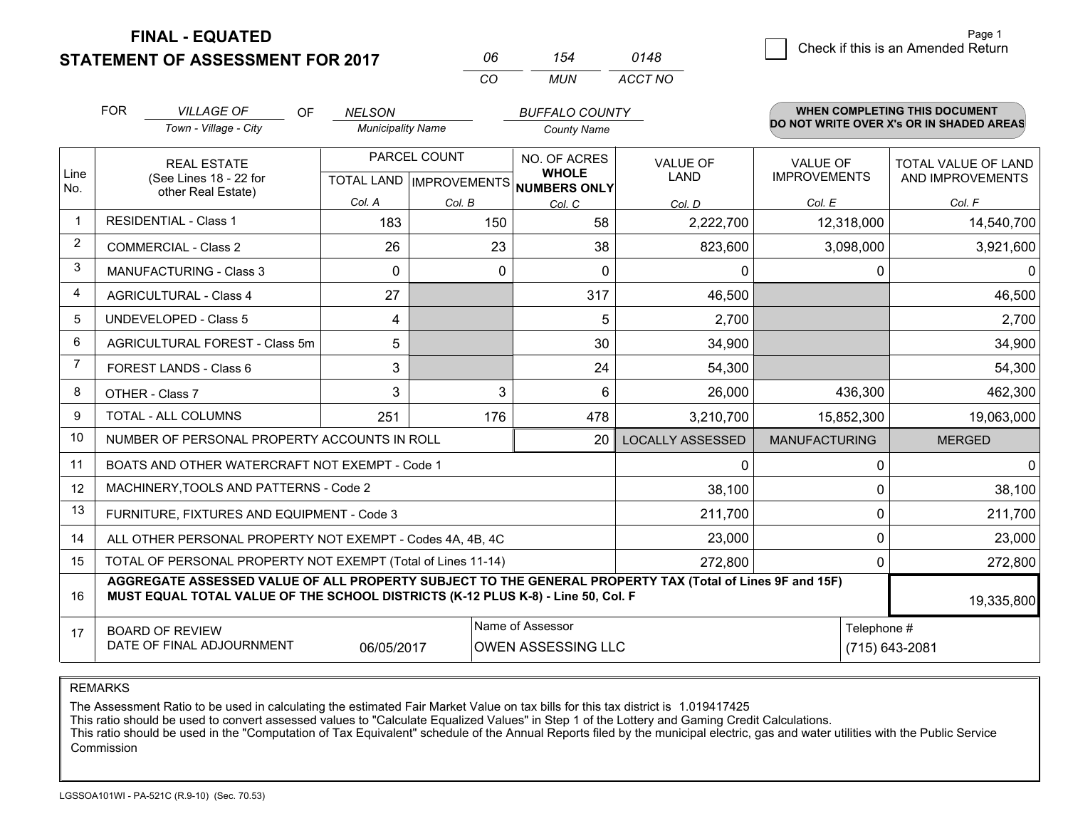**STATEMENT OF ASSESSMENT FOR 2017 FINAL - EQUATED**

|   |                                    | Page 1 |
|---|------------------------------------|--------|
| 8 | Check if this is an Amended Return |        |

|                | <b>FOR</b>                                                                                                                                                                                   | <b>VILLAGE OF</b><br>OF.                                     | <b>NELSON</b>            |                                  | <b>BUFFALO COUNTY</b>         |                         |                                          | <b>WHEN COMPLETING THIS DOCUMENT</b> |  |
|----------------|----------------------------------------------------------------------------------------------------------------------------------------------------------------------------------------------|--------------------------------------------------------------|--------------------------|----------------------------------|-------------------------------|-------------------------|------------------------------------------|--------------------------------------|--|
|                |                                                                                                                                                                                              | Town - Village - City                                        | <b>Municipality Name</b> |                                  | <b>County Name</b>            |                         | DO NOT WRITE OVER X's OR IN SHADED AREAS |                                      |  |
|                |                                                                                                                                                                                              | <b>REAL ESTATE</b>                                           |                          | PARCEL COUNT                     | NO. OF ACRES<br><b>WHOLE</b>  | <b>VALUE OF</b>         | <b>VALUE OF</b>                          | <b>TOTAL VALUE OF LAND</b>           |  |
| Line<br>No.    |                                                                                                                                                                                              | (See Lines 18 - 22 for<br>other Real Estate)                 |                          | <b>TOTAL LAND   IMPROVEMENTS</b> |                               | <b>LAND</b>             | <b>IMPROVEMENTS</b>                      | AND IMPROVEMENTS                     |  |
|                |                                                                                                                                                                                              |                                                              | Col. A                   | Col. B                           | <b>NUMBERS ONLY</b><br>Col. C | Col. D                  | Col. E                                   | Col. F                               |  |
|                |                                                                                                                                                                                              | <b>RESIDENTIAL - Class 1</b>                                 | 183                      | 150                              | 58                            | 2,222,700               | 12,318,000                               | 14,540,700                           |  |
| 2              |                                                                                                                                                                                              | <b>COMMERCIAL - Class 2</b>                                  | 26                       | 23                               | 38                            | 823,600                 | 3,098,000                                | 3,921,600                            |  |
| 3              |                                                                                                                                                                                              | <b>MANUFACTURING - Class 3</b>                               | 0                        | 0                                | 0                             | 0                       | 0                                        | $\mathbf{0}$                         |  |
| 4              |                                                                                                                                                                                              | <b>AGRICULTURAL - Class 4</b>                                | 27                       |                                  | 317                           | 46,500                  |                                          | 46,500                               |  |
| 5              |                                                                                                                                                                                              | <b>UNDEVELOPED - Class 5</b>                                 | 4                        |                                  | 5                             | 2,700                   |                                          | 2,700                                |  |
| 6              | AGRICULTURAL FOREST - Class 5m                                                                                                                                                               |                                                              | 5                        |                                  | 30                            | 34,900                  |                                          | 34,900                               |  |
| $\overline{7}$ |                                                                                                                                                                                              | FOREST LANDS - Class 6                                       | 3                        |                                  | 24                            | 54,300                  |                                          | 54,300                               |  |
| 8              |                                                                                                                                                                                              | OTHER - Class 7                                              | 3                        | 3                                | 6                             | 26,000                  | 436,300                                  | 462,300                              |  |
| 9              |                                                                                                                                                                                              | <b>TOTAL - ALL COLUMNS</b>                                   | 251                      | 176                              | 478                           | 3,210,700               | 15,852,300                               | 19,063,000                           |  |
| 10             |                                                                                                                                                                                              | NUMBER OF PERSONAL PROPERTY ACCOUNTS IN ROLL                 |                          |                                  | 20                            | <b>LOCALLY ASSESSED</b> | <b>MANUFACTURING</b>                     | <b>MERGED</b>                        |  |
| 11             |                                                                                                                                                                                              | BOATS AND OTHER WATERCRAFT NOT EXEMPT - Code 1               |                          |                                  |                               | 0                       | $\mathbf{0}$                             | $\mathbf{0}$                         |  |
| 12             |                                                                                                                                                                                              | MACHINERY, TOOLS AND PATTERNS - Code 2                       |                          |                                  |                               | 38,100                  | $\mathbf 0$                              | 38,100                               |  |
| 13             |                                                                                                                                                                                              | FURNITURE, FIXTURES AND EQUIPMENT - Code 3                   |                          |                                  |                               | 211,700                 | $\mathbf{0}$                             | 211,700                              |  |
| 14             |                                                                                                                                                                                              | ALL OTHER PERSONAL PROPERTY NOT EXEMPT - Codes 4A, 4B, 4C    |                          |                                  |                               | 23,000                  | $\Omega$                                 | 23,000                               |  |
| 15             |                                                                                                                                                                                              | TOTAL OF PERSONAL PROPERTY NOT EXEMPT (Total of Lines 11-14) |                          |                                  |                               | 272,800                 | $\mathbf{0}$                             | 272,800                              |  |
| 16             | AGGREGATE ASSESSED VALUE OF ALL PROPERTY SUBJECT TO THE GENERAL PROPERTY TAX (Total of Lines 9F and 15F)<br>MUST EQUAL TOTAL VALUE OF THE SCHOOL DISTRICTS (K-12 PLUS K-8) - Line 50, Col. F |                                                              |                          |                                  |                               |                         | 19,335,800                               |                                      |  |
| 17             |                                                                                                                                                                                              | <b>BOARD OF REVIEW</b>                                       |                          |                                  | Name of Assessor              |                         | Telephone #                              |                                      |  |
|                | DATE OF FINAL ADJOURNMENT<br><b>OWEN ASSESSING LLC</b><br>06/05/2017                                                                                                                         |                                                              |                          |                                  |                               |                         | (715) 643-2081                           |                                      |  |

*CO*

*MUN*

*ACCT NO0148*

*<sup>06</sup> <sup>154</sup>*

REMARKS

The Assessment Ratio to be used in calculating the estimated Fair Market Value on tax bills for this tax district is 1.019417425<br>This ratio should be used to convert assessed values to "Calculate Equalized Values" in Step Commission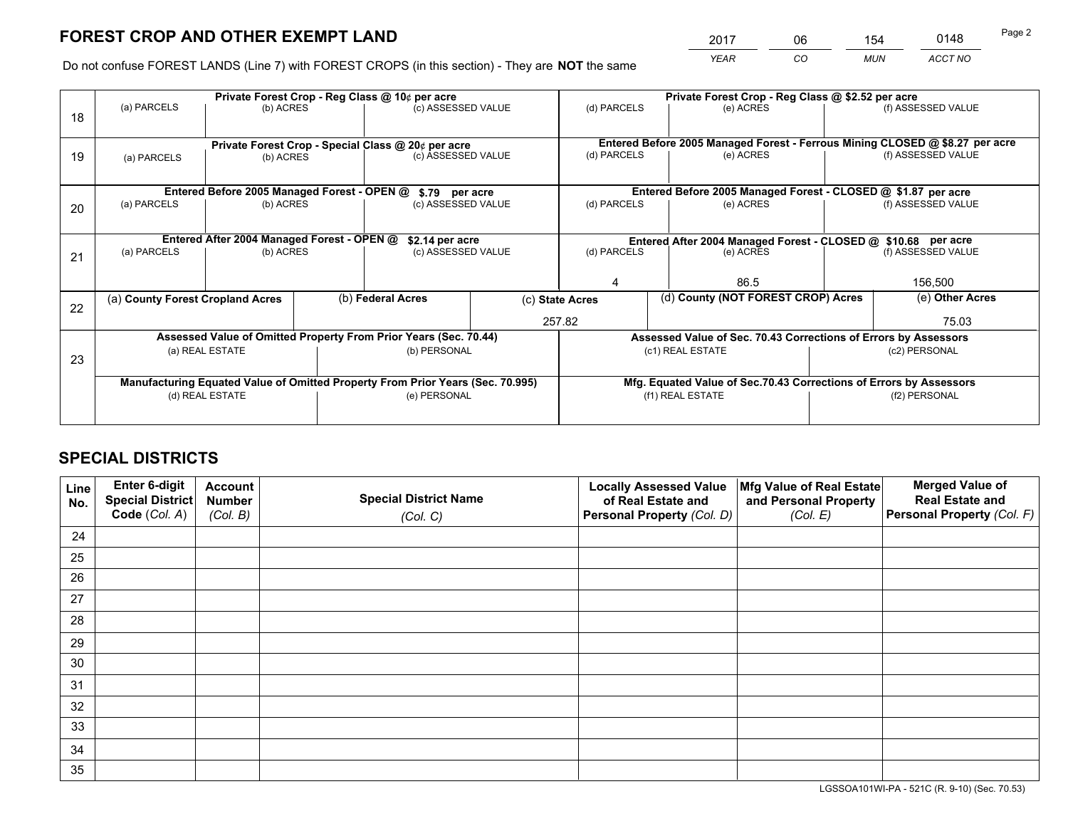*YEAR CO MUN ACCT NO* <sup>2017</sup> <sup>06</sup> <sup>154</sup> <sup>0148</sup>

Do not confuse FOREST LANDS (Line 7) with FOREST CROPS (in this section) - They are **NOT** the same

|    |                                  |                                             |  | Private Forest Crop - Reg Class @ 10¢ per acre                                 |  | Private Forest Crop - Reg Class @ \$2.52 per acre     |                                                                              |               |                    |  |
|----|----------------------------------|---------------------------------------------|--|--------------------------------------------------------------------------------|--|-------------------------------------------------------|------------------------------------------------------------------------------|---------------|--------------------|--|
| 18 | (a) PARCELS                      | (b) ACRES                                   |  | (c) ASSESSED VALUE                                                             |  | (d) PARCELS                                           | (e) ACRES                                                                    |               | (f) ASSESSED VALUE |  |
|    |                                  |                                             |  |                                                                                |  |                                                       |                                                                              |               |                    |  |
|    |                                  |                                             |  | Private Forest Crop - Special Class @ 20¢ per acre                             |  |                                                       | Entered Before 2005 Managed Forest - Ferrous Mining CLOSED @ \$8.27 per acre |               |                    |  |
| 19 | (a) PARCELS                      | (b) ACRES                                   |  | (c) ASSESSED VALUE                                                             |  | (d) PARCELS                                           | (e) ACRES                                                                    |               | (f) ASSESSED VALUE |  |
|    |                                  |                                             |  |                                                                                |  |                                                       |                                                                              |               |                    |  |
|    |                                  | Entered Before 2005 Managed Forest - OPEN @ |  | \$.79 per acre                                                                 |  |                                                       | Entered Before 2005 Managed Forest - CLOSED @ \$1.87 per acre                |               |                    |  |
| 20 | (a) PARCELS                      | (b) ACRES                                   |  | (c) ASSESSED VALUE                                                             |  | (d) PARCELS                                           | (e) ACRES                                                                    |               | (f) ASSESSED VALUE |  |
|    |                                  |                                             |  |                                                                                |  |                                                       |                                                                              |               |                    |  |
|    |                                  | Entered After 2004 Managed Forest - OPEN @  |  | \$2.14 per acre                                                                |  |                                                       | Entered After 2004 Managed Forest - CLOSED @ \$10.68 per acre                |               |                    |  |
| 21 | (a) PARCELS                      | (b) ACRES                                   |  | (c) ASSESSED VALUE                                                             |  | (d) PARCELS<br>(e) ACRES                              |                                                                              |               | (f) ASSESSED VALUE |  |
|    |                                  |                                             |  |                                                                                |  |                                                       |                                                                              |               |                    |  |
|    |                                  |                                             |  |                                                                                |  | 86.5<br>4                                             |                                                                              | 156,500       |                    |  |
| 22 | (a) County Forest Cropland Acres |                                             |  | (b) Federal Acres                                                              |  | (d) County (NOT FOREST CROP) Acres<br>(c) State Acres |                                                                              |               | (e) Other Acres    |  |
|    |                                  |                                             |  |                                                                                |  | 257.82                                                |                                                                              |               | 75.03              |  |
|    |                                  |                                             |  | Assessed Value of Omitted Property From Prior Years (Sec. 70.44)               |  |                                                       | Assessed Value of Sec. 70.43 Corrections of Errors by Assessors              |               |                    |  |
| 23 |                                  | (a) REAL ESTATE                             |  | (b) PERSONAL                                                                   |  |                                                       | (c1) REAL ESTATE                                                             |               | (c2) PERSONAL      |  |
|    |                                  |                                             |  |                                                                                |  |                                                       |                                                                              |               |                    |  |
|    |                                  |                                             |  | Manufacturing Equated Value of Omitted Property From Prior Years (Sec. 70.995) |  |                                                       | Mfg. Equated Value of Sec.70.43 Corrections of Errors by Assessors           |               |                    |  |
|    | (d) REAL ESTATE                  |                                             |  | (e) PERSONAL                                                                   |  | (f1) REAL ESTATE                                      |                                                                              | (f2) PERSONAL |                    |  |
|    |                                  |                                             |  |                                                                                |  |                                                       |                                                                              |               |                    |  |

# **SPECIAL DISTRICTS**

| Line<br>No. | Enter 6-digit<br>Special District<br>Code (Col. A) | <b>Account</b><br><b>Number</b> | <b>Special District Name</b> | <b>Locally Assessed Value</b><br>of Real Estate and | Mfg Value of Real Estate<br>and Personal Property | <b>Merged Value of</b><br><b>Real Estate and</b><br>Personal Property (Col. F) |
|-------------|----------------------------------------------------|---------------------------------|------------------------------|-----------------------------------------------------|---------------------------------------------------|--------------------------------------------------------------------------------|
|             |                                                    | (Col. B)                        | (Col. C)                     | Personal Property (Col. D)                          | (Col. E)                                          |                                                                                |
| 24          |                                                    |                                 |                              |                                                     |                                                   |                                                                                |
| 25          |                                                    |                                 |                              |                                                     |                                                   |                                                                                |
| 26          |                                                    |                                 |                              |                                                     |                                                   |                                                                                |
| 27          |                                                    |                                 |                              |                                                     |                                                   |                                                                                |
| 28          |                                                    |                                 |                              |                                                     |                                                   |                                                                                |
| 29          |                                                    |                                 |                              |                                                     |                                                   |                                                                                |
| 30          |                                                    |                                 |                              |                                                     |                                                   |                                                                                |
| 31          |                                                    |                                 |                              |                                                     |                                                   |                                                                                |
| 32          |                                                    |                                 |                              |                                                     |                                                   |                                                                                |
| 33          |                                                    |                                 |                              |                                                     |                                                   |                                                                                |
| 34          |                                                    |                                 |                              |                                                     |                                                   |                                                                                |
| 35          |                                                    |                                 |                              |                                                     |                                                   |                                                                                |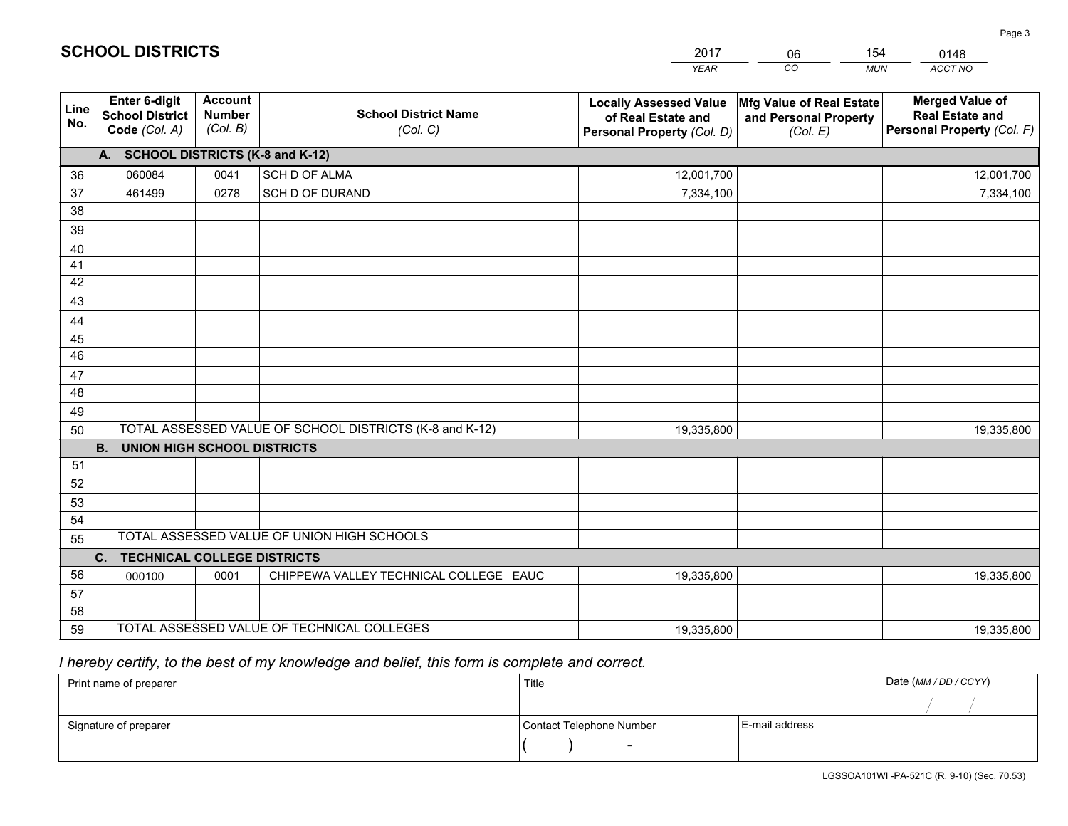|             |                                                          |                                             |                                                         | <b>YEAR</b>                                                                       | CO<br><b>MUN</b>                                              | ACCT NO                                                                        |
|-------------|----------------------------------------------------------|---------------------------------------------|---------------------------------------------------------|-----------------------------------------------------------------------------------|---------------------------------------------------------------|--------------------------------------------------------------------------------|
| Line<br>No. | Enter 6-digit<br><b>School District</b><br>Code (Col. A) | <b>Account</b><br><b>Number</b><br>(Col. B) | <b>School District Name</b><br>(Col. C)                 | <b>Locally Assessed Value</b><br>of Real Estate and<br>Personal Property (Col. D) | Mfg Value of Real Estate<br>and Personal Property<br>(Col. E) | <b>Merged Value of</b><br><b>Real Estate and</b><br>Personal Property (Col. F) |
|             | A. SCHOOL DISTRICTS (K-8 and K-12)                       |                                             |                                                         |                                                                                   |                                                               |                                                                                |
| 36          | 060084                                                   | 0041                                        | SCH D OF ALMA                                           | 12,001,700                                                                        |                                                               | 12,001,700                                                                     |
| 37          | 461499                                                   | 0278                                        | SCH D OF DURAND                                         | 7,334,100                                                                         |                                                               | 7,334,100                                                                      |
| 38          |                                                          |                                             |                                                         |                                                                                   |                                                               |                                                                                |
| 39          |                                                          |                                             |                                                         |                                                                                   |                                                               |                                                                                |
| 40          |                                                          |                                             |                                                         |                                                                                   |                                                               |                                                                                |
| 41          |                                                          |                                             |                                                         |                                                                                   |                                                               |                                                                                |
| 42          |                                                          |                                             |                                                         |                                                                                   |                                                               |                                                                                |
| 43          |                                                          |                                             |                                                         |                                                                                   |                                                               |                                                                                |
| 44          |                                                          |                                             |                                                         |                                                                                   |                                                               |                                                                                |
| 45          |                                                          |                                             |                                                         |                                                                                   |                                                               |                                                                                |
| 46          |                                                          |                                             |                                                         |                                                                                   |                                                               |                                                                                |
| 47          |                                                          |                                             |                                                         |                                                                                   |                                                               |                                                                                |
| 48          |                                                          |                                             |                                                         |                                                                                   |                                                               |                                                                                |
| 49          |                                                          |                                             | TOTAL ASSESSED VALUE OF SCHOOL DISTRICTS (K-8 and K-12) |                                                                                   |                                                               |                                                                                |
| 50          | <b>B.</b><br><b>UNION HIGH SCHOOL DISTRICTS</b>          |                                             |                                                         | 19,335,800                                                                        |                                                               | 19,335,800                                                                     |
| 51          |                                                          |                                             |                                                         |                                                                                   |                                                               |                                                                                |
| 52          |                                                          |                                             |                                                         |                                                                                   |                                                               |                                                                                |
| 53          |                                                          |                                             |                                                         |                                                                                   |                                                               |                                                                                |
| 54          |                                                          |                                             |                                                         |                                                                                   |                                                               |                                                                                |
| 55          |                                                          |                                             | TOTAL ASSESSED VALUE OF UNION HIGH SCHOOLS              |                                                                                   |                                                               |                                                                                |
|             | C. TECHNICAL COLLEGE DISTRICTS                           |                                             |                                                         |                                                                                   |                                                               |                                                                                |
| 56          | 000100                                                   | 0001                                        | CHIPPEWA VALLEY TECHNICAL COLLEGE EAUC                  | 19,335,800                                                                        |                                                               | 19,335,800                                                                     |
| 57          |                                                          |                                             |                                                         |                                                                                   |                                                               |                                                                                |
| 58          |                                                          |                                             |                                                         |                                                                                   |                                                               |                                                                                |
| 59          |                                                          |                                             | TOTAL ASSESSED VALUE OF TECHNICAL COLLEGES              | 19,335,800                                                                        |                                                               | 19,335,800                                                                     |

2017

06

154

 *I hereby certify, to the best of my knowledge and belief, this form is complete and correct.*

**SCHOOL DISTRICTS**

| Print name of preparer | Title                    |                | Date (MM / DD / CCYY) |
|------------------------|--------------------------|----------------|-----------------------|
|                        |                          |                |                       |
| Signature of preparer  | Contact Telephone Number | E-mail address |                       |
|                        | $\sim$                   |                |                       |

|  | LGSSOA101WL-PA-521C (R) 0-10) |  |  |
|--|-------------------------------|--|--|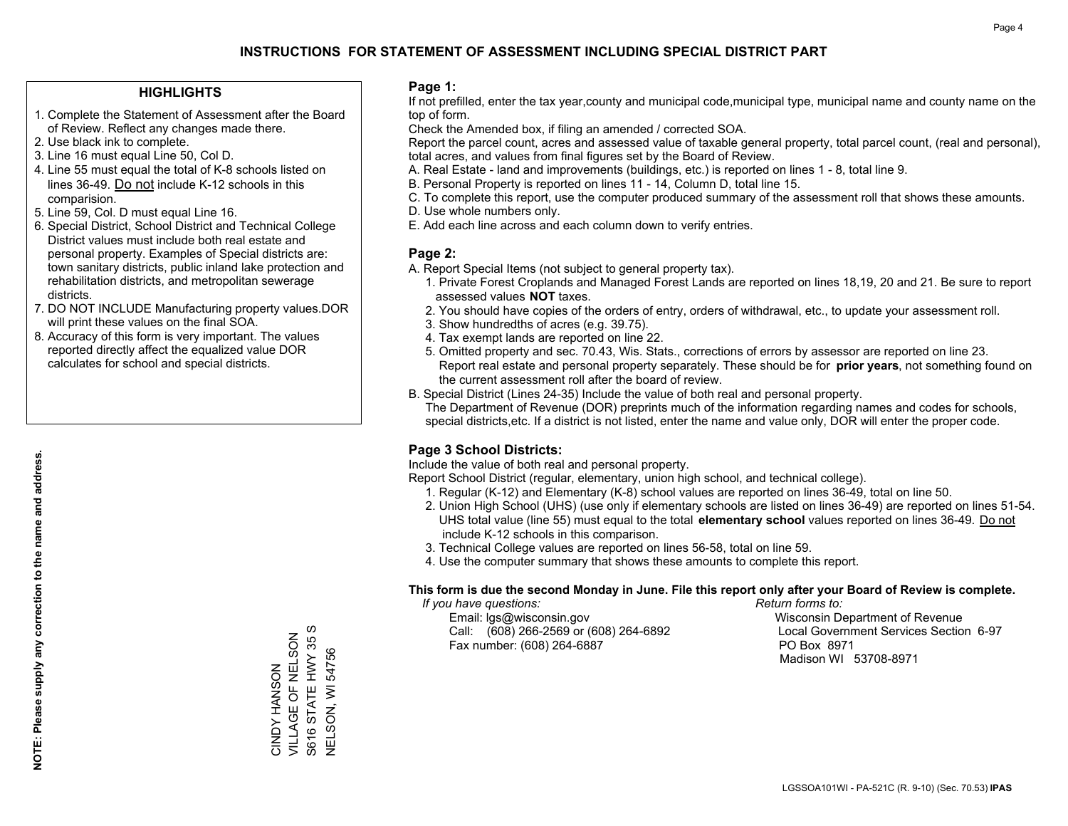### **HIGHLIGHTS**

- 1. Complete the Statement of Assessment after the Board of Review. Reflect any changes made there.
- 2. Use black ink to complete.
- 3. Line 16 must equal Line 50, Col D.
- 4. Line 55 must equal the total of K-8 schools listed on lines 36-49. Do not include K-12 schools in this comparision.
- 5. Line 59, Col. D must equal Line 16.
- 6. Special District, School District and Technical College District values must include both real estate and personal property. Examples of Special districts are: town sanitary districts, public inland lake protection and rehabilitation districts, and metropolitan sewerage districts.
- 7. DO NOT INCLUDE Manufacturing property values.DOR will print these values on the final SOA.
- 8. Accuracy of this form is very important. The values reported directly affect the equalized value DOR calculates for school and special districts.

#### **Page 1:**

 If not prefilled, enter the tax year,county and municipal code,municipal type, municipal name and county name on the top of form.

Check the Amended box, if filing an amended / corrected SOA.

 Report the parcel count, acres and assessed value of taxable general property, total parcel count, (real and personal), total acres, and values from final figures set by the Board of Review.

- A. Real Estate land and improvements (buildings, etc.) is reported on lines 1 8, total line 9.
- B. Personal Property is reported on lines 11 14, Column D, total line 15.
- C. To complete this report, use the computer produced summary of the assessment roll that shows these amounts.
- D. Use whole numbers only.
- E. Add each line across and each column down to verify entries.

### **Page 2:**

- A. Report Special Items (not subject to general property tax).
- 1. Private Forest Croplands and Managed Forest Lands are reported on lines 18,19, 20 and 21. Be sure to report assessed values **NOT** taxes.
- 2. You should have copies of the orders of entry, orders of withdrawal, etc., to update your assessment roll.
	- 3. Show hundredths of acres (e.g. 39.75).
- 4. Tax exempt lands are reported on line 22.
- 5. Omitted property and sec. 70.43, Wis. Stats., corrections of errors by assessor are reported on line 23. Report real estate and personal property separately. These should be for **prior years**, not something found on the current assessment roll after the board of review.
- B. Special District (Lines 24-35) Include the value of both real and personal property.

 The Department of Revenue (DOR) preprints much of the information regarding names and codes for schools, special districts,etc. If a district is not listed, enter the name and value only, DOR will enter the proper code.

## **Page 3 School Districts:**

Include the value of both real and personal property.

Report School District (regular, elementary, union high school, and technical college).

- 1. Regular (K-12) and Elementary (K-8) school values are reported on lines 36-49, total on line 50.
- 2. Union High School (UHS) (use only if elementary schools are listed on lines 36-49) are reported on lines 51-54. UHS total value (line 55) must equal to the total **elementary school** values reported on lines 36-49. Do notinclude K-12 schools in this comparison.
- 3. Technical College values are reported on lines 56-58, total on line 59.
- 4. Use the computer summary that shows these amounts to complete this report.

#### **This form is due the second Monday in June. File this report only after your Board of Review is complete.**

 *If you have questions: Return forms to:*

 Email: lgs@wisconsin.gov Wisconsin Department of RevenueCall:  $(608)$  266-2569 or  $(608)$  264-6892 Fax number: (608) 264-6887 PO Box 8971

Local Government Services Section 6-97 Madison WI 53708-8971

STATE HWY 35 S S616 STATE HWY 35 S VILLAGE OF NELSON CINDY HANSON<br>VILLAGE OF NELSON **NELSON, WI 54756** NELSON, WI 54756 CINDY HANSON S616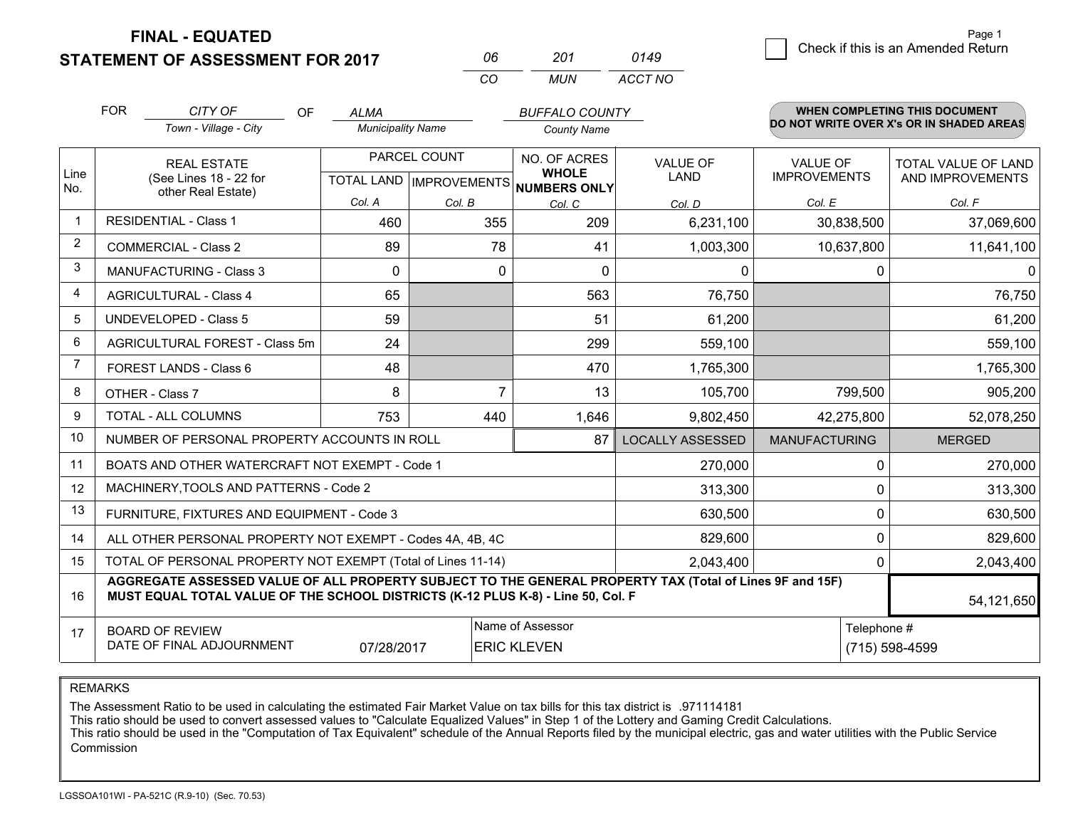**FINAL - EQUATED**

**STATEMENT OF ASSESSMENT FOR 2017** 

| 06  | 201 | 0149    |
|-----|-----|---------|
| CO. | MUN | ACCT NO |

|                | <b>FOR</b>                                                                                                                                                                                   | CITY OF<br>OF                                             | <b>ALMA</b>              |                           | <b>BUFFALO COUNTY</b>               |                         |                      | <b>WHEN COMPLETING THIS DOCUMENT</b>     |  |  |
|----------------|----------------------------------------------------------------------------------------------------------------------------------------------------------------------------------------------|-----------------------------------------------------------|--------------------------|---------------------------|-------------------------------------|-------------------------|----------------------|------------------------------------------|--|--|
|                |                                                                                                                                                                                              | Town - Village - City                                     | <b>Municipality Name</b> |                           | <b>County Name</b>                  |                         |                      | DO NOT WRITE OVER X's OR IN SHADED AREAS |  |  |
|                |                                                                                                                                                                                              | <b>REAL ESTATE</b>                                        |                          | PARCEL COUNT              | NO. OF ACRES                        | <b>VALUE OF</b>         | <b>VALUE OF</b>      | TOTAL VALUE OF LAND                      |  |  |
| Line<br>No.    |                                                                                                                                                                                              | (See Lines 18 - 22 for<br>other Real Estate)              |                          | TOTAL LAND   IMPROVEMENTS | <b>WHOLE</b><br><b>NUMBERS ONLY</b> | LAND                    | <b>IMPROVEMENTS</b>  | AND IMPROVEMENTS                         |  |  |
|                |                                                                                                                                                                                              |                                                           | Col. A                   | Col. B                    | Col. C                              | Col. D                  | Col. E               | Col. F                                   |  |  |
|                |                                                                                                                                                                                              | <b>RESIDENTIAL - Class 1</b>                              | 460                      | 355                       | 209                                 | 6,231,100               | 30,838,500           | 37,069,600                               |  |  |
| $\overline{2}$ |                                                                                                                                                                                              | <b>COMMERCIAL - Class 2</b>                               | 89                       | 78                        | 41                                  | 1,003,300               | 10,637,800           | 11,641,100                               |  |  |
| 3              |                                                                                                                                                                                              | <b>MANUFACTURING - Class 3</b>                            | 0                        | 0                         | 0                                   | 0                       | 0                    | $\Omega$                                 |  |  |
| 4              |                                                                                                                                                                                              | <b>AGRICULTURAL - Class 4</b>                             | 65                       |                           | 563                                 | 76,750                  |                      | 76,750                                   |  |  |
| 5              |                                                                                                                                                                                              | <b>UNDEVELOPED - Class 5</b>                              | 59                       |                           | 51                                  | 61,200                  |                      | 61,200                                   |  |  |
| 6              |                                                                                                                                                                                              | AGRICULTURAL FOREST - Class 5m                            | 24                       |                           | 299                                 | 559,100                 |                      | 559,100                                  |  |  |
| 7              | FOREST LANDS - Class 6                                                                                                                                                                       |                                                           | 48                       |                           | 470                                 | 1,765,300               |                      | 1,765,300                                |  |  |
| 8              |                                                                                                                                                                                              | OTHER - Class 7                                           | 8                        | $\overline{7}$            | 13                                  | 105,700                 | 799,500              | 905,200                                  |  |  |
| 9              |                                                                                                                                                                                              | TOTAL - ALL COLUMNS                                       | 753                      | 440                       | 1,646                               | 9,802,450               | 42,275,800           | 52,078,250                               |  |  |
| 10             |                                                                                                                                                                                              | NUMBER OF PERSONAL PROPERTY ACCOUNTS IN ROLL              |                          |                           | 87                                  | <b>LOCALLY ASSESSED</b> | <b>MANUFACTURING</b> | <b>MERGED</b>                            |  |  |
| 11             |                                                                                                                                                                                              | BOATS AND OTHER WATERCRAFT NOT EXEMPT - Code 1            |                          |                           |                                     | 270,000                 | 0                    | 270,000                                  |  |  |
| 12             |                                                                                                                                                                                              | MACHINERY, TOOLS AND PATTERNS - Code 2                    |                          |                           |                                     | 313,300                 | 0                    | 313,300                                  |  |  |
| 13             |                                                                                                                                                                                              | FURNITURE, FIXTURES AND EQUIPMENT - Code 3                |                          |                           |                                     | 630,500                 | 0                    | 630,500                                  |  |  |
| 14             |                                                                                                                                                                                              | ALL OTHER PERSONAL PROPERTY NOT EXEMPT - Codes 4A, 4B, 4C |                          |                           |                                     | 829,600                 | $\mathbf 0$          | 829,600                                  |  |  |
| 15             | TOTAL OF PERSONAL PROPERTY NOT EXEMPT (Total of Lines 11-14)<br>2,043,400                                                                                                                    |                                                           |                          |                           |                                     |                         |                      | 2,043,400                                |  |  |
| 16             | AGGREGATE ASSESSED VALUE OF ALL PROPERTY SUBJECT TO THE GENERAL PROPERTY TAX (Total of Lines 9F and 15F)<br>MUST EQUAL TOTAL VALUE OF THE SCHOOL DISTRICTS (K-12 PLUS K-8) - Line 50, Col. F |                                                           |                          |                           |                                     |                         |                      | 54,121,650                               |  |  |
| 17             |                                                                                                                                                                                              | <b>BOARD OF REVIEW</b>                                    |                          |                           | Name of Assessor                    |                         | Telephone #          |                                          |  |  |
|                |                                                                                                                                                                                              | DATE OF FINAL ADJOURNMENT                                 | 07/28/2017               |                           | <b>ERIC KLEVEN</b>                  |                         |                      | (715) 598-4599                           |  |  |

REMARKS

The Assessment Ratio to be used in calculating the estimated Fair Market Value on tax bills for this tax district is .971114181

This ratio should be used to convert assessed values to "Calculate Equalized Values" in Step 1 of the Lottery and Gaming Credit Calculations.<br>This ratio should be used in the "Computation of Tax Equivalent" schedule of the Commission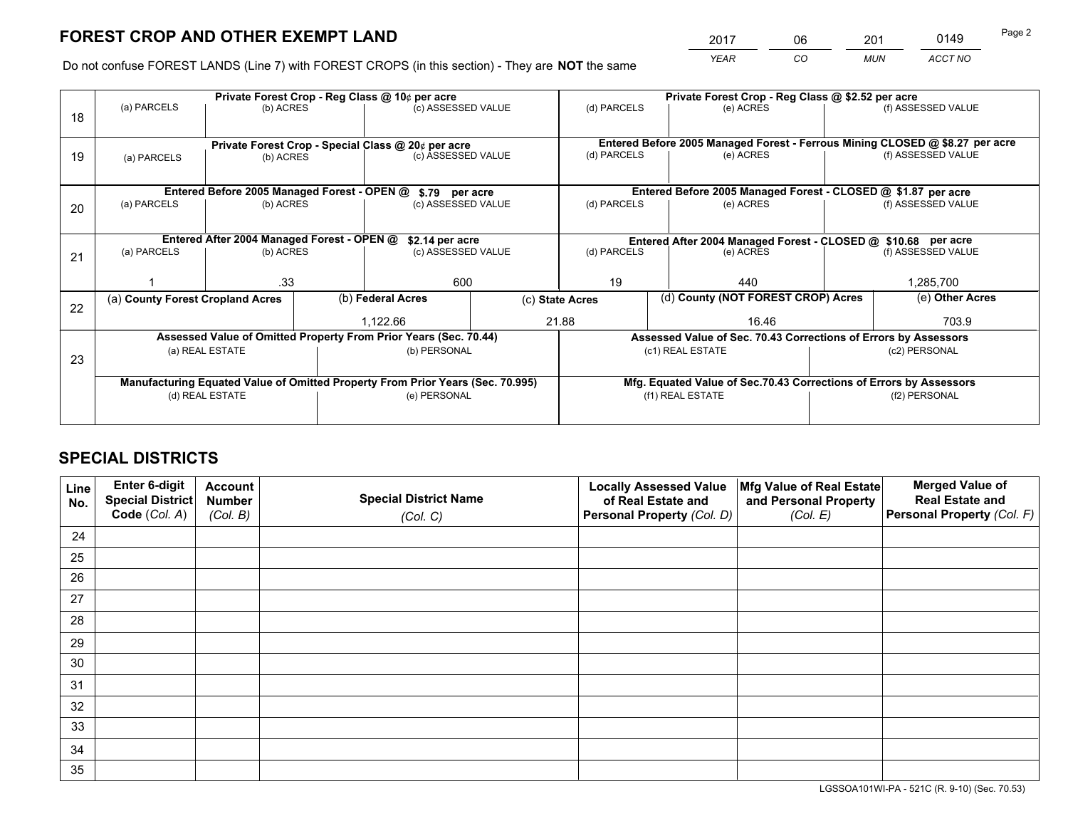*YEAR CO MUN ACCT NO* <sup>2017</sup> <sup>06</sup> <sup>201</sup> <sup>0149</sup> Page 2

Do not confuse FOREST LANDS (Line 7) with FOREST CROPS (in this section) - They are **NOT** the same

|    |                                  |                                                                 |                    | Private Forest Crop - Reg Class @ 10¢ per acre                                 |             | Private Forest Crop - Reg Class @ \$2.52 per acre |                                                                              |                    |                    |  |
|----|----------------------------------|-----------------------------------------------------------------|--------------------|--------------------------------------------------------------------------------|-------------|---------------------------------------------------|------------------------------------------------------------------------------|--------------------|--------------------|--|
| 18 | (a) PARCELS                      | (b) ACRES                                                       |                    | (c) ASSESSED VALUE                                                             |             | (d) PARCELS                                       | (e) ACRES                                                                    |                    | (f) ASSESSED VALUE |  |
|    |                                  |                                                                 |                    |                                                                                |             |                                                   | Entered Before 2005 Managed Forest - Ferrous Mining CLOSED @ \$8.27 per acre |                    |                    |  |
| 19 | (a) PARCELS                      | Private Forest Crop - Special Class @ 20¢ per acre<br>(b) ACRES |                    | (c) ASSESSED VALUE                                                             |             | (d) PARCELS                                       | (e) ACRES                                                                    |                    | (f) ASSESSED VALUE |  |
|    |                                  |                                                                 |                    |                                                                                |             |                                                   |                                                                              |                    |                    |  |
|    |                                  | Entered Before 2005 Managed Forest - OPEN @                     |                    | \$.79 per acre                                                                 |             |                                                   | Entered Before 2005 Managed Forest - CLOSED @ \$1.87 per acre                |                    |                    |  |
| 20 | (a) PARCELS<br>(b) ACRES         |                                                                 | (c) ASSESSED VALUE |                                                                                | (d) PARCELS | (e) ACRES                                         |                                                                              | (f) ASSESSED VALUE |                    |  |
|    |                                  | Entered After 2004 Managed Forest - OPEN @                      |                    | \$2.14 per acre                                                                |             |                                                   | Entered After 2004 Managed Forest - CLOSED @ \$10.68 per acre                |                    |                    |  |
| 21 | (a) PARCELS                      | (b) ACRES                                                       |                    | (c) ASSESSED VALUE                                                             | (d) PARCELS |                                                   | (e) ACRES                                                                    | (f) ASSESSED VALUE |                    |  |
|    |                                  |                                                                 |                    |                                                                                |             |                                                   |                                                                              |                    |                    |  |
|    |                                  | .33                                                             |                    | 600                                                                            |             | 19                                                | 440                                                                          |                    | 1,285,700          |  |
|    | (a) County Forest Cropland Acres |                                                                 |                    | (b) Federal Acres                                                              |             |                                                   | (d) County (NOT FOREST CROP) Acres<br>(c) State Acres                        |                    | (e) Other Acres    |  |
| 22 |                                  |                                                                 |                    | 21.88<br>1.122.66                                                              |             | 16.46                                             |                                                                              |                    | 703.9              |  |
|    |                                  |                                                                 |                    | Assessed Value of Omitted Property From Prior Years (Sec. 70.44)               |             |                                                   | Assessed Value of Sec. 70.43 Corrections of Errors by Assessors              |                    |                    |  |
|    |                                  | (a) REAL ESTATE                                                 |                    | (b) PERSONAL                                                                   |             |                                                   | (c1) REAL ESTATE                                                             |                    | (c2) PERSONAL      |  |
| 23 |                                  |                                                                 |                    |                                                                                |             |                                                   |                                                                              |                    |                    |  |
|    |                                  |                                                                 |                    | Manufacturing Equated Value of Omitted Property From Prior Years (Sec. 70.995) |             |                                                   | Mfg. Equated Value of Sec.70.43 Corrections of Errors by Assessors           |                    |                    |  |
|    |                                  | (d) REAL ESTATE                                                 |                    | (e) PERSONAL                                                                   |             | (f1) REAL ESTATE                                  |                                                                              |                    | (f2) PERSONAL      |  |
|    |                                  |                                                                 |                    |                                                                                |             |                                                   |                                                                              |                    |                    |  |

# **SPECIAL DISTRICTS**

| Line<br>No. | Enter 6-digit<br><b>Special District</b> | <b>Account</b><br><b>Number</b> | <b>Special District Name</b> | <b>Locally Assessed Value</b><br>of Real Estate and | Mfg Value of Real Estate<br>and Personal Property | <b>Merged Value of</b><br><b>Real Estate and</b> |
|-------------|------------------------------------------|---------------------------------|------------------------------|-----------------------------------------------------|---------------------------------------------------|--------------------------------------------------|
|             | Code (Col. A)                            | (Col. B)                        | (Col. C)                     | Personal Property (Col. D)                          | (Col. E)                                          | Personal Property (Col. F)                       |
| 24          |                                          |                                 |                              |                                                     |                                                   |                                                  |
| 25          |                                          |                                 |                              |                                                     |                                                   |                                                  |
| 26          |                                          |                                 |                              |                                                     |                                                   |                                                  |
| 27          |                                          |                                 |                              |                                                     |                                                   |                                                  |
| 28          |                                          |                                 |                              |                                                     |                                                   |                                                  |
| 29          |                                          |                                 |                              |                                                     |                                                   |                                                  |
| 30          |                                          |                                 |                              |                                                     |                                                   |                                                  |
| 31          |                                          |                                 |                              |                                                     |                                                   |                                                  |
| 32          |                                          |                                 |                              |                                                     |                                                   |                                                  |
| 33          |                                          |                                 |                              |                                                     |                                                   |                                                  |
| 34          |                                          |                                 |                              |                                                     |                                                   |                                                  |
| 35          |                                          |                                 |                              |                                                     |                                                   |                                                  |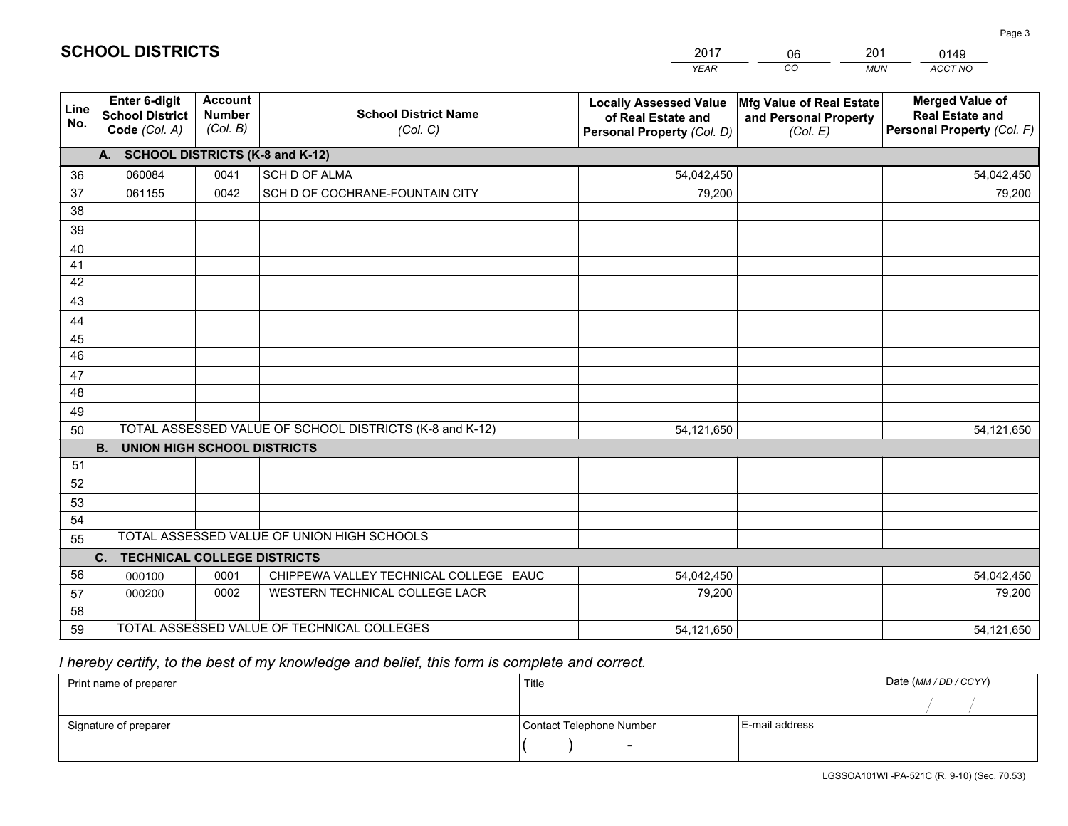|             |                                                          |                                             |                                                         | <b>YEAR</b>                                                                       | CO<br><b>MUN</b>                                              | ACCT NO                                                                        |
|-------------|----------------------------------------------------------|---------------------------------------------|---------------------------------------------------------|-----------------------------------------------------------------------------------|---------------------------------------------------------------|--------------------------------------------------------------------------------|
| Line<br>No. | Enter 6-digit<br><b>School District</b><br>Code (Col. A) | <b>Account</b><br><b>Number</b><br>(Col. B) | <b>School District Name</b><br>(Col. C)                 | <b>Locally Assessed Value</b><br>of Real Estate and<br>Personal Property (Col. D) | Mfg Value of Real Estate<br>and Personal Property<br>(Col. E) | <b>Merged Value of</b><br><b>Real Estate and</b><br>Personal Property (Col. F) |
|             | A. SCHOOL DISTRICTS (K-8 and K-12)                       |                                             |                                                         |                                                                                   |                                                               |                                                                                |
| 36          | 060084                                                   | 0041                                        | SCH D OF ALMA                                           | 54,042,450                                                                        |                                                               | 54,042,450                                                                     |
| 37          | 061155                                                   | 0042                                        | SCH D OF COCHRANE-FOUNTAIN CITY                         | 79,200                                                                            |                                                               | 79,200                                                                         |
| 38          |                                                          |                                             |                                                         |                                                                                   |                                                               |                                                                                |
| 39          |                                                          |                                             |                                                         |                                                                                   |                                                               |                                                                                |
| 40          |                                                          |                                             |                                                         |                                                                                   |                                                               |                                                                                |
| 41          |                                                          |                                             |                                                         |                                                                                   |                                                               |                                                                                |
| 42          |                                                          |                                             |                                                         |                                                                                   |                                                               |                                                                                |
| 43          |                                                          |                                             |                                                         |                                                                                   |                                                               |                                                                                |
| 44          |                                                          |                                             |                                                         |                                                                                   |                                                               |                                                                                |
| 45          |                                                          |                                             |                                                         |                                                                                   |                                                               |                                                                                |
| 46          |                                                          |                                             |                                                         |                                                                                   |                                                               |                                                                                |
| 47          |                                                          |                                             |                                                         |                                                                                   |                                                               |                                                                                |
| 48          |                                                          |                                             |                                                         |                                                                                   |                                                               |                                                                                |
| 49          |                                                          |                                             |                                                         |                                                                                   |                                                               |                                                                                |
| 50          |                                                          |                                             | TOTAL ASSESSED VALUE OF SCHOOL DISTRICTS (K-8 and K-12) | 54,121,650                                                                        |                                                               | 54,121,650                                                                     |
|             | <b>B.</b><br><b>UNION HIGH SCHOOL DISTRICTS</b>          |                                             |                                                         |                                                                                   |                                                               |                                                                                |
| 51          |                                                          |                                             |                                                         |                                                                                   |                                                               |                                                                                |
| 52          |                                                          |                                             |                                                         |                                                                                   |                                                               |                                                                                |
| 53          |                                                          |                                             |                                                         |                                                                                   |                                                               |                                                                                |
| 54          |                                                          |                                             |                                                         |                                                                                   |                                                               |                                                                                |
| 55          |                                                          |                                             | TOTAL ASSESSED VALUE OF UNION HIGH SCHOOLS              |                                                                                   |                                                               |                                                                                |
|             | C. TECHNICAL COLLEGE DISTRICTS                           |                                             |                                                         |                                                                                   |                                                               |                                                                                |
| 56          | 000100                                                   | 0001                                        | CHIPPEWA VALLEY TECHNICAL COLLEGE EAUC                  | 54,042,450                                                                        |                                                               | 54,042,450                                                                     |
| 57          | 000200                                                   | 0002                                        | WESTERN TECHNICAL COLLEGE LACR                          | 79,200                                                                            |                                                               | 79,200                                                                         |
| 58          |                                                          |                                             |                                                         |                                                                                   |                                                               |                                                                                |
| 59          |                                                          |                                             | TOTAL ASSESSED VALUE OF TECHNICAL COLLEGES              | 54,121,650                                                                        |                                                               | 54,121,650                                                                     |

2017

06

201

# *I hereby certify, to the best of my knowledge and belief, this form is complete and correct.*

**SCHOOL DISTRICTS**

| Print name of preparer | Title                    |                | Date (MM / DD / CCYY) |
|------------------------|--------------------------|----------------|-----------------------|
|                        |                          |                |                       |
| Signature of preparer  | Contact Telephone Number | E-mail address |                       |
|                        | $\overline{\phantom{0}}$ |                |                       |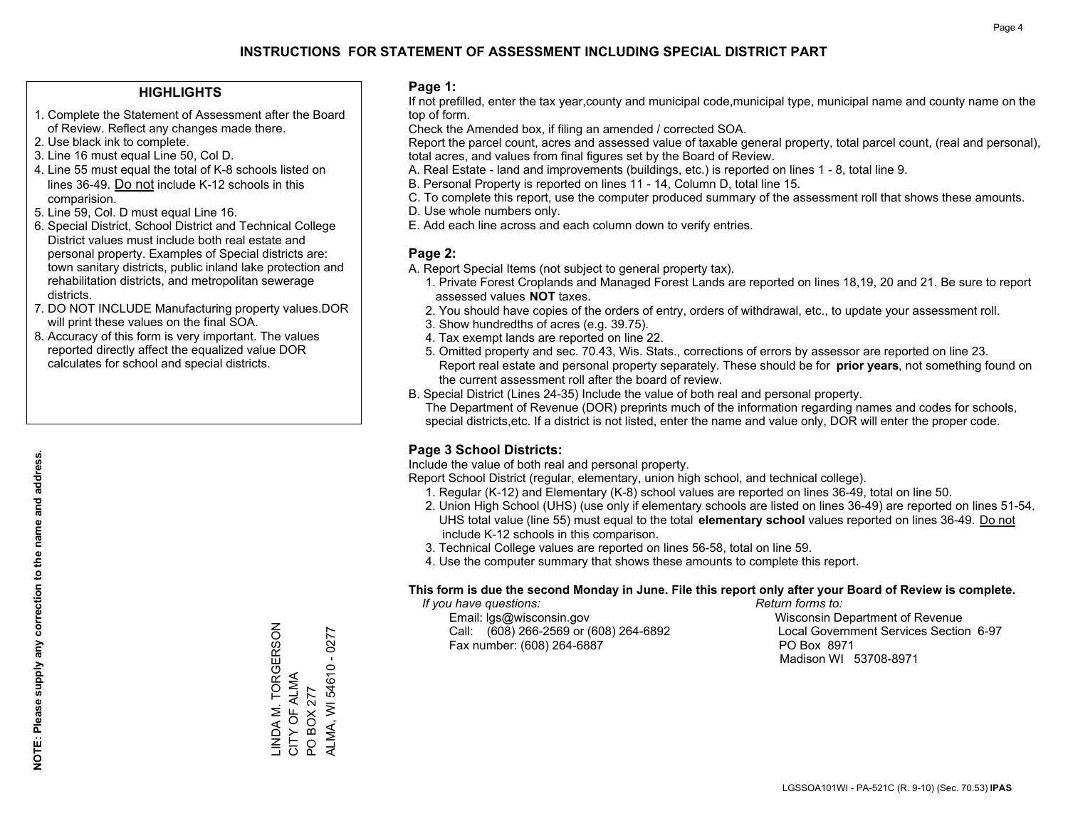### **HIGHLIGHTS**

- 1. Complete the Statement of Assessment after the Board of Review. Reflect any changes made there.
- 2. Use black ink to complete.
- 3. Line 16 must equal Line 50, Col D.
- 4. Line 55 must equal the total of K-8 schools listed on lines 36-49. Do not include K-12 schools in this comparision.
- 5. Line 59, Col. D must equal Line 16.
- 6. Special District, School District and Technical College District values must include both real estate and personal property. Examples of Special districts are: town sanitary districts, public inland lake protection and rehabilitation districts, and metropolitan sewerage districts.
- 7. DO NOT INCLUDE Manufacturing property values.DOR will print these values on the final SOA.

LINDA M. TORGERSON

LINDA M. TORGERSON<br>CITY OF ALMA

CITY OF ALMA PO BOX 277 ALMA, WI 54610 - 0277

ALMA, WI 54610 PO BOX 277

 $-0277$ 

 8. Accuracy of this form is very important. The values reported directly affect the equalized value DOR calculates for school and special districts.

#### **Page 1:**

 If not prefilled, enter the tax year,county and municipal code,municipal type, municipal name and county name on the top of form.

Check the Amended box, if filing an amended / corrected SOA.

 Report the parcel count, acres and assessed value of taxable general property, total parcel count, (real and personal), total acres, and values from final figures set by the Board of Review.

- A. Real Estate land and improvements (buildings, etc.) is reported on lines 1 8, total line 9.
- B. Personal Property is reported on lines 11 14, Column D, total line 15.
- C. To complete this report, use the computer produced summary of the assessment roll that shows these amounts.
- D. Use whole numbers only.
- E. Add each line across and each column down to verify entries.

### **Page 2:**

- A. Report Special Items (not subject to general property tax).
- 1. Private Forest Croplands and Managed Forest Lands are reported on lines 18,19, 20 and 21. Be sure to report assessed values **NOT** taxes.
- 2. You should have copies of the orders of entry, orders of withdrawal, etc., to update your assessment roll.
	- 3. Show hundredths of acres (e.g. 39.75).
- 4. Tax exempt lands are reported on line 22.
- 5. Omitted property and sec. 70.43, Wis. Stats., corrections of errors by assessor are reported on line 23. Report real estate and personal property separately. These should be for **prior years**, not something found on the current assessment roll after the board of review.
- B. Special District (Lines 24-35) Include the value of both real and personal property.

 The Department of Revenue (DOR) preprints much of the information regarding names and codes for schools, special districts,etc. If a district is not listed, enter the name and value only, DOR will enter the proper code.

## **Page 3 School Districts:**

Include the value of both real and personal property.

Report School District (regular, elementary, union high school, and technical college).

- 1. Regular (K-12) and Elementary (K-8) school values are reported on lines 36-49, total on line 50.
- 2. Union High School (UHS) (use only if elementary schools are listed on lines 36-49) are reported on lines 51-54. UHS total value (line 55) must equal to the total **elementary school** values reported on lines 36-49. Do notinclude K-12 schools in this comparison.
- 3. Technical College values are reported on lines 56-58, total on line 59.
- 4. Use the computer summary that shows these amounts to complete this report.

### **This form is due the second Monday in June. File this report only after your Board of Review is complete.**

 *If you have questions: Return forms to:*

 Email: lgs@wisconsin.gov Wisconsin Department of RevenueCall:  $(608)$  266-2569 or  $(608)$  264-6892 Fax number: (608) 264-6887 PO Box 8971

Local Government Services Section 6-97

Madison WI 53708-8971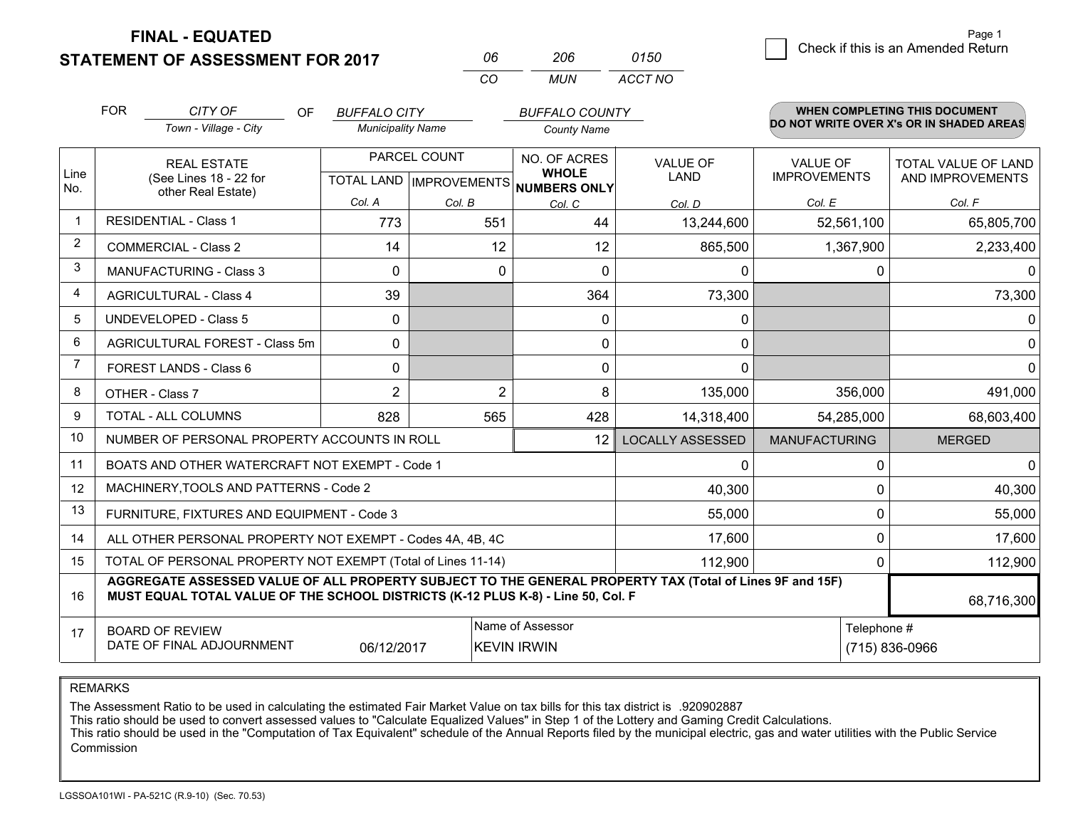**STATEMENT OF ASSESSMENT FOR 2017** 

**FINAL - EQUATED**

|   |                                    | Page 1 |
|---|------------------------------------|--------|
| 0 | Check if this is an Amended Return |        |
|   |                                    |        |

|                                                                                                                                                    | <b>FOR</b>                                                   | CITY OF<br><b>OF</b><br>Town - Village - City                                                                                                                                                | <b>BUFFALO CITY</b><br><b>Municipality Name</b> |                           | <b>BUFFALO COUNTY</b><br><b>County Name</b> |                         |                      | <b>WHEN COMPLETING THIS DOCUMENT</b><br>DO NOT WRITE OVER X's OR IN SHADED AREAS |
|----------------------------------------------------------------------------------------------------------------------------------------------------|--------------------------------------------------------------|----------------------------------------------------------------------------------------------------------------------------------------------------------------------------------------------|-------------------------------------------------|---------------------------|---------------------------------------------|-------------------------|----------------------|----------------------------------------------------------------------------------|
| Line                                                                                                                                               |                                                              | <b>REAL ESTATE</b>                                                                                                                                                                           |                                                 | PARCEL COUNT              | NO. OF ACRES<br><b>WHOLE</b>                | <b>VALUE OF</b><br>LAND | <b>VALUE OF</b>      | <b>TOTAL VALUE OF LAND</b>                                                       |
| No.                                                                                                                                                |                                                              | (See Lines 18 - 22 for<br>other Real Estate)                                                                                                                                                 | Col. A                                          | TOTAL LAND   IMPROVEMENTS | NUMBERS ONLY                                |                         | <b>IMPROVEMENTS</b>  | AND IMPROVEMENTS                                                                 |
| $\mathbf 1$                                                                                                                                        |                                                              | <b>RESIDENTIAL - Class 1</b>                                                                                                                                                                 | 773                                             | Col. B<br>551             | Col. C<br>44                                | Col. D<br>13,244,600    | Col. E<br>52,561,100 | Col. F<br>65,805,700                                                             |
| $\overline{2}$                                                                                                                                     |                                                              | <b>COMMERCIAL - Class 2</b>                                                                                                                                                                  | 14                                              | 12                        | 12                                          | 865,500                 | 1,367,900            | 2,233,400                                                                        |
| 3                                                                                                                                                  |                                                              | <b>MANUFACTURING - Class 3</b>                                                                                                                                                               | $\Omega$                                        | 0                         | $\Omega$                                    | $\mathbf{0}$            | 0                    | 0                                                                                |
| 4                                                                                                                                                  |                                                              | <b>AGRICULTURAL - Class 4</b>                                                                                                                                                                | 39                                              |                           | 364                                         | 73,300                  |                      | 73,300                                                                           |
| 5                                                                                                                                                  |                                                              | <b>UNDEVELOPED - Class 5</b>                                                                                                                                                                 | 0                                               |                           | $\mathbf{0}$                                | $\mathbf{0}$            |                      | $\Omega$                                                                         |
| 6                                                                                                                                                  | AGRICULTURAL FOREST - Class 5m                               |                                                                                                                                                                                              | $\Omega$                                        |                           | 0                                           | $\mathbf{0}$            |                      | 0                                                                                |
| 7                                                                                                                                                  |                                                              | FOREST LANDS - Class 6                                                                                                                                                                       | $\mathbf{0}$                                    |                           | 0                                           | $\mathbf{0}$            |                      | $\Omega$                                                                         |
| 8                                                                                                                                                  |                                                              | OTHER - Class 7                                                                                                                                                                              | $\overline{2}$                                  | $\overline{2}$            | 8                                           | 135,000                 | 356,000              | 491,000                                                                          |
| 9                                                                                                                                                  |                                                              | TOTAL - ALL COLUMNS                                                                                                                                                                          | 828                                             | 565                       | 428                                         | 14,318,400              | 54,285,000           | 68,603,400                                                                       |
| 10                                                                                                                                                 |                                                              | NUMBER OF PERSONAL PROPERTY ACCOUNTS IN ROLL                                                                                                                                                 |                                                 |                           | 12                                          | <b>LOCALLY ASSESSED</b> | <b>MANUFACTURING</b> | <b>MERGED</b>                                                                    |
| 11                                                                                                                                                 |                                                              | BOATS AND OTHER WATERCRAFT NOT EXEMPT - Code 1                                                                                                                                               |                                                 |                           |                                             | $\mathbf{0}$            | 0                    | $\Omega$                                                                         |
| 12                                                                                                                                                 |                                                              | MACHINERY, TOOLS AND PATTERNS - Code 2                                                                                                                                                       |                                                 |                           |                                             | 40,300                  | $\Omega$             | 40,300                                                                           |
| 13                                                                                                                                                 |                                                              | FURNITURE, FIXTURES AND EQUIPMENT - Code 3                                                                                                                                                   |                                                 |                           |                                             | 55,000                  | 0                    | 55,000                                                                           |
| 14                                                                                                                                                 | ALL OTHER PERSONAL PROPERTY NOT EXEMPT - Codes 4A, 4B, 4C    |                                                                                                                                                                                              |                                                 |                           |                                             | 17,600                  | $\Omega$             | 17,600                                                                           |
| 15                                                                                                                                                 | TOTAL OF PERSONAL PROPERTY NOT EXEMPT (Total of Lines 11-14) |                                                                                                                                                                                              |                                                 |                           | 112,900                                     | 0                       | 112,900              |                                                                                  |
| 16                                                                                                                                                 |                                                              | AGGREGATE ASSESSED VALUE OF ALL PROPERTY SUBJECT TO THE GENERAL PROPERTY TAX (Total of Lines 9F and 15F)<br>MUST EQUAL TOTAL VALUE OF THE SCHOOL DISTRICTS (K-12 PLUS K-8) - Line 50, Col. F |                                                 |                           |                                             |                         |                      | 68,716,300                                                                       |
| Name of Assessor<br>Telephone #<br><b>BOARD OF REVIEW</b><br>17<br>DATE OF FINAL ADJOURNMENT<br>06/12/2017<br><b>KEVIN IRWIN</b><br>(715) 836-0966 |                                                              |                                                                                                                                                                                              |                                                 |                           |                                             |                         |                      |                                                                                  |

*CO*

*MUN*

*ACCT NO0150*

*<sup>06</sup> <sup>206</sup>*

REMARKS

The Assessment Ratio to be used in calculating the estimated Fair Market Value on tax bills for this tax district is .920902887<br>This ratio should be used to convert assessed values to "Calculate Equalized Values" in Step 1 Commission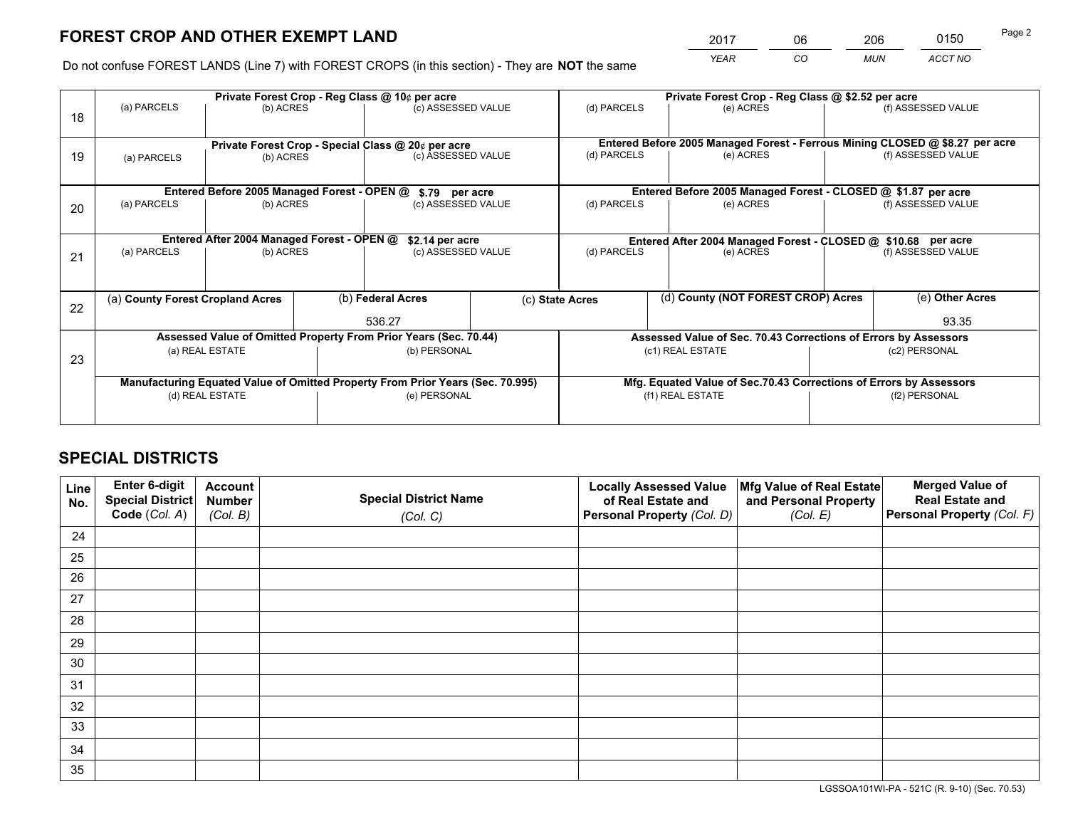*YEAR CO MUN ACCT NO* <sup>2017</sup> <sup>06</sup> <sup>206</sup> <sup>0150</sup>

Do not confuse FOREST LANDS (Line 7) with FOREST CROPS (in this section) - They are **NOT** the same

|    | Private Forest Crop - Reg Class @ 10¢ per acre                                 |                                             |  |                                                                  |                                                                    | Private Forest Crop - Reg Class @ \$2.52 per acre |                                                                              |               |                    |
|----|--------------------------------------------------------------------------------|---------------------------------------------|--|------------------------------------------------------------------|--------------------------------------------------------------------|---------------------------------------------------|------------------------------------------------------------------------------|---------------|--------------------|
| 18 | (a) PARCELS                                                                    | (b) ACRES                                   |  | (c) ASSESSED VALUE                                               |                                                                    | (d) PARCELS                                       | (e) ACRES                                                                    |               | (f) ASSESSED VALUE |
|    |                                                                                |                                             |  |                                                                  |                                                                    |                                                   |                                                                              |               |                    |
|    |                                                                                |                                             |  | Private Forest Crop - Special Class @ 20¢ per acre               |                                                                    |                                                   | Entered Before 2005 Managed Forest - Ferrous Mining CLOSED @ \$8.27 per acre |               |                    |
| 19 | (a) PARCELS                                                                    | (b) ACRES                                   |  | (c) ASSESSED VALUE                                               |                                                                    | (d) PARCELS                                       | (e) ACRES                                                                    |               | (f) ASSESSED VALUE |
|    |                                                                                |                                             |  |                                                                  |                                                                    |                                                   |                                                                              |               |                    |
|    |                                                                                | Entered Before 2005 Managed Forest - OPEN @ |  | \$.79 per acre                                                   |                                                                    |                                                   | Entered Before 2005 Managed Forest - CLOSED @ \$1.87 per acre                |               |                    |
| 20 | (a) PARCELS                                                                    | (b) ACRES                                   |  | (c) ASSESSED VALUE                                               |                                                                    | (d) PARCELS                                       | (e) ACRES                                                                    |               | (f) ASSESSED VALUE |
|    |                                                                                |                                             |  |                                                                  |                                                                    |                                                   |                                                                              |               |                    |
|    | Entered After 2004 Managed Forest - OPEN @<br>\$2.14 per acre                  |                                             |  |                                                                  | Entered After 2004 Managed Forest - CLOSED @ \$10.68 per acre      |                                                   |                                                                              |               |                    |
| 21 | (a) PARCELS                                                                    | (b) ACRES                                   |  | (c) ASSESSED VALUE                                               |                                                                    | (d) PARCELS<br>(e) ACRES                          |                                                                              |               | (f) ASSESSED VALUE |
|    |                                                                                |                                             |  |                                                                  |                                                                    |                                                   |                                                                              |               |                    |
|    |                                                                                |                                             |  |                                                                  |                                                                    |                                                   |                                                                              |               |                    |
| 22 | (a) County Forest Cropland Acres                                               |                                             |  | (b) Federal Acres                                                |                                                                    | (c) State Acres                                   | (d) County (NOT FOREST CROP) Acres                                           |               | (e) Other Acres    |
|    |                                                                                |                                             |  | 536.27                                                           |                                                                    |                                                   |                                                                              |               | 93.35              |
|    |                                                                                |                                             |  | Assessed Value of Omitted Property From Prior Years (Sec. 70.44) |                                                                    |                                                   | Assessed Value of Sec. 70.43 Corrections of Errors by Assessors              |               |                    |
| 23 |                                                                                | (a) REAL ESTATE                             |  | (b) PERSONAL                                                     |                                                                    |                                                   | (c1) REAL ESTATE                                                             | (c2) PERSONAL |                    |
|    |                                                                                |                                             |  |                                                                  |                                                                    |                                                   |                                                                              |               |                    |
|    | Manufacturing Equated Value of Omitted Property From Prior Years (Sec. 70.995) |                                             |  |                                                                  | Mfg. Equated Value of Sec.70.43 Corrections of Errors by Assessors |                                                   |                                                                              |               |                    |
|    | (e) PERSONAL<br>(d) REAL ESTATE                                                |                                             |  | (f1) REAL ESTATE<br>(f2) PERSONAL                                |                                                                    |                                                   |                                                                              |               |                    |
|    |                                                                                |                                             |  |                                                                  |                                                                    |                                                   |                                                                              |               |                    |

# **SPECIAL DISTRICTS**

| Line<br>No. | Enter 6-digit<br>Special District<br>Code (Col. A) | <b>Account</b><br><b>Number</b> | <b>Special District Name</b> | <b>Locally Assessed Value</b><br>of Real Estate and | Mfg Value of Real Estate<br>and Personal Property | <b>Merged Value of</b><br><b>Real Estate and</b><br>Personal Property (Col. F) |
|-------------|----------------------------------------------------|---------------------------------|------------------------------|-----------------------------------------------------|---------------------------------------------------|--------------------------------------------------------------------------------|
|             |                                                    | (Col. B)                        | (Col. C)                     | Personal Property (Col. D)                          | (Col. E)                                          |                                                                                |
| 24          |                                                    |                                 |                              |                                                     |                                                   |                                                                                |
| 25          |                                                    |                                 |                              |                                                     |                                                   |                                                                                |
| 26          |                                                    |                                 |                              |                                                     |                                                   |                                                                                |
| 27          |                                                    |                                 |                              |                                                     |                                                   |                                                                                |
| 28          |                                                    |                                 |                              |                                                     |                                                   |                                                                                |
| 29          |                                                    |                                 |                              |                                                     |                                                   |                                                                                |
| 30          |                                                    |                                 |                              |                                                     |                                                   |                                                                                |
| 31          |                                                    |                                 |                              |                                                     |                                                   |                                                                                |
| 32          |                                                    |                                 |                              |                                                     |                                                   |                                                                                |
| 33          |                                                    |                                 |                              |                                                     |                                                   |                                                                                |
| 34          |                                                    |                                 |                              |                                                     |                                                   |                                                                                |
| 35          |                                                    |                                 |                              |                                                     |                                                   |                                                                                |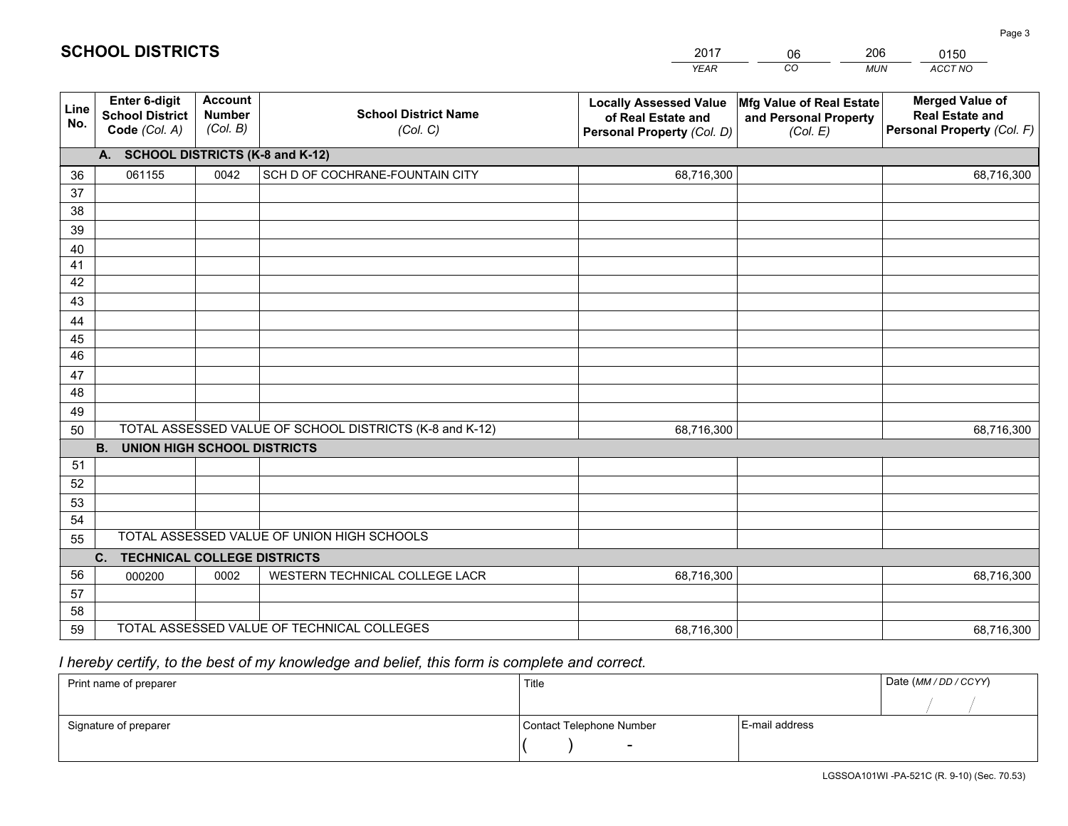|             |                                                          |                                             |                                                         | <b>YEAR</b>                                                                       | CO<br><b>MUN</b>                                              | <b>ACCT NO</b>                                                                 |
|-------------|----------------------------------------------------------|---------------------------------------------|---------------------------------------------------------|-----------------------------------------------------------------------------------|---------------------------------------------------------------|--------------------------------------------------------------------------------|
| Line<br>No. | Enter 6-digit<br><b>School District</b><br>Code (Col. A) | <b>Account</b><br><b>Number</b><br>(Col. B) | <b>School District Name</b><br>(Col. C)                 | <b>Locally Assessed Value</b><br>of Real Estate and<br>Personal Property (Col. D) | Mfg Value of Real Estate<br>and Personal Property<br>(Col. E) | <b>Merged Value of</b><br><b>Real Estate and</b><br>Personal Property (Col. F) |
|             | A. SCHOOL DISTRICTS (K-8 and K-12)                       |                                             |                                                         |                                                                                   |                                                               |                                                                                |
| 36          | 061155                                                   | 0042                                        | SCH D OF COCHRANE-FOUNTAIN CITY                         | 68,716,300                                                                        |                                                               | 68,716,300                                                                     |
| 37          |                                                          |                                             |                                                         |                                                                                   |                                                               |                                                                                |
| 38          |                                                          |                                             |                                                         |                                                                                   |                                                               |                                                                                |
| 39          |                                                          |                                             |                                                         |                                                                                   |                                                               |                                                                                |
| 40          |                                                          |                                             |                                                         |                                                                                   |                                                               |                                                                                |
| 41<br>42    |                                                          |                                             |                                                         |                                                                                   |                                                               |                                                                                |
| 43          |                                                          |                                             |                                                         |                                                                                   |                                                               |                                                                                |
| 44          |                                                          |                                             |                                                         |                                                                                   |                                                               |                                                                                |
| 45          |                                                          |                                             |                                                         |                                                                                   |                                                               |                                                                                |
| 46          |                                                          |                                             |                                                         |                                                                                   |                                                               |                                                                                |
| 47          |                                                          |                                             |                                                         |                                                                                   |                                                               |                                                                                |
| 48          |                                                          |                                             |                                                         |                                                                                   |                                                               |                                                                                |
| 49          |                                                          |                                             |                                                         |                                                                                   |                                                               |                                                                                |
| 50          |                                                          |                                             | TOTAL ASSESSED VALUE OF SCHOOL DISTRICTS (K-8 and K-12) | 68,716,300                                                                        |                                                               | 68,716,300                                                                     |
|             | <b>B.</b><br><b>UNION HIGH SCHOOL DISTRICTS</b>          |                                             |                                                         |                                                                                   |                                                               |                                                                                |
| 51          |                                                          |                                             |                                                         |                                                                                   |                                                               |                                                                                |
| 52          |                                                          |                                             |                                                         |                                                                                   |                                                               |                                                                                |
| 53<br>54    |                                                          |                                             |                                                         |                                                                                   |                                                               |                                                                                |
| 55          |                                                          |                                             | TOTAL ASSESSED VALUE OF UNION HIGH SCHOOLS              |                                                                                   |                                                               |                                                                                |
|             | C. TECHNICAL COLLEGE DISTRICTS                           |                                             |                                                         |                                                                                   |                                                               |                                                                                |
| 56          | 000200                                                   | 0002                                        | WESTERN TECHNICAL COLLEGE LACR                          | 68,716,300                                                                        |                                                               | 68,716,300                                                                     |
| 57          |                                                          |                                             |                                                         |                                                                                   |                                                               |                                                                                |
| 58          |                                                          |                                             |                                                         |                                                                                   |                                                               |                                                                                |
| 59          |                                                          |                                             | TOTAL ASSESSED VALUE OF TECHNICAL COLLEGES              | 68,716,300                                                                        |                                                               | 68,716,300                                                                     |

2017

06

206

# *I hereby certify, to the best of my knowledge and belief, this form is complete and correct.*

**SCHOOL DISTRICTS**

| Print name of preparer | Title                    |                | Date (MM / DD / CCYY) |
|------------------------|--------------------------|----------------|-----------------------|
|                        |                          |                |                       |
| Signature of preparer  | Contact Telephone Number | E-mail address |                       |
|                        | $\overline{\phantom{0}}$ |                |                       |

Page 3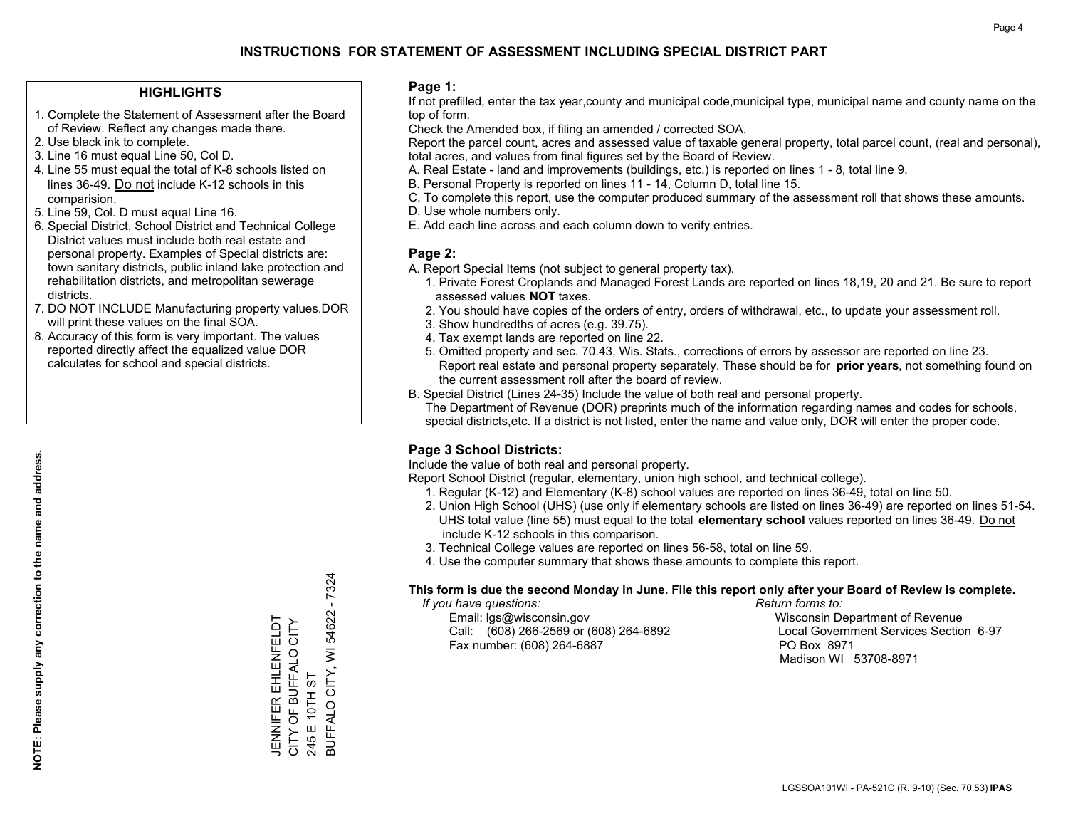### **HIGHLIGHTS**

- 1. Complete the Statement of Assessment after the Board of Review. Reflect any changes made there.
- 2. Use black ink to complete.
- 3. Line 16 must equal Line 50, Col D.
- 4. Line 55 must equal the total of K-8 schools listed on lines 36-49. Do not include K-12 schools in this comparision.
- 5. Line 59, Col. D must equal Line 16.
- 6. Special District, School District and Technical College District values must include both real estate and personal property. Examples of Special districts are: town sanitary districts, public inland lake protection and rehabilitation districts, and metropolitan sewerage districts.
- 7. DO NOT INCLUDE Manufacturing property values.DOR will print these values on the final SOA.
- 8. Accuracy of this form is very important. The values reported directly affect the equalized value DOR calculates for school and special districts.

#### **Page 1:**

 If not prefilled, enter the tax year,county and municipal code,municipal type, municipal name and county name on the top of form.

Check the Amended box, if filing an amended / corrected SOA.

 Report the parcel count, acres and assessed value of taxable general property, total parcel count, (real and personal), total acres, and values from final figures set by the Board of Review.

- A. Real Estate land and improvements (buildings, etc.) is reported on lines 1 8, total line 9.
- B. Personal Property is reported on lines 11 14, Column D, total line 15.
- C. To complete this report, use the computer produced summary of the assessment roll that shows these amounts.
- D. Use whole numbers only.
- E. Add each line across and each column down to verify entries.

### **Page 2:**

- A. Report Special Items (not subject to general property tax).
- 1. Private Forest Croplands and Managed Forest Lands are reported on lines 18,19, 20 and 21. Be sure to report assessed values **NOT** taxes.
- 2. You should have copies of the orders of entry, orders of withdrawal, etc., to update your assessment roll.
	- 3. Show hundredths of acres (e.g. 39.75).
- 4. Tax exempt lands are reported on line 22.
- 5. Omitted property and sec. 70.43, Wis. Stats., corrections of errors by assessor are reported on line 23. Report real estate and personal property separately. These should be for **prior years**, not something found on the current assessment roll after the board of review.
- B. Special District (Lines 24-35) Include the value of both real and personal property.

 The Department of Revenue (DOR) preprints much of the information regarding names and codes for schools, special districts,etc. If a district is not listed, enter the name and value only, DOR will enter the proper code.

## **Page 3 School Districts:**

Include the value of both real and personal property.

Report School District (regular, elementary, union high school, and technical college).

- 1. Regular (K-12) and Elementary (K-8) school values are reported on lines 36-49, total on line 50.
- 2. Union High School (UHS) (use only if elementary schools are listed on lines 36-49) are reported on lines 51-54. UHS total value (line 55) must equal to the total **elementary school** values reported on lines 36-49. Do notinclude K-12 schools in this comparison.
- 3. Technical College values are reported on lines 56-58, total on line 59.
- 4. Use the computer summary that shows these amounts to complete this report.

#### **This form is due the second Monday in June. File this report only after your Board of Review is complete.**

 *If you have questions: Return forms to:*

 Email: lgs@wisconsin.gov Wisconsin Department of RevenueCall:  $(608)$  266-2569 or  $(608)$  264-6892 Fax number: (608) 264-6887 PO Box 8971

Local Government Services Section 6-97 Madison WI 53708-8971

 $-7324$ BUFFALO CITY, WI 54622 - 7324 BUFFALO CITY, WI 54622 **JENNIFER EHLENFELDT**<br>CITY OF BUFFALO CITY JENNIFER EHLENFELDT CITY OF BUFFALO CITY 245 E 10TH ST 245 E 10TH ST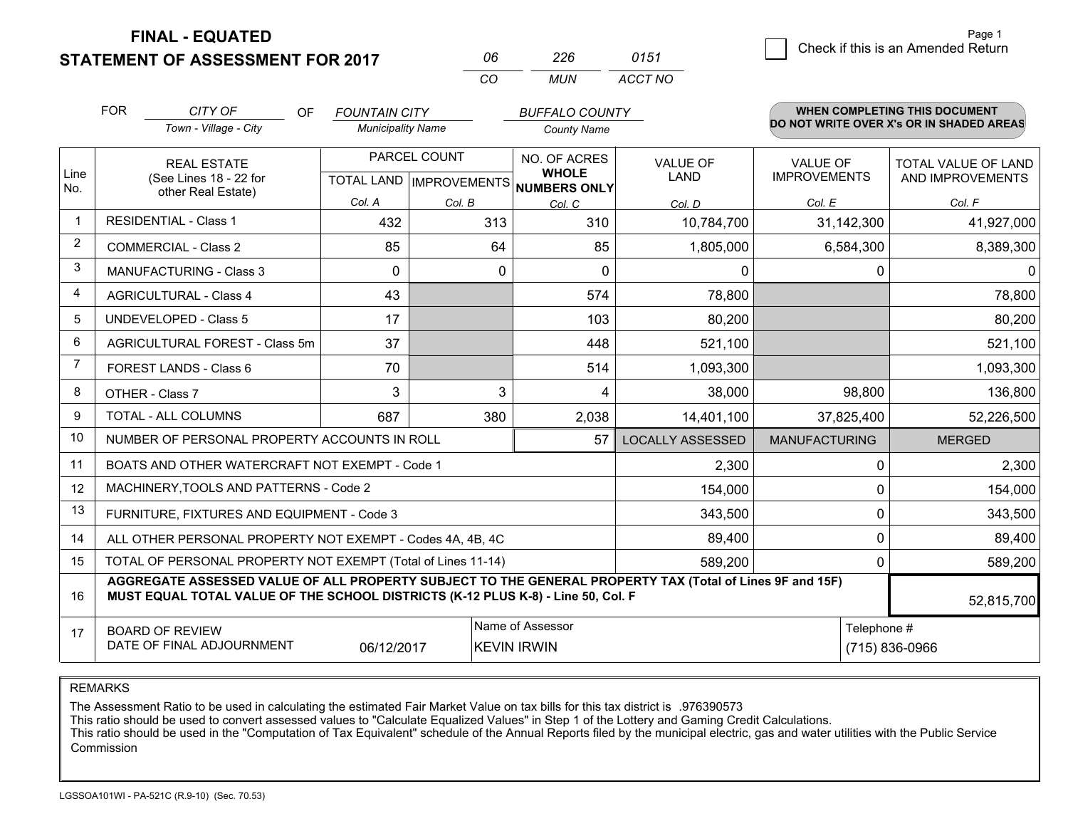**STATEMENT OF ASSESSMENT FOR 2017** 

**FINAL - EQUATED**

|                | <b>FOR</b>                                                         | CITY OF<br>OF<br>Town - Village - City                                                                                                                                                       | <b>FOUNTAIN CITY</b><br><b>Municipality Name</b>     |                                        | <b>BUFFALO COUNTY</b><br><b>County Name</b> |                              |                                | <b>WHEN COMPLETING THIS DOCUMENT</b><br>DO NOT WRITE OVER X's OR IN SHADED AREAS |                                         |
|----------------|--------------------------------------------------------------------|----------------------------------------------------------------------------------------------------------------------------------------------------------------------------------------------|------------------------------------------------------|----------------------------------------|---------------------------------------------|------------------------------|--------------------------------|----------------------------------------------------------------------------------|-----------------------------------------|
| Line<br>No.    | <b>REAL ESTATE</b><br>(See Lines 18 - 22 for<br>other Real Estate) |                                                                                                                                                                                              | PARCEL COUNT<br>TOTAL LAND IMPROVEMENTS NUMBERS ONLY |                                        |                                             | NO. OF ACRES<br><b>WHOLE</b> | <b>VALUE OF</b><br><b>LAND</b> | <b>VALUE OF</b><br><b>IMPROVEMENTS</b>                                           | TOTAL VALUE OF LAND<br>AND IMPROVEMENTS |
|                |                                                                    |                                                                                                                                                                                              | Col. A                                               | Col. B                                 | Col. C                                      | Col. D                       | Col. E                         | Col. F                                                                           |                                         |
| $\mathbf 1$    |                                                                    | <b>RESIDENTIAL - Class 1</b>                                                                                                                                                                 | 432                                                  | 313                                    | 310                                         | 10,784,700                   | 31,142,300                     | 41,927,000                                                                       |                                         |
| $\overline{2}$ |                                                                    | <b>COMMERCIAL - Class 2</b>                                                                                                                                                                  | 85                                                   | 64                                     | 85                                          | 1,805,000                    | 6,584,300                      | 8,389,300                                                                        |                                         |
| 3              |                                                                    | <b>MANUFACTURING - Class 3</b>                                                                                                                                                               | $\Omega$                                             | 0                                      | $\Omega$                                    | $\mathbf{0}$                 | 0                              | 0                                                                                |                                         |
| $\overline{4}$ |                                                                    | <b>AGRICULTURAL - Class 4</b>                                                                                                                                                                | 43                                                   |                                        | 574                                         | 78,800                       |                                | 78,800                                                                           |                                         |
| 5              | <b>UNDEVELOPED - Class 5</b>                                       |                                                                                                                                                                                              | 17                                                   |                                        | 103                                         | 80,200                       |                                | 80,200                                                                           |                                         |
| 6              | AGRICULTURAL FOREST - Class 5m                                     |                                                                                                                                                                                              | 37                                                   |                                        | 448                                         | 521,100                      |                                | 521,100                                                                          |                                         |
| $\overline{7}$ | FOREST LANDS - Class 6                                             |                                                                                                                                                                                              | 70                                                   |                                        | 514                                         | 1,093,300                    |                                | 1,093,300                                                                        |                                         |
| 8              |                                                                    | OTHER - Class 7                                                                                                                                                                              | 3                                                    | 3                                      | 4                                           | 38,000                       | 98,800                         | 136,800                                                                          |                                         |
| 9              |                                                                    | <b>TOTAL - ALL COLUMNS</b>                                                                                                                                                                   | 687                                                  | 380                                    | 2,038                                       | 14,401,100                   | 37,825,400                     | 52,226,500                                                                       |                                         |
| 10             |                                                                    | NUMBER OF PERSONAL PROPERTY ACCOUNTS IN ROLL                                                                                                                                                 |                                                      |                                        | 57                                          | <b>LOCALLY ASSESSED</b>      | <b>MANUFACTURING</b>           | <b>MERGED</b>                                                                    |                                         |
| 11             |                                                                    | BOATS AND OTHER WATERCRAFT NOT EXEMPT - Code 1                                                                                                                                               |                                                      |                                        |                                             | 2,300                        | 0                              | 2,300                                                                            |                                         |
| 12             |                                                                    | MACHINERY, TOOLS AND PATTERNS - Code 2                                                                                                                                                       |                                                      |                                        |                                             | 154,000                      | $\Omega$                       | 154,000                                                                          |                                         |
| 13             |                                                                    | FURNITURE, FIXTURES AND EQUIPMENT - Code 3                                                                                                                                                   |                                                      |                                        |                                             | 343,500                      | 0                              | 343,500                                                                          |                                         |
| 14             |                                                                    | ALL OTHER PERSONAL PROPERTY NOT EXEMPT - Codes 4A, 4B, 4C                                                                                                                                    |                                                      |                                        |                                             | 89,400                       | 0                              | 89,400                                                                           |                                         |
| 15             | TOTAL OF PERSONAL PROPERTY NOT EXEMPT (Total of Lines 11-14)       |                                                                                                                                                                                              |                                                      |                                        |                                             | 589,200                      | 0                              | 589,200                                                                          |                                         |
| 16             |                                                                    | AGGREGATE ASSESSED VALUE OF ALL PROPERTY SUBJECT TO THE GENERAL PROPERTY TAX (Total of Lines 9F and 15F)<br>MUST EQUAL TOTAL VALUE OF THE SCHOOL DISTRICTS (K-12 PLUS K-8) - Line 50, Col. F |                                                      |                                        |                                             |                              |                                | 52,815,700                                                                       |                                         |
| 17             | <b>BOARD OF REVIEW</b><br>DATE OF FINAL ADJOURNMENT<br>06/12/2017  |                                                                                                                                                                                              |                                                      | Name of Assessor<br><b>KEVIN IRWIN</b> |                                             | Telephone #                  | (715) 836-0966                 |                                                                                  |                                         |

*CO*

*MUN*

*ACCT NO0151*

*<sup>06</sup> <sup>226</sup>*

REMARKS

The Assessment Ratio to be used in calculating the estimated Fair Market Value on tax bills for this tax district is .976390573<br>This ratio should be used to convert assessed values to "Calculate Equalized Values" in Step 1 Commission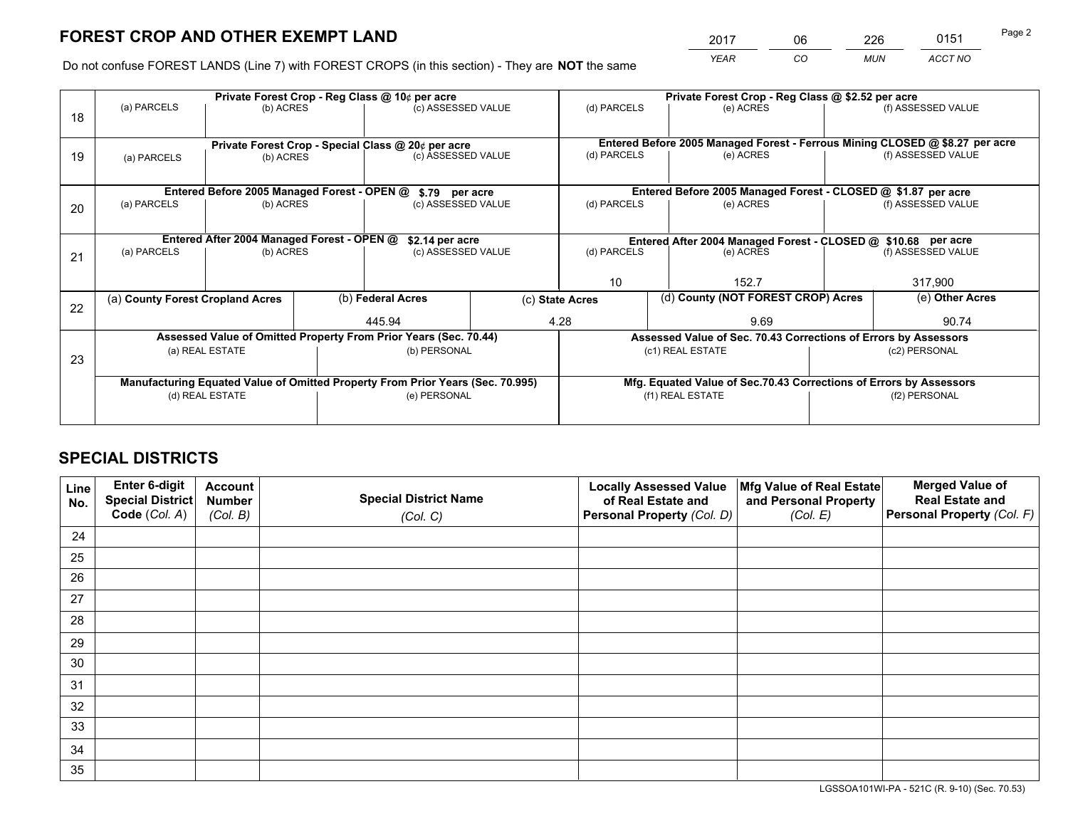*YEAR CO MUN ACCT NO* <sup>2017</sup> <sup>06</sup> <sup>226</sup> <sup>0151</sup>

Do not confuse FOREST LANDS (Line 7) with FOREST CROPS (in this section) - They are **NOT** the same

|    | Private Forest Crop - Reg Class @ 10¢ per acre                                 |                                                                                       |  |                                                                    |                          | Private Forest Crop - Reg Class @ \$2.52 per acre             |                                                                              |                    |                    |  |
|----|--------------------------------------------------------------------------------|---------------------------------------------------------------------------------------|--|--------------------------------------------------------------------|--------------------------|---------------------------------------------------------------|------------------------------------------------------------------------------|--------------------|--------------------|--|
| 18 | (a) PARCELS                                                                    | (b) ACRES                                                                             |  | (c) ASSESSED VALUE                                                 |                          | (d) PARCELS                                                   | (e) ACRES                                                                    |                    | (f) ASSESSED VALUE |  |
|    |                                                                                |                                                                                       |  |                                                                    |                          |                                                               | Entered Before 2005 Managed Forest - Ferrous Mining CLOSED @ \$8.27 per acre |                    |                    |  |
| 19 | (a) PARCELS                                                                    | Private Forest Crop - Special Class @ 20¢ per acre<br>(c) ASSESSED VALUE<br>(b) ACRES |  |                                                                    | (d) PARCELS<br>(e) ACRES |                                                               |                                                                              | (f) ASSESSED VALUE |                    |  |
|    |                                                                                | Entered Before 2005 Managed Forest - OPEN @                                           |  |                                                                    |                          |                                                               | Entered Before 2005 Managed Forest - CLOSED @ \$1.87 per acre                |                    |                    |  |
|    | (a) PARCELS                                                                    | (b) ACRES                                                                             |  | \$.79 per acre                                                     |                          | (d) PARCELS                                                   | (e) ACRES                                                                    |                    | (f) ASSESSED VALUE |  |
| 20 |                                                                                |                                                                                       |  | (c) ASSESSED VALUE                                                 |                          |                                                               |                                                                              |                    |                    |  |
|    | Entered After 2004 Managed Forest - OPEN @<br>\$2.14 per acre                  |                                                                                       |  |                                                                    |                          | Entered After 2004 Managed Forest - CLOSED @ \$10.68 per acre |                                                                              |                    |                    |  |
| 21 | (a) PARCELS                                                                    | (b) ACRES                                                                             |  | (c) ASSESSED VALUE                                                 |                          | (d) PARCELS<br>(e) ACRES                                      |                                                                              |                    | (f) ASSESSED VALUE |  |
|    |                                                                                |                                                                                       |  |                                                                    |                          |                                                               |                                                                              |                    |                    |  |
|    |                                                                                |                                                                                       |  |                                                                    |                          | 10<br>152.7                                                   |                                                                              | 317,900            |                    |  |
| 22 | (a) County Forest Cropland Acres                                               |                                                                                       |  | (b) Federal Acres                                                  |                          | (d) County (NOT FOREST CROP) Acres<br>(c) State Acres         |                                                                              | (e) Other Acres    |                    |  |
|    |                                                                                |                                                                                       |  | 445.94                                                             |                          | 4.28                                                          | 9.69                                                                         |                    | 90.74              |  |
|    |                                                                                |                                                                                       |  | Assessed Value of Omitted Property From Prior Years (Sec. 70.44)   |                          |                                                               | Assessed Value of Sec. 70.43 Corrections of Errors by Assessors              |                    |                    |  |
|    |                                                                                | (a) REAL ESTATE                                                                       |  | (b) PERSONAL                                                       |                          |                                                               | (c1) REAL ESTATE                                                             |                    | (c2) PERSONAL      |  |
| 23 |                                                                                |                                                                                       |  |                                                                    |                          |                                                               |                                                                              |                    |                    |  |
|    | Manufacturing Equated Value of Omitted Property From Prior Years (Sec. 70.995) |                                                                                       |  | Mfg. Equated Value of Sec.70.43 Corrections of Errors by Assessors |                          |                                                               |                                                                              |                    |                    |  |
|    | (d) REAL ESTATE<br>(e) PERSONAL                                                |                                                                                       |  |                                                                    | (f1) REAL ESTATE         | (f2) PERSONAL                                                 |                                                                              |                    |                    |  |
|    |                                                                                |                                                                                       |  |                                                                    |                          |                                                               |                                                                              |                    |                    |  |

# **SPECIAL DISTRICTS**

| Line<br>No. | Enter 6-digit<br><b>Special District</b> | <b>Account</b><br><b>Number</b> | <b>Special District Name</b> | <b>Locally Assessed Value</b><br>of Real Estate and | Mfg Value of Real Estate<br>and Personal Property | <b>Merged Value of</b><br><b>Real Estate and</b> |
|-------------|------------------------------------------|---------------------------------|------------------------------|-----------------------------------------------------|---------------------------------------------------|--------------------------------------------------|
|             | Code (Col. A)                            | (Col. B)                        | (Col. C)                     | Personal Property (Col. D)                          | (Col. E)                                          | Personal Property (Col. F)                       |
| 24          |                                          |                                 |                              |                                                     |                                                   |                                                  |
| 25          |                                          |                                 |                              |                                                     |                                                   |                                                  |
| 26          |                                          |                                 |                              |                                                     |                                                   |                                                  |
| 27          |                                          |                                 |                              |                                                     |                                                   |                                                  |
| 28          |                                          |                                 |                              |                                                     |                                                   |                                                  |
| 29          |                                          |                                 |                              |                                                     |                                                   |                                                  |
| 30          |                                          |                                 |                              |                                                     |                                                   |                                                  |
| 31          |                                          |                                 |                              |                                                     |                                                   |                                                  |
| 32          |                                          |                                 |                              |                                                     |                                                   |                                                  |
| 33          |                                          |                                 |                              |                                                     |                                                   |                                                  |
| 34          |                                          |                                 |                              |                                                     |                                                   |                                                  |
| 35          |                                          |                                 |                              |                                                     |                                                   |                                                  |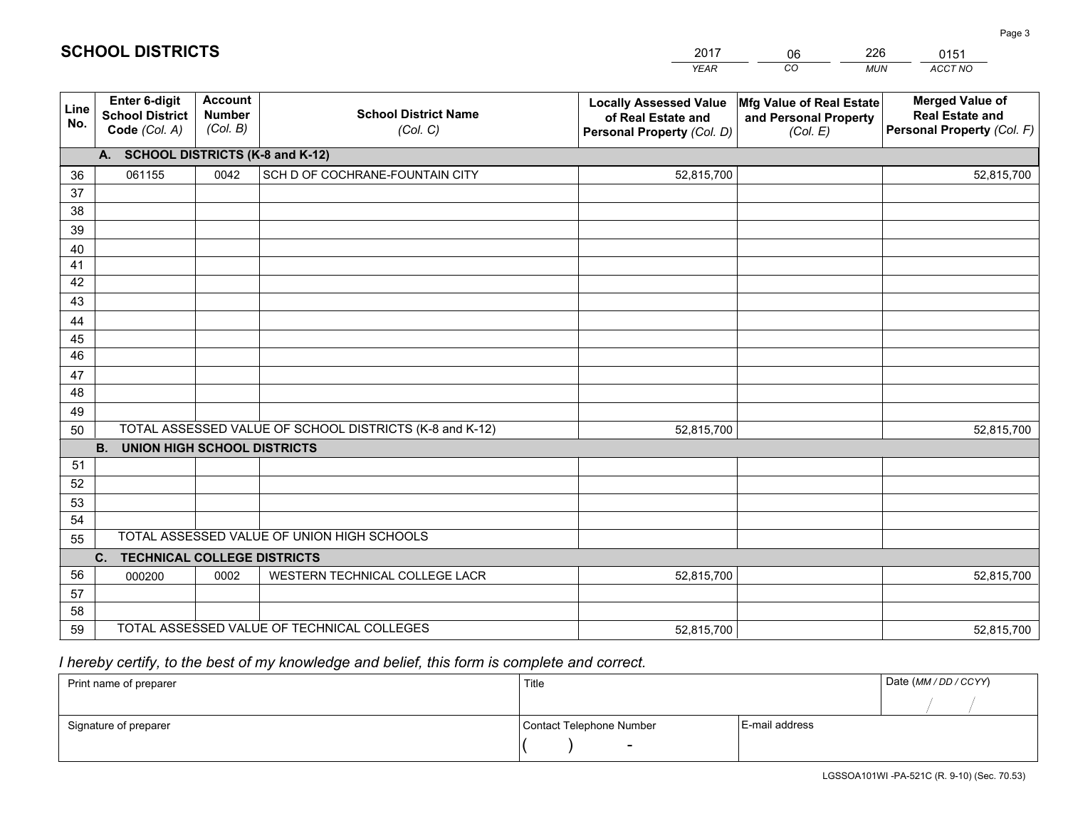|             |                                                          |                                             |                                                         | <b>YEAR</b>                                                                       | CO<br><b>MUN</b>                                              | ACCT NO                                                                        |
|-------------|----------------------------------------------------------|---------------------------------------------|---------------------------------------------------------|-----------------------------------------------------------------------------------|---------------------------------------------------------------|--------------------------------------------------------------------------------|
| Line<br>No. | Enter 6-digit<br><b>School District</b><br>Code (Col. A) | <b>Account</b><br><b>Number</b><br>(Col. B) | <b>School District Name</b><br>(Col. C)                 | <b>Locally Assessed Value</b><br>of Real Estate and<br>Personal Property (Col. D) | Mfg Value of Real Estate<br>and Personal Property<br>(Col. E) | <b>Merged Value of</b><br><b>Real Estate and</b><br>Personal Property (Col. F) |
|             | A. SCHOOL DISTRICTS (K-8 and K-12)                       |                                             |                                                         |                                                                                   |                                                               |                                                                                |
| 36          | 061155                                                   | 0042                                        | SCH D OF COCHRANE-FOUNTAIN CITY                         | 52,815,700                                                                        |                                                               | 52,815,700                                                                     |
| 37          |                                                          |                                             |                                                         |                                                                                   |                                                               |                                                                                |
| 38          |                                                          |                                             |                                                         |                                                                                   |                                                               |                                                                                |
| 39          |                                                          |                                             |                                                         |                                                                                   |                                                               |                                                                                |
| 40          |                                                          |                                             |                                                         |                                                                                   |                                                               |                                                                                |
| 41<br>42    |                                                          |                                             |                                                         |                                                                                   |                                                               |                                                                                |
| 43          |                                                          |                                             |                                                         |                                                                                   |                                                               |                                                                                |
| 44          |                                                          |                                             |                                                         |                                                                                   |                                                               |                                                                                |
| 45          |                                                          |                                             |                                                         |                                                                                   |                                                               |                                                                                |
| 46          |                                                          |                                             |                                                         |                                                                                   |                                                               |                                                                                |
| 47          |                                                          |                                             |                                                         |                                                                                   |                                                               |                                                                                |
| 48          |                                                          |                                             |                                                         |                                                                                   |                                                               |                                                                                |
| 49          |                                                          |                                             |                                                         |                                                                                   |                                                               |                                                                                |
| 50          |                                                          |                                             | TOTAL ASSESSED VALUE OF SCHOOL DISTRICTS (K-8 and K-12) | 52,815,700                                                                        |                                                               | 52,815,700                                                                     |
|             | <b>B.</b><br><b>UNION HIGH SCHOOL DISTRICTS</b>          |                                             |                                                         |                                                                                   |                                                               |                                                                                |
| 51          |                                                          |                                             |                                                         |                                                                                   |                                                               |                                                                                |
| 52          |                                                          |                                             |                                                         |                                                                                   |                                                               |                                                                                |
| 53<br>54    |                                                          |                                             |                                                         |                                                                                   |                                                               |                                                                                |
| 55          |                                                          |                                             | TOTAL ASSESSED VALUE OF UNION HIGH SCHOOLS              |                                                                                   |                                                               |                                                                                |
|             | C. TECHNICAL COLLEGE DISTRICTS                           |                                             |                                                         |                                                                                   |                                                               |                                                                                |
| 56          | 000200                                                   | 0002                                        | WESTERN TECHNICAL COLLEGE LACR                          | 52,815,700                                                                        |                                                               | 52,815,700                                                                     |
| 57          |                                                          |                                             |                                                         |                                                                                   |                                                               |                                                                                |
| 58          |                                                          |                                             |                                                         |                                                                                   |                                                               |                                                                                |
| 59          |                                                          |                                             | TOTAL ASSESSED VALUE OF TECHNICAL COLLEGES              | 52,815,700                                                                        |                                                               | 52,815,700                                                                     |

# *I hereby certify, to the best of my knowledge and belief, this form is complete and correct.*

| Print name of preparer | Title                    | Date (MM / DD / CCYY) |
|------------------------|--------------------------|-----------------------|
|                        |                          |                       |
| Signature of preparer  | Contact Telephone Number | E-mail address        |
|                        | $\overline{\phantom{0}}$ |                       |

#### Page 3

| <b>SCHOOL DISTRICTS</b> |  |
|-------------------------|--|
|-------------------------|--|

201706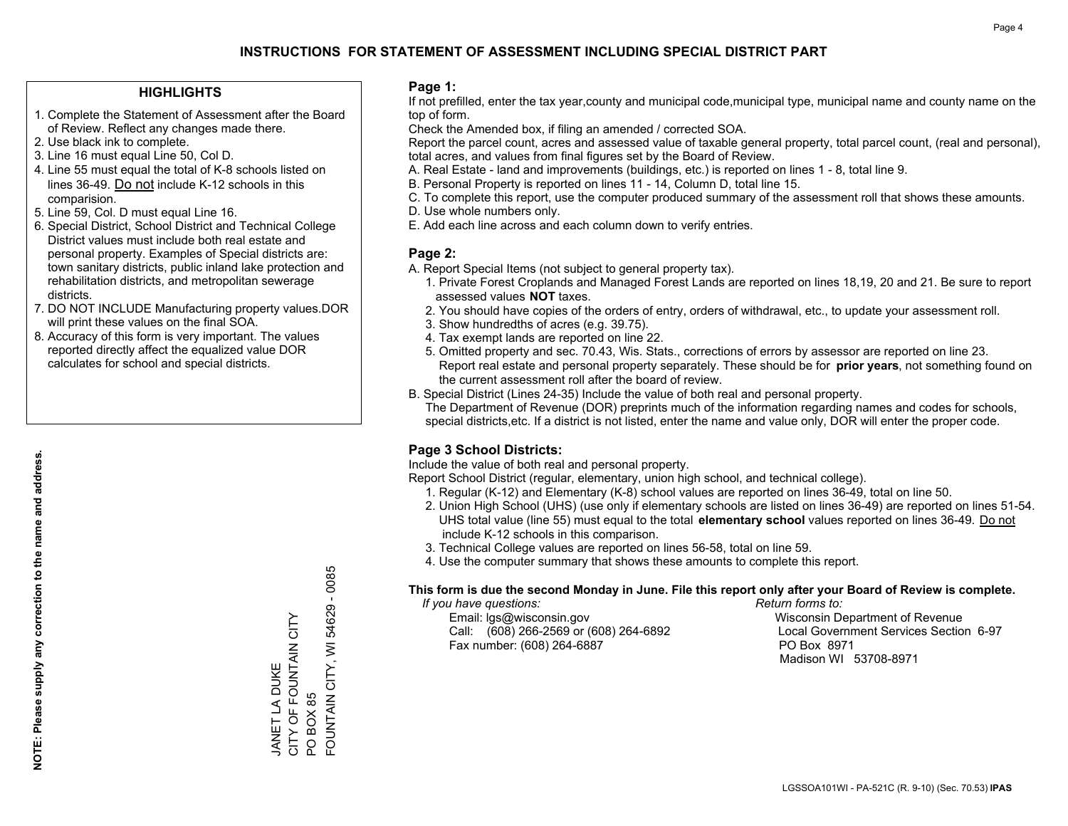### **HIGHLIGHTS**

- 1. Complete the Statement of Assessment after the Board of Review. Reflect any changes made there.
- 2. Use black ink to complete.
- 3. Line 16 must equal Line 50, Col D.
- 4. Line 55 must equal the total of K-8 schools listed on lines 36-49. Do not include K-12 schools in this comparision.
- 5. Line 59, Col. D must equal Line 16.
- 6. Special District, School District and Technical College District values must include both real estate and personal property. Examples of Special districts are: town sanitary districts, public inland lake protection and rehabilitation districts, and metropolitan sewerage districts.
- 7. DO NOT INCLUDE Manufacturing property values.DOR will print these values on the final SOA.

JANET LA DUKE

JANET LA DUKE

CITY OF FOUNTAIN CITY

CITY OF FOUNTAIN CITY

PO BOX 85

PO BOX 85

FOUNTAIN CITY, WI 54629 - 0085

FOUNTAIN CITY, WI

54629 - 0085

 8. Accuracy of this form is very important. The values reported directly affect the equalized value DOR calculates for school and special districts.

#### **Page 1:**

 If not prefilled, enter the tax year,county and municipal code,municipal type, municipal name and county name on the top of form.

Check the Amended box, if filing an amended / corrected SOA.

 Report the parcel count, acres and assessed value of taxable general property, total parcel count, (real and personal), total acres, and values from final figures set by the Board of Review.

- A. Real Estate land and improvements (buildings, etc.) is reported on lines 1 8, total line 9.
- B. Personal Property is reported on lines 11 14, Column D, total line 15.
- C. To complete this report, use the computer produced summary of the assessment roll that shows these amounts.
- D. Use whole numbers only.
- E. Add each line across and each column down to verify entries.

#### **Page 2:**

- A. Report Special Items (not subject to general property tax).
- 1. Private Forest Croplands and Managed Forest Lands are reported on lines 18,19, 20 and 21. Be sure to report assessed values **NOT** taxes.
- 2. You should have copies of the orders of entry, orders of withdrawal, etc., to update your assessment roll.
	- 3. Show hundredths of acres (e.g. 39.75).
- 4. Tax exempt lands are reported on line 22.
- 5. Omitted property and sec. 70.43, Wis. Stats., corrections of errors by assessor are reported on line 23. Report real estate and personal property separately. These should be for **prior years**, not something found on the current assessment roll after the board of review.
- B. Special District (Lines 24-35) Include the value of both real and personal property.
- The Department of Revenue (DOR) preprints much of the information regarding names and codes for schools, special districts,etc. If a district is not listed, enter the name and value only, DOR will enter the proper code.

## **Page 3 School Districts:**

Include the value of both real and personal property.

Report School District (regular, elementary, union high school, and technical college).

- 1. Regular (K-12) and Elementary (K-8) school values are reported on lines 36-49, total on line 50.
- 2. Union High School (UHS) (use only if elementary schools are listed on lines 36-49) are reported on lines 51-54. UHS total value (line 55) must equal to the total **elementary school** values reported on lines 36-49. Do notinclude K-12 schools in this comparison.
- 3. Technical College values are reported on lines 56-58, total on line 59.
- 4. Use the computer summary that shows these amounts to complete this report.

#### **This form is due the second Monday in June. File this report only after your Board of Review is complete.**

 *If you have questions: Return forms to:*

 Email: lgs@wisconsin.gov Wisconsin Department of RevenueCall:  $(608)$  266-2569 or  $(608)$  264-6892 Fax number: (608) 264-6887 PO Box 8971

Local Government Services Section 6-97 Madison WI 53708-8971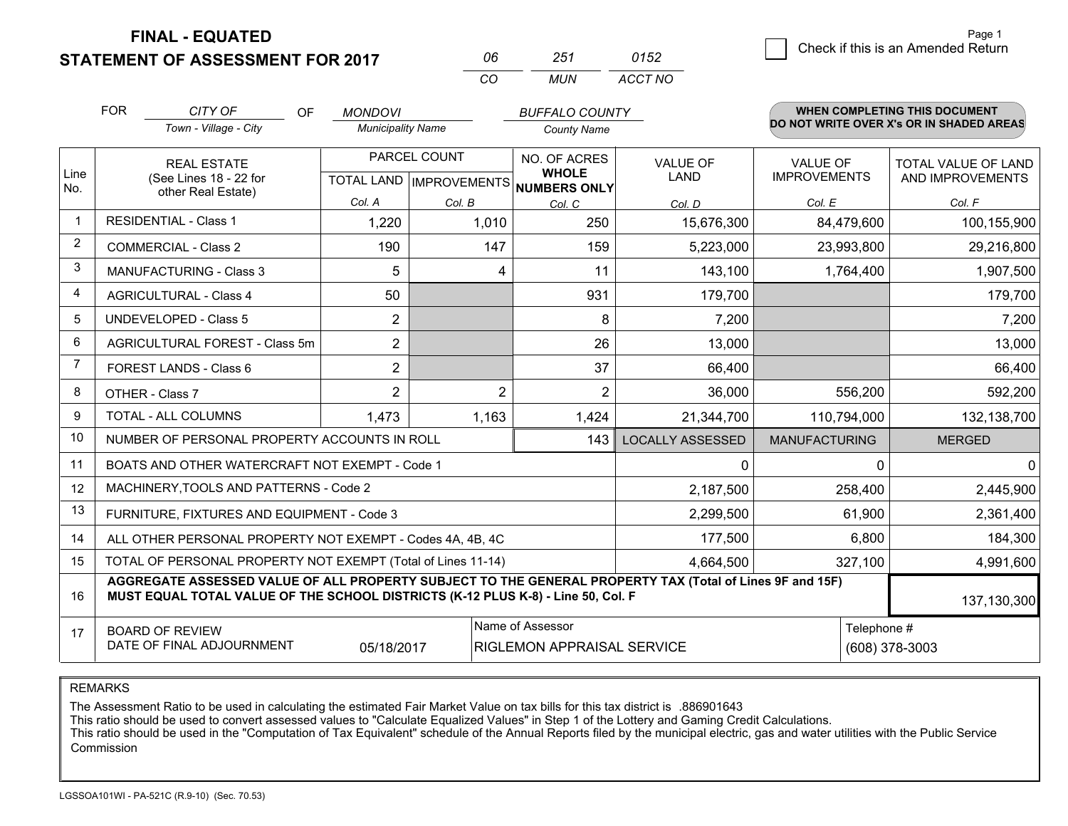**FINAL - EQUATED**

**STATEMENT OF ASSESSMENT FOR 2017** 

| NR  | 251 | 0152    |
|-----|-----|---------|
| CO. | MUN | ACCT NO |

|                | <b>FOR</b>                                                   | CITY OF<br>OF<br>Town - Village - City                                                                                                                                                       | <b>MONDOVI</b><br><b>Municipality Name</b>          |                | <b>BUFFALO COUNTY</b><br><b>County Name</b>    |                                |                                        | <b>WHEN COMPLETING THIS DOCUMENT</b><br>DO NOT WRITE OVER X's OR IN SHADED AREAS |
|----------------|--------------------------------------------------------------|----------------------------------------------------------------------------------------------------------------------------------------------------------------------------------------------|-----------------------------------------------------|----------------|------------------------------------------------|--------------------------------|----------------------------------------|----------------------------------------------------------------------------------|
| Line<br>No.    | <b>REAL ESTATE</b><br>(See Lines 18 - 22 for                 |                                                                                                                                                                                              | PARCEL COUNT<br>TOTAL LAND MPROVEMENTS NUMBERS ONLY |                | NO. OF ACRES<br><b>WHOLE</b>                   | <b>VALUE OF</b><br><b>LAND</b> | <b>VALUE OF</b><br><b>IMPROVEMENTS</b> | <b>TOTAL VALUE OF LAND</b><br>AND IMPROVEMENTS                                   |
|                |                                                              | other Real Estate)                                                                                                                                                                           | Col. A                                              | Col. B         | Col. C                                         | Col. D                         | Col. E                                 | Col. F                                                                           |
| $\mathbf 1$    |                                                              | <b>RESIDENTIAL - Class 1</b>                                                                                                                                                                 | 1,220                                               | 1,010          | 250                                            | 15,676,300                     | 84,479,600                             | 100,155,900                                                                      |
| 2              |                                                              | <b>COMMERCIAL - Class 2</b>                                                                                                                                                                  | 190                                                 | 147            | 159                                            | 5,223,000                      | 23,993,800                             | 29,216,800                                                                       |
| 3              |                                                              | MANUFACTURING - Class 3                                                                                                                                                                      | 5                                                   | 4              | 11                                             | 143,100                        | 1,764,400                              | 1,907,500                                                                        |
| $\overline{4}$ |                                                              | <b>AGRICULTURAL - Class 4</b>                                                                                                                                                                | 50                                                  |                | 931                                            | 179,700                        |                                        | 179,700                                                                          |
| 5              |                                                              | <b>UNDEVELOPED - Class 5</b>                                                                                                                                                                 | $\overline{2}$                                      |                | 8                                              | 7,200                          |                                        | 7,200                                                                            |
| 6              |                                                              | AGRICULTURAL FOREST - Class 5m                                                                                                                                                               | $\overline{2}$                                      |                | 26                                             | 13,000                         |                                        | 13,000                                                                           |
| $\overline{7}$ |                                                              | FOREST LANDS - Class 6                                                                                                                                                                       | $\overline{2}$                                      |                | 37                                             | 66,400                         |                                        | 66,400                                                                           |
| 8              |                                                              | OTHER - Class 7                                                                                                                                                                              | $\overline{2}$                                      | $\overline{2}$ | $\overline{2}$                                 | 36,000                         | 556,200                                | 592,200                                                                          |
| 9              |                                                              | TOTAL - ALL COLUMNS                                                                                                                                                                          | 1,473                                               | 1,163          | 1,424                                          | 21,344,700                     | 110,794,000                            | 132,138,700                                                                      |
| 10             | NUMBER OF PERSONAL PROPERTY ACCOUNTS IN ROLL                 |                                                                                                                                                                                              |                                                     |                | 143                                            | <b>LOCALLY ASSESSED</b>        | <b>MANUFACTURING</b>                   | <b>MERGED</b>                                                                    |
| 11             | BOATS AND OTHER WATERCRAFT NOT EXEMPT - Code 1               |                                                                                                                                                                                              |                                                     |                |                                                | 0                              | 0                                      | $\Omega$                                                                         |
| 12             | MACHINERY, TOOLS AND PATTERNS - Code 2                       |                                                                                                                                                                                              |                                                     |                |                                                | 2,187,500                      | 258,400                                | 2,445,900                                                                        |
| 13             | FURNITURE, FIXTURES AND EQUIPMENT - Code 3                   |                                                                                                                                                                                              |                                                     |                |                                                | 2,299,500                      | 61,900                                 | 2,361,400                                                                        |
| 14             | ALL OTHER PERSONAL PROPERTY NOT EXEMPT - Codes 4A, 4B, 4C    |                                                                                                                                                                                              |                                                     |                |                                                | 177,500                        | 6,800                                  | 184,300                                                                          |
| 15             | TOTAL OF PERSONAL PROPERTY NOT EXEMPT (Total of Lines 11-14) |                                                                                                                                                                                              |                                                     |                | 4,664,500                                      | 327,100                        | 4,991,600                              |                                                                                  |
| 16             |                                                              | AGGREGATE ASSESSED VALUE OF ALL PROPERTY SUBJECT TO THE GENERAL PROPERTY TAX (Total of Lines 9F and 15F)<br>MUST EQUAL TOTAL VALUE OF THE SCHOOL DISTRICTS (K-12 PLUS K-8) - Line 50, Col. F |                                                     |                |                                                |                                |                                        | 137,130,300                                                                      |
| 17             |                                                              | <b>BOARD OF REVIEW</b><br>DATE OF FINAL ADJOURNMENT                                                                                                                                          | 05/18/2017                                          |                | Name of Assessor<br>RIGLEMON APPRAISAL SERVICE |                                | Telephone #                            | (608) 378-3003                                                                   |

REMARKS

The Assessment Ratio to be used in calculating the estimated Fair Market Value on tax bills for this tax district is .886901643<br>This ratio should be used to convert assessed values to "Calculate Equalized Values" in Step 1 Commission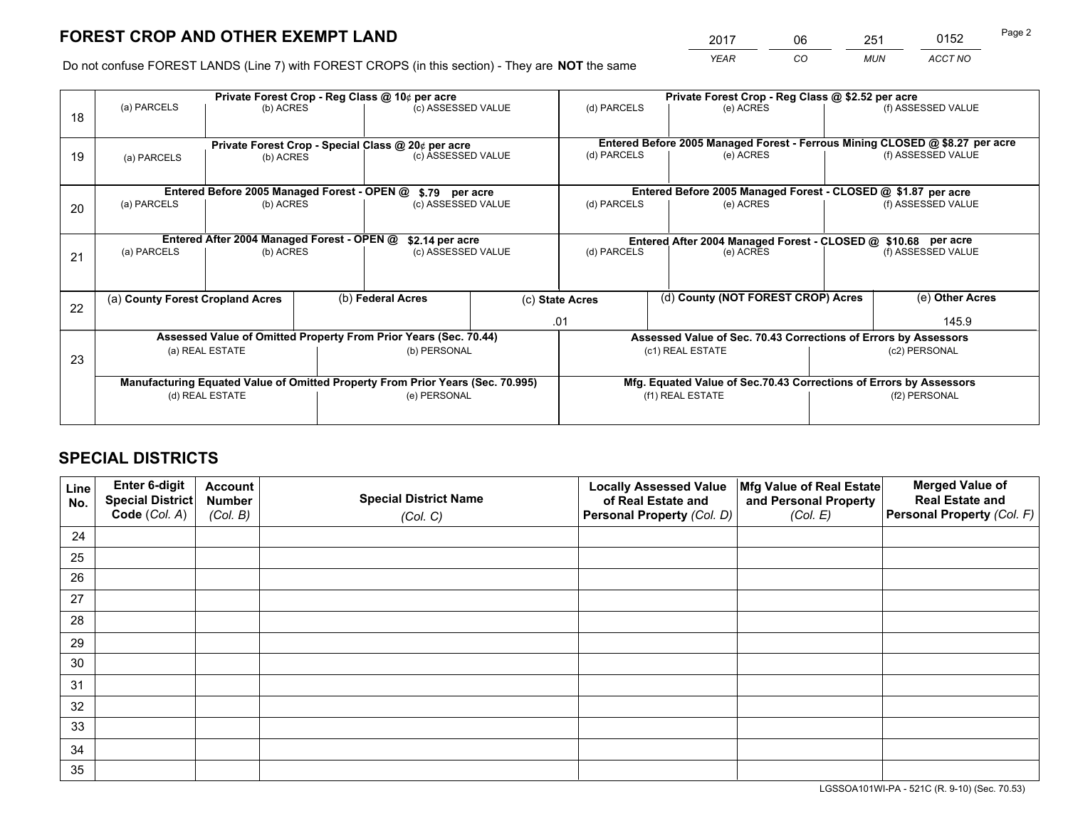*YEAR CO MUN ACCT NO* <sup>2017</sup> <sup>06</sup> <sup>251</sup> <sup>0152</sup> Page 2

Do not confuse FOREST LANDS (Line 7) with FOREST CROPS (in this section) - They are **NOT** the same

|    | Private Forest Crop - Reg Class @ 10¢ per acre                                 |                                             |  |                                                                    | Private Forest Crop - Reg Class @ \$2.52 per acre |                                                                 |                                                                              |               |                    |
|----|--------------------------------------------------------------------------------|---------------------------------------------|--|--------------------------------------------------------------------|---------------------------------------------------|-----------------------------------------------------------------|------------------------------------------------------------------------------|---------------|--------------------|
| 18 | (a) PARCELS                                                                    | (b) ACRES                                   |  | (c) ASSESSED VALUE                                                 |                                                   | (d) PARCELS                                                     | (e) ACRES                                                                    |               | (f) ASSESSED VALUE |
|    |                                                                                |                                             |  |                                                                    |                                                   |                                                                 |                                                                              |               |                    |
|    | Private Forest Crop - Special Class @ 20¢ per acre                             |                                             |  |                                                                    |                                                   |                                                                 | Entered Before 2005 Managed Forest - Ferrous Mining CLOSED @ \$8.27 per acre |               |                    |
| 19 | (a) PARCELS                                                                    | (b) ACRES                                   |  | (c) ASSESSED VALUE                                                 |                                                   | (d) PARCELS                                                     | (e) ACRES                                                                    |               | (f) ASSESSED VALUE |
|    |                                                                                |                                             |  |                                                                    |                                                   |                                                                 |                                                                              |               |                    |
|    |                                                                                |                                             |  |                                                                    |                                                   |                                                                 |                                                                              |               |                    |
|    |                                                                                | Entered Before 2005 Managed Forest - OPEN @ |  | \$.79 per acre                                                     |                                                   |                                                                 | Entered Before 2005 Managed Forest - CLOSED @ \$1.87 per acre                |               |                    |
| 20 | (a) PARCELS                                                                    | (b) ACRES                                   |  | (c) ASSESSED VALUE                                                 |                                                   | (d) PARCELS                                                     | (e) ACRES                                                                    |               | (f) ASSESSED VALUE |
|    |                                                                                |                                             |  |                                                                    |                                                   |                                                                 |                                                                              |               |                    |
|    |                                                                                | Entered After 2004 Managed Forest - OPEN @  |  | \$2.14 per acre                                                    |                                                   | Entered After 2004 Managed Forest - CLOSED @ \$10.68 per acre   |                                                                              |               |                    |
| 21 | (a) PARCELS                                                                    | (b) ACRES                                   |  | (c) ASSESSED VALUE                                                 |                                                   | (d) PARCELS                                                     | (e) ACRES                                                                    |               | (f) ASSESSED VALUE |
|    |                                                                                |                                             |  |                                                                    |                                                   |                                                                 |                                                                              |               |                    |
|    |                                                                                |                                             |  |                                                                    |                                                   |                                                                 |                                                                              |               |                    |
|    | (a) County Forest Cropland Acres                                               |                                             |  | (b) Federal Acres                                                  |                                                   | (c) State Acres                                                 | (d) County (NOT FOREST CROP) Acres                                           |               | (e) Other Acres    |
| 22 |                                                                                |                                             |  |                                                                    |                                                   |                                                                 |                                                                              |               |                    |
|    |                                                                                |                                             |  |                                                                    |                                                   | .01                                                             |                                                                              |               | 145.9              |
|    |                                                                                |                                             |  | Assessed Value of Omitted Property From Prior Years (Sec. 70.44)   |                                                   | Assessed Value of Sec. 70.43 Corrections of Errors by Assessors |                                                                              |               |                    |
| 23 |                                                                                | (a) REAL ESTATE                             |  | (b) PERSONAL                                                       |                                                   | (c1) REAL ESTATE                                                |                                                                              | (c2) PERSONAL |                    |
|    |                                                                                |                                             |  |                                                                    |                                                   |                                                                 |                                                                              |               |                    |
|    | Manufacturing Equated Value of Omitted Property From Prior Years (Sec. 70.995) |                                             |  | Mfg. Equated Value of Sec.70.43 Corrections of Errors by Assessors |                                                   |                                                                 |                                                                              |               |                    |
|    |                                                                                | (d) REAL ESTATE                             |  | (e) PERSONAL                                                       |                                                   |                                                                 | (f1) REAL ESTATE                                                             |               | (f2) PERSONAL      |
|    |                                                                                |                                             |  |                                                                    |                                                   |                                                                 |                                                                              |               |                    |
|    |                                                                                |                                             |  |                                                                    |                                                   |                                                                 |                                                                              |               |                    |

# **SPECIAL DISTRICTS**

| Line<br>No. | Enter 6-digit<br>Special District<br>Code (Col. A) | <b>Account</b><br><b>Number</b> | <b>Special District Name</b> | <b>Locally Assessed Value</b><br>of Real Estate and | Mfg Value of Real Estate<br>and Personal Property | <b>Merged Value of</b><br><b>Real Estate and</b><br>Personal Property (Col. F) |
|-------------|----------------------------------------------------|---------------------------------|------------------------------|-----------------------------------------------------|---------------------------------------------------|--------------------------------------------------------------------------------|
|             |                                                    | (Col. B)                        | (Col. C)                     | Personal Property (Col. D)                          | (Col. E)                                          |                                                                                |
| 24          |                                                    |                                 |                              |                                                     |                                                   |                                                                                |
| 25          |                                                    |                                 |                              |                                                     |                                                   |                                                                                |
| 26          |                                                    |                                 |                              |                                                     |                                                   |                                                                                |
| 27          |                                                    |                                 |                              |                                                     |                                                   |                                                                                |
| 28          |                                                    |                                 |                              |                                                     |                                                   |                                                                                |
| 29          |                                                    |                                 |                              |                                                     |                                                   |                                                                                |
| 30          |                                                    |                                 |                              |                                                     |                                                   |                                                                                |
| 31          |                                                    |                                 |                              |                                                     |                                                   |                                                                                |
| 32          |                                                    |                                 |                              |                                                     |                                                   |                                                                                |
| 33          |                                                    |                                 |                              |                                                     |                                                   |                                                                                |
| 34          |                                                    |                                 |                              |                                                     |                                                   |                                                                                |
| 35          |                                                    |                                 |                              |                                                     |                                                   |                                                                                |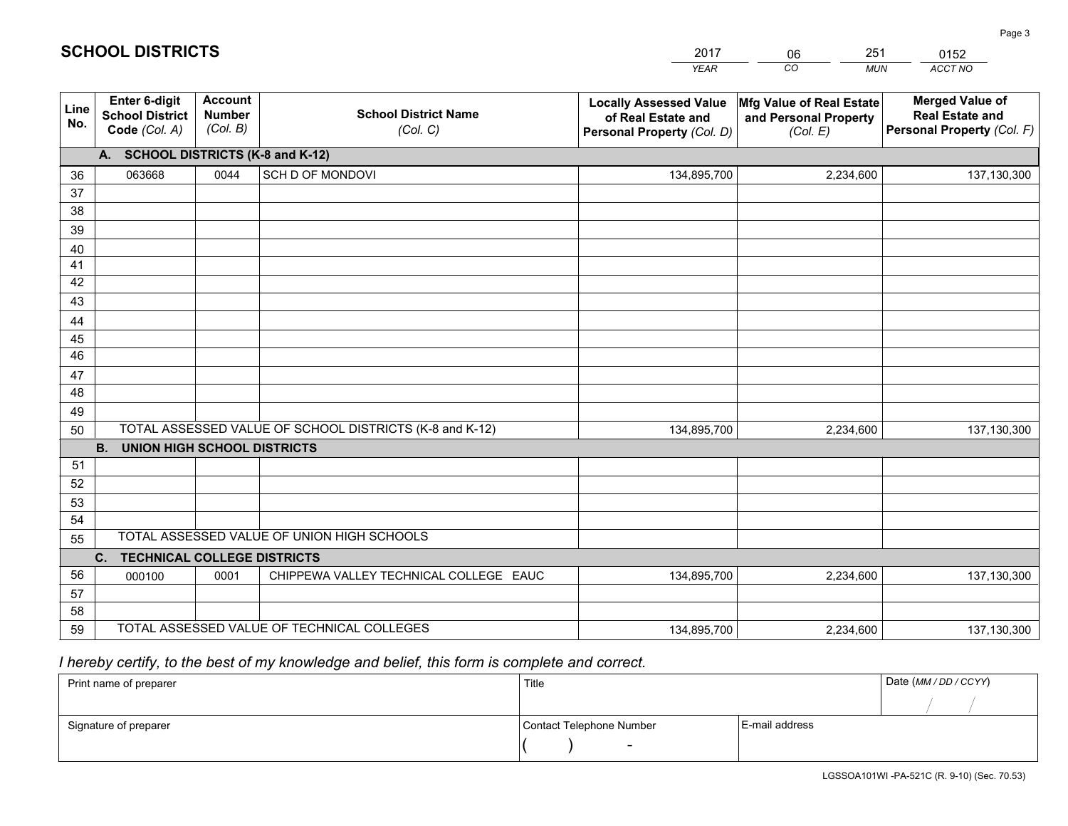|             |                                                                 |                                             |                                                         | <b>YEAR</b>                                                                       | CO<br><b>MUN</b>                                              | ACCT NO                                                                        |
|-------------|-----------------------------------------------------------------|---------------------------------------------|---------------------------------------------------------|-----------------------------------------------------------------------------------|---------------------------------------------------------------|--------------------------------------------------------------------------------|
| Line<br>No. | <b>Enter 6-digit</b><br><b>School District</b><br>Code (Col. A) | <b>Account</b><br><b>Number</b><br>(Col. B) | <b>School District Name</b><br>(Col. C)                 | <b>Locally Assessed Value</b><br>of Real Estate and<br>Personal Property (Col. D) | Mfg Value of Real Estate<br>and Personal Property<br>(Col. E) | <b>Merged Value of</b><br><b>Real Estate and</b><br>Personal Property (Col. F) |
|             | A. SCHOOL DISTRICTS (K-8 and K-12)                              |                                             |                                                         |                                                                                   |                                                               |                                                                                |
| 36          | 063668                                                          | 0044                                        | SCH D OF MONDOVI                                        | 134,895,700                                                                       | 2,234,600                                                     | 137,130,300                                                                    |
| 37          |                                                                 |                                             |                                                         |                                                                                   |                                                               |                                                                                |
| 38          |                                                                 |                                             |                                                         |                                                                                   |                                                               |                                                                                |
| 39          |                                                                 |                                             |                                                         |                                                                                   |                                                               |                                                                                |
| 40          |                                                                 |                                             |                                                         |                                                                                   |                                                               |                                                                                |
| 41<br>42    |                                                                 |                                             |                                                         |                                                                                   |                                                               |                                                                                |
| 43          |                                                                 |                                             |                                                         |                                                                                   |                                                               |                                                                                |
| 44          |                                                                 |                                             |                                                         |                                                                                   |                                                               |                                                                                |
| 45          |                                                                 |                                             |                                                         |                                                                                   |                                                               |                                                                                |
| 46          |                                                                 |                                             |                                                         |                                                                                   |                                                               |                                                                                |
| 47          |                                                                 |                                             |                                                         |                                                                                   |                                                               |                                                                                |
| 48          |                                                                 |                                             |                                                         |                                                                                   |                                                               |                                                                                |
| 49          |                                                                 |                                             |                                                         |                                                                                   |                                                               |                                                                                |
| 50          |                                                                 |                                             | TOTAL ASSESSED VALUE OF SCHOOL DISTRICTS (K-8 and K-12) | 134,895,700                                                                       | 2,234,600                                                     | 137,130,300                                                                    |
|             | <b>B.</b><br><b>UNION HIGH SCHOOL DISTRICTS</b>                 |                                             |                                                         |                                                                                   |                                                               |                                                                                |
| 51          |                                                                 |                                             |                                                         |                                                                                   |                                                               |                                                                                |
| 52          |                                                                 |                                             |                                                         |                                                                                   |                                                               |                                                                                |
| 53<br>54    |                                                                 |                                             |                                                         |                                                                                   |                                                               |                                                                                |
| 55          |                                                                 |                                             | TOTAL ASSESSED VALUE OF UNION HIGH SCHOOLS              |                                                                                   |                                                               |                                                                                |
|             | $C_{1}$<br><b>TECHNICAL COLLEGE DISTRICTS</b>                   |                                             |                                                         |                                                                                   |                                                               |                                                                                |
| 56          | 000100                                                          | 0001                                        | CHIPPEWA VALLEY TECHNICAL COLLEGE EAUC                  | 134,895,700                                                                       | 2,234,600                                                     | 137,130,300                                                                    |
| 57          |                                                                 |                                             |                                                         |                                                                                   |                                                               |                                                                                |
| 58          |                                                                 |                                             |                                                         |                                                                                   |                                                               |                                                                                |
| 59          |                                                                 |                                             | TOTAL ASSESSED VALUE OF TECHNICAL COLLEGES              | 134,895,700                                                                       | 2,234,600                                                     | 137,130,300                                                                    |

 *I hereby certify, to the best of my knowledge and belief, this form is complete and correct.*

| Print name of preparer | Title                    |                | Date (MM/DD/CCYY) |
|------------------------|--------------------------|----------------|-------------------|
|                        |                          |                |                   |
| Signature of preparer  | Contact Telephone Number | E-mail address |                   |
|                        | $\overline{\phantom{0}}$ |                |                   |

Page 3

| <b>SCHOOL DISTRICTS</b> |  |
|-------------------------|--|
|-------------------------|--|

201706